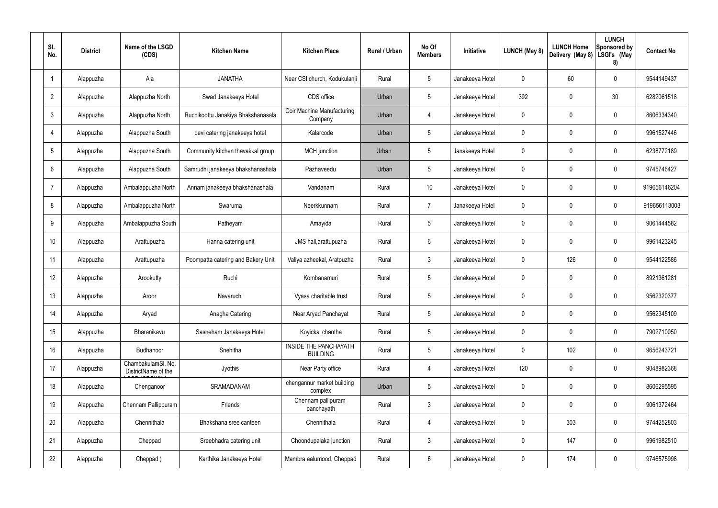| SI.<br>No.      | <b>District</b> | Name of the LSGD<br>(CDS)                 | <b>Kitchen Name</b>                | <b>Kitchen Place</b>                            | Rural / Urban | No Of<br><b>Members</b> | Initiative      | <b>LUNCH (May 8)</b> | <b>LUNCH Home</b><br>Delivery (May 8) | <b>LUNCH</b><br>Sponsored by<br>LSGI's (May<br>8) | <b>Contact No</b> |
|-----------------|-----------------|-------------------------------------------|------------------------------------|-------------------------------------------------|---------------|-------------------------|-----------------|----------------------|---------------------------------------|---------------------------------------------------|-------------------|
|                 | Alappuzha       | Ala                                       | <b>JANATHA</b>                     | Near CSI church, Kodukulanji                    | Rural         | $5\phantom{.0}$         | Janakeeya Hotel | $\mathbf 0$          | 60                                    | $\mathbf 0$                                       | 9544149437        |
| $\overline{2}$  | Alappuzha       | Alappuzha North                           | Swad Janakeeya Hotel               | CDS office                                      | Urban         | $5\phantom{.0}$         | Janakeeya Hotel | 392                  | 0                                     | 30                                                | 6282061518        |
| $\mathbf{3}$    | Alappuzha       | Alappuzha North                           | Ruchikoottu Janakiya Bhakshanasala | Coir Machine Manufacturing<br>Company           | Urban         | 4                       | Janakeeya Hotel | $\mathbf 0$          | 0                                     | $\mathbf 0$                                       | 8606334340        |
| $\overline{4}$  | Alappuzha       | Alappuzha South                           | devi catering janakeeya hotel      | Kalarcode                                       | Urban         | $5\phantom{.0}$         | Janakeeya Hotel | $\mathbf 0$          | 0                                     | $\mathbf 0$                                       | 9961527446        |
| $5\phantom{.0}$ | Alappuzha       | Alappuzha South                           | Community kitchen thavakkal group  | <b>MCH</b> junction                             | Urban         | $5\phantom{.0}$         | Janakeeya Hotel | $\mathbf 0$          | 0                                     | $\mathbf 0$                                       | 6238772189        |
| 6               | Alappuzha       | Alappuzha South                           | Samrudhi janakeeya bhakshanashala  | Pazhaveedu                                      | Urban         | $5\phantom{.0}$         | Janakeeya Hotel | $\mathbf 0$          | 0                                     | $\mathbf 0$                                       | 9745746427        |
| -7              | Alappuzha       | Ambalappuzha North                        | Annam janakeeya bhakshanashala     | Vandanam                                        | Rural         | 10 <sup>°</sup>         | Janakeeya Hotel | $\mathbf 0$          | 0                                     | $\mathbf 0$                                       | 919656146204      |
| 8               | Alappuzha       | Ambalappuzha North                        | Swaruma                            | Neerkkunnam                                     | Rural         | $\overline{7}$          | Janakeeya Hotel | $\mathbf 0$          | 0                                     | $\mathbf 0$                                       | 919656113003      |
| 9               | Alappuzha       | Ambalappuzha South                        | Patheyam                           | Amayida                                         | Rural         | $5\phantom{.0}$         | Janakeeya Hotel | $\mathbf 0$          | 0                                     | $\mathbf 0$                                       | 9061444582        |
| 10              | Alappuzha       | Arattupuzha                               | Hanna catering unit                | JMS hall, arattupuzha                           | Rural         | $6\phantom{.}6$         | Janakeeya Hotel | $\mathbf 0$          | $\mathbf 0$                           | $\mathbf 0$                                       | 9961423245        |
| 11              | Alappuzha       | Arattupuzha                               | Poompatta catering and Bakery Unit | Valiya azheekal, Aratpuzha                      | Rural         | $\mathbf{3}$            | Janakeeya Hotel | $\mathbf 0$          | 126                                   | $\mathbf 0$                                       | 9544122586        |
| 12              | Alappuzha       | Arookutty                                 | Ruchi                              | Kombanamuri                                     | Rural         | $5\phantom{.0}$         | Janakeeya Hotel | $\mathbf 0$          | $\mathbf 0$                           | $\mathbf 0$                                       | 8921361281        |
| 13              | Alappuzha       | Aroor                                     | Navaruchi                          | Vyasa charitable trust                          | Rural         | $5\phantom{.0}$         | Janakeeya Hotel | 0                    | $\mathbf 0$                           | $\mathbf 0$                                       | 9562320377        |
| 14              | Alappuzha       | Aryad                                     | Anagha Catering                    | Near Aryad Panchayat                            | Rural         | $5\phantom{.0}$         | Janakeeya Hotel | $\mathbf 0$          | $\mathbf 0$                           | $\mathbf 0$                                       | 9562345109        |
| 15              | Alappuzha       | Bharanikavu                               | Sasneham Janakeeya Hotel           | Koyickal chantha                                | Rural         | $5\phantom{.0}$         | Janakeeya Hotel | $\mathbf 0$          | $\mathbf 0$                           | $\mathbf 0$                                       | 7902710050        |
| 16              | Alappuzha       | Budhanoor                                 | Snehitha                           | <b>INSIDE THE PANCHAYATH</b><br><b>BUILDING</b> | Rural         | $5\phantom{.0}$         | Janakeeya Hotel | $\mathbf 0$          | 102                                   | $\mathbf 0$                                       | 9656243721        |
| 17              | Alappuzha       | ChambakulamSl. No.<br>DistrictName of the | Jyothis                            | Near Party office                               | Rural         | $\overline{4}$          | Janakeeya Hotel | 120                  | 0                                     | $\mathbf 0$                                       | 9048982368        |
| 18              | Alappuzha       | Chenganoor                                | SRAMADANAM                         | chengannur market building<br>complex           | Urban         | $5\phantom{.0}$         | Janakeeya Hotel | $\mathbf 0$          | 0                                     | $\mathbf 0$                                       | 8606295595        |
| 19              | Alappuzha       | Chennam Pallippuram                       | Friends                            | Chennam pallipuram<br>panchayath                | Rural         | $\mathbf{3}$            | Janakeeya Hotel | $\mathbf 0$          | 0                                     | $\mathbf 0$                                       | 9061372464        |
| 20              | Alappuzha       | Chennithala                               | Bhakshana sree canteen             | Chennithala                                     | Rural         | $\overline{4}$          | Janakeeya Hotel | 0                    | 303                                   | $\mathbf 0$                                       | 9744252803        |
| 21              | Alappuzha       | Cheppad                                   | Sreebhadra catering unit           | Choondupalaka junction                          | Rural         | $\mathbf{3}$            | Janakeeya Hotel | $\mathbf 0$          | 147                                   | $\mathbf 0$                                       | 9961982510        |
| 22              | Alappuzha       | Cheppad)                                  | Karthika Janakeeya Hotel           | Mambra aalumood, Cheppad                        | Rural         | $6\,$                   | Janakeeya Hotel | 0                    | 174                                   | $\mathbf 0$                                       | 9746575998        |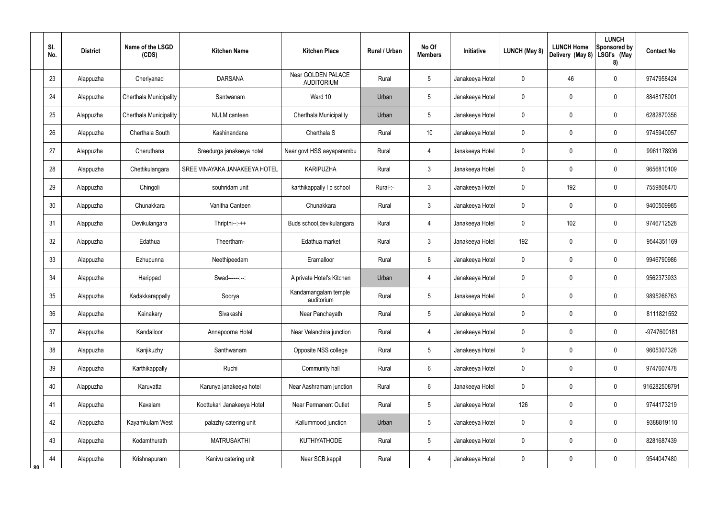|    | SI.<br>No. | <b>District</b> | Name of the LSGD<br>(CDS) | <b>Kitchen Name</b>           | <b>Kitchen Place</b>                    | Rural / Urban | No Of<br><b>Members</b> | Initiative      | <b>LUNCH (May 8)</b> | <b>LUNCH Home</b><br>Delivery (May 8) | <b>LUNCH</b><br>Sponsored by<br>LSGI's (May<br>8) | <b>Contact No</b> |
|----|------------|-----------------|---------------------------|-------------------------------|-----------------------------------------|---------------|-------------------------|-----------------|----------------------|---------------------------------------|---------------------------------------------------|-------------------|
|    | 23         | Alappuzha       | Cheriyanad                | <b>DARSANA</b>                | Near GOLDEN PALACE<br><b>AUDITORIUM</b> | Rural         | $5\phantom{.0}$         | Janakeeya Hotel | $\mathbf 0$          | 46                                    | $\pmb{0}$                                         | 9747958424        |
|    | 24         | Alappuzha       | Cherthala Municipality    | Santwanam                     | Ward 10                                 | Urban         | $5\,$                   | Janakeeya Hotel | 0                    | 0                                     | $\pmb{0}$                                         | 8848178001        |
|    | 25         | Alappuzha       | Cherthala Municipality    | NULM canteen                  | Cherthala Municipality                  | Urban         | $5\,$                   | Janakeeya Hotel | 0                    | 0                                     | $\pmb{0}$                                         | 6282870356        |
|    | 26         | Alappuzha       | Cherthala South           | Kashinandana                  | Cherthala S                             | Rural         | 10 <sup>°</sup>         | Janakeeya Hotel | $\mathbf 0$          | 0                                     | $\pmb{0}$                                         | 9745940057        |
|    | 27         | Alappuzha       | Cheruthana                | Sreedurga janakeeya hotel     | Near govt HSS aayaparambu               | Rural         | $\overline{4}$          | Janakeeya Hotel | 0                    | 0                                     | $\pmb{0}$                                         | 9961178936        |
|    | 28         | Alappuzha       | Chettikulangara           | SREE VINAYAKA JANAKEEYA HOTEL | <b>KARIPUZHA</b>                        | Rural         | $\mathbf{3}$            | Janakeeya Hotel | $\mathbf 0$          | 0                                     | 0                                                 | 9656810109        |
|    | 29         | Alappuzha       | Chingoli                  | souhridam unit                | karthikappally I p school               | Rural-:-      | $\mathbf{3}$            | Janakeeya Hotel | 0                    | 192                                   | $\pmb{0}$                                         | 7559808470        |
|    | 30         | Alappuzha       | Chunakkara                | Vanitha Canteen               | Chunakkara                              | Rural         | $\mathbf{3}$            | Janakeeya Hotel | $\mathbf 0$          | 0                                     | 0                                                 | 9400509985        |
|    | 31         | Alappuzha       | Devikulangara             | Thripthi--:-++                | Buds school, devikulangara              | Rural         | $\overline{4}$          | Janakeeya Hotel | 0                    | 102                                   | $\pmb{0}$                                         | 9746712528        |
|    | 32         | Alappuzha       | Edathua                   | Theertham-                    | Edathua market                          | Rural         | $\mathbf{3}$            | Janakeeya Hotel | 192                  | $\mathbf 0$                           | $\pmb{0}$                                         | 9544351169        |
|    | 33         | Alappuzha       | Ezhupunna                 | Neethipeedam                  | Eramalloor                              | Rural         | 8                       | Janakeeya Hotel | $\mathbf 0$          | $\mathbf 0$                           | $\pmb{0}$                                         | 9946790986        |
|    | 34         | Alappuzha       | Harippad                  | Swad------:--:                | A private Hotel's Kitchen               | Urban         | $\overline{4}$          | Janakeeya Hotel | $\boldsymbol{0}$     | $\boldsymbol{0}$                      | $\pmb{0}$                                         | 9562373933        |
|    | $35\,$     | Alappuzha       | Kadakkarappally           | Soorya                        | Kandamangalam temple<br>auditorium      | Rural         | 5                       | Janakeeya Hotel | $\mathbf 0$          | $\mathbf 0$                           | 0                                                 | 9895266763        |
|    | 36         | Alappuzha       | Kainakary                 | Sivakashi                     | Near Panchayath                         | Rural         | $\sqrt{5}$              | Janakeeya Hotel | $\pmb{0}$            | $\mathbf 0$                           | $\pmb{0}$                                         | 8111821552        |
|    | 37         | Alappuzha       | Kandalloor                | Annapoorna Hotel              | Near Velanchira junction                | Rural         | $\overline{4}$          | Janakeeya Hotel | $\mathbf 0$          | $\mathbf 0$                           | $\pmb{0}$                                         | -9747600181       |
|    | 38         | Alappuzha       | Kanjikuzhy                | Santhwanam                    | Opposite NSS college                    | Rural         | $5\phantom{.0}$         | Janakeeya Hotel | $\pmb{0}$            | $\mathbf 0$                           | $\pmb{0}$                                         | 9605307328        |
|    | 39         | Alappuzha       | Karthikappally            | Ruchi                         | Community hall                          | Rural         | 6                       | Janakeeya Hotel | $\mathbf 0$          | $\mathbf 0$                           | $\pmb{0}$                                         | 9747607478        |
|    | 40         | Alappuzha       | Karuvatta                 | Karunya janakeeya hotel       | Near Aashramam junction                 | Rural         | 6                       | Janakeeya Hotel | $\pmb{0}$            | $\mathbf 0$                           | $\pmb{0}$                                         | 916282508791      |
|    | 41         | Alappuzha       | Kavalam                   | Koottukari Janakeeya Hotel    | <b>Near Permanent Outlet</b>            | Rural         | $5\phantom{.0}$         | Janakeeya Hotel | 126                  | $\mathbf 0$                           | $\pmb{0}$                                         | 9744173219        |
|    | 42         | Alappuzha       | Kayamkulam West           | palazhy catering unit         | Kallummood junction                     | Urban         | $\sqrt{5}$              | Janakeeya Hotel | $\mathbf 0$          | $\boldsymbol{0}$                      | $\pmb{0}$                                         | 9388819110        |
|    | 43         | Alappuzha       | Kodamthurath              | <b>MATRUSAKTHI</b>            | <b>KUTHIYATHODE</b>                     | Rural         | $5\phantom{.0}$         | Janakeeya Hotel | $\pmb{0}$            | $\mathbf 0$                           | $\pmb{0}$                                         | 8281687439        |
| RQ | 44         | Alappuzha       | Krishnapuram              | Kanivu catering unit          | Near SCB, kappil                        | Rural         | 4                       | Janakeeya Hotel | $\pmb{0}$            | $\mathbf 0$                           | $\pmb{0}$                                         | 9544047480        |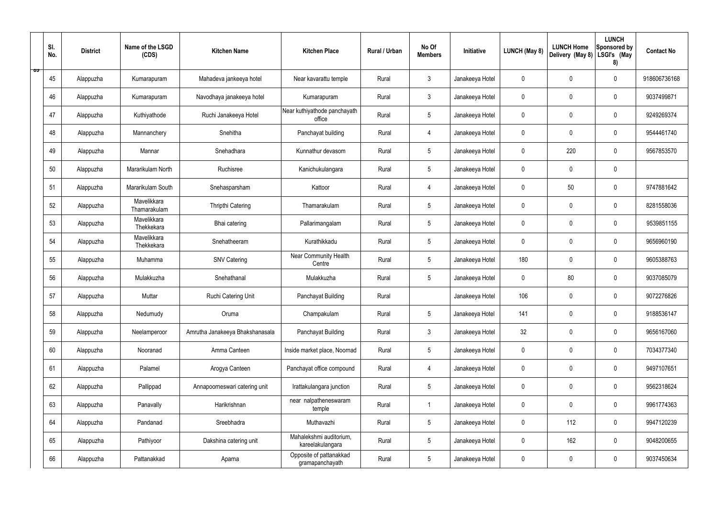|   | SI.<br>No. | <b>District</b> | Name of the LSGD<br>(CDS)   | <b>Kitchen Name</b>             | <b>Kitchen Place</b>                        | Rural / Urban | No Of<br><b>Members</b> | Initiative      | <b>LUNCH (May 8)</b> | <b>LUNCH Home</b><br>Delivery (May 8) | <b>LUNCH</b><br>Sponsored by<br>LSGI's (May<br>8) | <b>Contact No</b> |
|---|------------|-----------------|-----------------------------|---------------------------------|---------------------------------------------|---------------|-------------------------|-----------------|----------------------|---------------------------------------|---------------------------------------------------|-------------------|
| ಾ | 45         | Alappuzha       | Kumarapuram                 | Mahadeva jankeeya hotel         | Near kavarattu temple                       | Rural         | $\mathbf{3}$            | Janakeeya Hotel | $\mathbf 0$          | $\mathbf 0$                           | $\mathbf 0$                                       | 918606736168      |
|   | 46         | Alappuzha       | Kumarapuram                 | Navodhaya janakeeya hotel       | Kumarapuram                                 | Rural         | $\mathbf{3}$            | Janakeeya Hotel | $\mathbf 0$          | $\mathbf 0$                           | $\mathbf 0$                                       | 9037499871        |
|   | 47         | Alappuzha       | Kuthiyathode                | Ruchi Janakeeya Hotel           | Near kuthiyathode panchayath<br>office      | Rural         | $5\phantom{.0}$         | Janakeeya Hotel | $\mathbf 0$          | $\mathbf 0$                           | $\mathbf 0$                                       | 9249269374        |
|   | 48         | Alappuzha       | Mannanchery                 | Snehitha                        | Panchayat building                          | Rural         | $\overline{4}$          | Janakeeya Hotel | $\mathbf 0$          | $\mathbf 0$                           | $\mathbf 0$                                       | 9544461740        |
|   | 49         | Alappuzha       | Mannar                      | Snehadhara                      | Kunnathur devasom                           | Rural         | $5\phantom{.0}$         | Janakeeya Hotel | $\mathbf 0$          | 220                                   | $\mathbf 0$                                       | 9567853570        |
|   | 50         | Alappuzha       | Mararikulam North           | Ruchisree                       | Kanichukulangara                            | Rural         | $5\overline{)}$         | Janakeeya Hotel | $\mathbf 0$          | $\mathbf 0$                           | $\mathbf 0$                                       |                   |
|   | 51         | Alappuzha       | Mararikulam South           | Snehasparsham                   | Kattoor                                     | Rural         | $\overline{4}$          | Janakeeya Hotel | $\mathbf 0$          | 50                                    | $\mathbf 0$                                       | 9747881642        |
|   | 52         | Alappuzha       | Mavelikkara<br>Thamarakulam | Thripthi Catering               | Thamarakulam                                | Rural         | $5\phantom{.0}$         | Janakeeya Hotel | $\mathbf 0$          | $\mathbf 0$                           | $\mathbf 0$                                       | 8281558036        |
|   | 53         | Alappuzha       | Mavelikkara<br>Thekkekara   | Bhai catering                   | Pallarimangalam                             | Rural         | $5\phantom{.0}$         | Janakeeya Hotel | $\mathbf 0$          | $\mathbf 0$                           | $\mathbf 0$                                       | 9539851155        |
|   | 54         | Alappuzha       | Mavelikkara<br>Thekkekara   | Snehatheeram                    | Kurathikkadu                                | Rural         | $5\overline{)}$         | Janakeeya Hotel | $\mathbf 0$          | $\mathbf 0$                           | $\mathbf 0$                                       | 9656960190        |
|   | 55         | Alappuzha       | Muhamma                     | <b>SNV Catering</b>             | Near Community Health<br>Centre             | Rural         | $5\phantom{.0}$         | Janakeeya Hotel | 180                  | $\mathbf 0$                           | $\mathbf 0$                                       | 9605388763        |
|   | 56         | Alappuzha       | Mulakkuzha                  | Snehathanal                     | Mulakkuzha                                  | Rural         | $5\phantom{.0}$         | Janakeeya Hotel | $\mathbf 0$          | 80                                    | $\mathbf 0$                                       | 9037085079        |
|   | 57         | Alappuzha       | Muttar                      | Ruchi Catering Unit             | Panchayat Building                          | Rural         |                         | Janakeeya Hotel | 106                  | 0                                     | $\mathbf 0$                                       | 9072276826        |
|   | 58         | Alappuzha       | Nedumudy                    | Oruma                           | Champakulam                                 | Rural         | $5\phantom{.0}$         | Janakeeya Hotel | 141                  | $\mathbf 0$                           | $\mathbf 0$                                       | 9188536147        |
|   | 59         | Alappuzha       | Neelamperoor                | Amrutha Janakeeya Bhakshanasala | Panchayat Building                          | Rural         | $\mathbf{3}$            | Janakeeya Hotel | 32                   | $\pmb{0}$                             | $\mathbf 0$                                       | 9656167060        |
|   | 60         | Alappuzha       | Nooranad                    | Amma Canteen                    | Inside market place, Noornad                | Rural         | $5\overline{)}$         | Janakeeya Hotel | $\pmb{0}$            | $\mathbf 0$                           | $\mathbf 0$                                       | 7034377340        |
|   | 61         | Alappuzha       | Palamel                     | Arogya Canteen                  | Panchayat office compound                   | Rural         | $\overline{4}$          | Janakeeya Hotel | $\pmb{0}$            | $\mathbf 0$                           | $\mathbf 0$                                       | 9497107651        |
|   | 62         | Alappuzha       | Pallippad                   | Annapoorneswari catering unit   | Irattakulangara junction                    | Rural         | 5 <sup>5</sup>          | Janakeeya Hotel | $\pmb{0}$            | $\mathbf 0$                           | $\mathbf 0$                                       | 9562318624        |
|   | 63         | Alappuzha       | Panavally                   | Harikrishnan                    | near nalpatheneswaram<br>temple             | Rural         | -1                      | Janakeeya Hotel | $\pmb{0}$            | $\pmb{0}$                             | $\mathbf 0$                                       | 9961774363        |
|   | 64         | Alappuzha       | Pandanad                    | Sreebhadra                      | Muthavazhi                                  | Rural         | $5\phantom{.0}$         | Janakeeya Hotel | $\pmb{0}$            | 112                                   | $\mathbf 0$                                       | 9947120239        |
|   | 65         | Alappuzha       | Pathiyoor                   | Dakshina catering unit          | Mahalekshmi auditorium,<br>kareelakulangara | Rural         | 5 <sup>5</sup>          | Janakeeya Hotel | $\pmb{0}$            | 162                                   | $\mathbf 0$                                       | 9048200655        |
|   | 66         | Alappuzha       | Pattanakkad                 | Aparna                          | Opposite of pattanakkad<br>gramapanchayath  | Rural         | $5\phantom{.0}$         | Janakeeya Hotel | 0                    | $\pmb{0}$                             | $\boldsymbol{0}$                                  | 9037450634        |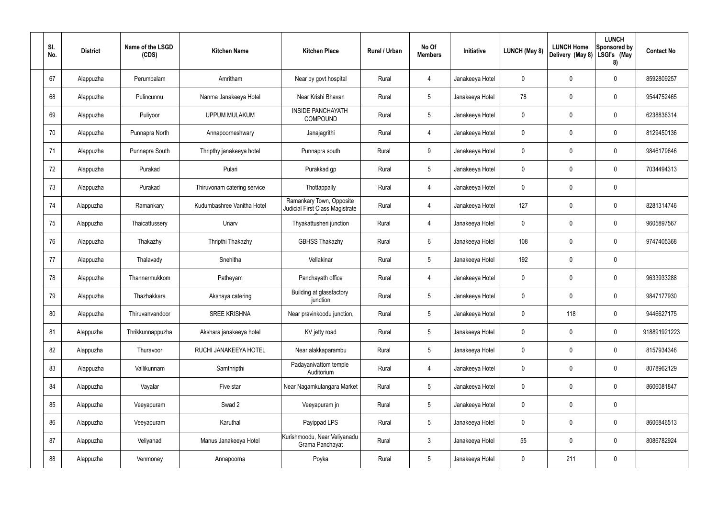| SI.<br>No. | <b>District</b> | Name of the LSGD<br>(CDS) | <b>Kitchen Name</b>         | <b>Kitchen Place</b>                                        | Rural / Urban | No Of<br><b>Members</b> | Initiative      | <b>LUNCH (May 8)</b> | <b>LUNCH Home</b><br>Delivery (May 8) | <b>LUNCH</b><br>Sponsored by<br>LSGI's (May<br>8) | <b>Contact No</b> |
|------------|-----------------|---------------------------|-----------------------------|-------------------------------------------------------------|---------------|-------------------------|-----------------|----------------------|---------------------------------------|---------------------------------------------------|-------------------|
| 67         | Alappuzha       | Perumbalam                | Amritham                    | Near by govt hospital                                       | Rural         | 4                       | Janakeeya Hotel | $\mathbf 0$          | $\mathbf 0$                           | $\mathbf 0$                                       | 8592809257        |
| 68         | Alappuzha       | Pulincunnu                | Nanma Janakeeya Hotel       | Near Krishi Bhavan                                          | Rural         | $5\phantom{.0}$         | Janakeeya Hotel | 78                   | $\mathbf 0$                           | $\overline{0}$                                    | 9544752465        |
| 69         | Alappuzha       | Puliyoor                  | <b>UPPUM MULAKUM</b>        | <b>INSIDE PANCHAYATH</b><br>COMPOUND                        | Rural         | $5\phantom{.0}$         | Janakeeya Hotel | $\mathbf 0$          | $\mathbf 0$                           | $\mathbf 0$                                       | 6238836314        |
| 70         | Alappuzha       | Punnapra North            | Annapoorneshwary            | Janajagrithi                                                | Rural         | $\overline{4}$          | Janakeeya Hotel | $\mathbf 0$          | $\mathbf 0$                           | $\mathbf 0$                                       | 8129450136        |
| 71         | Alappuzha       | Punnapra South            | Thripthy janakeeya hotel    | Punnapra south                                              | Rural         | 9                       | Janakeeya Hotel | $\mathbf 0$          | $\mathbf 0$                           | $\mathbf 0$                                       | 9846179646        |
| 72         | Alappuzha       | Purakad                   | Pulari                      | Purakkad gp                                                 | Rural         | $5\overline{)}$         | Janakeeya Hotel | $\mathbf 0$          | $\mathbf 0$                           | $\mathbf 0$                                       | 7034494313        |
| 73         | Alappuzha       | Purakad                   | Thiruvonam catering service | Thottappally                                                | Rural         | 4                       | Janakeeya Hotel | $\mathbf 0$          | $\mathbf 0$                           | $\mathbf 0$                                       |                   |
| 74         | Alappuzha       | Ramankary                 | Kudumbashree Vanitha Hotel  | Ramankary Town, Opposite<br>Judicial First Class Magistrate | Rural         | 4                       | Janakeeya Hotel | 127                  | $\mathbf 0$                           | $\mathbf 0$                                       | 8281314746        |
| 75         | Alappuzha       | Thaicattussery            | Unarv                       | Thyakattusheri junction                                     | Rural         | 4                       | Janakeeya Hotel | $\mathbf 0$          | $\mathbf 0$                           | $\mathbf 0$                                       | 9605897567        |
| 76         | Alappuzha       | Thakazhy                  | Thripthi Thakazhy           | <b>GBHSS Thakazhy</b>                                       | Rural         | 6                       | Janakeeya Hotel | 108                  | $\mathbf 0$                           | $\mathbf 0$                                       | 9747405368        |
| 77         | Alappuzha       | Thalavady                 | Snehitha                    | Vellakinar                                                  | Rural         | $5\overline{)}$         | Janakeeya Hotel | 192                  | 0                                     | $\mathbf 0$                                       |                   |
| 78         | Alappuzha       | Thannermukkom             | Patheyam                    | Panchayath office                                           | Rural         | 4                       | Janakeeya Hotel | $\mathbf 0$          | $\mathbf 0$                           | $\mathbf 0$                                       | 9633933288        |
| 79         | Alappuzha       | Thazhakkara               | Akshaya catering            | Building at glassfactory<br>junction                        | Rural         | $5\overline{)}$         | Janakeeya Hotel | $\mathbf 0$          | $\mathbf 0$                           | $\mathbf 0$                                       | 9847177930        |
| 80         | Alappuzha       | Thiruvanvandoor           | <b>SREE KRISHNA</b>         | Near pravinkoodu junction,                                  | Rural         | 5 <sub>5</sub>          | Janakeeya Hotel | $\mathbf 0$          | 118                                   | $\mathbf 0$                                       | 9446627175        |
| 81         | Alappuzha       | Thrikkunnappuzha          | Akshara janakeeya hotel     | KV jetty road                                               | Rural         | $5\overline{)}$         | Janakeeya Hotel | $\mathbf 0$          | $\pmb{0}$                             | $\boldsymbol{0}$                                  | 918891921223      |
| 82         | Alappuzha       | Thuravoor                 | RUCHI JANAKEEYA HOTEL       | Near alakkaparambu                                          | Rural         | $5\overline{)}$         | Janakeeya Hotel | $\pmb{0}$            | $\pmb{0}$                             | $\pmb{0}$                                         | 8157934346        |
| 83         | Alappuzha       | Vallikunnam               | Samthripthi                 | Padayanivattom temple<br>Auditorium                         | Rural         | $\overline{4}$          | Janakeeya Hotel | $\mathbf 0$          | $\pmb{0}$                             | $\pmb{0}$                                         | 8078962129        |
| 84         | Alappuzha       | Vayalar                   | Five star                   | Near Nagamkulangara Market                                  | Rural         | $5\overline{)}$         | Janakeeya Hotel | $\mathbf 0$          | $\pmb{0}$                             | $\pmb{0}$                                         | 8606081847        |
| 85         | Alappuzha       | Veeyapuram                | Swad 2                      | Veeyapuram jn                                               | Rural         | $5\phantom{.0}$         | Janakeeya Hotel | $\mathbf 0$          | $\pmb{0}$                             | $\mathbf 0$                                       |                   |
| 86         | Alappuzha       | Veeyapuram                | Karuthal                    | Payippad LPS                                                | Rural         | $5\overline{)}$         | Janakeeya Hotel | $\mathbf 0$          | $\pmb{0}$                             | $\pmb{0}$                                         | 8606846513        |
| 87         | Alappuzha       | Veliyanad                 | Manus Janakeeya Hotel       | Kurishmoodu, Near Veliyanadu<br>Grama Panchayat             | Rural         | $\mathbf{3}$            | Janakeeya Hotel | 55                   | $\pmb{0}$                             | $\mathbf 0$                                       | 8086782924        |
| 88         | Alappuzha       | Venmoney                  | Annapoorna                  | Poyka                                                       | Rural         | 5 <sub>5</sub>          | Janakeeya Hotel | $\pmb{0}$            | 211                                   | $\pmb{0}$                                         |                   |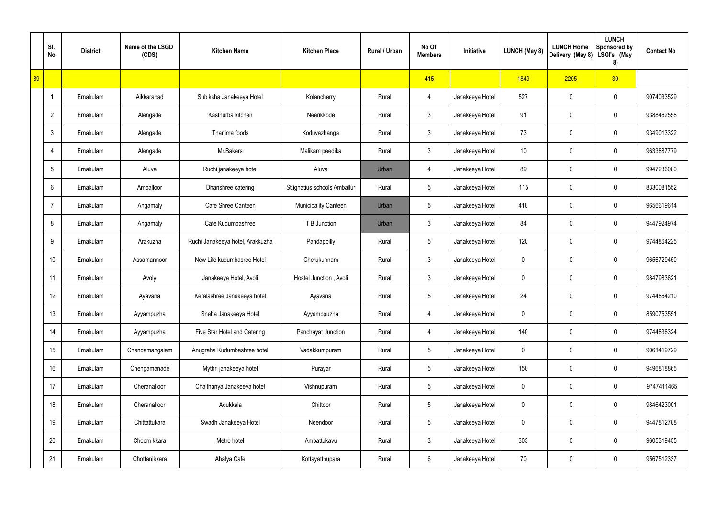|    | SI.<br>No.      | <b>District</b> | Name of the LSGD<br>(CDS) | <b>Kitchen Name</b>              | <b>Kitchen Place</b>         | Rural / Urban | No Of<br><b>Members</b> | Initiative      | LUNCH (May 8)   | <b>LUNCH Home</b><br>Delivery (May 8) | <b>LUNCH</b><br><b>Sponsored by</b><br>LSGI's (May<br>8) | <b>Contact No</b> |
|----|-----------------|-----------------|---------------------------|----------------------------------|------------------------------|---------------|-------------------------|-----------------|-----------------|---------------------------------------|----------------------------------------------------------|-------------------|
| 89 |                 |                 |                           |                                  |                              |               | 415                     |                 | 1849            | 2205                                  | 30 <sub>2</sub>                                          |                   |
|    | -1              | Ernakulam       | Aikkaranad                | Subiksha Janakeeya Hotel         | Kolancherry                  | Rural         | 4                       | Janakeeya Hotel | 527             | 0                                     | $\pmb{0}$                                                | 9074033529        |
|    | $\overline{2}$  | Ernakulam       | Alengade                  | Kasthurba kitchen                | Neerikkode                   | Rural         | $\mathfrak{Z}$          | Janakeeya Hotel | 91              | 0                                     | $\pmb{0}$                                                | 9388462558        |
|    | $\mathbf{3}$    | Ernakulam       | Alengade                  | Thanima foods                    | Koduvazhanga                 | Rural         | $\mathfrak{Z}$          | Janakeeya Hotel | 73              | 0                                     | $\mathbf 0$                                              | 9349013322        |
|    | 4               | Ernakulam       | Alengade                  | Mr.Bakers                        | Malikam peedika              | Rural         | $\mathfrak{Z}$          | Janakeeya Hotel | 10 <sup>°</sup> | 0                                     | $\pmb{0}$                                                | 9633887779        |
|    | $5\phantom{.0}$ | Ernakulam       | Aluva                     | Ruchi janakeeya hotel            | Aluva                        | Urban         | 4                       | Janakeeya Hotel | 89              | 0                                     | $\mathbf 0$                                              | 9947236080        |
|    | 6               | Ernakulam       | Amballoor                 | Dhanshree catering               | St.ignatius schools Amballur | Rural         | $5\phantom{.0}$         | Janakeeya Hotel | 115             | 0                                     | $\pmb{0}$                                                | 8330081552        |
|    | $\overline{7}$  | Ernakulam       | Angamaly                  | Cafe Shree Canteen               | <b>Municipality Canteen</b>  | Urban         | $5\phantom{.0}$         | Janakeeya Hotel | 418             | 0                                     | $\mathbf 0$                                              | 9656619614        |
|    | 8               | Ernakulam       | Angamaly                  | Cafe Kudumbashree                | T B Junction                 | Urban         | $\mathfrak{Z}$          | Janakeeya Hotel | 84              | 0                                     | 0                                                        | 9447924974        |
|    | 9               | Ernakulam       | Arakuzha                  | Ruchi Janakeeya hotel, Arakkuzha | Pandappilly                  | Rural         | $5\phantom{.0}$         | Janakeeya Hotel | 120             | 0                                     | $\mathbf 0$                                              | 9744864225        |
|    | 10 <sup>1</sup> | Ernakulam       | Assamannoor               | New Life kudumbasree Hotel       | Cherukunnam                  | Rural         | $\mathfrak{Z}$          | Janakeeya Hotel | $\mathbf 0$     | 0                                     | $\mathbf 0$                                              | 9656729450        |
|    | 11              | Ernakulam       | Avoly                     | Janakeeya Hotel, Avoli           | Hostel Junction, Avoli       | Rural         | $\mathbf{3}$            | Janakeeya Hotel | 0               | 0                                     | $\mathbf 0$                                              | 9847983621        |
|    | 12              | Ernakulam       | Ayavana                   | Keralashree Janakeeya hotel      | Ayavana                      | Rural         | $5\phantom{.0}$         | Janakeeya Hotel | 24              | 0                                     | $\mathbf 0$                                              | 9744864210        |
|    | 13              | Ernakulam       | Ayyampuzha                | Sneha Janakeeya Hotel            | Ayyamppuzha                  | Rural         | 4                       | Janakeeya Hotel | $\mathbf 0$     | 0                                     | $\mathbf 0$                                              | 8590753551        |
|    | 14              | Ernakulam       | Ayyampuzha                | Five Star Hotel and Catering     | Panchayat Junction           | Rural         | 4                       | Janakeeya Hotel | 140             | $\mathbf 0$                           | $\mathbf 0$                                              | 9744836324        |
|    | 15              | Ernakulam       | Chendamangalam            | Anugraha Kudumbashree hotel      | Vadakkumpuram                | Rural         | $5\phantom{.0}$         | Janakeeya Hotel | $\mathbf 0$     | 0                                     | $\mathbf 0$                                              | 9061419729        |
|    | 16              | Ernakulam       | Chengamanade              | Mythri janakeeya hotel           | Purayar                      | Rural         | $5\phantom{.0}$         | Janakeeya Hotel | 150             | $\mathbf 0$                           | $\mathbf 0$                                              | 9496818865        |
|    | 17              | Ernakulam       | Cheranalloor              | Chaithanya Janakeeya hotel       | Vishnupuram                  | Rural         | $5\phantom{.0}$         | Janakeeya Hotel | $\mathbf 0$     | 0                                     | $\mathbf 0$                                              | 9747411465        |
|    | 18              | Ernakulam       | Cheranalloor              | Adukkala                         | Chittoor                     | Rural         | $5\phantom{.0}$         | Janakeeya Hotel | $\mathbf 0$     | $\mathbf 0$                           | $\mathbf 0$                                              | 9846423001        |
|    | 19              | Ernakulam       | Chittattukara             | Swadh Janakeeya Hotel            | Neendoor                     | Rural         | $5\phantom{.0}$         | Janakeeya Hotel | $\mathbf 0$     | 0                                     | $\mathbf 0$                                              | 9447812788        |
|    | 20              | Ernakulam       | Choornikkara              | Metro hotel                      | Ambattukavu                  | Rural         | $\mathfrak{Z}$          | Janakeeya Hotel | 303             | $\mathbf 0$                           | $\mathsf{0}$                                             | 9605319455        |
|    | 21              | Ernakulam       | Chottanikkara             | Ahalya Cafe                      | Kottayatthupara              | Rural         | 6                       | Janakeeya Hotel | 70              | 0                                     | $\mathsf{0}$                                             | 9567512337        |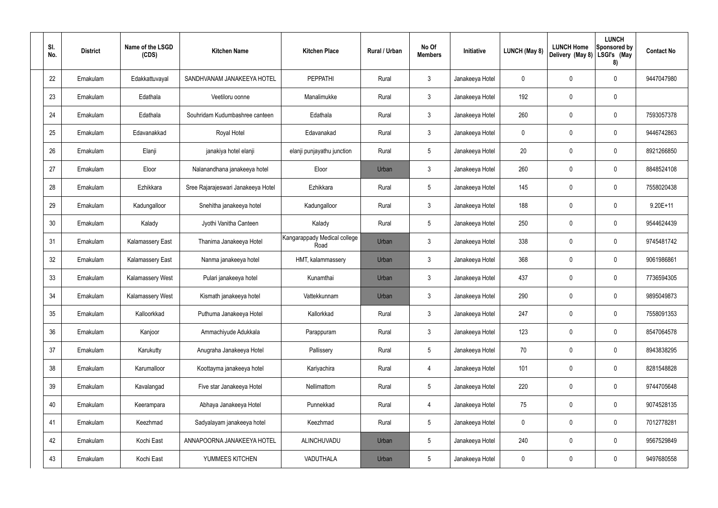| SI.<br>No. | <b>District</b> | Name of the LSGD<br>(CDS) | <b>Kitchen Name</b>                | <b>Kitchen Place</b>                 | Rural / Urban | No Of<br><b>Members</b> | Initiative      | LUNCH (May 8) | <b>LUNCH Home</b><br>Delivery (May 8) | <b>LUNCH</b><br><b>Sponsored by</b><br>LSGI's (May<br>8) | <b>Contact No</b> |
|------------|-----------------|---------------------------|------------------------------------|--------------------------------------|---------------|-------------------------|-----------------|---------------|---------------------------------------|----------------------------------------------------------|-------------------|
| 22         | Ernakulam       | Edakkattuvayal            | SANDHVANAM JANAKEEYA HOTEL         | <b>PEPPATHI</b>                      | Rural         | 3                       | Janakeeya Hotel | 0             | 0                                     | $\mathbf 0$                                              | 9447047980        |
| 23         | Ernakulam       | Edathala                  | Veetiloru oonne                    | Manalimukke                          | Rural         | $\mathfrak{Z}$          | Janakeeya Hotel | 192           | 0                                     | 0                                                        |                   |
| 24         | Ernakulam       | Edathala                  | Souhridam Kudumbashree canteen     | Edathala                             | Rural         | $\mathbf{3}$            | Janakeeya Hotel | 260           | 0                                     | $\mathbf 0$                                              | 7593057378        |
| 25         | Ernakulam       | Edavanakkad               | Royal Hotel                        | Edavanakad                           | Rural         | $\mathfrak{Z}$          | Janakeeya Hotel | 0             | 0                                     | $\mathbf 0$                                              | 9446742863        |
| 26         | Ernakulam       | Elanji                    | janakiya hotel elanji              | elanji punjayathu junction           | Rural         | $5\phantom{.0}$         | Janakeeya Hotel | 20            | 0                                     | $\mathbf 0$                                              | 8921266850        |
| 27         | Ernakulam       | Eloor                     | Nalanandhana janakeeya hotel       | Eloor                                | Urban         | 3                       | Janakeeya Hotel | 260           | 0                                     | $\mathbf 0$                                              | 8848524108        |
| 28         | Ernakulam       | Ezhikkara                 | Sree Rajarajeswari Janakeeya Hotel | Ezhikkara                            | Rural         | $\overline{5}$          | Janakeeya Hotel | 145           | 0                                     | $\mathbf 0$                                              | 7558020438        |
| 29         | Ernakulam       | Kadungalloor              | Snehitha janakeeya hotel           | Kadungalloor                         | Rural         | 3                       | Janakeeya Hotel | 188           | 0                                     | $\mathbf 0$                                              | $9.20E + 11$      |
| 30         | Ernakulam       | Kalady                    | Jyothi Vanitha Canteen             | Kalady                               | Rural         | $\overline{5}$          | Janakeeya Hotel | 250           | 0                                     | $\mathbf 0$                                              | 9544624439        |
| 31         | Ernakulam       | <b>Kalamassery East</b>   | Thanima Janakeeya Hotel            | Kangarappady Medical college<br>Road | Urban         | 3                       | Janakeeya Hotel | 338           | 0                                     | 0                                                        | 9745481742        |
| 32         | Ernakulam       | <b>Kalamassery East</b>   | Nanma janakeeya hotel              | HMT, kalammassery                    | Urban         | 3                       | Janakeeya Hotel | 368           | 0                                     | $\mathbf 0$                                              | 9061986861        |
| 33         | Ernakulam       | <b>Kalamassery West</b>   | Pulari janakeeya hotel             | Kunamthai                            | Urban         | 3                       | Janakeeya Hotel | 437           | 0                                     | $\mathbf 0$                                              | 7736594305        |
| 34         | Ernakulam       | Kalamassery West          | Kismath janakeeya hotel            | Vattekkunnam                         | Urban         | 3                       | Janakeeya Hotel | 290           | 0                                     | $\mathbf 0$                                              | 9895049873        |
| 35         | Ernakulam       | Kalloorkkad               | Puthuma Janakeeya Hotel            | Kallorkkad                           | Rural         | $\mathbf{3}$            | Janakeeya Hotel | 247           | 0                                     | $\mathbf 0$                                              | 7558091353        |
| 36         | Ernakulam       | Kanjoor                   | Ammachiyude Adukkala               | Parappuram                           | Rural         | $\mathbf{3}$            | Janakeeya Hotel | 123           | $\mathbf 0$                           | $\mathsf{0}$                                             | 8547064578        |
| 37         | Ernakulam       | Karukutty                 | Anugraha Janakeeya Hotel           | Pallissery                           | Rural         | $5\phantom{.0}$         | Janakeeya Hotel | 70            | $\pmb{0}$                             | $\mathbf 0$                                              | 8943838295        |
| 38         | Ernakulam       | Karumalloor               | Koottayma janakeeya hotel          | Kariyachira                          | Rural         | 4                       | Janakeeya Hotel | 101           | $\mathbf 0$                           | $\mathsf{0}$                                             | 8281548828        |
| 39         | Ernakulam       | Kavalangad                | Five star Janakeeya Hotel          | Nellimattom                          | Rural         | $5\phantom{.0}$         | Janakeeya Hotel | 220           | $\pmb{0}$                             | $\mathsf{0}$                                             | 9744705648        |
| 40         | Ernakulam       | Keerampara                | Abhaya Janakeeya Hotel             | Punnekkad                            | Rural         | 4                       | Janakeeya Hotel | 75            | $\mathbf 0$                           | $\mathsf{0}$                                             | 9074528135        |
| 41         | Ernakulam       | Keezhmad                  | Sadyalayam janakeeya hotel         | Keezhmad                             | Rural         | $5\phantom{.0}$         | Janakeeya Hotel | 0             | $\pmb{0}$                             | $\mathsf{0}$                                             | 7012778281        |
| 42         | Ernakulam       | Kochi East                | ANNAPOORNA JANAKEEYA HOTEL         | ALINCHUVADU                          | Urban         | 5                       | Janakeeya Hotel | 240           | $\mathbf 0$                           | $\mathsf{0}$                                             | 9567529849        |
| 43         | Ernakulam       | Kochi East                | YUMMEES KITCHEN                    | VADUTHALA                            | Urban         | $\sqrt{5}$              | Janakeeya Hotel | 0             | $\pmb{0}$                             | $\pmb{0}$                                                | 9497680558        |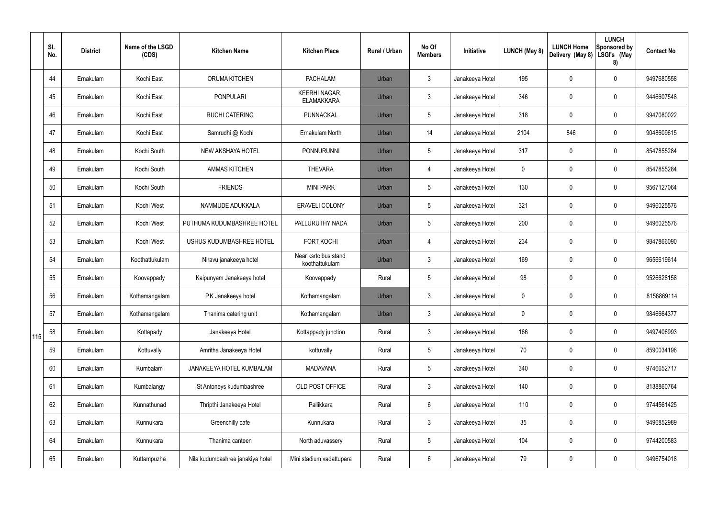|     | SI.<br>No. | <b>District</b> | Name of the LSGD<br>(CDS) | <b>Kitchen Name</b>              | <b>Kitchen Place</b>                      | <b>Rural / Urban</b> | No Of<br><b>Members</b> | Initiative      | LUNCH (May 8) | <b>LUNCH Home</b><br>Delivery (May 8) | <b>LUNCH</b><br>Sponsored by<br>LSGI's (May<br>8) | <b>Contact No</b> |
|-----|------------|-----------------|---------------------------|----------------------------------|-------------------------------------------|----------------------|-------------------------|-----------------|---------------|---------------------------------------|---------------------------------------------------|-------------------|
|     | 44         | Ernakulam       | Kochi East                | ORUMA KITCHEN                    | <b>PACHALAM</b>                           | Urban                | $\mathbf{3}$            | Janakeeya Hotel | 195           | $\mathbf 0$                           | $\mathbf 0$                                       | 9497680558        |
|     | 45         | Ernakulam       | Kochi East                | PONPULARI                        | <b>KEERHI NAGAR,</b><br><b>ELAMAKKARA</b> | Urban                | $\mathfrak{Z}$          | Janakeeya Hotel | 346           | $\mathbf 0$                           | $\boldsymbol{0}$                                  | 9446607548        |
|     | 46         | Ernakulam       | Kochi East                | <b>RUCHI CATERING</b>            | PUNNACKAL                                 | Urban                | $5\phantom{.0}$         | Janakeeya Hotel | 318           | $\mathbf 0$                           | $\mathbf 0$                                       | 9947080022        |
|     | 47         | Ernakulam       | Kochi East                | Samrudhi @ Kochi                 | Ernakulam North                           | Urban                | 14                      | Janakeeya Hotel | 2104          | 846                                   | $\boldsymbol{0}$                                  | 9048609615        |
|     | 48         | Ernakulam       | Kochi South               | NEW AKSHAYA HOTEL                | PONNURUNNI                                | Urban                | $5\phantom{.0}$         | Janakeeya Hotel | 317           | $\mathbf 0$                           | $\boldsymbol{0}$                                  | 8547855284        |
|     | 49         | Ernakulam       | Kochi South               | <b>AMMAS KITCHEN</b>             | <b>THEVARA</b>                            | Urban                | $\overline{4}$          | Janakeeya Hotel | 0             | 0                                     | $\boldsymbol{0}$                                  | 8547855284        |
|     | 50         | Ernakulam       | Kochi South               | <b>FRIENDS</b>                   | <b>MINI PARK</b>                          | Urban                | $5\phantom{.0}$         | Janakeeya Hotel | 130           | $\pmb{0}$                             | $\pmb{0}$                                         | 9567127064        |
|     | 51         | Ernakulam       | Kochi West                | NAMMUDE ADUKKALA                 | <b>ERAVELI COLONY</b>                     | Urban                | $5\phantom{.0}$         | Janakeeya Hotel | 321           | $\pmb{0}$                             | $\pmb{0}$                                         | 9496025576        |
|     | 52         | Ernakulam       | Kochi West                | PUTHUMA KUDUMBASHREE HOTEL       | PALLURUTHY NADA                           | Urban                | $5\phantom{.0}$         | Janakeeya Hotel | 200           | $\pmb{0}$                             | $\mathbf 0$                                       | 9496025576        |
|     | 53         | Ernakulam       | Kochi West                | USHUS KUDUMBASHREE HOTEL         | <b>FORT KOCHI</b>                         | Urban                | $\overline{4}$          | Janakeeya Hotel | 234           | $\mathbf 0$                           | $\mathbf 0$                                       | 9847866090        |
|     | 54         | Ernakulam       | Koothattukulam            | Niravu janakeeya hotel           | Near ksrtc bus stand<br>koothattukulam    | Urban                | $\mathfrak{Z}$          | Janakeeya Hotel | 169           | $\mathbf 0$                           | $\pmb{0}$                                         | 9656619614        |
|     | 55         | Ernakulam       | Koovappady                | Kaipunyam Janakeeya hotel        | Koovappady                                | Rural                | $5\phantom{.0}$         | Janakeeya Hotel | 98            | 0                                     | $\boldsymbol{0}$                                  | 9526628158        |
|     | 56         | Ernakulam       | Kothamangalam             | P.K Janakeeya hotel              | Kothamangalam                             | Urban                | $\mathfrak{Z}$          | Janakeeya Hotel | 0             | $\mathbf{0}$                          | $\mathbf 0$                                       | 8156869114        |
|     | 57         | Ernakulam       | Kothamangalam             | Thanima catering unit            | Kothamangalam                             | Urban                | $\mathbf{3}$            | Janakeeya Hotel | 0             | $\overline{0}$                        | $\pmb{0}$                                         | 9846664377        |
| 115 | 58         | Ernakulam       | Kottapady                 | Janakeeya Hotel                  | Kottappady junction                       | Rural                | $\mathbf{3}$            | Janakeeya Hotel | 166           | $\overline{0}$                        | $\pmb{0}$                                         | 9497406993        |
|     | 59         | Ernakulam       | Kottuvally                | Amritha Janakeeya Hotel          | kottuvally                                | Rural                | $5\phantom{.0}$         | Janakeeya Hotel | 70            | $\overline{0}$                        | $\pmb{0}$                                         | 8590034196        |
|     | 60         | Ernakulam       | Kumbalam                  | JANAKEEYA HOTEL KUMBALAM         | <b>MADAVANA</b>                           | Rural                | $5\phantom{.0}$         | Janakeeya Hotel | 340           | $\overline{0}$                        | $\pmb{0}$                                         | 9746652717        |
|     | 61         | Ernakulam       | Kumbalangy                | St Antoneys kudumbashree         | OLD POST OFFICE                           | Rural                | $\mathfrak{Z}$          | Janakeeya Hotel | 140           | $\mathbf 0$                           | $\pmb{0}$                                         | 8138860764        |
|     | 62         | Ernakulam       | Kunnathunad               | Thripthi Janakeeya Hotel         | Pallikkara                                | Rural                | $6\overline{6}$         | Janakeeya Hotel | 110           | $\mathbf 0$                           | $\pmb{0}$                                         | 9744561425        |
|     | 63         | Ernakulam       | Kunnukara                 | Greenchilly cafe                 | Kunnukara                                 | Rural                | $\mathbf{3}$            | Janakeeya Hotel | 35            | $\mathbf 0$                           | $\pmb{0}$                                         | 9496852989        |
|     | 64         | Ernakulam       | Kunnukara                 | Thanima canteen                  | North aduvassery                          | Rural                | $5\phantom{.0}$         | Janakeeya Hotel | 104           | $\pmb{0}$                             | $\pmb{0}$                                         | 9744200583        |
|     | 65         | Ernakulam       | Kuttampuzha               | Nila kudumbashree janakiya hotel | Mini stadium, vadattupara                 | Rural                | 6                       | Janakeeya Hotel | 79            | $\mathbf 0$                           | $\pmb{0}$                                         | 9496754018        |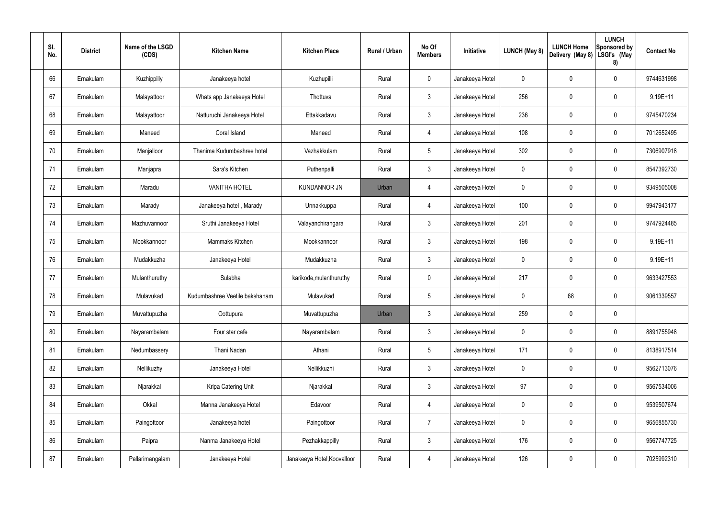| SI.<br>No. | <b>District</b> | Name of the LSGD<br>(CDS) | <b>Kitchen Name</b>            | <b>Kitchen Place</b>        | Rural / Urban | No Of<br><b>Members</b> | Initiative      | LUNCH (May 8) | <b>LUNCH Home</b><br>Delivery (May 8) | <b>LUNCH</b><br>Sponsored by<br>LSGI's (May<br>8) | <b>Contact No</b> |
|------------|-----------------|---------------------------|--------------------------------|-----------------------------|---------------|-------------------------|-----------------|---------------|---------------------------------------|---------------------------------------------------|-------------------|
| 66         | Ernakulam       | Kuzhippilly               | Janakeeya hotel                | Kuzhupilli                  | Rural         | $\mathbf 0$             | Janakeeya Hotel | 0             | 0                                     | $\mathbf 0$                                       | 9744631998        |
| 67         | Ernakulam       | Malayattoor               | Whats app Janakeeya Hotel      | Thottuva                    | Rural         | $\mathbf{3}$            | Janakeeya Hotel | 256           | 0                                     | $\mathbf 0$                                       | 9.19E+11          |
| 68         | Ernakulam       | Malayattoor               | Natturuchi Janakeeya Hotel     | Ettakkadavu                 | Rural         | $\mathbf{3}$            | Janakeeya Hotel | 236           | 0                                     | $\mathbf 0$                                       | 9745470234        |
| 69         | Ernakulam       | Maneed                    | Coral Island                   | Maneed                      | Rural         | 4                       | Janakeeya Hotel | 108           | $\mathbf 0$                           | $\mathbf 0$                                       | 7012652495        |
| 70         | Ernakulam       | Manjalloor                | Thanima Kudumbashree hotel     | Vazhakkulam                 | Rural         | $5\phantom{.0}$         | Janakeeya Hotel | 302           | 0                                     | $\mathbf 0$                                       | 7306907918        |
| 71         | Ernakulam       | Manjapra                  | Sara's Kitchen                 | Puthenpalli                 | Rural         | $\mathbf{3}$            | Janakeeya Hotel | 0             | 0                                     | $\mathbf 0$                                       | 8547392730        |
| 72         | Ernakulam       | Maradu                    | <b>VANITHA HOTEL</b>           | <b>KUNDANNOR JN</b>         | Urban         | 4                       | Janakeeya Hotel | 0             | 0                                     | $\mathbf 0$                                       | 9349505008        |
| 73         | Ernakulam       | Marady                    | Janakeeya hotel, Marady        | Unnakkuppa                  | Rural         | 4                       | Janakeeya Hotel | 100           | $\mathbf 0$                           | $\mathbf 0$                                       | 9947943177        |
| 74         | Ernakulam       | Mazhuvannoor              | Sruthi Janakeeya Hotel         | Valayanchirangara           | Rural         | $\mathfrak{Z}$          | Janakeeya Hotel | 201           | 0                                     | $\mathbf 0$                                       | 9747924485        |
| 75         | Ernakulam       | Mookkannoor               | Mammaks Kitchen                | Mookkannoor                 | Rural         | $\mathbf{3}$            | Janakeeya Hotel | 198           | 0                                     | $\mathbf 0$                                       | 9.19E+11          |
| 76         | Ernakulam       | Mudakkuzha                | Janakeeya Hotel                | Mudakkuzha                  | Rural         | $\mathfrak{Z}$          | Janakeeya Hotel | 0             | $\mathbf 0$                           | $\mathbf 0$                                       | 9.19E+11          |
| 77         | Ernakulam       | Mulanthuruthy             | Sulabha                        | karikode, mulanthuruthy     | Rural         | $\mathbf 0$             | Janakeeya Hotel | 217           | $\mathbf 0$                           | $\mathbf 0$                                       | 9633427553        |
| 78         | Ernakulam       | Mulavukad                 | Kudumbashree Veetile bakshanam | Mulavukad                   | Rural         | $5\phantom{.0}$         | Janakeeya Hotel | $\mathbf 0$   | 68                                    | $\mathbf 0$                                       | 9061339557        |
| 79         | Ernakulam       | Muvattupuzha              | Oottupura                      | Muvattupuzha                | Urban         | 3                       | Janakeeya Hotel | 259           | 0                                     | $\pmb{0}$                                         |                   |
| 80         | Ernakulam       | Nayarambalam              | Four star cafe                 | Nayarambalam                | Rural         | $\mathfrak{Z}$          | Janakeeya Hotel | $\pmb{0}$     | $\mathbf 0$                           | $\pmb{0}$                                         | 8891755948        |
| 81         | Ernakulam       | Nedumbassery              | Thani Nadan                    | Athani                      | Rural         | $5\phantom{.0}$         | Janakeeya Hotel | 171           | 0                                     | $\pmb{0}$                                         | 8138917514        |
| 82         | Ernakulam       | Nellikuzhy                | Janakeeya Hotel                | Nellikkuzhi                 | Rural         | $\mathfrak{Z}$          | Janakeeya Hotel | $\pmb{0}$     | $\mathbf 0$                           | $\pmb{0}$                                         | 9562713076        |
| 83         | Ernakulam       | Njarakkal                 | Kripa Catering Unit            | Njarakkal                   | Rural         | $\mathfrak{Z}$          | Janakeeya Hotel | 97            | 0                                     | $\pmb{0}$                                         | 9567534006        |
| 84         | Ernakulam       | Okkal                     | Manna Janakeeya Hotel          | Edavoor                     | Rural         | 4                       | Janakeeya Hotel | $\pmb{0}$     | $\mathbf 0$                           | $\pmb{0}$                                         | 9539507674        |
| 85         | Ernakulam       | Paingottoor               | Janakeeya hotel                | Paingottoor                 | Rural         | $\overline{7}$          | Janakeeya Hotel | $\pmb{0}$     | 0                                     | $\pmb{0}$                                         | 9656855730        |
| 86         | Ernakulam       | Paipra                    | Nanma Janakeeya Hotel          | Pezhakkappilly              | Rural         | $\mathfrak{Z}$          | Janakeeya Hotel | 176           | $\mathbf 0$                           | $\pmb{0}$                                         | 9567747725        |
| 87         | Ernakulam       | Pallarimangalam           | Janakeeya Hotel                | Janakeeya Hotel, Koovalloor | Rural         | 4                       | Janakeeya Hotel | 126           | 0                                     | $\pmb{0}$                                         | 7025992310        |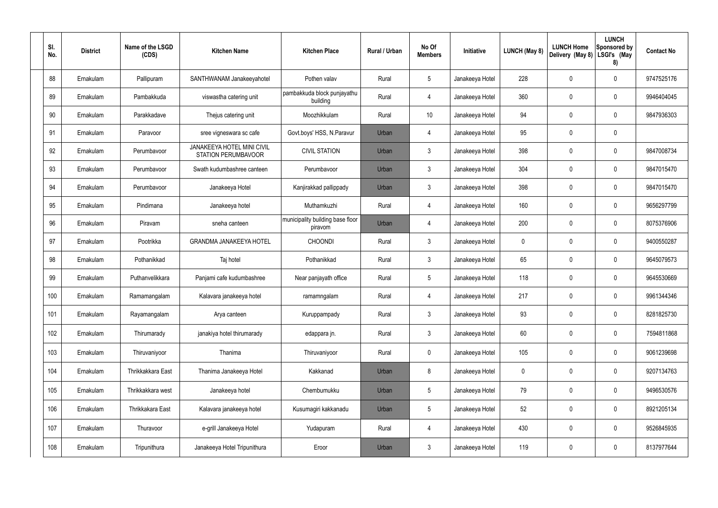| SI. | No. | <b>District</b> | Name of the LSGD<br>(CDS) | <b>Kitchen Name</b>                                      | <b>Kitchen Place</b>                        | Rural / Urban | No Of<br><b>Members</b> | Initiative      | <b>LUNCH (May 8)</b> | <b>LUNCH Home</b><br>Delivery (May 8) | <b>LUNCH</b><br>Sponsored by<br>LSGI's (May<br>8) | <b>Contact No</b> |
|-----|-----|-----------------|---------------------------|----------------------------------------------------------|---------------------------------------------|---------------|-------------------------|-----------------|----------------------|---------------------------------------|---------------------------------------------------|-------------------|
|     | 88  | Ernakulam       | Pallipuram                | SANTHWANAM Janakeeyahotel                                | Pothen valav                                | Rural         | $5\phantom{.0}$         | Janakeeya Hotel | 228                  | 0                                     | $\mathbf 0$                                       | 9747525176        |
|     | 89  | Ernakulam       | Pambakkuda                | viswastha catering unit                                  | pambakkuda block punjayathu<br>building     | Rural         | $\overline{4}$          | Janakeeya Hotel | 360                  | 0                                     | $\mathbf 0$                                       | 9946404045        |
|     | 90  | Ernakulam       | Parakkadave               | Thejus catering unit                                     | Moozhikkulam                                | Rural         | 10                      | Janakeeya Hotel | 94                   | 0                                     | $\mathbf 0$                                       | 9847936303        |
|     | 91  | Ernakulam       | Paravoor                  | sree vigneswara sc cafe                                  | Govt.boys' HSS, N.Paravur                   | Urban         | 4                       | Janakeeya Hotel | 95                   | 0                                     | $\mathbf 0$                                       |                   |
|     | 92  | Ernakulam       | Perumbavoor               | <b>JANAKEEYA HOTEL MINI CIVIL</b><br>STATION PERUMBAVOOR | <b>CIVIL STATION</b>                        | Urban         | $\mathbf{3}$            | Janakeeya Hotel | 398                  | 0                                     | $\mathbf 0$                                       | 9847008734        |
|     | 93  | Ernakulam       | Perumbayoor               | Swath kudumbashree canteen                               | Perumbayoor                                 | Urban         | $\mathbf{3}$            | Janakeeya Hotel | 304                  | 0                                     | $\mathbf 0$                                       | 9847015470        |
|     | 94  | Ernakulam       | Perumbavoor               | Janakeeya Hotel                                          | Kanjirakkad pallippady                      | Urban         | $\mathbf{3}$            | Janakeeya Hotel | 398                  | 0                                     | $\mathbf 0$                                       | 9847015470        |
|     | 95  | Ernakulam       | Pindimana                 | Janakeeya hotel                                          | Muthamkuzhi                                 | Rural         | $\overline{4}$          | Janakeeya Hotel | 160                  | 0                                     | $\mathbf 0$                                       | 9656297799        |
|     | 96  | Ernakulam       | Piravam                   | sneha canteen                                            | municipality building base floor<br>piravom | Urban         | 4                       | Janakeeya Hotel | 200                  | 0                                     | $\mathbf 0$                                       | 8075376906        |
|     | 97  | Ernakulam       | Pootrikka                 | <b>GRANDMA JANAKEEYA HOTEL</b>                           | <b>CHOONDI</b>                              | Rural         | $\mathbf{3}$            | Janakeeya Hotel | 0                    | 0                                     | $\mathbf 0$                                       | 9400550287        |
|     | 98  | Ernakulam       | Pothanikkad               | Taj hotel                                                | Pothanikkad                                 | Rural         | $\mathbf{3}$            | Janakeeya Hotel | 65                   | 0                                     | $\mathbf 0$                                       | 9645079573        |
|     | 99  | Ernakulam       | Puthanvelikkara           | Panjami cafe kudumbashree                                | Near panjayath office                       | Rural         | $5\phantom{.0}$         | Janakeeya Hotel | 118                  | 0                                     | $\mathbf 0$                                       | 9645530669        |
|     | 100 | Ernakulam       | Ramamangalam              | Kalavara janakeeya hotel                                 | ramamngalam                                 | Rural         | 4                       | Janakeeya Hotel | 217                  | 0                                     | $\mathbf 0$                                       | 9961344346        |
|     | 101 | Ernakulam       | Rayamangalam              | Arya canteen                                             | Kuruppampady                                | Rural         | $\mathbf{3}$            | Janakeeya Hotel | 93                   | $\mathbf 0$                           | $\pmb{0}$                                         | 8281825730        |
|     | 102 | Ernakulam       | Thirumarady               | janakiya hotel thirumarady                               | edappara jn.                                | Rural         | $\mathbf{3}$            | Janakeeya Hotel | 60                   | 0                                     | $\pmb{0}$                                         | 7594811868        |
|     | 103 | Ernakulam       | Thiruvaniyoor             | Thanima                                                  | Thiruvaniyoor                               | Rural         | $\mathbf 0$             | Janakeeya Hotel | 105                  | 0                                     | $\pmb{0}$                                         | 9061239698        |
|     | 104 | Ernakulam       | Thrikkakkara East         | Thanima Janakeeya Hotel                                  | Kakkanad                                    | Urban         | 8                       | Janakeeya Hotel | 0                    | 0                                     | $\pmb{0}$                                         | 9207134763        |
|     | 105 | Ernakulam       | Thrikkakkara west         | Janakeeya hotel                                          | Chembumukku                                 | Urban         | $5\phantom{.0}$         | Janakeeya Hotel | 79                   | $\mathbf 0$                           | $\pmb{0}$                                         | 9496530576        |
|     | 106 | Ernakulam       | Thrikkakara East          | Kalavara janakeeya hotel                                 | Kusumagiri kakkanadu                        | Urban         | $5\phantom{.0}$         | Janakeeya Hotel | 52                   | $\mathbf 0$                           | $\mathbf 0$                                       | 8921205134        |
|     | 107 | Ernakulam       | Thuravoor                 | e-grill Janakeeya Hotel                                  | Yudapuram                                   | Rural         | $\overline{4}$          | Janakeeya Hotel | 430                  | $\pmb{0}$                             | $\pmb{0}$                                         | 9526845935        |
|     | 108 | Ernakulam       | Tripunithura              | Janakeeya Hotel Tripunithura                             | Eroor                                       | Urban         | $\mathbf{3}$            | Janakeeya Hotel | 119                  | 0                                     | $\pmb{0}$                                         | 8137977644        |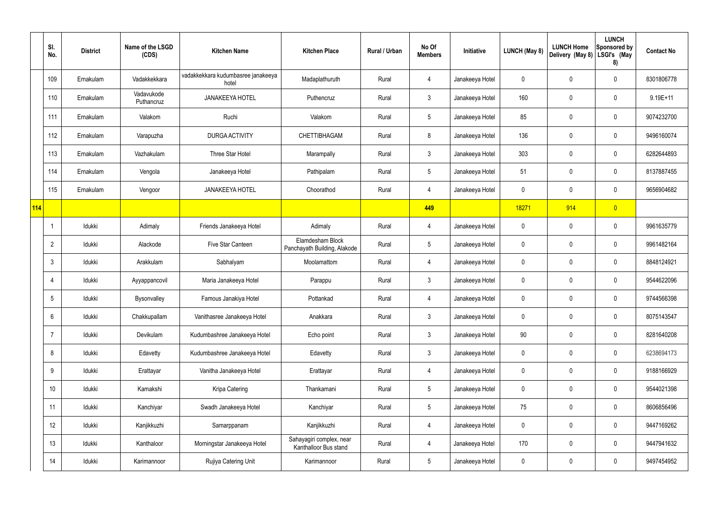|            | SI.<br>No.      | <b>District</b> | Name of the LSGD<br>(CDS) | <b>Kitchen Name</b>                         | <b>Kitchen Place</b>                              | <b>Rural / Urban</b> | No Of<br><b>Members</b> | Initiative      | LUNCH (May 8) | <b>LUNCH Home</b><br>Delivery (May 8) | <b>LUNCH</b><br><b>Sponsored by</b><br>LSGI's (May<br>8) | <b>Contact No</b> |
|------------|-----------------|-----------------|---------------------------|---------------------------------------------|---------------------------------------------------|----------------------|-------------------------|-----------------|---------------|---------------------------------------|----------------------------------------------------------|-------------------|
|            | 109             | Ernakulam       | Vadakkekkara              | vadakkekkara kudumbasree janakeeya<br>hotel | Madaplathuruth                                    | Rural                | 4                       | Janakeeya Hotel | 0             | 0                                     | $\pmb{0}$                                                | 8301806778        |
|            | 110             | Ernakulam       | Vadavukode<br>Puthancruz  | <b>JANAKEEYA HOTEL</b>                      | Puthencruz                                        | Rural                | $\mathbf{3}$            | Janakeeya Hotel | 160           | 0                                     | $\pmb{0}$                                                | $9.19E + 11$      |
|            | 111             | Ernakulam       | Valakom                   | Ruchi                                       | Valakom                                           | Rural                | $5\phantom{.0}$         | Janakeeya Hotel | 85            | 0                                     | $\pmb{0}$                                                | 9074232700        |
|            | 112             | Ernakulam       | Varapuzha                 | <b>DURGA ACTIVITY</b>                       | <b>CHETTIBHAGAM</b>                               | Rural                | 8                       | Janakeeya Hotel | 136           | 0                                     | $\pmb{0}$                                                | 9496160074        |
|            | 113             | Ernakulam       | Vazhakulam                | Three Star Hotel                            | Marampally                                        | Rural                | $\mathfrak{Z}$          | Janakeeya Hotel | 303           | 0                                     | $\pmb{0}$                                                | 6282644893        |
|            | 114             | Ernakulam       | Vengola                   | Janakeeya Hotel                             | Pathipalam                                        | Rural                | $5\phantom{.0}$         | Janakeeya Hotel | 51            | 0                                     | $\pmb{0}$                                                | 8137887455        |
|            | 115             | Ernakulam       | Vengoor                   | <b>JANAKEEYA HOTEL</b>                      | Choorathod                                        | Rural                | 4                       | Janakeeya Hotel | $\mathbf 0$   | 0                                     | $\pmb{0}$                                                | 9656904682        |
| <b>114</b> |                 |                 |                           |                                             |                                                   |                      | 449                     |                 | 18271         | 914                                   | $\overline{0}$                                           |                   |
|            | J,              | Idukki          | Adimaly                   | Friends Janakeeya Hotel                     | Adimaly                                           | Rural                | 4                       | Janakeeya Hotel | $\mathbf 0$   | 0                                     | $\pmb{0}$                                                | 9961635779        |
|            | $\overline{2}$  | Idukki          | Alackode                  | Five Star Canteen                           | Elamdesham Block<br>Panchayath Building, Alakode  | Rural                | $5\phantom{.0}$         | Janakeeya Hotel | 0             | 0                                     | $\pmb{0}$                                                | 9961482164        |
|            | 3               | Idukki          | Arakkulam                 | Sabhalyam                                   | Moolamattom                                       | Rural                | 4                       | Janakeeya Hotel | $\mathbf 0$   | 0                                     | $\pmb{0}$                                                | 8848124921        |
|            | $\overline{4}$  | Idukki          | Ayyappancovil             | Maria Janakeeya Hotel                       | Parappu                                           | Rural                | $\mathfrak{Z}$          | Janakeeya Hotel | $\mathbf 0$   | 0                                     | $\pmb{0}$                                                | 9544622096        |
|            | 5               | Idukki          | Bysonvalley               | Famous Janakiya Hotel                       | Pottankad                                         | Rural                |                         | Janakeeya Hotel | 0             | 0                                     | $\mathbf 0$                                              | 9744566398        |
|            | $6\phantom{.}6$ | Idukki          | Chakkupallam              | Vanithasree Janakeeya Hotel                 | Anakkara                                          | Rural                | $\mathfrak{Z}$          | Janakeeya Hotel | $\mathsf{0}$  | 0                                     | $\pmb{0}$                                                | 8075143547        |
|            | $\overline{7}$  | Idukki          | Devikulam                 | Kudumbashree Janakeeya Hotel                | Echo point                                        | Rural                | $\mathfrak{Z}$          | Janakeeya Hotel | 90            | 0                                     | $\pmb{0}$                                                | 8281640208        |
|            | 8               | Idukki          | Edavetty                  | Kudumbashree Janakeeya Hotel                | Edavetty                                          | Rural                | $\mathbf{3}$            | Janakeeya Hotel | $\mathbf 0$   | 0                                     | $\pmb{0}$                                                | 6238694173        |
|            | 9               | Idukki          | Erattayar                 | Vanitha Janakeeya Hotel                     | Erattayar                                         | Rural                | 4                       | Janakeeya Hotel | $\mathbf 0$   | 0                                     | $\mathbf 0$                                              | 9188166929        |
|            | 10              | Idukki          | Kamakshi                  | Kripa Catering                              | Thankamani                                        | Rural                | $5\phantom{.0}$         | Janakeeya Hotel | $\mathbf 0$   | 0                                     | $\pmb{0}$                                                | 9544021398        |
|            | 11              | Idukki          | Kanchiyar                 | Swadh Janakeeya Hotel                       | Kanchiyar                                         | Rural                | $5\phantom{.0}$         | Janakeeya Hotel | 75            | 0                                     | $\mathbf 0$                                              | 8606856496        |
|            | 12              | Idukki          | Kanjikkuzhi               | Samarppanam                                 | Kanjikkuzhi                                       | Rural                | 4                       | Janakeeya Hotel | $\mathbf 0$   | 0                                     | $\mathbf 0$                                              | 9447169262        |
|            | 13              | Idukki          | Kanthaloor                | Morningstar Janakeeya Hotel                 | Sahayagiri complex, near<br>Kanthalloor Bus stand | Rural                | 4                       | Janakeeya Hotel | 170           | 0                                     | $\mathbf 0$                                              | 9447941632        |
|            | 14              | Idukki          | Karimannoor               | Rujiya Catering Unit                        | Karimannoor                                       | Rural                | $5\phantom{.0}$         | Janakeeya Hotel | $\mathbf 0$   | 0                                     | $\mathsf{0}$                                             | 9497454952        |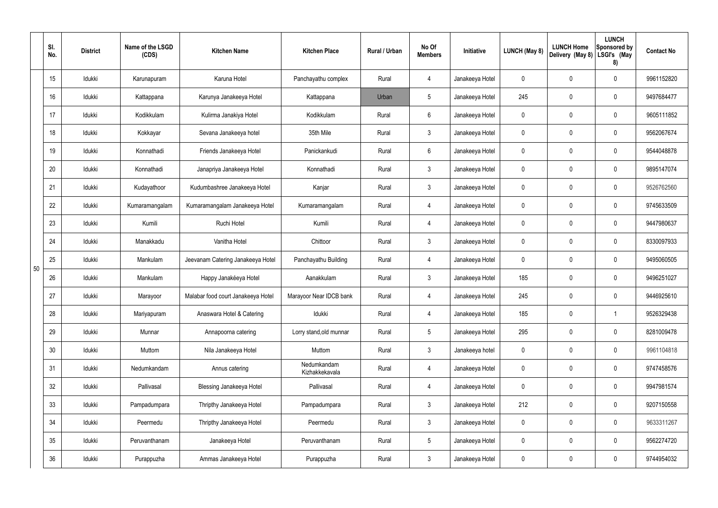|    | SI.<br>No. | <b>District</b> | Name of the LSGD<br>(CDS) | <b>Kitchen Name</b>                | <b>Kitchen Place</b>          | <b>Rural / Urban</b> | No Of<br><b>Members</b> | Initiative      | LUNCH (May 8) | <b>LUNCH Home</b><br>Delivery (May 8) | <b>LUNCH</b><br>Sponsored by<br>LSGI's (May<br>8) | <b>Contact No</b> |
|----|------------|-----------------|---------------------------|------------------------------------|-------------------------------|----------------------|-------------------------|-----------------|---------------|---------------------------------------|---------------------------------------------------|-------------------|
|    | 15         | Idukki          | Karunapuram               | Karuna Hotel                       | Panchayathu complex           | Rural                | 4                       | Janakeeya Hotel | 0             | $\mathbf 0$                           | 0                                                 | 9961152820        |
|    | 16         | Idukki          | Kattappana                | Karunya Janakeeya Hotel            | Kattappana                    | Urban                | $5\phantom{.0}$         | Janakeeya Hotel | 245           | $\mathbf 0$                           | 0                                                 | 9497684477        |
|    | 17         | Idukki          | Kodikkulam                | Kulirma Janakiya Hotel             | Kodikkulam                    | Rural                | $6^{\circ}$             | Janakeeya Hotel | 0             | $\mathbf 0$                           | 0                                                 | 9605111852        |
|    | 18         | Idukki          | Kokkayar                  | Sevana Janakeeya hotel             | 35th Mile                     | Rural                | $\mathbf{3}$            | Janakeeya Hotel | $\mathbf 0$   | $\mathbf 0$                           | 0                                                 | 9562067674        |
|    | 19         | Idukki          | Konnathadi                | Friends Janakeeya Hotel            | Panickankudi                  | Rural                | 6                       | Janakeeya Hotel | 0             | $\mathbf 0$                           | 0                                                 | 9544048878        |
|    | 20         | Idukki          | Konnathadi                | Janapriya Janakeeya Hotel          | Konnathadi                    | Rural                | $\mathbf{3}$            | Janakeeya Hotel | $\mathbf 0$   | $\mathbf 0$                           | 0                                                 | 9895147074        |
|    | 21         | Idukki          | Kudayathoor               | Kudumbashree Janakeeya Hotel       | Kanjar                        | Rural                | $\mathbf{3}$            | Janakeeya Hotel | 0             | $\mathbf 0$                           | 0                                                 | 9526762560        |
|    | 22         | Idukki          | Kumaramangalam            | Kumaramangalam Janakeeya Hotel     | Kumaramangalam                | Rural                | 4                       | Janakeeya Hotel | 0             | $\mathbf 0$                           | 0                                                 | 9745633509        |
|    | 23         | Idukki          | Kumili                    | Ruchi Hotel                        | Kumili                        | Rural                | 4                       | Janakeeya Hotel | 0             | $\mathbf 0$                           | 0                                                 | 9447980637        |
|    | 24         | Idukki          | Manakkadu                 | Vanitha Hotel                      | Chittoor                      | Rural                | 3                       | Janakeeya Hotel | $\mathbf 0$   | $\mathbf 0$                           | 0                                                 | 8330097933        |
| 50 | 25         | Idukki          | Mankulam                  | Jeevanam Catering Janakeeya Hotel  | Panchayathu Building          | Rural                | 4                       | Janakeeya Hotel | 0             | $\mathbf 0$                           | 0                                                 | 9495060505        |
|    | 26         | Idukki          | Mankulam                  | Happy Janakéeya Hotel              | Aanakkulam                    | Rural                | $\mathfrak{Z}$          | Janakeeya Hotel | 185           | $\mathbf 0$                           | 0                                                 | 9496251027        |
|    | 27         | Idukki          | Marayoor                  | Malabar food court Janakeeya Hotel | Marayoor Near IDCB bank       | Rural                | $\overline{4}$          | Janakeeya Hotel | 245           | $\mathbf 0$                           | 0                                                 | 9446925610        |
|    | 28         | Idukki          | Mariyapuram               | Anaswara Hotel & Catering          | Idukki                        | Rural                | $\overline{4}$          | Janakeeya Hotel | 185           | $\mathbf 0$                           |                                                   | 9526329438        |
|    | 29         | Idukki          | Munnar                    | Annapoorna catering                | Lorry stand, old munnar       | Rural                | $5\phantom{.0}$         | Janakeeya Hotel | 295           | $\mathbf 0$                           | 0                                                 | 8281009478        |
|    | 30         | Idukki          | Muttom                    | Nila Janakeeya Hotel               | Muttom                        | Rural                | $\mathfrak{Z}$          | Janakeeya hotel | 0             | $\mathbf 0$                           | 0                                                 | 9961104818        |
|    | 31         | Idukki          | Nedumkandam               | Annus catering                     | Nedumkandam<br>Kizhakkekavala | Rural                | $\overline{4}$          | Janakeeya Hotel | 0             | $\mathbf 0$                           | 0                                                 | 9747458576        |
|    | 32         | Idukki          | Pallivasal                | <b>Blessing Janakeeya Hotel</b>    | Pallivasal                    | Rural                | $\overline{4}$          | Janakeeya Hotel | 0             | $\pmb{0}$                             | 0                                                 | 9947981574        |
|    | 33         | Idukki          | Pampadumpara              | Thripthy Janakeeya Hotel           | Pampadumpara                  | Rural                | $\mathfrak{Z}$          | Janakeeya Hotel | 212           | $\mathbf 0$                           | 0                                                 | 9207150558        |
|    | 34         | Idukki          | Peermedu                  | Thripthy Janakeeya Hotel           | Peermedu                      | Rural                | $\mathfrak{Z}$          | Janakeeya Hotel | 0             | $\pmb{0}$                             | 0                                                 | 9633311267        |
|    | 35         | Idukki          | Peruvanthanam             | Janakeeya Hotel                    | Peruvanthanam                 | Rural                | $5\phantom{.0}$         | Janakeeya Hotel | 0             | $\mathbf 0$                           | 0                                                 | 9562274720        |
|    | 36         | Idukki          | Purappuzha                | Ammas Janakeeya Hotel              | Purappuzha                    | Rural                | $\mathfrak{Z}$          | Janakeeya Hotel | 0             | $\mathbf 0$                           | 0                                                 | 9744954032        |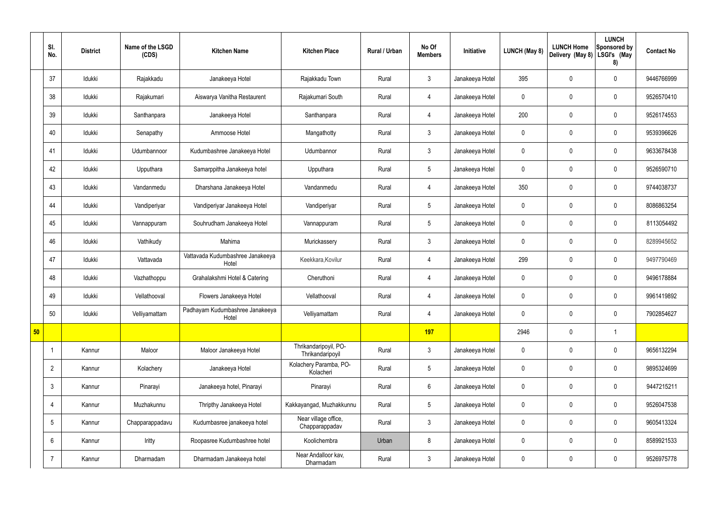|    | SI.<br>No.      | <b>District</b> | Name of the LSGD<br>(CDS) | <b>Kitchen Name</b>                       | <b>Kitchen Place</b>                      | Rural / Urban | No Of<br><b>Members</b> | Initiative      | <b>LUNCH (May 8)</b> | <b>LUNCH Home</b><br>Delivery (May 8) | <b>LUNCH</b><br>Sponsored by<br>LSGI's (May<br>8) | <b>Contact No</b> |
|----|-----------------|-----------------|---------------------------|-------------------------------------------|-------------------------------------------|---------------|-------------------------|-----------------|----------------------|---------------------------------------|---------------------------------------------------|-------------------|
|    | 37              | Idukki          | Rajakkadu                 | Janakeeya Hotel                           | Rajakkadu Town                            | Rural         | $\mathbf{3}$            | Janakeeya Hotel | 395                  | $\mathbf 0$                           | $\mathbf 0$                                       | 9446766999        |
|    | 38              | Idukki          | Rajakumari                | Aiswarya Vanitha Restaurent               | Rajakumari South                          | Rural         | $\overline{4}$          | Janakeeya Hotel | $\mathbf 0$          | $\mathbf 0$                           | $\mathbf 0$                                       | 9526570410        |
|    | 39              | Idukki          | Santhanpara               | Janakeeya Hotel                           | Santhanpara                               | Rural         | $\overline{4}$          | Janakeeya Hotel | 200                  | $\mathbf 0$                           | $\mathbf 0$                                       | 9526174553        |
|    | 40              | Idukki          | Senapathy                 | Ammoose Hotel                             | Mangathotty                               | Rural         | $\mathbf{3}$            | Janakeeya Hotel | $\mathbf 0$          | $\mathbf 0$                           | $\mathbf 0$                                       | 9539396626        |
|    | 41              | Idukki          | Udumbannoor               | Kudumbashree Janakeeya Hotel              | Udumbannor                                | Rural         | $\mathbf{3}$            | Janakeeya Hotel | $\mathbf 0$          | $\mathbf 0$                           | $\mathbf 0$                                       | 9633678438        |
|    | 42              | Idukki          | Upputhara                 | Samarppitha Janakeeya hotel               | Upputhara                                 | Rural         | $5\phantom{.0}$         | Janakeeya Hotel | $\mathbf 0$          | $\mathbf 0$                           | $\mathbf 0$                                       | 9526590710        |
|    | 43              | Idukki          | Vandanmedu                | Dharshana Janakeeya Hotel                 | Vandanmedu                                | Rural         | $\overline{4}$          | Janakeeya Hotel | 350                  | $\mathbf 0$                           | $\mathbf 0$                                       | 9744038737        |
|    | 44              | Idukki          | Vandiperiyar              | Vandiperiyar Janakeeya Hotel              | Vandiperiyar                              | Rural         | $5\overline{)}$         | Janakeeya Hotel | $\mathbf 0$          | $\mathbf 0$                           | $\mathbf 0$                                       | 8086863254        |
|    | 45              | Idukki          | Vannappuram               | Souhrudham Janakeeya Hotel                | Vannappuram                               | Rural         | $5\phantom{.0}$         | Janakeeya Hotel | $\mathbf 0$          | $\mathbf 0$                           | $\mathbf 0$                                       | 8113054492        |
|    | 46              | Idukki          | Vathikudy                 | Mahima                                    | Murickassery                              | Rural         | $\mathbf{3}$            | Janakeeya Hotel | $\mathbf 0$          | $\mathbf 0$                           | $\mathbf 0$                                       | 8289945652        |
|    | 47              | Idukki          | Vattavada                 | Vattavada Kudumbashree Janakeeya<br>Hotel | Keekkara, Kovilur                         | Rural         | $\overline{4}$          | Janakeeya Hotel | 299                  | 0                                     | $\mathbf 0$                                       | 9497790469        |
|    | 48              | Idukki          | Vazhathoppu               | Grahalakshmi Hotel & Catering             | Cheruthoni                                | Rural         | 4                       | Janakeeya Hotel | $\mathbf 0$          | $\mathbf 0$                           | $\mathbf 0$                                       | 9496178884        |
|    | 49              | Idukki          | Vellathooval              | Flowers Janakeeya Hotel                   | Vellathooval                              | Rural         | 4                       | Janakeeya Hotel | $\mathbf 0$          | $\mathbf 0$                           | $\mathbf 0$                                       | 9961419892        |
|    | 50              | Idukki          | Velliyamattam             | Padhayam Kudumbashree Janakeeya<br>Hotel  | Velliyamattam                             | Rural         | 4                       | Janakeeya Hotel | $\mathbf 0$          | $\mathbf 0$                           | $\mathbf 0$                                       | 7902854627        |
| 50 |                 |                 |                           |                                           |                                           |               | 197                     |                 | 2946                 | $\pmb{0}$                             | $\mathbf 1$                                       |                   |
|    |                 | Kannur          | Maloor                    | Maloor Janakeeya Hotel                    | Thrikandaripoyil, PO-<br>Thrikandaripoyil | Rural         | $\mathbf{3}$            | Janakeeya Hotel | $\mathbf 0$          | $\pmb{0}$                             | $\mathbf 0$                                       | 9656132294        |
|    | $\overline{2}$  | Kannur          | Kolachery                 | Janakeeya Hotel                           | Kolachery Paramba, PO-<br>Kolacheri       | Rural         | $5\overline{)}$         | Janakeeya Hotel | $\mathbf 0$          | $\pmb{0}$                             | $\mathbf 0$                                       | 9895324699        |
|    | $\mathbf{3}$    | Kannur          | Pinarayi                  | Janakeeya hotel, Pinarayi                 | Pinarayi                                  | Rural         | $6\overline{6}$         | Janakeeya Hotel | $\mathbf 0$          | 0                                     | $\mathbf 0$                                       | 9447215211        |
|    | $\overline{4}$  | Kannur          | Muzhakunnu                | Thripthy Janakeeya Hotel                  | Kakkayangad, Muzhakkunnu                  | Rural         | $5\phantom{.0}$         | Janakeeya Hotel | $\mathbf 0$          | $\mathbf 0$                           | $\mathbf 0$                                       | 9526047538        |
|    | $5\phantom{.0}$ | Kannur          | Chapparappadavu           | Kudumbasree janakeeya hotel               | Near village office,<br>Chapparappadav    | Rural         | $\mathbf{3}$            | Janakeeya Hotel | $\mathbf 0$          | 0                                     | $\mathbf 0$                                       | 9605413324        |
|    | 6               | Kannur          | Iritty                    | Roopasree Kudumbashree hotel              | Koolichembra                              | Urban         | 8                       | Janakeeya Hotel | $\mathbf 0$          | $\pmb{0}$                             | $\mathbf 0$                                       | 8589921533        |
|    | $\overline{7}$  | Kannur          | Dharmadam                 | Dharmadam Janakeeya hotel                 | Near Andalloor kav,<br>Dharmadam          | Rural         | $\mathbf{3}$            | Janakeeya Hotel | $\pmb{0}$            | 0                                     | $\mathbf 0$                                       | 9526975778        |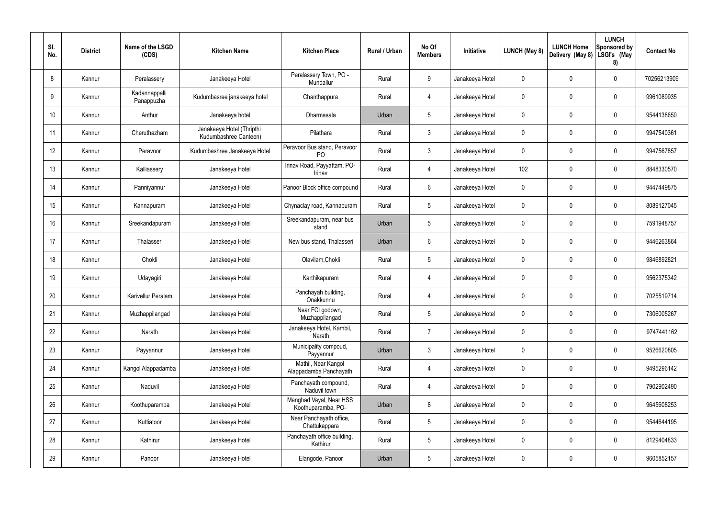| SI.<br>No. | <b>District</b> | Name of the LSGD<br>(CDS)   | <b>Kitchen Name</b>                                | <b>Kitchen Place</b>                           | Rural / Urban | No Of<br><b>Members</b> | Initiative      | LUNCH (May 8) | <b>LUNCH Home</b><br>Delivery (May 8) | <b>LUNCH</b><br>Sponsored by<br>LSGI's (May<br>8) | <b>Contact No</b> |
|------------|-----------------|-----------------------------|----------------------------------------------------|------------------------------------------------|---------------|-------------------------|-----------------|---------------|---------------------------------------|---------------------------------------------------|-------------------|
| 8          | Kannur          | Peralassery                 | Janakeeya Hotel                                    | Peralassery Town, PO -<br>Mundallur            | Rural         | 9                       | Janakeeya Hotel | 0             | 0                                     | $\pmb{0}$                                         | 70256213909       |
| 9          | Kannur          | Kadannappalli<br>Panappuzha | Kudumbasree janakeeya hotel                        | Chanthappura                                   | Rural         | $\overline{4}$          | Janakeeya Hotel | 0             | 0                                     | $\pmb{0}$                                         | 9961089935        |
| 10         | Kannur          | Anthur                      | Janakeeya hotel                                    | Dharmasala                                     | Urban         | $5\phantom{.0}$         | Janakeeya Hotel | 0             | 0                                     | $\pmb{0}$                                         | 9544138650        |
| 11         | Kannur          | Cheruthazham                | Janakeeya Hotel (Thripthi<br>Kudumbashree Canteen) | Pilathara                                      | Rural         | $\mathfrak{Z}$          | Janakeeya Hotel | 0             | 0                                     | $\pmb{0}$                                         | 9947540361        |
| 12         | Kannur          | Peravoor                    | Kudumbashree Janakeeya Hotel                       | Peravoor Bus stand, Peravoor<br>P <sub>O</sub> | Rural         | $\mathbf{3}$            | Janakeeya Hotel | 0             | 0                                     | $\pmb{0}$                                         | 9947567857        |
| 13         | Kannur          | Kalliassery                 | Janakeeya Hotel                                    | Irinav Road, Payyattam, PO-<br>Irinav          | Rural         | $\overline{4}$          | Janakeeya Hotel | 102           | 0                                     | $\pmb{0}$                                         | 8848330570        |
| 14         | Kannur          | Panniyannur                 | Janakeeya Hotel                                    | Panoor Block office compound                   | Rural         | $6\phantom{.}$          | Janakeeya Hotel | 0             | 0                                     | $\pmb{0}$                                         | 9447449875        |
| 15         | Kannur          | Kannapuram                  | Janakeeya Hotel                                    | Chynaclay road, Kannapuram                     | Rural         | $5\phantom{.0}$         | Janakeeya Hotel | 0             | 0                                     | $\pmb{0}$                                         | 8089127045        |
| 16         | Kannur          | Sreekandapuram              | Janakeeya Hotel                                    | Sreekandapuram, near bus<br>stand              | Urban         | $5\phantom{.0}$         | Janakeeya Hotel | 0             | 0                                     | $\mathbf 0$                                       | 7591948757        |
| 17         | Kannur          | Thalasseri                  | Janakeeya Hotel                                    | New bus stand, Thalasseri                      | Urban         | 6                       | Janakeeya Hotel | 0             | 0                                     | $\pmb{0}$                                         | 9446263864        |
| 18         | Kannur          | Chokli                      | Janakeeya Hotel                                    | Olavilam, Chokli                               | Rural         | $\sqrt{5}$              | Janakeeya Hotel | 0             | 0                                     | $\pmb{0}$                                         | 9846892821        |
| 19         | Kannur          | Udayagiri                   | Janakeeya Hotel                                    | Karthikapuram                                  | Rural         | $\overline{4}$          | Janakeeya Hotel | 0             | 0                                     | $\pmb{0}$                                         | 9562375342        |
| 20         | Kannur          | Karivellur Peralam          | Janakeeya Hotel                                    | Panchayah building,<br>Onakkunnu               | Rural         | 4                       | Janakeeya Hotel | 0             | 0                                     | 0                                                 | 7025519714        |
| 21         | Kannur          | Muzhappilangad              | Janakeeya Hotel                                    | Near FCI godown,<br>Muzhappilangad             | Rural         | $5\phantom{.0}$         | Janakeeya Hotel | 0             | 0                                     | $\pmb{0}$                                         | 7306005267        |
| 22         | Kannur          | Narath                      | Janakeeya Hotel                                    | Janakeeya Hotel, Kambil,<br>Narath             | Rural         | $\overline{7}$          | Janakeeya Hotel | 0             | 0                                     | $\pmb{0}$                                         | 9747441162        |
| 23         | Kannur          | Payyannur                   | Janakeeya Hotel                                    | Municipality compoud,<br>Payyannur             | Urban         | 3 <sup>1</sup>          | Janakeeya Hotel | 0             | 0                                     | $\mathbf 0$                                       | 9526620805        |
| 24         | Kannur          | Kangol Alappadamba          | Janakeeya Hotel                                    | Mathil, Near Kangol<br>Alappadamba Panchayath  | Rural         | $\overline{4}$          | Janakeeya Hotel | 0             | 0                                     | $\pmb{0}$                                         | 9495296142        |
| 25         | Kannur          | Naduvil                     | Janakeeya Hotel                                    | Panchayath compound,<br>Naduvil town           | Rural         | $\overline{4}$          | Janakeeya Hotel | 0             | 0                                     | $\mathbf 0$                                       | 7902902490        |
| 26         | Kannur          | Koothuparamba               | Janakeeya Hotel                                    | Manghad Vayal, Near HSS<br>Koothuparamba, PO-  | Urban         | 8                       | Janakeeya Hotel | 0             | 0                                     | $\pmb{0}$                                         | 9645608253        |
| 27         | Kannur          | Kuttiatoor                  | Janakeeya Hotel                                    | Near Panchayath office,<br>Chattukappara       | Rural         | $5\phantom{.0}$         | Janakeeya Hotel | 0             | $\pmb{0}$                             | $\pmb{0}$                                         | 9544644195        |
| 28         | Kannur          | Kathirur                    | Janakeeya Hotel                                    | Panchayath office building,<br>Kathirur        | Rural         | $5\,$                   | Janakeeya Hotel | 0             | $\pmb{0}$                             | $\pmb{0}$                                         | 8129404833        |
| 29         | Kannur          | Panoor                      | Janakeeya Hotel                                    | Elangode, Panoor                               | Urban         | $5\,$                   | Janakeeya Hotel | 0             | 0                                     | $\pmb{0}$                                         | 9605852157        |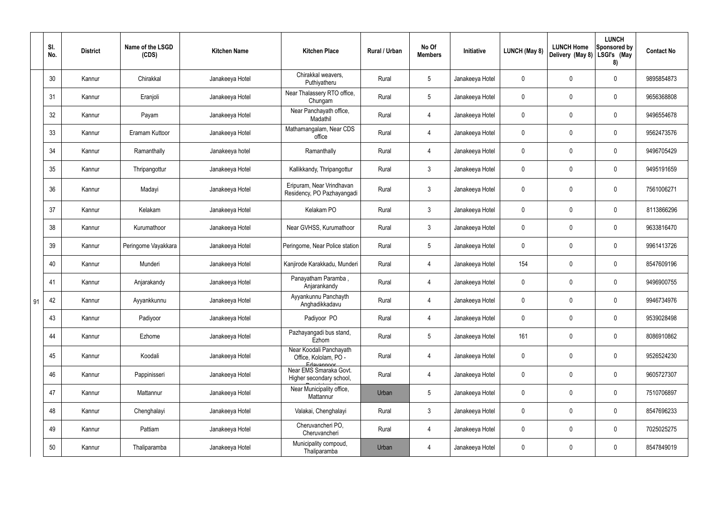|    | SI.<br>No. | <b>District</b> | Name of the LSGD<br>(CDS) | <b>Kitchen Name</b> | <b>Kitchen Place</b>                                           | Rural / Urban | No Of<br><b>Members</b> | Initiative      | <b>LUNCH (May 8)</b> | <b>LUNCH Home</b><br>Delivery (May 8) | <b>LUNCH</b><br>Sponsored by<br>LSGI's (May<br>8) | <b>Contact No</b> |
|----|------------|-----------------|---------------------------|---------------------|----------------------------------------------------------------|---------------|-------------------------|-----------------|----------------------|---------------------------------------|---------------------------------------------------|-------------------|
|    | 30         | Kannur          | Chirakkal                 | Janakeeya Hotel     | Chirakkal weavers.<br>Puthiyatheru                             | Rural         | $5\phantom{.0}$         | Janakeeya Hotel | $\mathbf 0$          | 0                                     | $\boldsymbol{0}$                                  | 9895854873        |
|    | 31         | Kannur          | Eranjoli                  | Janakeeya Hotel     | Near Thalassery RTO office,<br>Chungam                         | Rural         | $5\phantom{.0}$         | Janakeeya Hotel | $\mathbf 0$          | 0                                     | $\boldsymbol{0}$                                  | 9656368808        |
|    | 32         | Kannur          | Payam                     | Janakeeya Hotel     | Near Panchayath office,<br>Madathil                            | Rural         | $\overline{4}$          | Janakeeya Hotel | $\mathbf 0$          | 0                                     | $\boldsymbol{0}$                                  | 9496554678        |
|    | 33         | Kannur          | Eramam Kuttoor            | Janakeeya Hotel     | Mathamangalam, Near CDS<br>office                              | Rural         | 4                       | Janakeeya Hotel | $\mathbf 0$          | 0                                     | $\boldsymbol{0}$                                  | 9562473576        |
|    | 34         | Kannur          | Ramanthally               | Janakeeya hotel     | Ramanthally                                                    | Rural         | 4                       | Janakeeya Hotel | $\mathbf 0$          | 0                                     | $\mathbf 0$                                       | 9496705429        |
|    | 35         | Kannur          | Thripangottur             | Janakeeya Hotel     | Kallikkandy, Thripangottur                                     | Rural         | $\mathbf{3}$            | Janakeeya Hotel | $\mathbf 0$          | 0                                     | $\boldsymbol{0}$                                  | 9495191659        |
|    | 36         | Kannur          | Madayi                    | Janakeeya Hotel     | Eripuram, Near Vrindhavan<br>Residency, PO Pazhayangadi        | Rural         | $\mathbf{3}$            | Janakeeya Hotel | 0                    | $\mathbf 0$                           | $\pmb{0}$                                         | 7561006271        |
|    | 37         | Kannur          | Kelakam                   | Janakeeya Hotel     | Kelakam PO                                                     | Rural         | $\mathbf{3}$            | Janakeeya Hotel | 0                    | 0                                     | $\pmb{0}$                                         | 8113866296        |
|    | 38         | Kannur          | Kurumathoor               | Janakeeya Hotel     | Near GVHSS, Kurumathoor                                        | Rural         | $\mathbf{3}$            | Janakeeya Hotel | $\mathbf 0$          | 0                                     | $\mathbf 0$                                       | 9633816470        |
|    | 39         | Kannur          | Peringome Vayakkara       | Janakeeya Hotel     | Peringome, Near Police station                                 | Rural         | $5\phantom{.0}$         | Janakeeya Hotel | $\mathbf 0$          | 0                                     | $\boldsymbol{0}$                                  | 9961413726        |
|    | 40         | Kannur          | Munderi                   | Janakeeya Hotel     | Kanjirode Karakkadu, Munderi                                   | Rural         | 4                       | Janakeeya Hotel | 154                  | 0                                     | $\pmb{0}$                                         | 8547609196        |
|    | 41         | Kannur          | Anjarakandy               | Janakeeya Hotel     | Panayatham Paramba,<br>Anjarankandy                            | Rural         | $\overline{4}$          | Janakeeya Hotel | 0                    | 0                                     | $\pmb{0}$                                         | 9496900755        |
| 91 | 42         | Kannur          | Ayyankkunnu               | Janakeeya Hotel     | Ayyankunnu Panchayth<br>Anghadikkadavu                         | Rural         |                         | Janakeeya Hotel | $\Omega$             | 0                                     | 0                                                 | 9946734976        |
|    | 43         | Kannur          | Padiyoor                  | Janakeeya Hotel     | Padiyoor PO                                                    | Rural         | $\overline{4}$          | Janakeeya Hotel | $\pmb{0}$            | 0                                     | $\mathbf 0$                                       | 9539028498        |
|    | 44         | Kannur          | Ezhome                    | Janakeeya Hotel     | Pazhayangadi bus stand,<br>Ezhom                               | Rural         | $5\phantom{.0}$         | Janakeeya Hotel | 161                  | 0                                     | $\mathbf 0$                                       | 8086910862        |
|    | 45         | Kannur          | Koodali                   | Janakeeya Hotel     | Near Koodali Panchayath<br>Office, Kololam, PO -<br>Edavannoor | Rural         | $\overline{4}$          | Janakeeya Hotel | $\pmb{0}$            | $\mathbf 0$                           | $\pmb{0}$                                         | 9526524230        |
|    | 46         | Kannur          | Pappinisseri              | Janakeeya Hotel     | Near EMS Smaraka Govt.<br>Higher secondary school,             | Rural         | $\overline{4}$          | Janakeeya Hotel | $\pmb{0}$            | 0                                     | $\pmb{0}$                                         | 9605727307        |
|    | 47         | Kannur          | Mattannur                 | Janakeeya Hotel     | Near Municipality office,<br>Mattannur                         | Urban         | $5\phantom{.0}$         | Janakeeya Hotel | 0                    | $\mathbf 0$                           | $\mathbf 0$                                       | 7510706897        |
|    | 48         | Kannur          | Chenghalayi               | Janakeeya Hotel     | Valakai, Chenghalayi                                           | Rural         | $\mathbf{3}$            | Janakeeya Hotel | $\pmb{0}$            | 0                                     | $\pmb{0}$                                         | 8547696233        |
|    | 49         | Kannur          | Pattiam                   | Janakeeya Hotel     | Cheruvancheri PO,<br>Cheruvancheri                             | Rural         | $\overline{4}$          | Janakeeya Hotel | 0                    | 0                                     | $\pmb{0}$                                         | 7025025275        |
|    | 50         | Kannur          | Thaliparamba              | Janakeeya Hotel     | Municipality compoud,<br>Thaliparamba                          | Urban         | 4                       | Janakeeya Hotel | 0                    | 0                                     | $\pmb{0}$                                         | 8547849019        |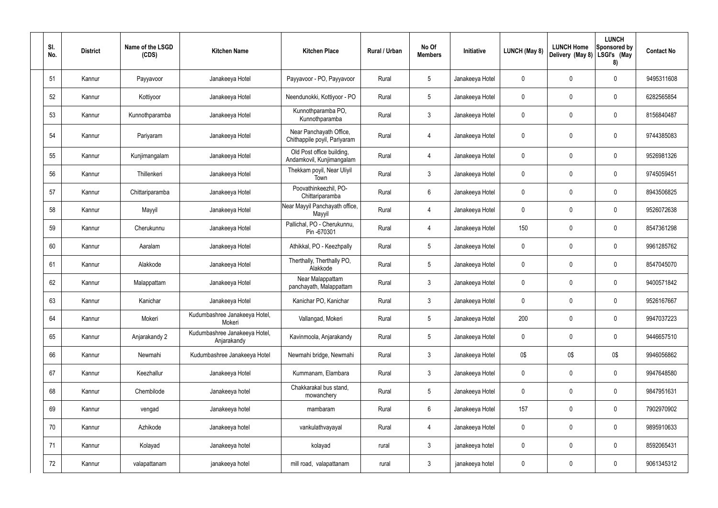| SI.<br>No. | <b>District</b> | Name of the LSGD<br>(CDS) | <b>Kitchen Name</b>                          | <b>Kitchen Place</b>                                    | Rural / Urban | No Of<br><b>Members</b> | Initiative      | LUNCH (May 8) | <b>LUNCH Home</b><br>Delivery (May 8) | <b>LUNCH</b><br>Sponsored by<br>LSGI's (May<br>8) | <b>Contact No</b> |
|------------|-----------------|---------------------------|----------------------------------------------|---------------------------------------------------------|---------------|-------------------------|-----------------|---------------|---------------------------------------|---------------------------------------------------|-------------------|
| 51         | Kannur          | Payyavoor                 | Janakeeya Hotel                              | Payyavoor - PO, Payyavoor                               | Rural         | $5\phantom{.0}$         | Janakeeya Hotel | $\mathbf 0$   | 0                                     | $\boldsymbol{0}$                                  | 9495311608        |
| 52         | Kannur          | Kottiyoor                 | Janakeeya Hotel                              | Neendunokki, Kottiyoor - PO                             | Rural         | $5\phantom{.0}$         | Janakeeya Hotel | $\mathbf 0$   | 0                                     | $\boldsymbol{0}$                                  | 6282565854        |
| 53         | Kannur          | Kunnothparamba            | Janakeeya Hotel                              | Kunnothparamba PO,<br>Kunnothparamba                    | Rural         | $\mathbf{3}$            | Janakeeya Hotel | $\mathbf 0$   | 0                                     | $\boldsymbol{0}$                                  | 8156840487        |
| 54         | Kannur          | Pariyaram                 | Janakeeya Hotel                              | Near Panchayath Office,<br>Chithappile poyil, Pariyaram | Rural         | 4                       | Janakeeya Hotel | 0             | 0                                     | $\pmb{0}$                                         | 9744385083        |
| 55         | Kannur          | Kunjimangalam             | Janakeeya Hotel                              | Old Post office building,<br>Andamkovil, Kunjimangalam  | Rural         | 4                       | Janakeeya Hotel | $\mathbf 0$   | 0                                     | $\pmb{0}$                                         | 9526981326        |
| 56         | Kannur          | Thillenkeri               | Janakeeya Hotel                              | Thekkam poyil, Near Uliyil<br>Town                      | Rural         | $\mathbf{3}$            | Janakeeya Hotel | 0             | $\mathbf 0$                           | $\pmb{0}$                                         | 9745059451        |
| 57         | Kannur          | Chittariparamba           | Janakeeya Hotel                              | Poovathinkeezhil, PO-<br>Chittariparamba                | Rural         | $6\phantom{.}6$         | Janakeeya Hotel | $\mathbf 0$   | 0                                     | $\pmb{0}$                                         | 8943506825        |
| 58         | Kannur          | Mayyil                    | Janakeeya Hotel                              | Near Mayyil Panchayath office,<br>Mayyil                | Rural         | $\overline{4}$          | Janakeeya Hotel | 0             | $\mathbf 0$                           | $\pmb{0}$                                         | 9526072638        |
| 59         | Kannur          | Cherukunnu                | Janakeeya Hotel                              | Pallichal, PO - Cherukunnu,<br>Pin -670301              | Rural         | 4                       | Janakeeya Hotel | 150           | 0                                     | $\pmb{0}$                                         | 8547361298        |
| 60         | Kannur          | Aaralam                   | Janakeeya Hotel                              | Athikkal, PO - Keezhpally                               | Rural         | $5\phantom{.0}$         | Janakeeya Hotel | 0             | 0                                     | $\pmb{0}$                                         | 9961285762        |
| 61         | Kannur          | Alakkode                  | Janakeeya Hotel                              | Therthally, Therthally PO,<br>Alakkode                  | Rural         | $5\overline{)}$         | Janakeeya Hotel | $\mathbf 0$   | 0                                     | $\mathbf 0$                                       | 8547045070        |
| 62         | Kannur          | Malappattam               | Janakeeya Hotel                              | Near Malappattam<br>panchayath, Malappattam             | Rural         | $\mathbf{3}$            | Janakeeya Hotel | 0             | 0                                     | $\pmb{0}$                                         | 9400571842        |
| 63         | Kannur          | Kanichar                  | Janakeeya Hotel                              | Kanichar PO, Kanichar                                   | Rural         | 3                       | Janakeeya Hotel | 0             | $\mathbf 0$                           | 0                                                 | 9526167667        |
| 64         | Kannur          | Mokeri                    | Kudumbashree Janakeeya Hotel,<br>Mokeri      | Vallangad, Mokeri                                       | Rural         | $5\overline{)}$         | Janakeeya Hotel | 200           | 0                                     | $\mathbf 0$                                       | 9947037223        |
| 65         | Kannur          | Anjarakandy 2             | Kudumbashree Janakeeya Hotel,<br>Anjarakandy | Kavinmoola, Anjarakandy                                 | Rural         | $5\overline{)}$         | Janakeeya Hotel | 0             | 0                                     | $\pmb{0}$                                         | 9446657510        |
| 66         | Kannur          | Newmahi                   | Kudumbashree Janakeeya Hotel                 | Newmahi bridge, Newmahi                                 | Rural         | $\mathbf{3}$            | Janakeeya Hotel | 0\$           | 0\$                                   | 0\$                                               | 9946056862        |
| 67         | Kannur          | Keezhallur                | Janakeeya Hotel                              | Kummanam, Elambara                                      | Rural         | $3\phantom{.0}$         | Janakeeya Hotel | 0             | 0                                     | $\pmb{0}$                                         | 9947648580        |
| 68         | Kannur          | Chembilode                | Janakeeya hotel                              | Chakkarakal bus stand,<br>mowanchery                    | Rural         | $5\overline{)}$         | Janakeeya Hotel | 0             | 0                                     | $\pmb{0}$                                         | 9847951631        |
| 69         | Kannur          | vengad                    | Janakeeya hotel                              | mambaram                                                | Rural         | 6                       | Janakeeya Hotel | 157           | 0                                     | $\pmb{0}$                                         | 7902970902        |
| 70         | Kannur          | Azhikode                  | Janakeeya hotel                              | vankulathvayayal                                        | Rural         | $\overline{4}$          | Janakeeya Hotel | 0             | 0                                     | $\pmb{0}$                                         | 9895910633        |
| 71         | Kannur          | Kolayad                   | Janakeeya hotel                              | kolayad                                                 | rural         | 3 <sup>1</sup>          | janakeeya hotel | 0             | 0                                     | $\pmb{0}$                                         | 8592065431        |
| 72         | Kannur          | valapattanam              | janakeeya hotel                              | mill road, valapattanam                                 | rural         | $\mathfrak{Z}$          | janakeeya hotel | 0             | 0                                     | $\pmb{0}$                                         | 9061345312        |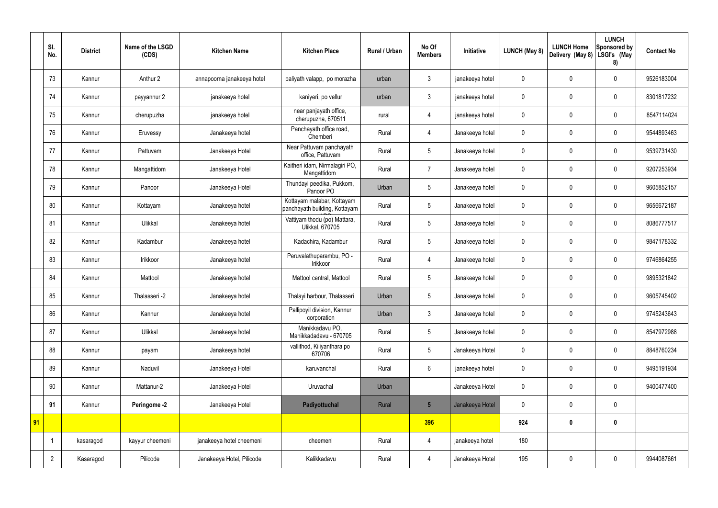|    | SI.<br>No.     | <b>District</b> | Name of the LSGD<br>(CDS) | <b>Kitchen Name</b>        | <b>Kitchen Place</b>                                        | Rural / Urban | No Of<br><b>Members</b> | Initiative      | <b>LUNCH (May 8)</b> | <b>LUNCH Home</b><br>Delivery (May 8) | <b>LUNCH</b><br>Sponsored by<br>LSGI's (May<br>8) | <b>Contact No</b> |
|----|----------------|-----------------|---------------------------|----------------------------|-------------------------------------------------------------|---------------|-------------------------|-----------------|----------------------|---------------------------------------|---------------------------------------------------|-------------------|
|    | 73             | Kannur          | Anthur 2                  | annapoorna janakeeya hotel | paliyath valapp, po morazha                                 | urban         | 3                       | janakeeya hotel | $\mathbf 0$          | $\mathbf 0$                           | $\mathbf 0$                                       | 9526183004        |
|    | 74             | Kannur          | payyannur 2               | janakeeya hotel            | kaniyeri, po vellur                                         | urban         | $\mathbf{3}$            | janakeeya hotel | $\boldsymbol{0}$     | $\mathbf 0$                           | $\mathbf 0$                                       | 8301817232        |
|    | 75             | Kannur          | cherupuzha                | janakeeya hotel            | near panjayath office,<br>cherupuzha, 670511                | rural         | 4                       | janakeeya hotel | $\boldsymbol{0}$     | $\mathbf 0$                           | $\mathbf 0$                                       | 8547114024        |
|    | 76             | Kannur          | Eruvessy                  | Janakeeya hotel            | Panchayath office road,<br>Chemberi                         | Rural         | $\overline{4}$          | Janakeeya hotel | $\boldsymbol{0}$     | $\mathbf 0$                           | $\mathbf 0$                                       | 9544893463        |
|    | 77             | Kannur          | Pattuvam                  | Janakeeya Hotel            | Near Pattuvam panchayath<br>office, Pattuvam                | Rural         | 5                       | Janakeeya hotel | $\boldsymbol{0}$     | $\mathbf 0$                           | $\mathbf 0$                                       | 9539731430        |
|    | 78             | Kannur          | Mangattidom               | Janakeeya Hotel            | Kaitheri idam, Nirmalagiri PO,<br>Mangattidom               | Rural         | $\overline{7}$          | Janakeeya hotel | $\boldsymbol{0}$     | $\mathbf 0$                           | $\mathbf 0$                                       | 9207253934        |
|    | 79             | Kannur          | Panoor                    | Janakeeya Hotel            | Thundayi peedika, Pukkom,<br>Panoor PO                      | Urban         | 5                       | Janakeeya hotel | $\boldsymbol{0}$     | $\mathbf 0$                           | $\mathbf 0$                                       | 9605852157        |
|    | 80             | Kannur          | Kottayam                  | Janakeeya hotel            | Kottayam malabar, Kottayam<br>panchayath building, Kottayam | Rural         | 5                       | Janakeeya hotel | $\mathbf 0$          | $\mathbf 0$                           | $\mathbf 0$                                       | 9656672187        |
|    | 81             | Kannur          | Ulikkal                   | Janakeeya hotel            | Vattiyam thodu (po) Mattara,<br>Ulikkal, 670705             | Rural         | 5                       | Janakeeya hotel | $\boldsymbol{0}$     | $\mathbf 0$                           | $\mathbf 0$                                       | 8086777517        |
|    | 82             | Kannur          | Kadambur                  | Janakeeya hotel            | Kadachira, Kadambur                                         | Rural         | 5                       | Janakeeya hotel | $\boldsymbol{0}$     | $\mathbf 0$                           | $\mathbf 0$                                       | 9847178332        |
|    | 83             | Kannur          | Irikkoor                  | Janakeeya hotel            | Peruvalathuparambu, PO -<br>Irikkoor                        | Rural         | $\overline{4}$          | Janakeeya hotel | $\boldsymbol{0}$     | $\pmb{0}$                             | $\mathbf 0$                                       | 9746864255        |
|    | 84             | Kannur          | Mattool                   | Janakeeya hotel            | Mattool central, Mattool                                    | Rural         | 5                       | Janakeeya hotel | $\boldsymbol{0}$     | $\mathbf 0$                           | $\mathbf 0$                                       | 9895321842        |
|    | 85             | Kannur          | Thalasseri -2             | Janakeeya hotel            | Thalayi harbour, Thalasseri                                 | Urban         | 5                       | Janakeeya hotel | $\boldsymbol{0}$     | $\mathbf 0$                           | $\mathbf 0$                                       | 9605745402        |
|    | 86             | Kannur          | Kannur                    | Janakeeya hotel            | Pallipoyil division, Kannur<br>corporation                  | Urban         | $\mathfrak{Z}$          | Janakeeya hotel | $\pmb{0}$            | $\pmb{0}$                             | $\mathbf 0$                                       | 9745243643        |
|    | 87             | Kannur          | Ulikkal                   | Janakeeya hotel            | Manikkadavu PO,<br>Manikkadadavu - 670705                   | Rural         | $5\phantom{.0}$         | Janakeeya hotel | $\pmb{0}$            | $\pmb{0}$                             | $\mathbf 0$                                       | 8547972988        |
|    | 88             | Kannur          | payam                     | Janakeeya hotel            | vallithod, Kiliyanthara po<br>670706                        | Rural         | $5\phantom{.0}$         | Janakeeya Hotel | $\pmb{0}$            | $\pmb{0}$                             | $\mathbf 0$                                       | 8848760234        |
|    | 89             | Kannur          | Naduvil                   | Janakeeya Hotel            | karuvanchal                                                 | Rural         | $6\,$                   | janakeeya hotel | $\pmb{0}$            | $\pmb{0}$                             | $\mathbf 0$                                       | 9495191934        |
|    | 90             | Kannur          | Mattanur-2                | Janakeeya Hotel            | Uruvachal                                                   | Urban         |                         | Janakeeya Hotel | $\pmb{0}$            | $\pmb{0}$                             | $\mathbf 0$                                       | 9400477400        |
|    | 91             | Kannur          | Peringome -2              | Janakeeya Hotel            | Padiyottuchal                                               | Rural         | $5\overline{)}$         | Janakeeya Hotel | $\pmb{0}$            | $\pmb{0}$                             | $\mathbf 0$                                       |                   |
| 91 |                |                 |                           |                            |                                                             |               | 396                     |                 | 924                  | $\pmb{0}$                             | $\mathbf 0$                                       |                   |
|    |                | kasaragod       | kayyur cheemeni           | janakeeya hotel cheemeni   | cheemeni                                                    | Rural         | $\overline{4}$          | janakeeya hotel | 180                  |                                       |                                                   |                   |
|    | $\overline{2}$ | Kasaragod       | Pilicode                  | Janakeeya Hotel, Pilicode  | Kalikkadavu                                                 | Rural         | $\overline{4}$          | Janakeeya Hotel | 195                  | $\pmb{0}$                             | $\mathbf 0$                                       | 9944087661        |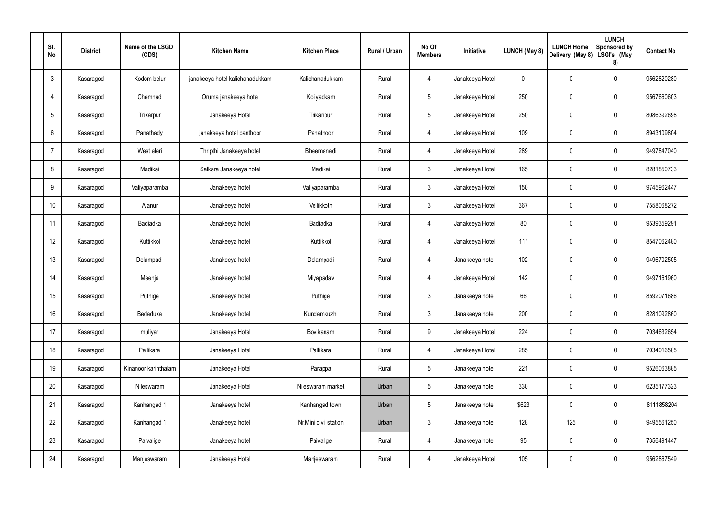| SI.<br>No.      | <b>District</b> | Name of the LSGD<br>(CDS) | <b>Kitchen Name</b>             | <b>Kitchen Place</b>  | <b>Rural / Urban</b> | No Of<br><b>Members</b> | Initiative      | <b>LUNCH (May 8)</b> | <b>LUNCH Home</b><br>Delivery (May 8) | <b>LUNCH</b><br>Sponsored by<br>LSGI's (May<br>8) | <b>Contact No</b> |
|-----------------|-----------------|---------------------------|---------------------------------|-----------------------|----------------------|-------------------------|-----------------|----------------------|---------------------------------------|---------------------------------------------------|-------------------|
| $\mathbf{3}$    | Kasaragod       | Kodom belur               | janakeeya hotel kalichanadukkam | Kalichanadukkam       | Rural                | 4                       | Janakeeya Hotel | $\mathbf 0$          | $\mathbf 0$                           | $\mathbf 0$                                       | 9562820280        |
| 4               | Kasaragod       | Chemnad                   | Oruma janakeeya hotel           | Koliyadkam            | Rural                | $5\overline{)}$         | Janakeeya Hotel | 250                  | $\mathbf 0$                           | $\mathbf 0$                                       | 9567660603        |
| $5\phantom{.0}$ | Kasaragod       | Trikarpur                 | Janakeeya Hotel                 | Trikaripur            | Rural                | $5\overline{)}$         | Janakeeya Hotel | 250                  | $\mathbf 0$                           | $\mathbf 0$                                       | 8086392698        |
| 6               | Kasaragod       | Panathady                 | janakeeya hotel panthoor        | Panathoor             | Rural                | $\overline{4}$          | Janakeeya Hotel | 109                  | $\mathbf 0$                           | $\mathbf 0$                                       | 8943109804        |
| 7               | Kasaragod       | West eleri                | Thripthi Janakeeya hotel        | Bheemanadi            | Rural                | $\overline{4}$          | Janakeeya Hotel | 289                  | $\mathbf 0$                           | $\mathbf 0$                                       | 9497847040        |
| 8               | Kasaragod       | Madikai                   | Salkara Janakeeya hotel         | Madikai               | Rural                | $\mathbf{3}$            | Janakeeya Hotel | 165                  | $\mathbf 0$                           | $\mathbf 0$                                       | 8281850733        |
| 9               | Kasaragod       | Valiyaparamba             | Janakeeya hotel                 | Valiyaparamba         | Rural                | $\mathbf{3}$            | Janakeeya Hotel | 150                  | $\mathbf 0$                           | $\mathbf 0$                                       | 9745962447        |
| 10              | Kasaragod       | Ajanur                    | Janakeeya hotel                 | Vellikkoth            | Rural                | $\mathbf{3}$            | Janakeeya Hotel | 367                  | $\mathbf 0$                           | $\mathbf 0$                                       | 7558068272        |
| 11              | Kasaragod       | Badiadka                  | Janakeeya hotel                 | Badiadka              | Rural                | $\overline{4}$          | Janakeeya Hotel | 80                   | $\mathbf 0$                           | $\mathbf 0$                                       | 9539359291        |
| 12              | Kasaragod       | Kuttikkol                 | Janakeeya hotel                 | Kuttikkol             | Rural                | $\overline{4}$          | Janakeeya Hotel | 111                  | $\mathbf 0$                           | $\mathbf 0$                                       | 8547062480        |
| 13              | Kasaragod       | Delampadi                 | Janakeeya hotel                 | Delampadi             | Rural                | $\overline{4}$          | Janakeeya hotel | 102                  | $\mathbf 0$                           | $\pmb{0}$                                         | 9496702505        |
| 14              | Kasaragod       | Meenja                    | Janakeeya hotel                 | Miyapadav             | Rural                | 4                       | Janakeeya Hotel | 142                  | $\mathbf 0$                           | $\mathbf 0$                                       | 9497161960        |
| 15              | Kasaragod       | Puthige                   | Janakeeya hotel                 | Puthige               | Rural                | $\mathbf{3}$            | Janakeeya hotel | 66                   | $\mathbf 0$                           | $\mathbf 0$                                       | 8592071686        |
| 16              | Kasaragod       | Bedaduka                  | Janakeeya hotel                 | Kundamkuzhi           | Rural                | $\mathfrak{Z}$          | Janakeeya hotel | 200                  | $\pmb{0}$                             | $\mathbf 0$                                       | 8281092860        |
| 17              | Kasaragod       | muliyar                   | Janakeeya Hotel                 | Bovikanam             | Rural                | 9                       | Janakeeya Hotel | 224                  | $\pmb{0}$                             | $\mathbf 0$                                       | 7034632654        |
| 18              | Kasaragod       | Pallikara                 | Janakeeya Hotel                 | Pallikara             | Rural                | $\overline{4}$          | Janakeeya Hotel | 285                  | $\pmb{0}$                             | $\mathbf 0$                                       | 7034016505        |
| 19              | Kasaragod       | Kinanoor karinthalam      | Janakeeya Hotel                 | Parappa               | Rural                | $5\phantom{.0}$         | Janakeeya hotel | 221                  | $\pmb{0}$                             | $\mathbf 0$                                       | 9526063885        |
| 20              | Kasaragod       | Nileswaram                | Janakeeya Hotel                 | Nileswaram market     | Urban                | $5\phantom{.0}$         | Janakeeya hotel | 330                  | $\pmb{0}$                             | $\mathbf 0$                                       | 6235177323        |
| 21              | Kasaragod       | Kanhangad 1               | Janakeeya hotel                 | Kanhangad town        | Urban                | $5\phantom{.0}$         | Janakeeya hotel | \$623                | $\pmb{0}$                             | $\mathbf 0$                                       | 8111858204        |
| 22              | Kasaragod       | Kanhangad 1               | Janakeeya hotel                 | Nr.Mini civil station | Urban                | $\mathfrak{Z}$          | Janakeeya hotel | 128                  | 125                                   | $\mathbf 0$                                       | 9495561250        |
| 23              | Kasaragod       | Paivalige                 | Janakeeya hotel                 | Paivalige             | Rural                | $\overline{4}$          | Janakeeya hotel | 95                   | $\pmb{0}$                             | $\mathbf 0$                                       | 7356491447        |
| 24              | Kasaragod       | Manjeswaram               | Janakeeya Hotel                 | Manjeswaram           | Rural                | 4                       | Janakeeya Hotel | 105                  | $\pmb{0}$                             | $\mathbf 0$                                       | 9562867549        |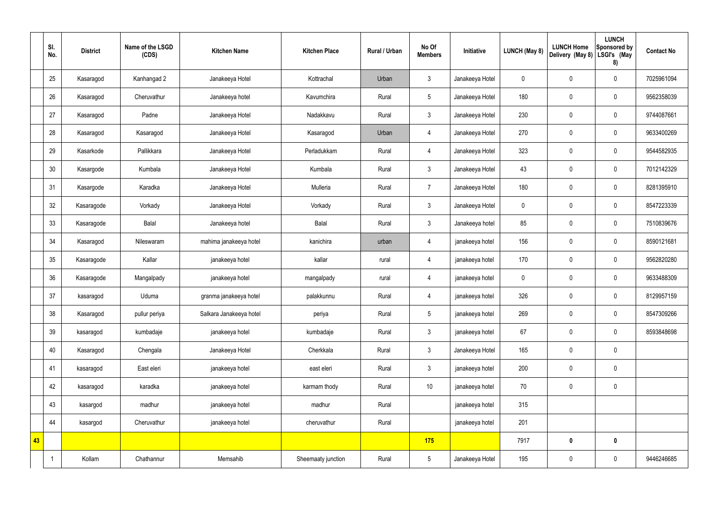|    | SI.<br>No. | <b>District</b> | Name of the LSGD<br>(CDS) | <b>Kitchen Name</b>     | <b>Kitchen Place</b> | Rural / Urban | No Of<br><b>Members</b> | Initiative      | <b>LUNCH (May 8)</b> | <b>LUNCH Home</b><br>Delivery (May 8) | <b>LUNCH</b><br>Sponsored by<br>LSGI's (May<br>8) | <b>Contact No</b> |
|----|------------|-----------------|---------------------------|-------------------------|----------------------|---------------|-------------------------|-----------------|----------------------|---------------------------------------|---------------------------------------------------|-------------------|
|    | 25         | Kasaragod       | Kanhangad 2               | Janakeeya Hotel         | Kottrachal           | Urban         | $\mathfrak{Z}$          | Janakeeya Hotel | $\mathbf 0$          | $\pmb{0}$                             | $\mathbf 0$                                       | 7025961094        |
|    | 26         | Kasaragod       | Cheruvathur               | Janakeeya hotel         | Kavumchira           | Rural         | $5\phantom{.0}$         | Janakeeya Hotel | 180                  | $\pmb{0}$                             | $\mathbf 0$                                       | 9562358039        |
|    | 27         | Kasaragod       | Padne                     | Janakeeya Hotel         | Nadakkavu            | Rural         | $\mathfrak{Z}$          | Janakeeya Hotel | 230                  | $\pmb{0}$                             | $\mathbf 0$                                       | 9744087661        |
|    | 28         | Kasaragod       | Kasaragod                 | Janakeeya Hotel         | Kasaragod            | Urban         | 4                       | Janakeeya Hotel | 270                  | $\pmb{0}$                             | $\mathbf 0$                                       | 9633400269        |
|    | 29         | Kasarkode       | Pallikkara                | Janakeeya Hotel         | Perladukkam          | Rural         | $\overline{4}$          | Janakeeya Hotel | 323                  | $\pmb{0}$                             | $\mathbf 0$                                       | 9544582935        |
|    | 30         | Kasargode       | Kumbala                   | Janakeeya Hotel         | Kumbala              | Rural         | $\mathbf{3}$            | Janakeeya Hotel | 43                   | $\pmb{0}$                             | $\mathbf 0$                                       | 7012142329        |
|    | 31         | Kasargode       | Karadka                   | Janakeeya Hotel         | Mulleria             | Rural         | $\overline{7}$          | Janakeeya Hotel | 180                  | $\pmb{0}$                             | $\mathbf 0$                                       | 8281395910        |
|    | 32         | Kasaragode      | Vorkady                   | Janakeeya Hotel         | Vorkady              | Rural         | $\mathfrak{Z}$          | Janakeeya Hotel | $\mathbf 0$          | $\pmb{0}$                             | $\mathbf 0$                                       | 8547223339        |
|    | 33         | Kasaragode      | Balal                     | Janakeeya hotel         | Balal                | Rural         | $\mathfrak{Z}$          | Janakeeya hotel | 85                   | $\pmb{0}$                             | $\mathbf 0$                                       | 7510839676        |
|    | 34         | Kasaragod       | Nileswaram                | mahima janakeeya hotel  | kanichira            | urban         | $\overline{4}$          | janakeeya hotel | 156                  | $\pmb{0}$                             | $\mathbf 0$                                       | 8590121681        |
|    | 35         | Kasaragode      | Kallar                    | janakeeya hotel         | kallar               | rural         | $\overline{4}$          | janakeeya hotel | 170                  | $\pmb{0}$                             | $\mathbf 0$                                       | 9562820280        |
|    | 36         | Kasaragode      | Mangalpady                | janakeeya hotel         | mangalpady           | rural         | 4                       | janakeeya hotel | $\mathbf 0$          | $\pmb{0}$                             | $\mathbf 0$                                       | 9633488309        |
|    | 37         | kasaragod       | Uduma                     | granma janakeeya hotel  | palakkunnu           | Rural         | 4                       | janakeeya hotel | 326                  | $\pmb{0}$                             | $\mathbf 0$                                       | 8129957159        |
|    | 38         | Kasaragod       | pullur periya             | Salkara Janakeeya hotel | periya               | Rural         | $5\phantom{.0}$         | janakeeya hotel | 269                  | $\pmb{0}$                             | $\mathbf 0$                                       | 8547309266        |
|    | 39         | kasaragod       | kumbadaje                 | janakeeya hotel         | kumbadaje            | Rural         | $\mathbf{3}$            | janakeeya hotel | 67                   | $\pmb{0}$                             | $\mathbf 0$                                       | 8593848698        |
|    | 40         | Kasaragod       | Chengala                  | Janakeeya Hotel         | Cherkkala            | Rural         | $\mathbf{3}$            | Janakeeya Hotel | 165                  | $\pmb{0}$                             | $\mathbf 0$                                       |                   |
|    | 41         | kasaragod       | East eleri                | janakeeya hotel         | east eleri           | Rural         | $\mathbf{3}$            | janakeeya hotel | 200                  | $\pmb{0}$                             | $\mathbf 0$                                       |                   |
|    | 42         | kasaragod       | karadka                   | janakeeya hotel         | karmam thody         | Rural         | $10$                    | janakeeya hotel | 70                   | $\pmb{0}$                             | $\mathbf 0$                                       |                   |
|    | 43         | kasargod        | madhur                    | janakeeya hotel         | madhur               | Rural         |                         | janakeeya hotel | 315                  |                                       |                                                   |                   |
|    | 44         | kasargod        | Cheruvathur               | janakeeya hotel         | cheruvathur          | Rural         |                         | janakeeya hotel | 201                  |                                       |                                                   |                   |
| 43 |            |                 |                           |                         |                      |               | 175                     |                 | 7917                 | $\bm{0}$                              | $\mathbf 0$                                       |                   |
|    |            | Kollam          | Chathannur                | Memsahib                | Sheemaaty junction   | Rural         | $5\phantom{.0}$         | Janakeeya Hotel | 195                  | $\pmb{0}$                             | $\pmb{0}$                                         | 9446246685        |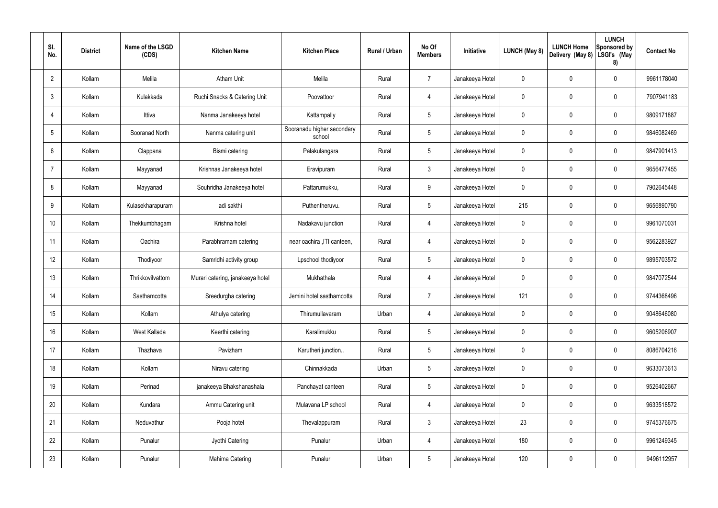| SI.<br>No.      | <b>District</b> | Name of the LSGD<br>(CDS) | <b>Kitchen Name</b>              | <b>Kitchen Place</b>                 | Rural / Urban | No Of<br><b>Members</b> | Initiative      | <b>LUNCH (May 8)</b> | <b>LUNCH Home</b><br>Delivery (May 8) | <b>LUNCH</b><br>Sponsored by<br>LSGI's (May<br>8) | <b>Contact No</b> |
|-----------------|-----------------|---------------------------|----------------------------------|--------------------------------------|---------------|-------------------------|-----------------|----------------------|---------------------------------------|---------------------------------------------------|-------------------|
| $\overline{2}$  | Kollam          | Melila                    | <b>Atham Unit</b>                | Melila                               | Rural         | $\overline{7}$          | Janakeeya Hotel | 0                    | 0                                     | $\mathbf 0$                                       | 9961178040        |
| $\mathbf{3}$    | Kollam          | Kulakkada                 | Ruchi Snacks & Catering Unit     | Poovattoor                           | Rural         | $\overline{4}$          | Janakeeya Hotel | 0                    | 0                                     | $\boldsymbol{0}$                                  | 7907941183        |
| $\overline{4}$  | Kollam          | Ittiva                    | Nanma Janakeeya hotel            | Kattampally                          | Rural         | $5\phantom{.0}$         | Janakeeya Hotel | 0                    | 0                                     | $\mathbf 0$                                       | 9809171887        |
| $5\phantom{.0}$ | Kollam          | Sooranad North            | Nanma catering unit              | Sooranadu higher secondary<br>school | Rural         | $5\phantom{.0}$         | Janakeeya Hotel | 0                    | 0                                     | $\mathbf 0$                                       | 9846082469        |
| 6               | Kollam          | Clappana                  | Bismi catering                   | Palakulangara                        | Rural         | $5\phantom{.0}$         | Janakeeya Hotel | 0                    | 0                                     | $\mathbf 0$                                       | 9847901413        |
| -7              | Kollam          | Mayyanad                  | Krishnas Janakeeya hotel         | Eravipuram                           | Rural         | $\mathbf{3}$            | Janakeeya Hotel | 0                    | 0                                     | $\mathbf 0$                                       | 9656477455        |
| 8               | Kollam          | Mayyanad                  | Souhridha Janakeeya hotel        | Pattarumukku,                        | Rural         | 9                       | Janakeeya Hotel | 0                    | 0                                     | $\mathbf 0$                                       | 7902645448        |
| 9               | Kollam          | Kulasekharapuram          | adi sakthi                       | Puthentheruvu.                       | Rural         | $5\overline{)}$         | Janakeeya Hotel | 215                  | 0                                     | $\mathbf 0$                                       | 9656890790        |
| 10              | Kollam          | Thekkumbhagam             | Krishna hotel                    | Nadakavu junction                    | Rural         | 4                       | Janakeeya Hotel | 0                    | 0                                     | $\mathbf 0$                                       | 9961070031        |
| 11              | Kollam          | Oachira                   | Parabhramam catering             | near oachira , ITI canteen,          | Rural         | $\overline{4}$          | Janakeeya Hotel | 0                    | 0                                     | $\mathbf 0$                                       | 9562283927        |
| 12              | Kollam          | Thodiyoor                 | Samridhi activity group          | Lpschool thodiyoor                   | Rural         | $5\,$                   | Janakeeya Hotel | 0                    | 0                                     | $\mathbf 0$                                       | 9895703572        |
| 13              | Kollam          | Thrikkovilvattom          | Murari catering, janakeeya hotel | Mukhathala                           | Rural         | 4                       | Janakeeya Hotel | 0                    | 0                                     | $\mathbf 0$                                       | 9847072544        |
| 14              | Kollam          | Sasthamcotta              | Sreedurgha catering              | Jemini hotel sasthamcotta            | Rural         | $\overline{7}$          | Janakeeya Hotel | 121                  | 0                                     | $\mathbf 0$                                       | 9744368496        |
| 15              | Kollam          | Kollam                    | Athulya catering                 | Thirumullavaram                      | Urban         | $\overline{4}$          | Janakeeya Hotel | 0                    | 0                                     | $\mathbf 0$                                       | 9048646080        |
| 16              | Kollam          | West Kallada              | Keerthi catering                 | Karalimukku                          | Rural         | $5\phantom{.0}$         | Janakeeya Hotel | 0                    | 0                                     | $\pmb{0}$                                         | 9605206907        |
| 17              | Kollam          | Thazhava                  | Pavizham                         | Karutheri junction                   | Rural         | $5\phantom{.0}$         | Janakeeya Hotel | 0                    | $\mathbf 0$                           | $\pmb{0}$                                         | 8086704216        |
| 18              | Kollam          | Kollam                    | Niravu catering                  | Chinnakkada                          | Urban         | $5\phantom{.0}$         | Janakeeya Hotel | 0                    | 0                                     | $\pmb{0}$                                         | 9633073613        |
| 19              | Kollam          | Perinad                   | janakeeya Bhakshanashala         | Panchayat canteen                    | Rural         | $5\phantom{.0}$         | Janakeeya Hotel | 0                    | $\pmb{0}$                             | $\pmb{0}$                                         | 9526402667        |
| 20              | Kollam          | Kundara                   | Ammu Catering unit               | Mulavana LP school                   | Rural         | $\overline{4}$          | Janakeeya Hotel | 0                    | 0                                     | $\pmb{0}$                                         | 9633518572        |
| 21              | Kollam          | Neduvathur                | Pooja hotel                      | Thevalappuram                        | Rural         | $\mathbf{3}$            | Janakeeya Hotel | 23                   | $\pmb{0}$                             | $\pmb{0}$                                         | 9745376675        |
| 22              | Kollam          | Punalur                   | Jyothi Catering                  | Punalur                              | Urban         | $\overline{4}$          | Janakeeya Hotel | 180                  | $\mathbf 0$                           | $\pmb{0}$                                         | 9961249345        |
| 23              | Kollam          | Punalur                   | Mahima Catering                  | Punalur                              | Urban         | $5\phantom{.0}$         | Janakeeya Hotel | 120                  | $\pmb{0}$                             | $\pmb{0}$                                         | 9496112957        |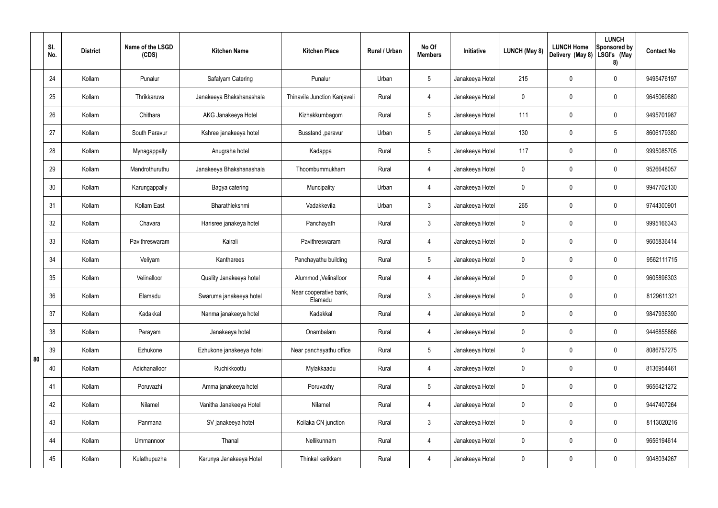|    | SI.<br>No. | <b>District</b> | Name of the LSGD<br>(CDS) | <b>Kitchen Name</b>      | <b>Kitchen Place</b>              | Rural / Urban | No Of<br><b>Members</b> | Initiative      | LUNCH (May 8) | <b>LUNCH Home</b><br>Delivery (May 8) | <b>LUNCH</b><br>Sponsored by<br>LSGI's (May<br>8) | <b>Contact No</b> |
|----|------------|-----------------|---------------------------|--------------------------|-----------------------------------|---------------|-------------------------|-----------------|---------------|---------------------------------------|---------------------------------------------------|-------------------|
|    | 24         | Kollam          | Punalur                   | Safalyam Catering        | Punalur                           | Urban         | $5\phantom{.0}$         | Janakeeya Hotel | 215           | 0                                     | $\mathbf 0$                                       | 9495476197        |
|    | 25         | Kollam          | Thrikkaruva               | Janakeeya Bhakshanashala | Thinavila Junction Kanjaveli      | Rural         | 4                       | Janakeeya Hotel | $\mathbf 0$   | 0                                     | $\pmb{0}$                                         | 9645069880        |
|    | 26         | Kollam          | Chithara                  | AKG Janakeeya Hotel      | Kizhakkumbagom                    | Rural         | $5\phantom{.0}$         | Janakeeya Hotel | 111           | 0                                     | $\mathbf 0$                                       | 9495701987        |
|    | 27         | Kollam          | South Paravur             | Kshree janakeeya hotel   | Busstand ,paravur                 | Urban         | $5\phantom{.0}$         | Janakeeya Hotel | 130           | 0                                     | $5\phantom{.0}$                                   | 8606179380        |
|    | 28         | Kollam          | Mynagappally              | Anugraha hotel           | Kadappa                           | Rural         | $5\phantom{.0}$         | Janakeeya Hotel | 117           | 0                                     | $\mathbf 0$                                       | 9995085705        |
|    | 29         | Kollam          | Mandrothuruthu            | Janakeeya Bhakshanashala | Thoombummukham                    | Rural         | $\overline{4}$          | Janakeeya Hotel | $\mathbf 0$   | 0                                     | $\pmb{0}$                                         | 9526648057        |
|    | 30         | Kollam          | Karungappally             | Bagya catering           | Muncipality                       | Urban         | $\overline{4}$          | Janakeeya Hotel | $\mathbf 0$   | 0                                     | $\mathbf 0$                                       | 9947702130        |
|    | 31         | Kollam          | Kollam East               | Bharathlekshmi           | Vadakkevila                       | Urban         | $\mathbf{3}$            | Janakeeya Hotel | 265           | 0                                     | $\mathbf 0$                                       | 9744300901        |
|    | 32         | Kollam          | Chavara                   | Harisree janakeya hotel  | Panchayath                        | Rural         | 3 <sup>1</sup>          | Janakeeya Hotel | $\mathbf 0$   | 0                                     | $\mathbf 0$                                       | 9995166343        |
|    | 33         | Kollam          | Pavithreswaram            | Kairali                  | Pavithreswaram                    | Rural         | 4                       | Janakeeya Hotel | $\mathbf 0$   | 0                                     | $\pmb{0}$                                         | 9605836414        |
|    | 34         | Kollam          | Veliyam                   | Kantharees               | Panchayathu building              | Rural         | $5\phantom{.0}$         | Janakeeya Hotel | $\mathbf 0$   | 0                                     | $\mathbf 0$                                       | 9562111715        |
|    | 35         | Kollam          | Velinalloor               | Quality Janakeeya hotel  | Alummod, Velinalloor              | Rural         | 4                       | Janakeeya Hotel | $\mathbf 0$   | 0                                     | $\pmb{0}$                                         | 9605896303        |
|    | 36         | Kollam          | Elamadu                   | Swaruma janakeeya hotel  | Near cooperative bank,<br>Elamadu | Rural         | $\mathbf{3}$            | Janakeeya Hotel | $\mathbf 0$   | 0                                     | $\mathbf 0$                                       | 8129611321        |
|    | 37         | Kollam          | Kadakkal                  | Nanma janakeeya hotel    | Kadakkal                          | Rural         | $\overline{4}$          | Janakeeya Hotel | $\mathbf 0$   | 0                                     | $\mathbf 0$                                       | 9847936390        |
|    | 38         | Kollam          | Perayam                   | Janakeeya hotel          | Onambalam                         | Rural         | $\overline{4}$          | Janakeeya Hotel | $\mathbf 0$   | 0                                     | $\mathbf 0$                                       | 9446855866        |
| 80 | 39         | Kollam          | Ezhukone                  | Ezhukone janakeeya hotel | Near panchayathu office           | Rural         | $5\phantom{.0}$         | Janakeeya Hotel | $\mathbf 0$   | 0                                     | $\pmb{0}$                                         | 8086757275        |
|    | 40         | Kollam          | Adichanalloor             | Ruchikkoottu             | Mylakkaadu                        | Rural         | $\overline{4}$          | Janakeeya Hotel | $\mathbf 0$   | 0                                     | $\mathbf 0$                                       | 8136954461        |
|    | 41         | Kollam          | Poruvazhi                 | Amma janakeeya hotel     | Poruvaxhy                         | Rural         | $5\phantom{.0}$         | Janakeeya Hotel | $\mathbf 0$   | 0                                     | $\mathbf 0$                                       | 9656421272        |
|    | 42         | Kollam          | Nilamel                   | Vanitha Janakeeya Hotel  | Nilamel                           | Rural         | $\overline{4}$          | Janakeeya Hotel | $\mathbf 0$   | 0                                     | $\mathbf 0$                                       | 9447407264        |
|    | 43         | Kollam          | Panmana                   | SV janakeeya hotel       | Kollaka CN junction               | Rural         | $\mathfrak{Z}$          | Janakeeya Hotel | 0             | 0                                     | $\mathbf 0$                                       | 8113020216        |
|    | 44         | Kollam          | Ummannoor                 | Thanal                   | Nellikunnam                       | Rural         | $\overline{4}$          | Janakeeya Hotel | $\mathbf 0$   | 0                                     | $\mathbf 0$                                       | 9656194614        |
|    | 45         | Kollam          | Kulathupuzha              | Karunya Janakeeya Hotel  | Thinkal karikkam                  | Rural         | 4                       | Janakeeya Hotel | $\mathbf 0$   | 0                                     | $\boldsymbol{0}$                                  | 9048034267        |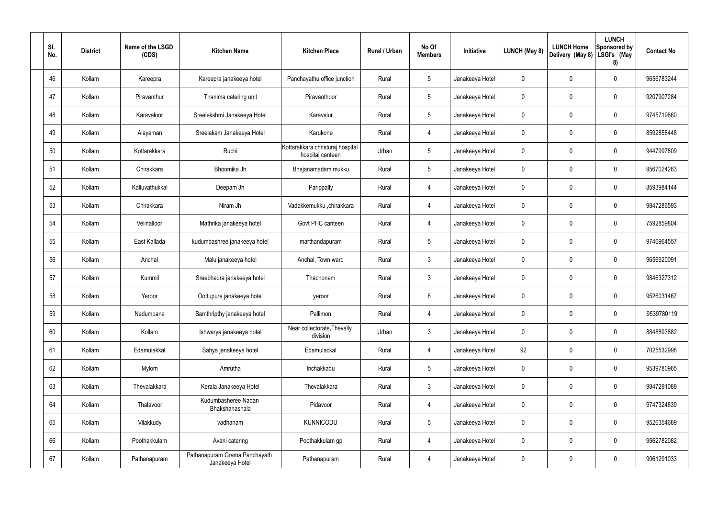| SI.<br>No. | <b>District</b> | Name of the LSGD<br>(CDS) | <b>Kitchen Name</b>                              | <b>Kitchen Place</b>                                 | Rural / Urban | No Of<br><b>Members</b> | Initiative      | LUNCH (May 8) | <b>LUNCH Home</b><br>Delivery (May 8) | <b>LUNCH</b><br><b>Sponsored by</b><br>LSGI's (May<br>8) | <b>Contact No</b> |
|------------|-----------------|---------------------------|--------------------------------------------------|------------------------------------------------------|---------------|-------------------------|-----------------|---------------|---------------------------------------|----------------------------------------------------------|-------------------|
| 46         | Kollam          | Kareepra                  | Kareepra janakeeya hotel                         | Panchayathu office junction                          | Rural         | $5\phantom{.0}$         | Janakeeya Hotel | 0             | 0                                     | $\mathbf 0$                                              | 9656783244        |
| 47         | Kollam          | Piravanthur               | Thanima catering unit                            | Piravanthoor                                         | Rural         | $5\phantom{.0}$         | Janakeeya Hotel | 0             | 0                                     | 0                                                        | 9207907284        |
| 48         | Kollam          | Karavaloor                | Sreelekshmi Janakeeya Hotel                      | Karavalur                                            | Rural         | $5\phantom{.0}$         | Janakeeya Hotel | 0             | 0                                     | $\mathbf 0$                                              | 9745719860        |
| 49         | Kollam          | Alayaman                  | Sreelakam Janakeeya Hotel                        | Karukone                                             | Rural         | 4                       | Janakeeya Hotel | 0             | 0                                     | $\mathbf 0$                                              | 8592858448        |
| 50         | Kollam          | Kottarakkara              | Ruchi                                            | Kottarakkara christuraj hospital<br>hospital canteen | Urban         | $5\phantom{.0}$         | Janakeeya Hotel | 0             | 0                                     | $\mathbf 0$                                              | 9447997809        |
| 51         | Kollam          | Chirakkara                | Bhoomika Jh                                      | Bhajanamadam mukku                                   | Rural         | $5\phantom{.0}$         | Janakeeya Hotel | 0             | 0                                     | $\mathbf 0$                                              | 9567024263        |
| 52         | Kollam          | Kalluvathukkal            | Deepam Jh                                        | Parippally                                           | Rural         | 4                       | Janakeeya Hotel | 0             | 0                                     | $\mathbf 0$                                              | 8593984144        |
| 53         | Kollam          | Chirakkara                | Niram Jh                                         | Vadakkemukku ,chirakkara                             | Rural         | 4                       | Janakeeya Hotel | 0             | 0                                     | $\mathbf 0$                                              | 9847286593        |
| 54         | Kollam          | Velinalloor               | Mathrika janakeeya hotel                         | Govt PHC canteen                                     | Rural         | 4                       | Janakeeya Hotel | 0             | 0                                     | $\mathbf 0$                                              | 7592859804        |
| 55         | Kollam          | East Kallada              | kudumbashree janakeeya hotel                     | marthandapuram                                       | Rural         | 5                       | Janakeeya Hotel | 0             | 0                                     | $\mathbf 0$                                              | 9746964557        |
| 56         | Kollam          | Anchal                    | Malu janakeeya hotel                             | Anchal, Town ward                                    | Rural         | 3                       | Janakeeya Hotel | 0             | 0                                     | $\mathbf 0$                                              | 9656920091        |
| 57         | Kollam          | Kummil                    | Sreebhadra janakeeya hotel                       | Thachonam                                            | Rural         | 3                       | Janakeeya Hotel | 0             | 0                                     | 0                                                        | 9846327312        |
| 58         | Kollam          | Yeroor                    | Oottupura janakeeya hotel                        | yeroor                                               | Rural         | 6                       | Janakeeya Hotel | 0             | 0                                     | $\mathbf 0$                                              | 9526031467        |
| 59         | Kollam          | Nedumpana                 | Samthripthy janakeeya hotel                      | Pallimon                                             | Rural         | $\overline{4}$          | Janakeeya Hotel | $\mathbf 0$   | 0                                     | $\pmb{0}$                                                | 9539780119        |
| 60         | Kollam          | Kollam                    | Ishwarya janakeeya hotel                         | Near collectorate, Thevally<br>division              | Urban         | $\mathfrak{Z}$          | Janakeeya Hotel | 0             | $\mathbf 0$                           | $\mathbf 0$                                              | 8848893882        |
| 61         | Kollam          | Edamulakkal               | Sahya janakeeya hotel                            | Edamulackal                                          | Rural         | 4                       | Janakeeya Hotel | 92            | 0                                     | $\mathbf 0$                                              | 7025532998        |
| 62         | Kollam          | Mylom                     | Amrutha                                          | Inchakkadu                                           | Rural         | $\overline{5}$          | Janakeeya Hotel | 0             | $\mathbf 0$                           | $\mathsf{0}$                                             | 9539780965        |
| 63         | Kollam          | Thevalakkara              | Kerala Janakeeya Hotel                           | Thevalakkara                                         | Rural         | $\mathbf{3}$            | Janakeeya Hotel | 0             | $\mathbf 0$                           | $\mathbf 0$                                              | 9847291089        |
| 64         | Kollam          | Thalavoor                 | Kudumbasheree Nadan<br>Bhakshanashala            | Pidavoor                                             | Rural         | 4                       | Janakeeya Hotel | 0             | $\mathbf 0$                           | $\mathsf{0}$                                             | 9747324839        |
| 65         | Kollam          | Vilakkudy                 | vadhanam                                         | <b>KUNNICODU</b>                                     | Rural         | $\overline{5}$          | Janakeeya Hotel | 0             | $\mathbf 0$                           | $\mathsf{0}$                                             | 9526354689        |
| 66         | Kollam          | Poothakkulam              | Avani catering                                   | Poothakkulam gp                                      | Rural         | 4                       | Janakeeya Hotel | 0             | $\mathbf 0$                           | $\mathbf 0$                                              | 9562782082        |
| 67         | Kollam          | Pathanapuram              | Pathanapuram Grama Panchayath<br>Janakeeya Hotel | Pathanapuram                                         | Rural         | 4                       | Janakeeya Hotel | 0             | $\pmb{0}$                             | $\mathsf{0}$                                             | 9061291033        |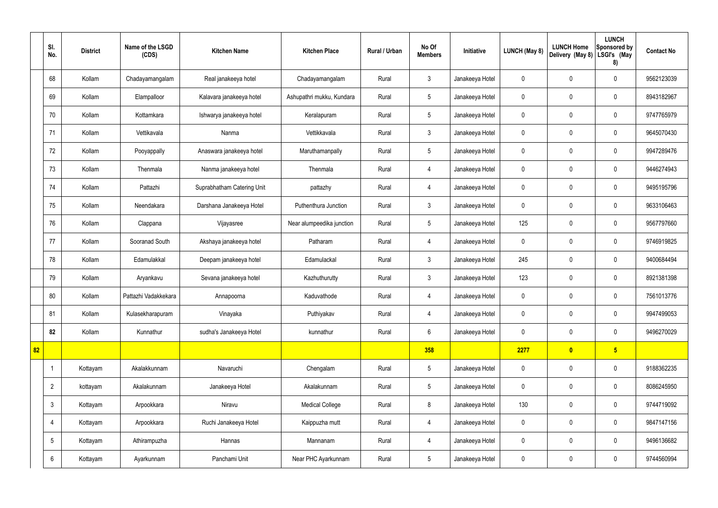|    | SI.<br>No.     | <b>District</b> | Name of the LSGD<br>(CDS) | <b>Kitchen Name</b>        | <b>Kitchen Place</b>      | Rural / Urban | No Of<br><b>Members</b> | Initiative      | <b>LUNCH (May 8)</b> | <b>LUNCH Home</b><br>Delivery (May 8) | <b>LUNCH</b><br>Sponsored by<br>LSGI's (May<br>8) | <b>Contact No</b> |
|----|----------------|-----------------|---------------------------|----------------------------|---------------------------|---------------|-------------------------|-----------------|----------------------|---------------------------------------|---------------------------------------------------|-------------------|
|    | 68             | Kollam          | Chadayamangalam           | Real janakeeya hotel       | Chadayamangalam           | Rural         | $\mathfrak{Z}$          | Janakeeya Hotel | $\mathbf 0$          | $\mathbf 0$                           | $\mathbf 0$                                       | 9562123039        |
|    | 69             | Kollam          | Elampalloor               | Kalavara janakeeya hotel   | Ashupathri mukku, Kundara | Rural         | $5\phantom{.0}$         | Janakeeya Hotel | $\mathbf 0$          | $\mathbf 0$                           | $\mathbf 0$                                       | 8943182967        |
|    | 70             | Kollam          | Kottamkara                | Ishwarya janakeeya hotel   | Keralapuram               | Rural         | $5\phantom{.0}$         | Janakeeya Hotel | $\mathbf 0$          | $\mathbf 0$                           | $\mathbf 0$                                       | 9747765979        |
|    | 71             | Kollam          | Vettikavala               | Nanma                      | Vettikkavala              | Rural         | $\mathbf{3}$            | Janakeeya Hotel | $\mathbf 0$          | $\mathbf 0$                           | $\mathbf 0$                                       | 9645070430        |
|    | 72             | Kollam          | Pooyappally               | Anaswara janakeeya hotel   | Maruthamanpally           | Rural         | $5\phantom{.0}$         | Janakeeya Hotel | $\mathbf 0$          | $\mathbf 0$                           | $\mathbf 0$                                       | 9947289476        |
|    | 73             | Kollam          | Thenmala                  | Nanma janakeeya hotel      | Thenmala                  | Rural         | 4                       | Janakeeya Hotel | $\mathbf 0$          | $\mathbf 0$                           | $\mathbf 0$                                       | 9446274943        |
|    | 74             | Kollam          | Pattazhi                  | Suprabhatham Catering Unit | pattazhy                  | Rural         | $\overline{4}$          | Janakeeya Hotel | $\mathbf 0$          | $\mathbf 0$                           | $\mathbf 0$                                       | 9495195796        |
|    | 75             | Kollam          | Neendakara                | Darshana Janakeeya Hotel   | Puthenthura Junction      | Rural         | $\mathbf{3}$            | Janakeeya Hotel | $\mathbf 0$          | $\mathbf 0$                           | $\mathbf 0$                                       | 9633106463        |
|    | 76             | Kollam          | Clappana                  | Vijayasree                 | Near alumpeedika junction | Rural         | $5\phantom{.0}$         | Janakeeya Hotel | 125                  | $\pmb{0}$                             | $\mathbf 0$                                       | 9567797660        |
|    | 77             | Kollam          | Sooranad South            | Akshaya janakeeya hotel    | Patharam                  | Rural         | $\overline{4}$          | Janakeeya Hotel | $\mathbf 0$          | $\pmb{0}$                             | $\mathbf 0$                                       | 9746919825        |
|    | 78             | Kollam          | Edamulakkal               | Deepam janakeeya hotel     | Edamulackal               | Rural         | $\mathfrak{Z}$          | Janakeeya Hotel | 245                  | $\pmb{0}$                             | $\mathbf 0$                                       | 9400684494        |
|    | 79             | Kollam          | Aryankavu                 | Sevana janakeeya hotel     | Kazhuthurutty             | Rural         | $\mathbf{3}$            | Janakeeya Hotel | 123                  | $\pmb{0}$                             | $\mathbf 0$                                       | 8921381398        |
|    | 80             | Kollam          | Pattazhi Vadakkekara      | Annapoorna                 | Kaduvathode               | Rural         | 4                       | Janakeeya Hotel | $\mathbf 0$          | $\mathbf 0$                           | $\mathbf 0$                                       | 7561013776        |
|    | 81             | Kollam          | Kulasekharapuram          | Vinayaka                   | Puthiyakav                | Rural         | 4                       | Janakeeya Hotel | $\mathbf 0$          | $\pmb{0}$                             | $\mathbf 0$                                       | 9947499053        |
|    | 82             | Kollam          | Kunnathur                 | sudha's Janakeeya Hotel    | kunnathur                 | Rural         | $6\overline{6}$         | Janakeeya Hotel | $\mathbf 0$          | $\pmb{0}$                             | $\mathbf 0$                                       | 9496270029        |
| 82 |                |                 |                           |                            |                           |               | 358                     |                 | 2277                 | $\bullet$                             | $5\overline{)}$                                   |                   |
|    | -1             | Kottayam        | Akalakkunnam              | Navaruchi                  | Chengalam                 | Rural         | $5\phantom{.0}$         | Janakeeya Hotel | $\mathbf 0$          | $\pmb{0}$                             | $\mathbf 0$                                       | 9188362235        |
|    | $\overline{2}$ | kottayam        | Akalakunnam               | Janakeeya Hotel            | Akalakunnam               | Rural         | $5\phantom{.0}$         | Janakeeya Hotel | $\pmb{0}$            | $\pmb{0}$                             | $\mathbf 0$                                       | 8086245950        |
|    | $\mathbf{3}$   | Kottayam        | Arpookkara                | Niravu                     | <b>Medical College</b>    | Rural         | 8                       | Janakeeya Hotel | 130                  | $\pmb{0}$                             | $\mathbf 0$                                       | 9744719092        |
|    | $\overline{4}$ | Kottayam        | Arpookkara                | Ruchi Janakeeya Hotel      | Kaippuzha mutt            | Rural         | $\overline{4}$          | Janakeeya Hotel | $\pmb{0}$            | $\pmb{0}$                             | $\mathbf 0$                                       | 9847147156        |
|    | 5              | Kottayam        | Athirampuzha              | Hannas                     | Mannanam                  | Rural         | 4                       | Janakeeya Hotel | $\mathbf 0$          | $\pmb{0}$                             | $\mathbf 0$                                       | 9496136682        |
|    | 6              | Kottayam        | Ayarkunnam                | Panchami Unit              | Near PHC Ayarkunnam       | Rural         | $5\phantom{.0}$         | Janakeeya Hotel | $\pmb{0}$            | $\pmb{0}$                             | $\boldsymbol{0}$                                  | 9744560994        |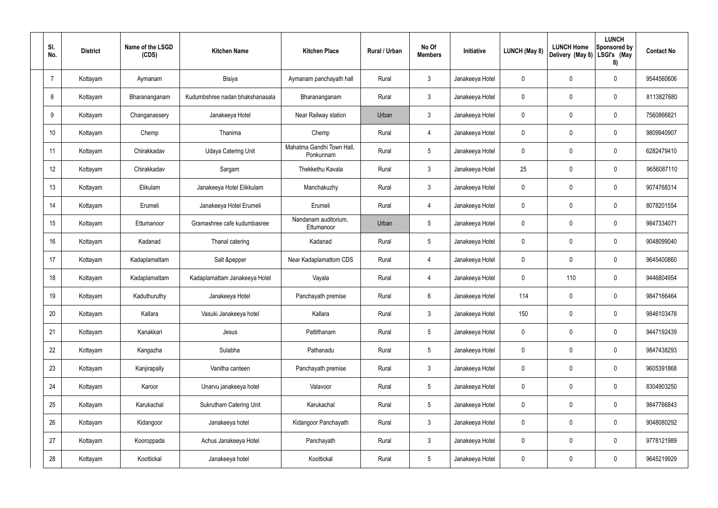| SI.<br>No. | <b>District</b> | Name of the LSGD<br>(CDS) | <b>Kitchen Name</b>             | <b>Kitchen Place</b>                   | Rural / Urban | No Of<br><b>Members</b> | Initiative      | <b>LUNCH (May 8)</b> | <b>LUNCH Home</b><br>Delivery (May 8) | <b>LUNCH</b><br><b>Sponsored by</b><br>LSGI's (May<br>8) | <b>Contact No</b> |
|------------|-----------------|---------------------------|---------------------------------|----------------------------------------|---------------|-------------------------|-----------------|----------------------|---------------------------------------|----------------------------------------------------------|-------------------|
| 7          | Kottayam        | Aymanam                   | Bisiya                          | Aymanam panchayath hall                | Rural         | $\mathfrak{Z}$          | Janakeeya Hotel | 0                    | 0                                     | $\mathbf 0$                                              | 9544560606        |
| 8          | Kottayam        | Bharananganam             | Kudumbshree nadan bhakshanasala | Bharananganam                          | Rural         | $\mathbf{3}$            | Janakeeya Hotel | 0                    | 0                                     | $\mathbf 0$                                              | 8113827680        |
| 9          | Kottayam        | Changanassery             | Janakeeya Hotel                 | Near Railway station                   | Urban         | $\mathbf{3}$            | Janakeeya Hotel | 0                    | 0                                     | $\mathbf 0$                                              | 7560866821        |
| 10         | Kottayam        | Chemp                     | Thanima                         | Chemp                                  | Rural         | $\overline{4}$          | Janakeeya Hotel | 0                    | 0                                     | $\mathbf 0$                                              | 9809940907        |
| 11         | Kottayam        | Chirakkadav               | <b>Udaya Catering Unit</b>      | Mahatma Gandhi Town Hall,<br>Ponkunnam | Rural         | $5\phantom{.0}$         | Janakeeya Hotel | 0                    | 0                                     | $\mathbf 0$                                              | 6282479410        |
| 12         | Kottayam        | Chirakkadav               | Sargam                          | Thekkethu Kavala                       | Rural         | $\mathfrak{Z}$          | Janakeeya Hotel | 25                   | 0                                     | $\mathbf 0$                                              | 9656087110        |
| 13         | Kottayam        | Elikulam                  | Janakeeya Hotel Elikkulam       | Manchakuzhy                            | Rural         | $\mathbf{3}$            | Janakeeya Hotel | 0                    | 0                                     | $\mathbf 0$                                              | 9074768314        |
| 14         | Kottayam        | Erumeli                   | Janakeeya Hotel Erumeli         | Erumeli                                | Rural         | $\overline{4}$          | Janakeeya Hotel | 0                    | 0                                     | $\mathbf 0$                                              | 8078201554        |
| 15         | Kottayam        | Ettumanoor                | Gramashree cafe kudumbasree     | Nandanam auditorium,<br>Ettumanoor     | Urban         | $5\phantom{.0}$         | Janakeeya Hotel | 0                    | 0                                     | $\mathbf 0$                                              | 9847334071        |
| 16         | Kottayam        | Kadanad                   | Thanal catering                 | Kadanad                                | Rural         | $5\phantom{.0}$         | Janakeeya Hotel | 0                    | 0                                     | $\mathbf 0$                                              | 9048099040        |
| 17         | Kottayam        | Kadaplamattam             | Salt &pepper                    | Near Kadaplamattom CDS                 | Rural         | $\overline{4}$          | Janakeeya Hotel | 0                    | 0                                     | $\mathbf 0$                                              | 9645400860        |
| 18         | Kottayam        | Kadaplamattam             | Kadaplamattam Janakeeya Hotel   | Vayala                                 | Rural         | $\overline{4}$          | Janakeeya Hotel | 0                    | 110                                   | $\mathbf 0$                                              | 9446804954        |
| 19         | Kottayam        | Kaduthuruthy              | Janakeeya Hotel                 | Panchayath premise                     | Rural         | 6                       | Janakeeya Hotel | 114                  | 0                                     | $\mathbf 0$                                              | 9847166464        |
| 20         | Kottayam        | Kallara                   | Vasuki Janakeeya hotel          | Kallara                                | Rural         | $\mathbf{3}$            | Janakeeya Hotel | 150                  | $\mathbf 0$                           | $\mathbf 0$                                              | 9846103478        |
| 21         | Kottayam        | Kanakkari                 | Jesus                           | Pattithanam                            | Rural         | $5\phantom{.0}$         | Janakeeya Hotel | 0                    | $\mathbf 0$                           | $\mathbf 0$                                              | 9447192439        |
| 22         | Kottayam        | Kangazha                  | Sulabha                         | Pathanadu                              | Rural         | $5\phantom{.0}$         | Janakeeya Hotel | 0                    | $\mathbf 0$                           | $\mathbf 0$                                              | 9847438293        |
| 23         | Kottayam        | Kanjirapally              | Vanitha canteen                 | Panchayath premise                     | Rural         | $\mathfrak{Z}$          | Janakeeya Hotel | 0                    | $\mathbf 0$                           | $\mathbf 0$                                              | 9605391868        |
| 24         | Kottayam        | Karoor                    | Unarvu janakeeya hotel          | Valavoor                               | Rural         | $5\phantom{.0}$         | Janakeeya Hotel | 0                    | $\mathbf 0$                           | $\mathbf 0$                                              | 8304903250        |
| 25         | Kottayam        | Karukachal                | <b>Sukrutham Catering Unit</b>  | Karukachal                             | Rural         | $5\,$                   | Janakeeya Hotel | 0                    | $\mathbf 0$                           | $\mathbf 0$                                              | 9847766843        |
| 26         | Kottayam        | Kidangoor                 | Janakeeya hotel                 | Kidangoor Panchayath                   | Rural         | $\mathfrak{Z}$          | Janakeeya Hotel | 0                    | $\pmb{0}$                             | $\mathbf 0$                                              | 9048080292        |
| 27         | Kottayam        | Kooroppada                | Achus Janakeeya Hotel           | Panchayath                             | Rural         | $\mathbf{3}$            | Janakeeya Hotel | 0                    | $\mathbf 0$                           | $\mathbf 0$                                              | 9778121989        |
| 28         | Kottayam        | Koottickal                | Janakeeya hotel                 | Koottickal                             | Rural         | $5\phantom{.0}$         | Janakeeya Hotel | 0                    | $\pmb{0}$                             | $\mathbf 0$                                              | 9645219929        |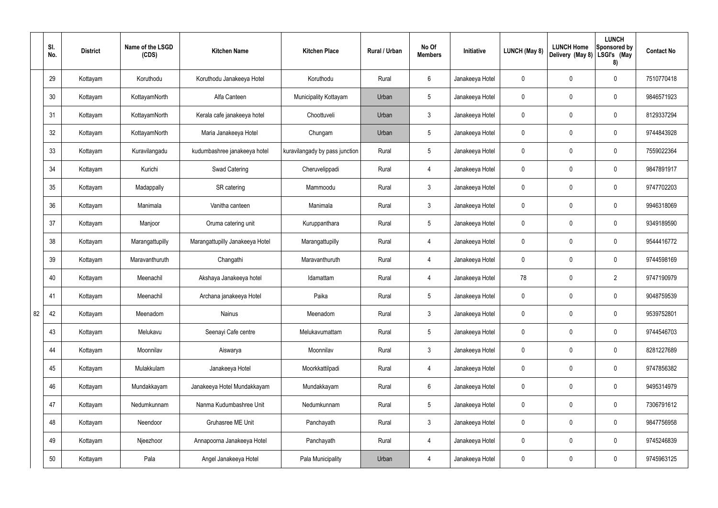|    | SI.<br>No. | <b>District</b> | Name of the LSGD<br>(CDS) | <b>Kitchen Name</b>             | <b>Kitchen Place</b>           | Rural / Urban | No Of<br><b>Members</b> | Initiative      | <b>LUNCH (May 8)</b> | <b>LUNCH Home</b><br>Delivery (May 8) | <b>LUNCH</b><br>Sponsored by<br>LSGI's (May<br>8) | <b>Contact No</b> |
|----|------------|-----------------|---------------------------|---------------------------------|--------------------------------|---------------|-------------------------|-----------------|----------------------|---------------------------------------|---------------------------------------------------|-------------------|
|    | 29         | Kottayam        | Koruthodu                 | Koruthodu Janakeeya Hotel       | Koruthodu                      | Rural         | $6\phantom{.}6$         | Janakeeya Hotel | $\mathbf 0$          | 0                                     | $\mathbf 0$                                       | 7510770418        |
|    | 30         | Kottayam        | KottayamNorth             | Alfa Canteen                    | Municipality Kottayam          | Urban         | $5\phantom{.0}$         | Janakeeya Hotel | $\mathbf 0$          | 0                                     | $\pmb{0}$                                         | 9846571923        |
|    | 31         | Kottayam        | KottayamNorth             | Kerala cafe janakeeya hotel     | Choottuveli                    | Urban         | $\mathbf{3}$            | Janakeeya Hotel | 0                    | 0                                     | $\mathbf 0$                                       | 8129337294        |
|    | 32         | Kottayam        | KottayamNorth             | Maria Janakeeya Hotel           | Chungam                        | Urban         | $5\phantom{.0}$         | Janakeeya Hotel | $\mathbf 0$          | 0                                     | $\pmb{0}$                                         | 9744843928        |
|    | 33         | Kottayam        | Kuravilangadu             | kudumbashree janakeeya hotel    | kuravilangady by pass junction | Rural         | $5\phantom{.0}$         | Janakeeya Hotel | $\mathbf 0$          | 0                                     | $\mathbf 0$                                       | 7559022364        |
|    | 34         | Kottayam        | Kurichi                   | <b>Swad Catering</b>            | Cheruvelippadi                 | Rural         | 4                       | Janakeeya Hotel | $\mathbf 0$          | 0                                     | $\pmb{0}$                                         | 9847891917        |
|    | 35         | Kottayam        | Madappally                | SR catering                     | Mammoodu                       | Rural         | $\mathfrak{Z}$          | Janakeeya Hotel | $\mathbf 0$          | 0                                     | $\mathbf 0$                                       | 9747702203        |
|    | 36         | Kottayam        | Manimala                  | Vanitha canteen                 | Manimala                       | Rural         | $\mathbf{3}$            | Janakeeya Hotel | $\mathbf 0$          | 0                                     | $\pmb{0}$                                         | 9946318069        |
|    | 37         | Kottayam        | Manjoor                   | Oruma catering unit             | Kuruppanthara                  | Rural         | $5\phantom{.0}$         | Janakeeya Hotel | $\mathbf 0$          | 0                                     | $\mathbf 0$                                       | 9349189590        |
|    | 38         | Kottayam        | Marangattupilly           | Marangattupilly Janakeeya Hotel | Marangattupilly                | Rural         | 4                       | Janakeeya Hotel | $\mathbf 0$          | 0                                     | $\boldsymbol{0}$                                  | 9544416772        |
|    | 39         | Kottayam        | Maravanthuruth            | Changathi                       | Maravanthuruth                 | Rural         | 4                       | Janakeeya Hotel | $\mathbf 0$          | 0                                     | $\mathbf 0$                                       | 9744598169        |
|    | 40         | Kottayam        | Meenachil                 | Akshaya Janakeeya hotel         | Idamattam                      | Rural         | 4                       | Janakeeya Hotel | 78                   | 0                                     | $\overline{2}$                                    | 9747190979        |
|    | 41         | Kottayam        | Meenachil                 | Archana janakeeya Hotel         | Paika                          | Rural         | $5\phantom{.0}$         | Janakeeya Hotel | 0                    | 0                                     | $\mathbf 0$                                       | 9048759539        |
| 82 | 42         | Kottayam        | Meenadom                  | Nainus                          | Meenadom                       | Rural         | $\mathbf{3}$            | Janakeeya Hotel | $\mathbf 0$          | 0                                     | $\mathbf 0$                                       | 9539752801        |
|    | 43         | Kottayam        | Melukavu                  | Seenayi Cafe centre             | Melukavumattam                 | Rural         | $5\phantom{.0}$         | Janakeeya Hotel | $\pmb{0}$            | 0                                     | $\mathbf 0$                                       | 9744546703        |
|    | 44         | Kottayam        | Moonnilav                 | Aiswarya                        | Moonnilav                      | Rural         | $\mathbf{3}$            | Janakeeya Hotel | $\mathbf 0$          | 0                                     | $\mathbf 0$                                       | 8281227689        |
|    | 45         | Kottayam        | Mulakkulam                | Janakeeya Hotel                 | Moorkkattilpadi                | Rural         | $\overline{4}$          | Janakeeya Hotel | $\mathbf 0$          | 0                                     | $\mathbf 0$                                       | 9747856382        |
|    | 46         | Kottayam        | Mundakkayam               | Janakeeya Hotel Mundakkayam     | Mundakkayam                    | Rural         | $6\overline{6}$         | Janakeeya Hotel | $\mathbf 0$          | 0                                     | $\mathbf 0$                                       | 9495314979        |
|    | 47         | Kottayam        | Nedumkunnam               | Nanma Kudumbashree Unit         | Nedumkunnam                    | Rural         | $5\phantom{.0}$         | Janakeeya Hotel | $\mathbf 0$          | 0                                     | $\mathbf 0$                                       | 7306791612        |
|    | 48         | Kottayam        | Neendoor                  | Gruhasree ME Unit               | Panchayath                     | Rural         | $\mathbf{3}$            | Janakeeya Hotel | $\mathbf 0$          | 0                                     | $\mathbf 0$                                       | 9847756958        |
|    | 49         | Kottayam        | Njeezhoor                 | Annapoorna Janakeeya Hotel      | Panchayath                     | Rural         | $\overline{4}$          | Janakeeya Hotel | $\pmb{0}$            | 0                                     | $\pmb{0}$                                         | 9745246839        |
|    | 50         | Kottayam        | Pala                      | Angel Janakeeya Hotel           | Pala Municipality              | Urban         | 4                       | Janakeeya Hotel | 0                    | 0                                     | $\pmb{0}$                                         | 9745963125        |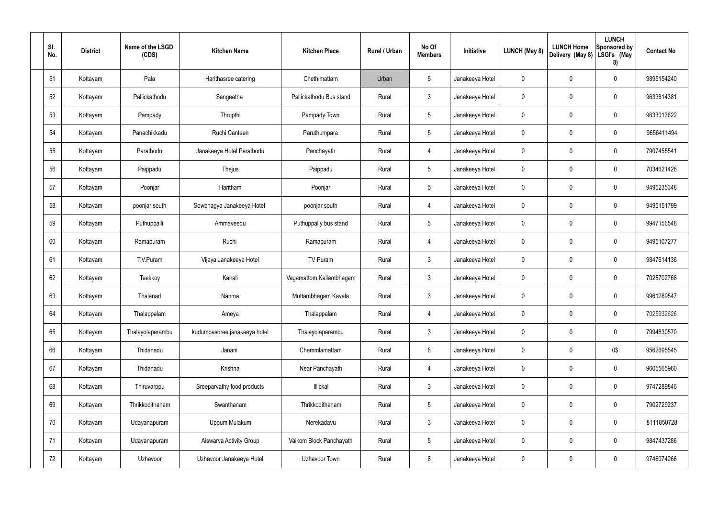| SI.<br>No. | <b>District</b> | Name of the LSGD<br>(CDS) | <b>Kitchen Name</b>          | <b>Kitchen Place</b>     | Rural / Urban | No Of<br><b>Members</b> | Initiative      | <b>LUNCH (May 8)</b> | <b>LUNCH Home</b><br>Delivery (May 8) | <b>LUNCH</b><br>Sponsored by<br>LSGI's (May<br>8) | <b>Contact No</b> |
|------------|-----------------|---------------------------|------------------------------|--------------------------|---------------|-------------------------|-----------------|----------------------|---------------------------------------|---------------------------------------------------|-------------------|
| 51         | Kottayam        | Pala                      | Harithasree catering         | Chethimattam             | Urban         | $5\phantom{.0}$         | Janakeeya Hotel | 0                    | $\mathbf 0$                           | $\mathbf 0$                                       | 9895154240        |
| 52         | Kottayam        | Pallickathodu             | Sangeetha                    | Pallickathodu Bus stand  | Rural         | $\mathbf{3}$            | Janakeeya Hotel | 0                    | $\mathbf 0$                           | $\pmb{0}$                                         | 9633814381        |
| 53         | Kottayam        | Pampady                   | Thrupthi                     | Pampady Town             | Rural         | $5\phantom{.0}$         | Janakeeya Hotel | 0                    | $\mathbf 0$                           | $\mathbf 0$                                       | 9633013622        |
| 54         | Kottayam        | Panachikkadu              | Ruchi Canteen                | Paruthumpara             | Rural         | $5\phantom{.0}$         | Janakeeya Hotel | 0                    | $\mathbf 0$                           | 0                                                 | 9656411494        |
| 55         | Kottayam        | Parathodu                 | Janakeeya Hotel Parathodu    | Panchayath               | Rural         | $\overline{4}$          | Janakeeya Hotel | 0                    | $\mathbf 0$                           | $\mathbf 0$                                       | 7907455541        |
| 56         | Kottayam        | Paippadu                  | Thejus                       | Paippadu                 | Rural         | $5\phantom{.0}$         | Janakeeya Hotel | 0                    | $\mathbf 0$                           | 0                                                 | 7034621426        |
| 57         | Kottayam        | Poonjar                   | Haritham                     | Poonjar                  | Rural         | $5\phantom{.0}$         | Janakeeya Hotel | 0                    | $\mathbf 0$                           | $\mathbf 0$                                       | 9495235348        |
| 58         | Kottayam        | poonjar south             | Sowbhagya Janakeeya Hotel    | poonjar south            | Rural         | $\overline{4}$          | Janakeeya Hotel | 0                    | $\mathbf 0$                           | 0                                                 | 9495151799        |
| 59         | Kottayam        | Puthuppalli               | Ammaveedu                    | Puthuppally bus stand    | Rural         | $5\phantom{.0}$         | Janakeeya Hotel | 0                    | $\mathbf 0$                           | $\mathbf 0$                                       | 9947156548        |
| 60         | Kottayam        | Ramapuram                 | Ruchi                        | Ramapuram                | Rural         | 4                       | Janakeeya Hotel | 0                    | $\mathbf 0$                           | $\mathbf 0$                                       | 9495107277        |
| 61         | Kottayam        | T.V.Puram                 | Vijaya Janakeeya Hotel       | TV Puram                 | Rural         | $\mathbf{3}$            | Janakeeya Hotel | 0                    | $\mathbf 0$                           | $\mathbf 0$                                       | 9847614136        |
| 62         | Kottayam        | Teekkoy                   | Kairali                      | Vagamattom, Kallambhagam | Rural         | $\mathbf{3}$            | Janakeeya Hotel | 0                    | $\mathbf 0$                           | 0                                                 | 7025702768        |
| 63         | Kottayam        | Thalanad                  | Nanma                        | Muttambhagam Kavala      | Rural         | $\mathfrak{Z}$          | Janakeeya Hotel | 0                    | $\mathbf 0$                           | 0                                                 | 9961289547        |
| 64         | Kottayam        | Thalappalam               | Ameya                        | Thalappalam              | Rural         | $\overline{4}$          | Janakeeya Hotel | $\mathbf 0$          | $\mathbf 0$                           | $\pmb{0}$                                         | 7025932626        |
| 65         | Kottayam        | Thalayolaparambu          | kudumbashree janakeeya hotel | Thalayolaparambu         | Rural         | $\mathbf{3}$            | Janakeeya Hotel | $\mathbf 0$          | $\mathbf 0$                           | $\pmb{0}$                                         | 7994830570        |
| 66         | Kottayam        | Thidanadu                 | Janani                       | Chemmlamattam            | Rural         | $6\phantom{.}6$         | Janakeeya Hotel | 0                    | $\mathbf 0$                           | 0\$                                               | 9562695545        |
| 67         | Kottayam        | Thidanadu                 | Krishna                      | Near Panchayath          | Rural         | $\overline{4}$          | Janakeeya Hotel | $\mathbf 0$          | $\mathbf 0$                           | $\pmb{0}$                                         | 9605565960        |
| 68         | Kottayam        | Thiruvarppu               | Sreeparvathy food products   | Illickal                 | Rural         | $\mathbf{3}$            | Janakeeya Hotel | 0                    | $\overline{0}$                        | $\pmb{0}$                                         | 9747289846        |
| 69         | Kottayam        | Thrikkodithanam           | Swanthanam                   | Thrikkodithanam          | Rural         | $5\phantom{.0}$         | Janakeeya Hotel | 0                    | $\mathbf 0$                           | $\pmb{0}$                                         | 7902729237        |
| 70         | Kottayam        | Udayanapuram              | Uppum Mulakum                | Nerekadavu               | Rural         | $\mathbf{3}$            | Janakeeya Hotel | 0                    | $\mathbf 0$                           | $\pmb{0}$                                         | 8111850728        |
| 71         | Kottayam        | Udayanapuram              | Aiswarya Activity Group      | Vaikom Block Panchayath  | Rural         | $5\phantom{.0}$         | Janakeeya Hotel | $\mathbf 0$          | $\pmb{0}$                             | $\pmb{0}$                                         | 9847437286        |
| 72         | Kottayam        | Uzhavoor                  | Uzhavoor Janakeeya Hotel     | Uzhavoor Town            | Rural         | $\,8\,$                 | Janakeeya Hotel | 0                    | $\bf{0}$                              | $\pmb{0}$                                         | 9746074266        |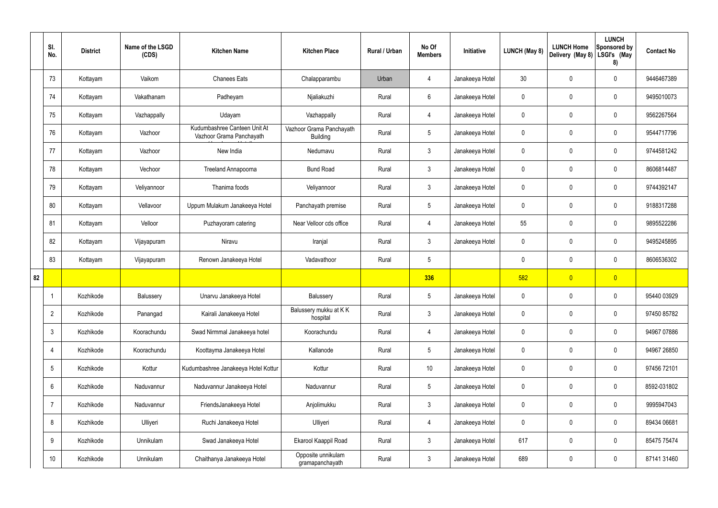|    | SI.<br>No.      | <b>District</b> | Name of the LSGD<br>(CDS) | <b>Kitchen Name</b>                                      | <b>Kitchen Place</b>                        | Rural / Urban | No Of<br><b>Members</b> | Initiative      | LUNCH (May 8)   | <b>LUNCH Home</b><br>Delivery (May 8) | <b>LUNCH</b><br>Sponsored by<br>LSGI's (May<br>8) | <b>Contact No</b> |
|----|-----------------|-----------------|---------------------------|----------------------------------------------------------|---------------------------------------------|---------------|-------------------------|-----------------|-----------------|---------------------------------------|---------------------------------------------------|-------------------|
|    | 73              | Kottayam        | Vaikom                    | <b>Chanees Eats</b>                                      | Chalapparambu                               | Urban         | 4                       | Janakeeya Hotel | 30 <sub>2</sub> | 0                                     | $\mathbf 0$                                       | 9446467389        |
|    | 74              | Kottayam        | Vakathanam                | Padheyam                                                 | Njaliakuzhi                                 | Rural         | $6\overline{6}$         | Janakeeya Hotel | 0               | 0                                     | $\mathbf 0$                                       | 9495010073        |
|    | 75              | Kottayam        | Vazhappally               | Udayam                                                   | Vazhappally                                 | Rural         | 4                       | Janakeeya Hotel | 0               | $\mathbf 0$                           | $\mathbf 0$                                       | 9562267564        |
|    | 76              | Kottayam        | Vazhoor                   | Kudumbashree Canteen Unit At<br>Vazhoor Grama Panchayath | Vazhoor Grama Panchayath<br><b>Building</b> | Rural         | $5\phantom{.0}$         | Janakeeya Hotel | 0               | 0                                     | $\boldsymbol{0}$                                  | 9544717796        |
|    | 77              | Kottayam        | Vazhoor                   | New India                                                | Nedumavu                                    | Rural         | $3\phantom{a}$          | Janakeeya Hotel | 0               | 0                                     | $\mathbf 0$                                       | 9744581242        |
|    | 78              | Kottayam        | Vechoor                   | <b>Treeland Annapoorna</b>                               | <b>Bund Road</b>                            | Rural         | $\mathbf{3}$            | Janakeeya Hotel | 0               | 0                                     | $\mathbf 0$                                       | 8606814487        |
|    | 79              | Kottayam        | Veliyannoor               | Thanima foods                                            | Veliyannoor                                 | Rural         | $3\phantom{a}$          | Janakeeya Hotel | 0               | 0                                     | $\mathbf 0$                                       | 9744392147        |
|    | 80              | Kottayam        | Vellavoor                 | Uppum Mulakum Janakeeya Hotel                            | Panchayath premise                          | Rural         | $5\overline{)}$         | Janakeeya Hotel | 0               | 0                                     | $\mathbf 0$                                       | 9188317288        |
|    | 81              | Kottayam        | Velloor                   | Puzhayoram catering                                      | Near Velloor cds office                     | Rural         | 4                       | Janakeeya Hotel | 55              | $\mathbf 0$                           | $\mathbf 0$                                       | 9895522286        |
|    | 82              | Kottayam        | Vijayapuram               | Niravu                                                   | Iranjal                                     | Rural         | $\mathbf{3}$            | Janakeeya Hotel | 0               | 0                                     | $\mathbf 0$                                       | 9495245895        |
|    | 83              | Kottayam        | Vijayapuram               | Renown Janakeeya Hotel                                   | Vadavathoor                                 | Rural         | $\overline{5}$          |                 | 0               | 0                                     | $\mathbf 0$                                       | 8606536302        |
| 82 |                 |                 |                           |                                                          |                                             |               | 336                     |                 | 582             | $\overline{0}$                        | $\overline{0}$                                    |                   |
|    |                 | Kozhikode       | Balussery                 | Unarvu Janakeeya Hotel                                   | Balussery                                   | Rural         | $5\overline{)}$         | Janakeeya Hotel | 0               | $\mathbf 0$                           | $\mathbf 0$                                       | 95440 03929       |
|    | $\overline{2}$  | Kozhikode       | Panangad                  | Kairali Janakeeya Hotel                                  | Balussery mukku at KK<br>hospital           | Rural         | $\mathbf{3}$            | Janakeeya Hotel | 0               | 0                                     | $\pmb{0}$                                         | 97450 85782       |
|    | 3               | Kozhikode       | Koorachundu               | Swad Nirmmal Janakeeya hotel                             | Koorachundu                                 | Rural         | $\overline{4}$          | Janakeeya Hotel | 0               | 0                                     | $\pmb{0}$                                         | 94967 07886       |
|    | 4               | Kozhikode       | Koorachundu               | Koottayma Janakeeya Hotel                                | Kallanode                                   | Rural         | $5\phantom{.0}$         | Janakeeya Hotel | 0               | $\pmb{0}$                             | $\mathbf 0$                                       | 94967 26850       |
|    | 5               | Kozhikode       | Kottur                    | Kudumbashree Janakeeya Hotel Kottur                      | Kottur                                      | Rural         | $10$                    | Janakeeya Hotel | 0               | $\pmb{0}$                             | $\pmb{0}$                                         | 97456 72101       |
|    | 6               | Kozhikode       | Naduvannur                | Naduvannur Janakeeya Hotel                               | Naduvannur                                  | Rural         | $5\phantom{.0}$         | Janakeeya Hotel | 0               | $\pmb{0}$                             | $\mathbf 0$                                       | 8592-031802       |
|    | $\overline{7}$  | Kozhikode       | Naduvannur                | FriendsJanakeeya Hotel                                   | Anjolimukku                                 | Rural         | $\mathbf{3}$            | Janakeeya Hotel | 0               | 0                                     | $\mathbf 0$                                       | 9995947043        |
|    | 8               | Kozhikode       | Ulliyeri                  | Ruchi Janakeeya Hotel                                    | Ulliyeri                                    | Rural         | $\overline{4}$          | Janakeeya Hotel | 0               | 0                                     | $\mathbf 0$                                       | 89434 06681       |
|    | 9               | Kozhikode       | Unnikulam                 | Swad Janakeeya Hotel                                     | Ekarool Kaappil Road                        | Rural         | $\mathbf{3}$            | Janakeeya Hotel | 617             | $\pmb{0}$                             | $\pmb{0}$                                         | 85475 75474       |
|    | 10 <sup>°</sup> | Kozhikode       | Unnikulam                 | Chaithanya Janakeeya Hotel                               | Opposite unnikulam<br>gramapanchayath       | Rural         | $\mathbf{3}$            | Janakeeya Hotel | 689             | 0                                     | $\pmb{0}$                                         | 87141 31460       |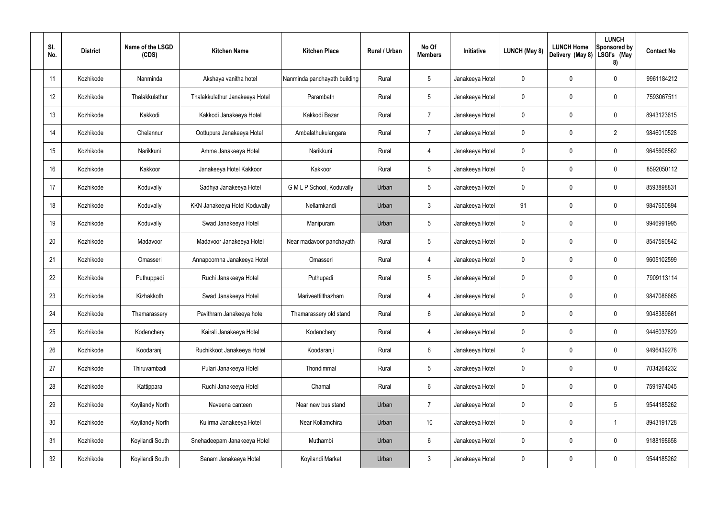| SI.<br>No. | <b>District</b> | Name of the LSGD<br>(CDS) | <b>Kitchen Name</b>            | <b>Kitchen Place</b>         | Rural / Urban | No Of<br><b>Members</b> | Initiative      | LUNCH (May 8) | <b>LUNCH Home</b><br>Delivery (May 8) | <b>LUNCH</b><br>Sponsored by<br>LSGI's (May<br>8) | <b>Contact No</b> |
|------------|-----------------|---------------------------|--------------------------------|------------------------------|---------------|-------------------------|-----------------|---------------|---------------------------------------|---------------------------------------------------|-------------------|
| 11         | Kozhikode       | Nanminda                  | Akshaya vanitha hotel          | Nanminda panchayath building | Rural         | $5\phantom{.0}$         | Janakeeya Hotel | 0             | 0                                     | $\mathbf 0$                                       | 9961184212        |
| 12         | Kozhikode       | Thalakkulathur            | Thalakkulathur Janakeeya Hotel | Parambath                    | Rural         | $5\phantom{.0}$         | Janakeeya Hotel | 0             | 0                                     | $\pmb{0}$                                         | 7593067511        |
| 13         | Kozhikode       | Kakkodi                   | Kakkodi Janakeeya Hotel        | Kakkodi Bazar                | Rural         | $\overline{7}$          | Janakeeya Hotel | 0             | 0                                     | $\mathbf 0$                                       | 8943123615        |
| 14         | Kozhikode       | Chelannur                 | Oottupura Janakeeya Hotel      | Ambalathukulangara           | Rural         | $\overline{7}$          | Janakeeya Hotel | 0             | 0                                     | $\overline{2}$                                    | 9846010528        |
| 15         | Kozhikode       | Narikkuni                 | Amma Janakeeya Hotel           | Narikkuni                    | Rural         | $\overline{4}$          | Janakeeya Hotel | 0             | 0                                     | $\mathbf 0$                                       | 9645606562        |
| 16         | Kozhikode       | Kakkoor                   | Janakeeya Hotel Kakkoor        | Kakkoor                      | Rural         | $5\phantom{.0}$         | Janakeeya Hotel | 0             | 0                                     | $\pmb{0}$                                         | 8592050112        |
| 17         | Kozhikode       | Koduvally                 | Sadhya Janakeeya Hotel         | G M L P School, Koduvally    | Urban         | $5\phantom{.0}$         | Janakeeya Hotel | 0             | 0                                     | $\mathbf 0$                                       | 8593898831        |
| 18         | Kozhikode       | Koduvally                 | KKN Janakeeya Hotel Koduvally  | Nellamkandi                  | Urban         | $\mathbf{3}$            | Janakeeya Hotel | 91            | 0                                     | $\pmb{0}$                                         | 9847650894        |
| 19         | Kozhikode       | Koduvally                 | Swad Janakeeya Hotel           | Manipuram                    | Urban         | $5\phantom{.0}$         | Janakeeya Hotel | 0             | 0                                     | $\mathbf 0$                                       | 9946991995        |
| 20         | Kozhikode       | Madavoor                  | Madavoor Janakeeya Hotel       | Near madavoor panchayath     | Rural         | $5\phantom{.0}$         | Janakeeya Hotel | 0             | 0                                     | $\mathbf 0$                                       | 8547590842        |
| 21         | Kozhikode       | Omasseri                  | Annapoornna Janakeeya Hotel    | Omasseri                     | Rural         | $\overline{4}$          | Janakeeya Hotel | 0             | 0                                     | $\mathbf 0$                                       | 9605102599        |
| 22         | Kozhikode       | Puthuppadi                | Ruchi Janakeeya Hotel          | Puthupadi                    | Rural         | $5\phantom{.0}$         | Janakeeya Hotel | 0             | 0                                     | $\mathbf 0$                                       | 7909113114        |
| 23         | Kozhikode       | Kizhakkoth                | Swad Janakeeya Hotel           | Mariveettilthazham           | Rural         | 4                       | Janakeeya Hotel | 0             | 0                                     | 0                                                 | 9847086665        |
| 24         | Kozhikode       | Thamarassery              | Pavithram Janakeeya hotel      | Thamarassery old stand       | Rural         | $6\phantom{.}$          | Janakeeya Hotel | 0             | 0                                     | $\mathbf 0$                                       | 9048389661        |
| 25         | Kozhikode       | Kodenchery                | Kairali Janakeeya Hotel        | Kodenchery                   | Rural         | $\overline{4}$          | Janakeeya Hotel | 0             | 0                                     | $\mathbf 0$                                       | 9446037829        |
| 26         | Kozhikode       | Koodaranji                | Ruchikkoot Janakeeya Hotel     | Koodaranji                   | Rural         | $6\,$                   | Janakeeya Hotel | 0             | 0                                     | $\pmb{0}$                                         | 9496439278        |
| 27         | Kozhikode       | Thiruvambadi              | Pulari Janakeeya Hotel         | Thondimmal                   | Rural         | $5\phantom{.0}$         | Janakeeya Hotel | 0             | $\mathbf 0$                           | $\mathbf 0$                                       | 7034264232        |
| 28         | Kozhikode       | Kattippara                | Ruchi Janakeeya Hotel          | Chamal                       | Rural         | $6\,$                   | Janakeeya Hotel | 0             | 0                                     | $\mathbf 0$                                       | 7591974045        |
| 29         | Kozhikode       | Koyilandy North           | Naveena canteen                | Near new bus stand           | Urban         | $\overline{7}$          | Janakeeya Hotel | 0             | $\mathbf 0$                           | $5\phantom{.0}$                                   | 9544185262        |
| 30         | Kozhikode       | Koyilandy North           | Kulirma Janakeeya Hotel        | Near Kollamchira             | Urban         | 10 <sup>°</sup>         | Janakeeya Hotel | 0             | $\mathbf 0$                           | $\overline{1}$                                    | 8943191728        |
| 31         | Kozhikode       | Koyilandi South           | Snehadeepam Janakeeya Hotel    | Muthambi                     | Urban         | $6\phantom{.}$          | Janakeeya Hotel | 0             | $\mathbf 0$                           | $\pmb{0}$                                         | 9188198658        |
| 32         | Kozhikode       | Koyilandi South           | Sanam Janakeeya Hotel          | Koyilandi Market             | Urban         | $\mathfrak{Z}$          | Janakeeya Hotel | 0             | 0                                     | $\pmb{0}$                                         | 9544185262        |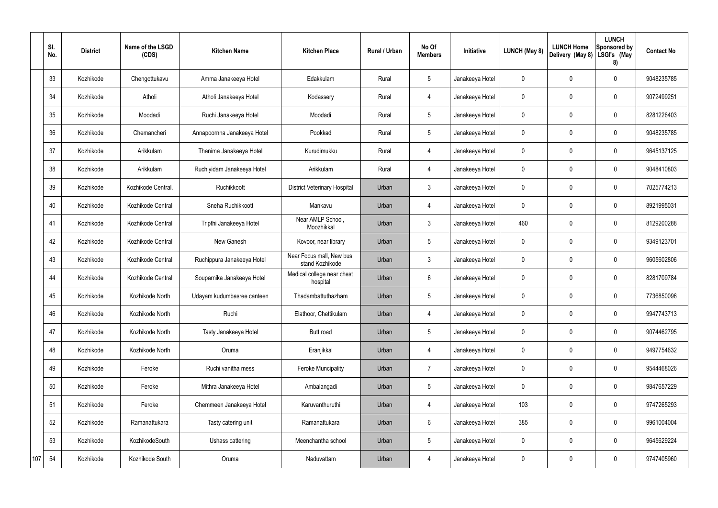|     | SI.<br>No. | <b>District</b> | Name of the LSGD<br>(CDS) | <b>Kitchen Name</b>         | <b>Kitchen Place</b>                        | Rural / Urban | No Of<br><b>Members</b> | Initiative      | <b>LUNCH (May 8)</b> | <b>LUNCH Home</b><br>Delivery (May 8) | <b>LUNCH</b><br>Sponsored by<br>LSGI's (May<br>8) | <b>Contact No</b> |
|-----|------------|-----------------|---------------------------|-----------------------------|---------------------------------------------|---------------|-------------------------|-----------------|----------------------|---------------------------------------|---------------------------------------------------|-------------------|
|     | 33         | Kozhikode       | Chengottukavu             | Amma Janakeeya Hotel        | Edakkulam                                   | Rural         | $5\phantom{.0}$         | Janakeeya Hotel | 0                    | 0                                     | $\mathbf 0$                                       | 9048235785        |
|     | 34         | Kozhikode       | Atholi                    | Atholi Janakeeya Hotel      | Kodassery                                   | Rural         | $\overline{4}$          | Janakeeya Hotel | 0                    | 0                                     | $\mathbf 0$                                       | 9072499251        |
|     | 35         | Kozhikode       | Moodadi                   | Ruchi Janakeeya Hotel       | Moodadi                                     | Rural         | $5\overline{)}$         | Janakeeya Hotel | 0                    | 0                                     | $\mathbf 0$                                       | 8281226403        |
|     | 36         | Kozhikode       | Chemancheri               | Annapoornna Janakeeya Hotel | Pookkad                                     | Rural         | $5\overline{)}$         | Janakeeya Hotel | 0                    | 0                                     | $\boldsymbol{0}$                                  | 9048235785        |
|     | 37         | Kozhikode       | Arikkulam                 | Thanima Janakeeya Hotel     | Kurudimukku                                 | Rural         | 4                       | Janakeeya Hotel | 0                    | 0                                     | $\mathbf 0$                                       | 9645137125        |
|     | 38         | Kozhikode       | Arikkulam                 | Ruchiyidam Janakeeya Hotel  | Arikkulam                                   | Rural         | $\overline{4}$          | Janakeeya Hotel | 0                    | 0                                     | $\mathbf 0$                                       | 9048410803        |
|     | 39         | Kozhikode       | Kozhikode Central.        | Ruchikkoott                 | <b>District Veterinary Hospital</b>         | Urban         | $\mathbf{3}$            | Janakeeya Hotel | 0                    | 0                                     | $\mathbf 0$                                       | 7025774213        |
|     | 40         | Kozhikode       | Kozhikode Central         | Sneha Ruchikkoott           | Mankavu                                     | Urban         | 4                       | Janakeeya Hotel | 0                    | 0                                     | $\mathbf 0$                                       | 8921995031        |
|     | 41         | Kozhikode       | Kozhikode Central         | Tripthi Janakeeya Hotel     | Near AMLP School,<br>Moozhikkal             | Urban         | $\mathbf{3}$            | Janakeeya Hotel | 460                  | $\mathbf 0$                           | $\mathbf 0$                                       | 8129200288        |
|     | 42         | Kozhikode       | Kozhikode Central         | New Ganesh                  | Kovoor, near library                        | Urban         | 5                       | Janakeeya Hotel | 0                    | 0                                     | $\boldsymbol{0}$                                  | 9349123701        |
|     | 43         | Kozhikode       | Kozhikode Central         | Ruchippura Janakeeya Hotel  | Near Focus mall, New bus<br>stand Kozhikode | Urban         | $\mathbf{3}$            | Janakeeya Hotel | 0                    | $\boldsymbol{0}$                      | $\mathbf 0$                                       | 9605602806        |
|     | 44         | Kozhikode       | Kozhikode Central         | Souparnika Janakeeya Hotel  | Medical college near chest<br>hospital      | Urban         | 6                       | Janakeeya Hotel | 0                    | 0                                     | $\mathbf 0$                                       | 8281709784        |
|     | 45         | Kozhikode       | Kozhikode North           | Udayam kudumbasree canteen  | Thadambattuthazham                          | Urban         | 5                       | Janakeeya Hotel | 0                    | $\mathbf 0$                           | $\mathbf 0$                                       | 7736850096        |
|     | 46         | Kozhikode       | Kozhikode North           | Ruchi                       | Elathoor, Chettikulam                       | Urban         | 4                       | Janakeeya Hotel | 0                    | $\mathbf 0$                           | $\pmb{0}$                                         | 9947743713        |
|     | 47         | Kozhikode       | Kozhikode North           | Tasty Janakeeya Hotel       | Butt road                                   | Urban         | $5\phantom{.0}$         | Janakeeya Hotel | 0                    | 0                                     | $\pmb{0}$                                         | 9074462795        |
|     | 48         | Kozhikode       | Kozhikode North           | Oruma                       | Eranjikkal                                  | Urban         | $\overline{4}$          | Janakeeya Hotel | 0                    | 0                                     | $\pmb{0}$                                         | 9497754632        |
|     | 49         | Kozhikode       | Feroke                    | Ruchi vanitha mess          | <b>Feroke Muncipality</b>                   | Urban         | $\overline{7}$          | Janakeeya Hotel | 0                    | 0                                     | $\pmb{0}$                                         | 9544468026        |
|     | 50         | Kozhikode       | Feroke                    | Mithra Janakeeya Hotel      | Ambalangadi                                 | Urban         | $5\phantom{.0}$         | Janakeeya Hotel | 0                    | 0                                     | $\mathbf 0$                                       | 9847657229        |
|     | 51         | Kozhikode       | Feroke                    | Chemmeen Janakeeya Hotel    | Karuvanthuruthi                             | Urban         | $\overline{4}$          | Janakeeya Hotel | 103                  | 0                                     | $\mathbf 0$                                       | 9747265293        |
|     | 52         | Kozhikode       | Ramanattukara             | Tasty catering unit         | Ramanattukara                               | Urban         | $6\overline{6}$         | Janakeeya Hotel | 385                  | 0                                     | $\mathbf 0$                                       | 9961004004        |
|     | 53         | Kozhikode       | KozhikodeSouth            | Ushass cattering            | Meenchantha school                          | Urban         | 5                       | Janakeeya Hotel | 0                    | 0                                     | $\pmb{0}$                                         | 9645629224        |
| 107 | 54         | Kozhikode       | Kozhikode South           | Oruma                       | Naduvattam                                  | Urban         | 4                       | Janakeeya Hotel | 0                    | 0                                     | $\pmb{0}$                                         | 9747405960        |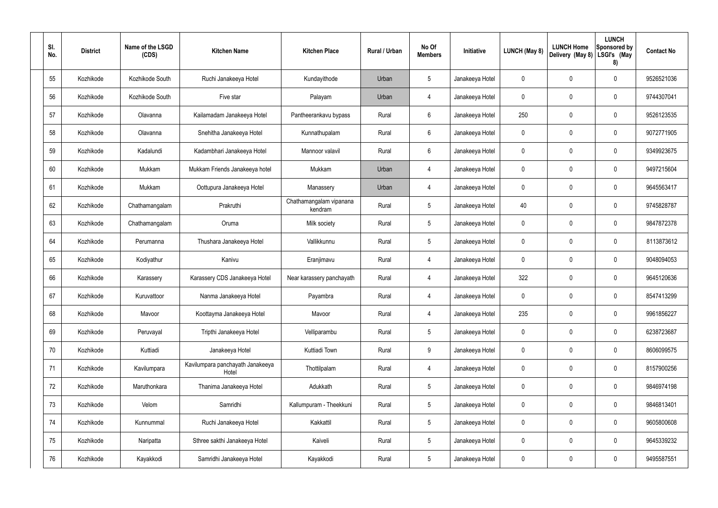| SI.<br>No. | <b>District</b> | Name of the LSGD<br>(CDS) | <b>Kitchen Name</b>                       | <b>Kitchen Place</b>               | Rural / Urban | No Of<br><b>Members</b> | Initiative      | <b>LUNCH (May 8)</b> | <b>LUNCH Home</b><br>Delivery (May 8) | <b>LUNCH</b><br>Sponsored by<br>LSGI's (May<br>8) | <b>Contact No</b> |
|------------|-----------------|---------------------------|-------------------------------------------|------------------------------------|---------------|-------------------------|-----------------|----------------------|---------------------------------------|---------------------------------------------------|-------------------|
| 55         | Kozhikode       | Kozhikode South           | Ruchi Janakeeya Hotel                     | Kundayithode                       | Urban         | 5                       | Janakeeya Hotel | 0                    | 0                                     | $\pmb{0}$                                         | 9526521036        |
| 56         | Kozhikode       | Kozhikode South           | Five star                                 | Palayam                            | Urban         | 4                       | Janakeeya Hotel | 0                    | 0                                     | $\pmb{0}$                                         | 9744307041        |
| 57         | Kozhikode       | Olavanna                  | Kailamadam Janakeeya Hotel                | Pantheerankavu bypass              | Rural         | 6                       | Janakeeya Hotel | 250                  | 0                                     | $\pmb{0}$                                         | 9526123535        |
| 58         | Kozhikode       | Olavanna                  | Snehitha Janakeeya Hotel                  | Kunnathupalam                      | Rural         | 6                       | Janakeeya Hotel | 0                    | 0                                     | $\pmb{0}$                                         | 9072771905        |
| 59         | Kozhikode       | Kadalundi                 | Kadambhari Janakeeya Hotel                | Mannoor valavil                    | Rural         | 6                       | Janakeeya Hotel | 0                    | 0                                     | $\pmb{0}$                                         | 9349923675        |
| 60         | Kozhikode       | Mukkam                    | Mukkam Friends Janakeeya hotel            | Mukkam                             | Urban         | 4                       | Janakeeya Hotel | 0                    | 0                                     | $\pmb{0}$                                         | 9497215604        |
| 61         | Kozhikode       | Mukkam                    | Oottupura Janakeeya Hotel                 | Manassery                          | Urban         | 4                       | Janakeeya Hotel | 0                    | 0                                     | $\pmb{0}$                                         | 9645563417        |
| 62         | Kozhikode       | Chathamangalam            | Prakruthi                                 | Chathamangalam vipanana<br>kendram | Rural         | 5                       | Janakeeya Hotel | 40                   | 0                                     | $\pmb{0}$                                         | 9745828787        |
| 63         | Kozhikode       | Chathamangalam            | Oruma                                     | Milk society                       | Rural         | 5                       | Janakeeya Hotel | 0                    | 0                                     | $\pmb{0}$                                         | 9847872378        |
| 64         | Kozhikode       | Perumanna                 | Thushara Janakeeya Hotel                  | Vallikkunnu                        | Rural         | 5                       | Janakeeya Hotel | 0                    | 0                                     | $\mathbf 0$                                       | 8113873612        |
| 65         | Kozhikode       | Kodiyathur                | Kanivu                                    | Eranjimavu                         | Rural         | 4                       | Janakeeya Hotel | 0                    | 0                                     | $\mathbf 0$                                       | 9048094053        |
| 66         | Kozhikode       | Karassery                 | Karassery CDS Janakeeya Hotel             | Near karassery panchayath          | Rural         | 4                       | Janakeeya Hotel | 322                  | 0                                     | $\mathbf 0$                                       | 9645120636        |
| 67         | Kozhikode       | Kuruvattoor               | Nanma Janakeeya Hotel                     | Payambra                           | Rural         | 4                       | Janakeeya Hotel | 0                    | 0                                     | $\mathbf 0$                                       | 8547413299        |
| 68         | Kozhikode       | Mavoor                    | Koottayma Janakeeya Hotel                 | Mavoor                             | Rural         | 4                       | Janakeeya Hotel | 235                  | 0                                     | $\pmb{0}$                                         | 9961856227        |
| 69         | Kozhikode       | Peruvayal                 | Tripthi Janakeeya Hotel                   | Velliparambu                       | Rural         | $5\phantom{.0}$         | Janakeeya Hotel | 0                    | $\mathbf 0$                           | $\mathbf 0$                                       | 6238723687        |
| 70         | Kozhikode       | Kuttiadi                  | Janakeeya Hotel                           | Kuttiadi Town                      | Rural         | 9                       | Janakeeya Hotel | $\mathbf 0$          | 0                                     | $\mathbf 0$                                       | 8606099575        |
| 71         | Kozhikode       | Kavilumpara               | Kavilumpara panchayath Janakeeya<br>Hotel | Thottilpalam                       | Rural         | 4                       | Janakeeya Hotel | $\mathbf 0$          | $\mathbf 0$                           | $\mathbf 0$                                       | 8157900256        |
| 72         | Kozhikode       | Maruthonkara              | Thanima Janakeeya Hotel                   | Adukkath                           | Rural         | $5\phantom{.0}$         | Janakeeya Hotel | $\mathbf 0$          | 0                                     | $\mathbf 0$                                       | 9846974198        |
| 73         | Kozhikode       | Velom                     | Samridhi                                  | Kallumpuram - Theekkuni            | Rural         | $\overline{5}$          | Janakeeya Hotel | $\mathbf 0$          | $\mathbf 0$                           | $\mathbf 0$                                       | 9846813401        |
| 74         | Kozhikode       | Kunnummal                 | Ruchi Janakeeya Hotel                     | Kakkattil                          | Rural         | $5\phantom{.0}$         | Janakeeya Hotel | $\mathbf 0$          | 0                                     | $\mathbf 0$                                       | 9605800608        |
| 75         | Kozhikode       | Naripatta                 | Sthree sakthi Janakeeya Hotel             | Kaiveli                            | Rural         | $\overline{5}$          | Janakeeya Hotel | 0                    | $\mathbf 0$                           | $\mathsf{0}$                                      | 9645339232        |
| 76         | Kozhikode       | Kayakkodi                 | Samridhi Janakeeya Hotel                  | Kayakkodi                          | Rural         | $5\,$                   | Janakeeya Hotel | 0                    | 0                                     | $\pmb{0}$                                         | 9495587551        |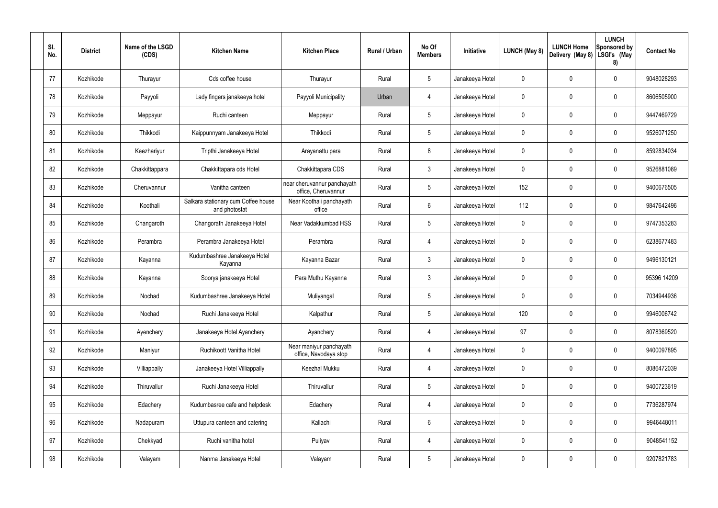| SI.<br>No. | <b>District</b> | Name of the LSGD<br>(CDS) | <b>Kitchen Name</b>                                  | <b>Kitchen Place</b>                               | Rural / Urban | No Of<br><b>Members</b> | Initiative      | <b>LUNCH (May 8)</b> | <b>LUNCH Home</b><br>Delivery (May 8) | <b>LUNCH</b><br>Sponsored by<br>LSGI's (May<br>8) | <b>Contact No</b> |
|------------|-----------------|---------------------------|------------------------------------------------------|----------------------------------------------------|---------------|-------------------------|-----------------|----------------------|---------------------------------------|---------------------------------------------------|-------------------|
| 77         | Kozhikode       | Thurayur                  | Cds coffee house                                     | Thurayur                                           | Rural         | $5\phantom{.0}$         | Janakeeya Hotel | 0                    | $\mathbf 0$                           | 0                                                 | 9048028293        |
| 78         | Kozhikode       | Payyoli                   | Lady fingers janakeeya hotel                         | Payyoli Municipality                               | Urban         | $\overline{4}$          | Janakeeya Hotel | $\mathbf 0$          | $\mathbf 0$                           | 0                                                 | 8606505900        |
| 79         | Kozhikode       | Meppayur                  | Ruchi canteen                                        | Meppayur                                           | Rural         | $5\phantom{.0}$         | Janakeeya Hotel | 0                    | $\mathbf 0$                           | 0                                                 | 9447469729        |
| 80         | Kozhikode       | Thikkodi                  | Kaippunnyam Janakeeya Hotel                          | Thikkodi                                           | Rural         | $5\phantom{.0}$         | Janakeeya Hotel | 0                    | $\mathbf 0$                           | 0                                                 | 9526071250        |
| 81         | Kozhikode       | Keezhariyur               | Tripthi Janakeeya Hotel                              | Arayanattu para                                    | Rural         | 8                       | Janakeeya Hotel | 0                    | $\mathbf 0$                           | 0                                                 | 8592834034        |
| 82         | Kozhikode       | Chakkittappara            | Chakkittapara cds Hotel                              | Chakkittapara CDS                                  | Rural         | $\mathbf{3}$            | Janakeeya Hotel | 0                    | $\mathbf 0$                           | 0                                                 | 9526881089        |
| 83         | Kozhikode       | Cheruvannur               | Vanitha canteen                                      | near cheruvannur panchayath<br>office, Cheruvannur | Rural         | $5\phantom{.0}$         | Janakeeya Hotel | 152                  | $\mathbf 0$                           | 0                                                 | 9400676505        |
| 84         | Kozhikode       | Koothali                  | Salkara stationary cum Coffee house<br>and photostat | Near Koothali panchayath<br>office                 | Rural         | 6                       | Janakeeya Hotel | 112                  | $\mathbf 0$                           | 0                                                 | 9847642496        |
| 85         | Kozhikode       | Changaroth                | Changorath Janakeeya Hotel                           | Near Vadakkumbad HSS                               | Rural         | $5\phantom{.0}$         | Janakeeya Hotel | $\mathbf 0$          | $\mathbf 0$                           | 0                                                 | 9747353283        |
| 86         | Kozhikode       | Perambra                  | Perambra Janakeeya Hotel                             | Perambra                                           | Rural         | $\overline{4}$          | Janakeeya Hotel | 0                    | $\mathbf 0$                           | 0                                                 | 6238677483        |
| 87         | Kozhikode       | Kayanna                   | Kudumbashree Janakeeya Hotel<br>Kayanna              | Kayanna Bazar                                      | Rural         | $\mathbf{3}$            | Janakeeya Hotel | 0                    | $\mathbf 0$                           | 0                                                 | 9496130121        |
| 88         | Kozhikode       | Kayanna                   | Soorya janakeeya Hotel                               | Para Muthu Kayanna                                 | Rural         | $\mathbf{3}$            | Janakeeya Hotel | 0                    | $\mathbf 0$                           | 0                                                 | 95396 14209       |
| 89         | Kozhikode       | Nochad                    | Kudumbashree Janakeeya Hotel                         | Muliyangal                                         | Rural         | 5                       | Janakeeya Hotel | 0                    | $\mathbf 0$                           | 0                                                 | 7034944936        |
| 90         | Kozhikode       | Nochad                    | Ruchi Janakeeya Hotel                                | Kalpathur                                          | Rural         | $5\phantom{.0}$         | Janakeeya Hotel | 120                  | $\mathbf 0$                           | 0                                                 | 9946006742        |
| 91         | Kozhikode       | Ayenchery                 | Janakeeya Hotel Ayanchery                            | Ayanchery                                          | Rural         | $\overline{4}$          | Janakeeya Hotel | 97                   | $\mathbf 0$                           | 0                                                 | 8078369520        |
| 92         | Kozhikode       | Maniyur                   | Ruchikoott Vanitha Hotel                             | Near maniyur panchayath<br>office, Navodaya stop   | Rural         | $\overline{4}$          | Janakeeya Hotel | 0                    | $\pmb{0}$                             | 0                                                 | 9400097895        |
| 93         | Kozhikode       | Villiappally              | Janakeeya Hotel Villiappally                         | Keezhal Mukku                                      | Rural         | $\overline{4}$          | Janakeeya Hotel | $\mathbf 0$          | $\mathbf 0$                           | $\pmb{0}$                                         | 8086472039        |
| 94         | Kozhikode       | Thiruvallur               | Ruchi Janakeeya Hotel                                | Thiruvallur                                        | Rural         | $5\phantom{.0}$         | Janakeeya Hotel | $\boldsymbol{0}$     | $\pmb{0}$                             | $\pmb{0}$                                         | 9400723619        |
| 95         | Kozhikode       | Edachery                  | Kudumbasree cafe and helpdesk                        | Edachery                                           | Rural         | $\overline{4}$          | Janakeeya Hotel | $\mathbf 0$          | $\mathbf 0$                           | $\pmb{0}$                                         | 7736287974        |
| 96         | Kozhikode       | Nadapuram                 | Uttupura canteen and catering                        | Kallachi                                           | Rural         | $6\phantom{.}6$         | Janakeeya Hotel | $\mathbf 0$          | $\mathbf 0$                           | 0                                                 | 9946448011        |
| 97         | Kozhikode       | Chekkyad                  | Ruchi vanitha hotel                                  | Puliyav                                            | Rural         | $\overline{4}$          | Janakeeya Hotel | $\pmb{0}$            | $\pmb{0}$                             | 0                                                 | 9048541152        |
| 98         | Kozhikode       | Valayam                   | Nanma Janakeeya Hotel                                | Valayam                                            | Rural         | $\sqrt{5}$              | Janakeeya Hotel | 0                    | $\boldsymbol{0}$                      | 0                                                 | 9207821783        |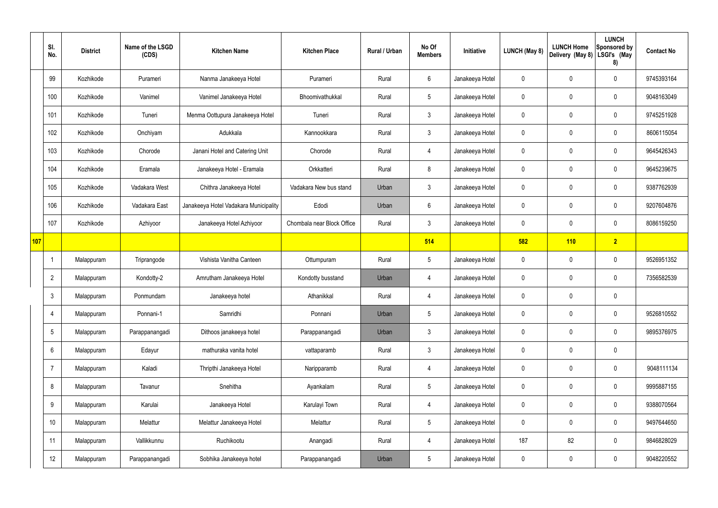|     | SI.<br>No.     | <b>District</b> | Name of the LSGD<br>(CDS) | <b>Kitchen Name</b>                   | <b>Kitchen Place</b>       | Rural / Urban | No Of<br><b>Members</b> | Initiative      | <b>LUNCH (May 8)</b> | <b>LUNCH Home</b><br>Delivery (May 8) | <b>LUNCH</b><br>Sponsored by<br>LSGI's (May<br>8) | <b>Contact No</b> |
|-----|----------------|-----------------|---------------------------|---------------------------------------|----------------------------|---------------|-------------------------|-----------------|----------------------|---------------------------------------|---------------------------------------------------|-------------------|
|     | 99             | Kozhikode       | Purameri                  | Nanma Janakeeya Hotel                 | Purameri                   | Rural         | 6                       | Janakeeya Hotel | $\mathbf 0$          | $\mathbf 0$                           | $\mathbf 0$                                       | 9745393164        |
|     | 100            | Kozhikode       | Vanimel                   | Vanimel Janakeeya Hotel               | Bhoomivathukkal            | Rural         | $5\overline{)}$         | Janakeeya Hotel | $\mathbf 0$          | $\mathbf 0$                           | $\mathbf 0$                                       | 9048163049        |
|     | 101            | Kozhikode       | Tuneri                    | Menma Oottupura Janakeeya Hotel       | Tuneri                     | Rural         | $\mathbf{3}$            | Janakeeya Hotel | $\mathbf 0$          | $\mathbf 0$                           | $\mathbf 0$                                       | 9745251928        |
|     | 102            | Kozhikode       | Onchiyam                  | Adukkala                              | Kannookkara                | Rural         | $\mathbf{3}$            | Janakeeya Hotel | $\mathbf 0$          | $\mathbf 0$                           | $\mathbf 0$                                       | 8606115054        |
|     | 103            | Kozhikode       | Chorode                   | Janani Hotel and Catering Unit        | Chorode                    | Rural         | 4                       | Janakeeya Hotel | $\mathbf 0$          | $\mathbf 0$                           | $\mathbf 0$                                       | 9645426343        |
|     | 104            | Kozhikode       | Eramala                   | Janakeeya Hotel - Eramala             | Orkkatteri                 | Rural         | 8                       | Janakeeya Hotel | $\mathbf 0$          | $\mathbf 0$                           | $\mathbf 0$                                       | 9645239675        |
|     | 105            | Kozhikode       | Vadakara West             | Chithra Janakeeya Hotel               | Vadakara New bus stand     | Urban         | $\mathbf{3}$            | Janakeeya Hotel | $\mathbf 0$          | $\mathbf 0$                           | $\mathbf 0$                                       | 9387762939        |
|     | 106            | Kozhikode       | Vadakara East             | Janakeeya Hotel Vadakara Municipality | Edodi                      | Urban         | $6\phantom{.}6$         | Janakeeya Hotel | $\mathbf 0$          | $\mathbf 0$                           | $\mathbf 0$                                       | 9207604876        |
|     | 107            | Kozhikode       | Azhiyoor                  | Janakeeya Hotel Azhiyoor              | Chombala near Block Office | Rural         | $\mathbf{3}$            | Janakeeya Hotel | $\mathbf 0$          | $\mathbf 0$                           | $\mathbf 0$                                       | 8086159250        |
| 107 |                |                 |                           |                                       |                            |               | 514                     |                 | 582                  | 110                                   | $\overline{2}$                                    |                   |
|     |                | Malappuram      | Triprangode               | Vishista Vanitha Canteen              | Ottumpuram                 | Rural         | $5\phantom{.0}$         | Janakeeya Hotel | $\mathbf 0$          | 0                                     | $\mathbf 0$                                       | 9526951352        |
|     | $\overline{2}$ | Malappuram      | Kondotty-2                | Amrutham Janakeeya Hotel              | Kondotty busstand          | Urban         | 4                       | Janakeeya Hotel | $\mathbf 0$          | $\mathbf 0$                           | $\mathbf 0$                                       | 7356582539        |
|     | 3              | Malappuram      | Ponmundam                 | Janakeeya hotel                       | Athanikkal                 | Rural         | 4                       | Janakeeya Hotel | $\mathbf 0$          | $\mathbf 0$                           | $\mathbf 0$                                       |                   |
|     | $\overline{4}$ | Malappuram      | Ponnani-1                 | Samridhi                              | Ponnani                    | Urban         | $5\phantom{.0}$         | Janakeeya Hotel | $\mathbf 0$          | $\mathbf 0$                           | $\mathbf 0$                                       | 9526810552        |
|     | 5              | Malappuram      | Parappanangadi            | Dithoos janakeeya hotel               | Parappanangadi             | Urban         | $\mathbf{3}$            | Janakeeya Hotel | $\mathbf 0$          | 0                                     | $\mathbf 0$                                       | 9895376975        |
|     | 6              | Malappuram      | Edayur                    | mathuraka vanita hotel                | vattaparamb                | Rural         | $\mathbf{3}$            | Janakeeya Hotel | $\mathbf 0$          | 0                                     | $\mathbf 0$                                       |                   |
|     | $\overline{7}$ | Malappuram      | Kaladi                    | Thripthi Janakeeya Hotel              | Naripparamb                | Rural         | $\overline{4}$          | Janakeeya Hotel | $\mathbf 0$          | 0                                     | $\mathbf 0$                                       | 9048111134        |
|     | 8              | Malappuram      | Tavanur                   | Snehitha                              | Ayankalam                  | Rural         | $5\phantom{.0}$         | Janakeeya Hotel | $\mathbf 0$          | 0                                     | $\mathbf 0$                                       | 9995887155        |
|     | 9              | Malappuram      | Karulai                   | Janakeeya Hotel                       | Karulayi Town              | Rural         | $\overline{4}$          | Janakeeya Hotel | $\mathbf 0$          | $\mathbf 0$                           | $\mathbf 0$                                       | 9388070564        |
|     | 10             | Malappuram      | Melattur                  | Melattur Janakeeya Hotel              | Melattur                   | Rural         | $5\phantom{.0}$         | Janakeeya Hotel | $\mathbf 0$          | $\mathbf 0$                           | $\mathbf 0$                                       | 9497644650        |
|     | 11             | Malappuram      | Vallikkunnu               | Ruchikootu                            | Anangadi                   | Rural         | $\overline{4}$          | Janakeeya Hotel | 187                  | 82                                    | $\mathbf 0$                                       | 9846828029        |
|     | 12             | Malappuram      | Parappanangadi            | Sobhika Janakeeya hotel               | Parappanangadi             | Urban         | $5\phantom{.0}$         | Janakeeya Hotel | $\pmb{0}$            | $\pmb{0}$                             | $\pmb{0}$                                         | 9048220552        |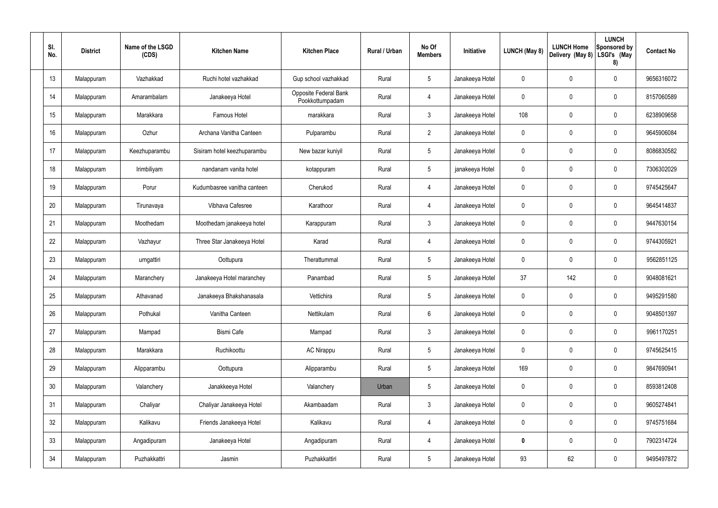| SI.<br>No. | <b>District</b> | Name of the LSGD<br>(CDS) | <b>Kitchen Name</b>         | <b>Kitchen Place</b>                     | Rural / Urban | No Of<br><b>Members</b> | Initiative      | LUNCH (May 8) | <b>LUNCH Home</b><br>Delivery (May 8) | <b>LUNCH</b><br>Sponsored by<br>LSGI's (May<br>8) | <b>Contact No</b> |
|------------|-----------------|---------------------------|-----------------------------|------------------------------------------|---------------|-------------------------|-----------------|---------------|---------------------------------------|---------------------------------------------------|-------------------|
| 13         | Malappuram      | Vazhakkad                 | Ruchi hotel vazhakkad       | Gup school vazhakkad                     | Rural         | $5\phantom{.0}$         | Janakeeya Hotel | 0             | 0                                     | $\mathbf 0$                                       | 9656316072        |
| 14         | Malappuram      | Amarambalam               | Janakeeya Hotel             | Opposite Federal Bank<br>Pookkottumpadam | Rural         | $\overline{4}$          | Janakeeya Hotel | 0             | 0                                     | $\mathbf 0$                                       | 8157060589        |
| 15         | Malappuram      | Marakkara                 | <b>Famous Hotel</b>         | marakkara                                | Rural         | $\mathbf{3}$            | Janakeeya Hotel | 108           | 0                                     | $\mathbf 0$                                       | 6238909658        |
| 16         | Malappuram      | Ozhur                     | Archana Vanitha Canteen     | Pulparambu                               | Rural         | $\overline{2}$          | Janakeeya Hotel | 0             | 0                                     | $\mathbf 0$                                       | 9645906084        |
| 17         | Malappuram      | Keezhuparambu             | Sisiram hotel keezhuparambu | New bazar kuniyil                        | Rural         | $5\phantom{.0}$         | Janakeeya Hotel | 0             | 0                                     | $\mathbf 0$                                       | 8086830582        |
| 18         | Malappuram      | Irimbiliyam               | nandanam vanita hotel       | kotappuram                               | Rural         | $5\phantom{.0}$         | janakeeya Hotel | 0             | 0                                     | $\mathbf 0$                                       | 7306302029        |
| 19         | Malappuram      | Porur                     | Kudumbasree vanitha canteen | Cherukod                                 | Rural         | $\overline{4}$          | Janakeeya Hotel | 0             | 0                                     | $\mathbf 0$                                       | 9745425647        |
| 20         | Malappuram      | Tirunavaya                | Vibhava Cafesree            | Karathoor                                | Rural         | $\overline{4}$          | Janakeeya Hotel | 0             | 0                                     | $\mathbf 0$                                       | 9645414837        |
| 21         | Malappuram      | Moothedam                 | Moothedam janakeeya hotel   | Karappuram                               | Rural         | $\mathbf{3}$            | Janakeeya Hotel | 0             | 0                                     | $\mathbf 0$                                       | 9447630154        |
| 22         | Malappuram      | Vazhayur                  | Three Star Janakeeya Hotel  | Karad                                    | Rural         | $\overline{4}$          | Janakeeya Hotel | 0             | 0                                     | $\mathbf 0$                                       | 9744305921        |
| 23         | Malappuram      | urngattiri                | Oottupura                   | Therattummal                             | Rural         | $5\phantom{.0}$         | Janakeeya Hotel | 0             | 0                                     | $\mathbf 0$                                       | 9562851125        |
| 24         | Malappuram      | Maranchery                | Janakeeya Hotel maranchey   | Panambad                                 | Rural         | $5\phantom{.0}$         | Janakeeya Hotel | 37            | 142                                   | $\mathbf 0$                                       | 9048081621        |
| 25         | Malappuram      | Athavanad                 | Janakeeya Bhakshanasala     | Vettichira                               | Rural         | $5\phantom{.0}$         | Janakeeya Hotel | 0             | 0                                     | $\mathbf 0$                                       | 9495291580        |
| 26         | Malappuram      | Pothukal                  | Vanitha Canteen             | Nettikulam                               | Rural         | $6\phantom{.}6$         | Janakeeya Hotel | 0             | 0                                     | $\mathbf 0$                                       | 9048501397        |
| 27         | Malappuram      | Mampad                    | Bismi Cafe                  | Mampad                                   | Rural         | $\mathfrak{Z}$          | Janakeeya Hotel | 0             | 0                                     | $\pmb{0}$                                         | 9961170251        |
| 28         | Malappuram      | Marakkara                 | Ruchikoottu                 | <b>AC Nirappu</b>                        | Rural         | $5\phantom{.0}$         | Janakeeya Hotel | 0             | 0                                     | $\pmb{0}$                                         | 9745625415        |
| 29         | Malappuram      | Alipparambu               | Oottupura                   | Alipparambu                              | Rural         | $5\phantom{.0}$         | Janakeeya Hotel | 169           | 0                                     | $\pmb{0}$                                         | 9847690941        |
| 30         | Malappuram      | Valanchery                | Janakkeeya Hotel            | Valanchery                               | Urban         | $5\,$                   | Janakeeya Hotel | 0             | 0                                     | $\pmb{0}$                                         | 8593812408        |
| 31         | Malappuram      | Chaliyar                  | Chaliyar Janakeeya Hotel    | Akambaadam                               | Rural         | $\mathfrak{Z}$          | Janakeeya Hotel | 0             | 0                                     | $\pmb{0}$                                         | 9605274841        |
| 32         | Malappuram      | Kalikavu                  | Friends Janakeeya Hotel     | Kalikavu                                 | Rural         | $\overline{4}$          | Janakeeya Hotel | 0             | 0                                     | $\pmb{0}$                                         | 9745751684        |
| 33         | Malappuram      | Angadipuram               | Janakeeya Hotel             | Angadipuram                              | Rural         | $\overline{4}$          | Janakeeya Hotel | $\pmb{0}$     | $\mathbf 0$                           | $\pmb{0}$                                         | 7902314724        |
| 34         | Malappuram      | Puzhakkattri              | Jasmin                      | Puzhakkattiri                            | Rural         | $5\phantom{.0}$         | Janakeeya Hotel | 93            | 62                                    | $\pmb{0}$                                         | 9495497872        |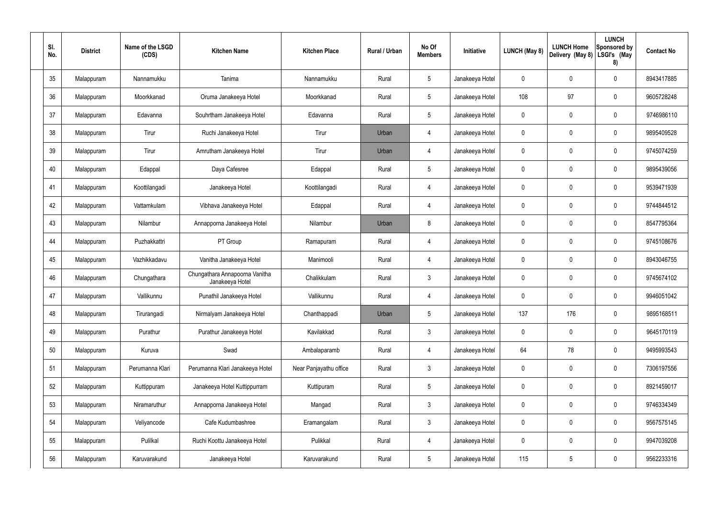| SI.<br>No. | <b>District</b> | Name of the LSGD<br>(CDS) | <b>Kitchen Name</b>                               | <b>Kitchen Place</b>   | Rural / Urban | No Of<br><b>Members</b> | Initiative      | <b>LUNCH (May 8)</b> | <b>LUNCH Home</b><br>Delivery (May 8) | <b>LUNCH</b><br>Sponsored by<br>LSGI's (May<br>8) | <b>Contact No</b> |
|------------|-----------------|---------------------------|---------------------------------------------------|------------------------|---------------|-------------------------|-----------------|----------------------|---------------------------------------|---------------------------------------------------|-------------------|
| 35         | Malappuram      | Nannamukku                | Tanima                                            | Nannamukku             | Rural         | 5                       | Janakeeya Hotel | 0                    | 0                                     | $\pmb{0}$                                         | 8943417885        |
| 36         | Malappuram      | Moorkkanad                | Oruma Janakeeya Hotel                             | Moorkkanad             | Rural         | 5                       | Janakeeya Hotel | 108                  | 97                                    | $\pmb{0}$                                         | 9605728248        |
| 37         | Malappuram      | Edavanna                  | Souhrtham Janakeeya Hotel                         | Edavanna               | Rural         | 5                       | Janakeeya Hotel | 0                    | 0                                     | $\pmb{0}$                                         | 9746986110        |
| 38         | Malappuram      | Tirur                     | Ruchi Janakeeya Hotel                             | Tirur                  | Urban         | 4                       | Janakeeya Hotel | 0                    | 0                                     | $\pmb{0}$                                         | 9895409528        |
| 39         | Malappuram      | Tirur                     | Amrutham Janakeeya Hotel                          | Tirur                  | Urban         | 4                       | Janakeeya Hotel | 0                    | 0                                     | $\pmb{0}$                                         | 9745074259        |
| 40         | Malappuram      | Edappal                   | Daya Cafesree                                     | Edappal                | Rural         | 5                       | Janakeeya Hotel | 0                    | 0                                     | $\pmb{0}$                                         | 9895439056        |
| 41         | Malappuram      | Koottilangadi             | Janakeeya Hotel                                   | Koottilangadi          | Rural         | 4                       | Janakeeya Hotel | 0                    | 0                                     | $\pmb{0}$                                         | 9539471939        |
| 42         | Malappuram      | Vattamkulam               | Vibhava Janakeeya Hotel                           | Edappal                | Rural         | 4                       | Janakeeya Hotel | 0                    | 0                                     | $\pmb{0}$                                         | 9744844512        |
| 43         | Malappuram      | Nilambur                  | Annapporna Janakeeya Hotel                        | Nilambur               | Urban         | 8                       | Janakeeya Hotel | 0                    | 0                                     | $\pmb{0}$                                         | 8547795364        |
| 44         | Malappuram      | Puzhakkattri              | PT Group                                          | Ramapuram              | Rural         | 4                       | Janakeeya Hotel | 0                    | 0                                     | 0                                                 | 9745108676        |
| 45         | Malappuram      | Vazhikkadavu              | Vanitha Janakeeya Hotel                           | Manimooli              | Rural         | 4                       | Janakeeya Hotel | 0                    | 0                                     | $\mathbf 0$                                       | 8943046755        |
| 46         | Malappuram      | Chungathara               | Chungathara Annapoorna Vanitha<br>Janakeeya Hotel | Chalikkulam            | Rural         | 3                       | Janakeeya Hotel | 0                    | 0                                     | 0                                                 | 9745674102        |
| 47         | Malappuram      | Vallikunnu                | Punathil Janakeeya Hotel                          | Vallikunnu             | Rural         | 4                       | Janakeeya Hotel | 0                    | 0                                     | $\mathbf 0$                                       | 9946051042        |
| 48         | Malappuram      | Tirurangadi               | Nirmalyam Janakeeya Hotel                         | Chanthappadi           | Urban         | 5                       | Janakeeya Hotel | 137                  | 176                                   | $\pmb{0}$                                         | 9895168511        |
| 49         | Malappuram      | Purathur                  | Purathur Janakeeya Hotel                          | Kavilakkad             | Rural         | $\mathbf{3}$            | Janakeeya Hotel | 0                    | 0                                     | $\pmb{0}$                                         | 9645170119        |
| 50         | Malappuram      | Kuruva                    | Swad                                              | Ambalaparamb           | Rural         | 4                       | Janakeeya Hotel | 64                   | 78                                    | $\mathbf 0$                                       | 9495993543        |
| 51         | Malappuram      | Perumanna Klari           | Perumanna Klari Janakeeya Hotel                   | Near Panjayathu office | Rural         | $\mathbf{3}$            | Janakeeya Hotel | $\mathbf 0$          | 0                                     | $\mathbf 0$                                       | 7306197556        |
| 52         | Malappuram      | Kuttippuram               | Janakeeya Hotel Kuttippurram                      | Kuttipuram             | Rural         | $5\phantom{.0}$         | Janakeeya Hotel | $\mathbf 0$          | 0                                     | $\mathbf 0$                                       | 8921459017        |
| 53         | Malappuram      | Niramaruthur              | Annapporna Janakeeya Hotel                        | Mangad                 | Rural         | $\mathbf{3}$            | Janakeeya Hotel | $\mathbf 0$          | 0                                     | $\mathbf 0$                                       | 9746334349        |
| 54         | Malappuram      | Veliyancode               | Cafe Kudumbashree                                 | Eramangalam            | Rural         | $\mathbf{3}$            | Janakeeya Hotel | $\mathbf 0$          | 0                                     | $\mathbf 0$                                       | 9567575145        |
| 55         | Malappuram      | Pulilkal                  | Ruchi Koottu Janakeeya Hotel                      | Pulikkal               | Rural         | 4                       | Janakeeya Hotel | 0                    | $\mathbf 0$                           | $\mathsf{0}$                                      | 9947039208        |
| 56         | Malappuram      | Karuvarakund              | Janakeeya Hotel                                   | Karuvarakund           | Rural         | $5\,$                   | Janakeeya Hotel | 115                  | $5\phantom{.0}$                       | $\pmb{0}$                                         | 9562233316        |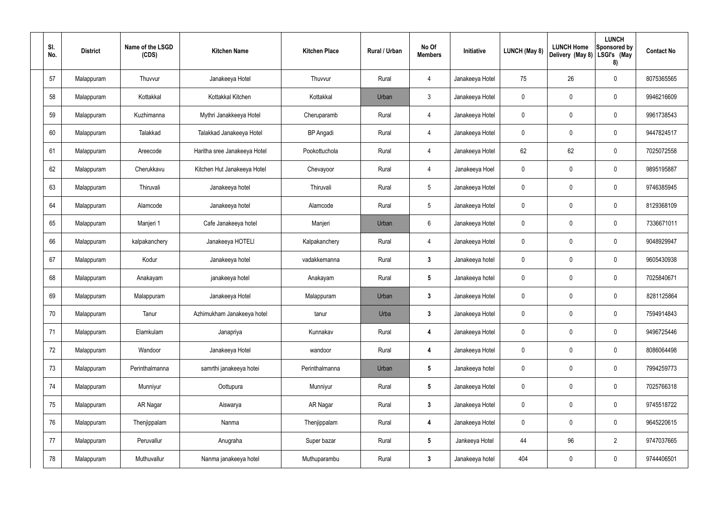| SI.<br>No. | <b>District</b> | Name of the LSGD<br>(CDS) | <b>Kitchen Name</b>          | <b>Kitchen Place</b> | Rural / Urban | No Of<br><b>Members</b> | Initiative      | <b>LUNCH (May 8)</b> | <b>LUNCH Home</b><br>Delivery (May 8) | <b>LUNCH</b><br>Sponsored by<br>LSGI's (May<br>8) | <b>Contact No</b> |
|------------|-----------------|---------------------------|------------------------------|----------------------|---------------|-------------------------|-----------------|----------------------|---------------------------------------|---------------------------------------------------|-------------------|
| 57         | Malappuram      | Thuvvur                   | Janakeeya Hotel              | Thuvvur              | Rural         | 4                       | Janakeeya Hotel | 75                   | 26                                    | 0                                                 | 8075365565        |
| 58         | Malappuram      | Kottakkal                 | Kottakkal Kitchen            | Kottakkal            | Urban         | $\mathbf{3}$            | Janakeeya Hotel | $\mathbf 0$          | $\mathbf 0$                           | 0                                                 | 9946216609        |
| 59         | Malappuram      | Kuzhimanna                | Mythri Janakkeeya Hotel      | Cheruparamb          | Rural         | $\overline{4}$          | Janakeeya Hotel | $\mathbf 0$          | $\mathbf 0$                           | 0                                                 | 9961738543        |
| 60         | Malappuram      | Talakkad                  | Talakkad Janakeeya Hotel     | <b>BP</b> Angadi     | Rural         | $\overline{4}$          | Janakeeya Hotel | $\mathbf 0$          | $\mathbf 0$                           | 0                                                 | 9447824517        |
| 61         | Malappuram      | Areecode                  | Haritha sree Janakeeya Hotel | Pookottuchola        | Rural         | $\overline{4}$          | Janakeeya Hotel | 62                   | 62                                    | 0                                                 | 7025072558        |
| 62         | Malappuram      | Cherukkavu                | Kitchen Hut Janakeeya Hotel  | Chevayoor            | Rural         | $\overline{4}$          | Janakeeya Hoel  | $\mathbf 0$          | $\mathbf 0$                           | 0                                                 | 9895195887        |
| 63         | Malappuram      | Thiruvali                 | Janakeeya hotel              | Thiruvali            | Rural         | $5\phantom{.0}$         | Janakeeya Hotel | $\mathbf 0$          | 0                                     | 0                                                 | 9746385945        |
| 64         | Malappuram      | Alamcode                  | Janakeeya hotel              | Alamcode             | Rural         | $5\phantom{.0}$         | Janakeeya Hotel | $\mathbf 0$          | $\mathbf 0$                           | 0                                                 | 8129368109        |
| 65         | Malappuram      | Manjeri 1                 | Cafe Janakeeya hotel         | Manjeri              | Urban         | 6                       | Janakeeya Hotel | $\mathbf 0$          | 0                                     | 0                                                 | 7336671011        |
| 66         | Malappuram      | kalpakanchery             | Janakeeya HOTELI             | Kalpakanchery        | Rural         | $\overline{4}$          | Janakeeya Hotel | $\mathbf 0$          | $\mathbf 0$                           | 0                                                 | 9048929947        |
| 67         | Malappuram      | Kodur                     | Janakeeya hotel              | vadakkemanna         | Rural         | $\boldsymbol{3}$        | Janakeeya hotel | $\mathbf 0$          | $\boldsymbol{0}$                      | 0                                                 | 9605430938        |
| 68         | Malappuram      | Anakayam                  | janakeeya hotel              | Anakayam             | Rural         | $5\phantom{.0}$         | Janakeeya hotel | $\mathbf 0$          | $\boldsymbol{0}$                      | 0                                                 | 7025840671        |
| 69         | Malappuram      | Malappuram                | Janakeeya Hotel              | Malappuram           | Urban         | $\boldsymbol{3}$        | Janakeeya Hotel | $\mathbf 0$          | $\mathbf 0$                           | 0                                                 | 8281125864        |
| 70         | Malappuram      | Tanur                     | Azhimukham Janakeeya hotel   | tanur                | Urba          | $\mathbf{3}$            | Janakeeya Hotel | $\mathbf 0$          | $\mathbf 0$                           | 0                                                 | 7594914843        |
| 71         | Malappuram      | Elamkulam                 | Janapriya                    | Kunnakav             | Rural         | $\overline{4}$          | Janakeeya Hotel | $\mathbf 0$          | $\mathbf 0$                           | $\mathbf 0$                                       | 9496725446        |
| 72         | Malappuram      | Wandoor                   | Janakeeya Hotel              | wandoor              | Rural         | 4                       | Janakeeya Hotel | $\mathbf 0$          | $\boldsymbol{0}$                      | 0                                                 | 8086064498        |
| 73         | Malappuram      | Perinthalmanna            | samrthi janakeeya hotei      | Perinthalmanna       | Urban         | $5\phantom{.0}$         | Janakeeya hotel | $\mathbf 0$          | $\boldsymbol{0}$                      | 0                                                 | 7994259773        |
| 74         | Malappuram      | Munniyur                  | Oottupura                    | Munniyur             | Rural         | $5\phantom{.0}$         | Janakeeya Hotel | $\mathbf 0$          | $\boldsymbol{0}$                      | 0                                                 | 7025766318        |
| 75         | Malappuram      | AR Nagar                  | Aiswarya                     | AR Nagar             | Rural         | $\mathbf{3}$            | Janakeeya Hotel | $\mathbf 0$          | $\boldsymbol{0}$                      | 0                                                 | 9745518722        |
| 76         | Malappuram      | Thenjippalam              | Nanma                        | Thenjippalam         | Rural         | 4                       | Janakeeya Hotel | $\mathbf 0$          | $\boldsymbol{0}$                      | 0                                                 | 9645220615        |
| 77         | Malappuram      | Peruvallur                | Anugraha                     | Super bazar          | Rural         | $5\phantom{.0}$         | Jankeeya Hotel  | 44                   | 96                                    | $\overline{2}$                                    | 9747037665        |
| 78         | Malappuram      | Muthuvallur               | Nanma janakeeya hotel        | Muthuparambu         | Rural         | $\mathbf{3}$            | Janakeeya hotel | 404                  | $\boldsymbol{0}$                      | 0                                                 | 9744406501        |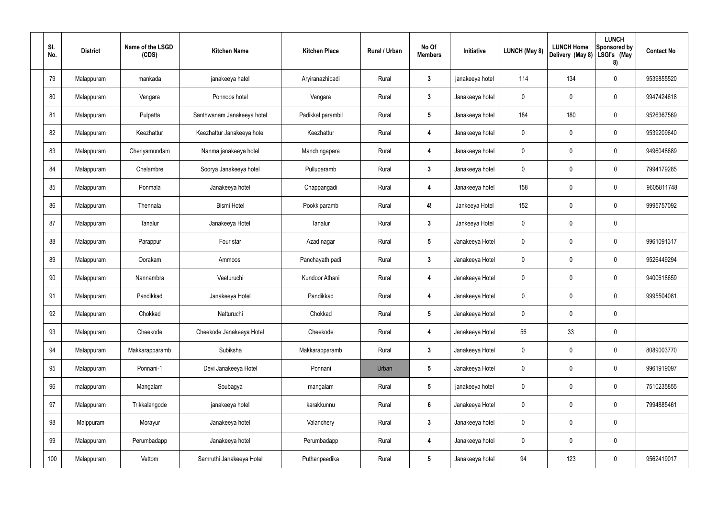| SI.<br>No. |     | <b>District</b> | Name of the LSGD<br>(CDS) | <b>Kitchen Name</b>        | <b>Kitchen Place</b> | Rural / Urban | No Of<br><b>Members</b> | Initiative      | LUNCH (May 8) | <b>LUNCH Home</b><br>Delivery (May 8) | <b>LUNCH</b><br>Sponsored by<br>LSGI's (May<br>8) | <b>Contact No</b> |
|------------|-----|-----------------|---------------------------|----------------------------|----------------------|---------------|-------------------------|-----------------|---------------|---------------------------------------|---------------------------------------------------|-------------------|
|            | 79  | Malappuram      | mankada                   | janakeeya hatel            | Aryiranazhipadi      | Rural         | $\mathbf{3}$            | janakeeya hotel | 114           | 134                                   | 0                                                 | 9539855520        |
|            | 80  | Malappuram      | Vengara                   | Ponnoos hotel              | Vengara              | Rural         | $\mathbf{3}$            | Janakeeya hotel | $\mathbf 0$   | $\mathbf 0$                           | 0                                                 | 9947424618        |
|            | 81  | Malappuram      | Pulpatta                  | Santhwanam Janakeeya hotel | Padikkal parambil    | Rural         | $5\phantom{.0}$         | Janakeeya hotel | 184           | 180                                   | 0                                                 | 9526367569        |
|            | 82  | Malappuram      | Keezhattur                | Keezhattur Janakeeya hotel | Keezhattur           | Rural         | $\overline{4}$          | Janakeeya hotel | $\mathbf 0$   | $\mathbf 0$                           | 0                                                 | 9539209640        |
|            | 83  | Malappuram      | Cheriyamundam             | Nanma janakeeya hotel      | Manchingapara        | Rural         | $\overline{4}$          | Janakeeya hotel | 0             | 0                                     | 0                                                 | 9496048689        |
|            | 84  | Malappuram      | Chelambre                 | Soorya Janakeeya hotel     | Pulluparamb          | Rural         | $\mathbf{3}$            | Janakeeya hotel | $\mathbf 0$   | $\mathbf 0$                           | 0                                                 | 7994179285        |
|            | 85  | Malappuram      | Ponmala                   | Janakeeya hotel            | Chappangadi          | Rural         | $\overline{4}$          | Janakeeya hotel | 158           | 0                                     | 0                                                 | 9605811748        |
|            | 86  | Malappuram      | Thennala                  | <b>Bismi Hotel</b>         | Pookkiparamb         | Rural         | 4!                      | Jankeeya Hotel  | 152           | $\mathbf 0$                           | 0                                                 | 9995757092        |
|            | 87  | Malappuram      | Tanalur                   | Janakeeya Hotel            | Tanalur              | Rural         | $\mathbf{3}$            | Jankeeya Hotel  | 0             | $\mathbf 0$                           | 0                                                 |                   |
|            | 88  | Malappuram      | Parappur                  | Four star                  | Azad nagar           | Rural         | $5\phantom{.0}$         | Janakeeya Hotel | $\mathbf 0$   | 0                                     | 0                                                 | 9961091317        |
|            | 89  | Malappuram      | Oorakam                   | Ammoos                     | Panchayath padi      | Rural         | $\mathbf{3}$            | Janakeeya Hotel | $\mathbf 0$   | 0                                     | 0                                                 | 9526449294        |
|            | 90  | Malappuram      | Nannambra                 | Veeturuchi                 | Kundoor Athani       | Rural         | $\overline{4}$          | Janakeeya Hotel | $\mathbf 0$   | 0                                     | 0                                                 | 9400618659        |
|            | 91  | Malappuram      | Pandikkad                 | Janakeeya Hotel            | Pandikkad            | Rural         | 4                       | Janakeeya Hotel | 0             | 0                                     | 0                                                 | 9995504081        |
|            | 92  | Malappuram      | Chokkad                   | Natturuchi                 | Chokkad              | Rural         | $5\phantom{.0}$         | Janakeeya Hotel | $\mathbf 0$   | $\pmb{0}$                             | 0                                                 |                   |
|            | 93  | Malappuram      | Cheekode                  | Cheekode Janakeeya Hotel   | Cheekode             | Rural         | $\boldsymbol{4}$        | Janakeeya Hotel | 56            | 33                                    | 0                                                 |                   |
|            | 94  | Malappuram      | Makkarapparamb            | Subiksha                   | Makkarapparamb       | Rural         | $\mathbf{3}$            | Janakeeya Hotel | $\mathbf 0$   | $\mathbf 0$                           | 0                                                 | 8089003770        |
|            | 95  | Malappuram      | Ponnani-1                 | Devi Janakeeya Hotel       | Ponnani              | Urban         | $5\phantom{.0}$         | Janakeeya Hotel | $\mathbf 0$   | $\pmb{0}$                             | 0                                                 | 9961919097        |
|            | 96  | malappuram      | Mangalam                  | Soubagya                   | mangalam             | Rural         | $5\phantom{.0}$         | janakeeya hotel | 0             | $\pmb{0}$                             | 0                                                 | 7510235855        |
|            | 97  | Malappuram      | Trikkalangode             | janakeeya hotel            | karakkunnu           | Rural         | $6\phantom{.}6$         | Janakeeya Hotel | $\mathbf 0$   | $\pmb{0}$                             | $\mathbf 0$                                       | 7994885461        |
|            | 98  | Malppuram       | Morayur                   | Janakeeya hotel            | Valanchery           | Rural         | $\mathbf{3}$            | Janakeeya hotel | $\mathbf 0$   | $\pmb{0}$                             | 0                                                 |                   |
|            | 99  | Malappuram      | Perumbadapp               | Janakeeya hotel            | Perumbadapp          | Rural         | $\overline{4}$          | Janakeeya hotel | $\mathbf 0$   | $\mathbf 0$                           | 0                                                 |                   |
|            | 100 | Malappuram      | Vettom                    | Samruthi Janakeeya Hotel   | Puthanpeedika        | Rural         | $5\phantom{.0}$         | Janakeeya hotel | 94            | 123                                   | 0                                                 | 9562419017        |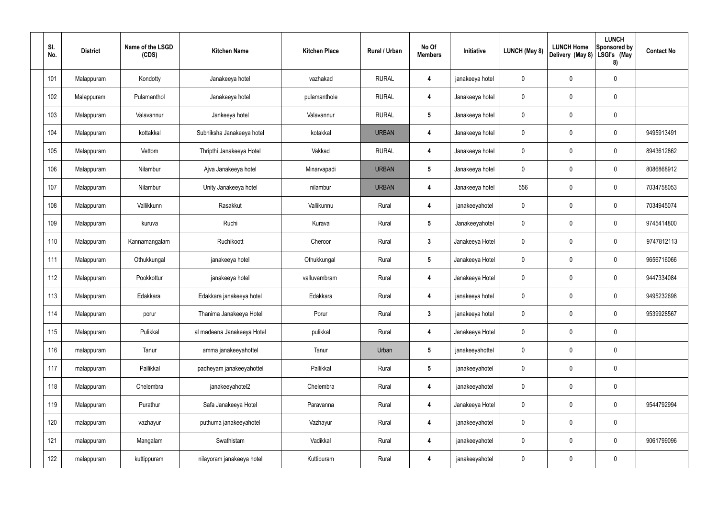| SI.<br>No. | <b>District</b> | Name of the LSGD<br>(CDS) | <b>Kitchen Name</b>        | <b>Kitchen Place</b> | Rural / Urban | No Of<br><b>Members</b> | Initiative      | <b>LUNCH (May 8)</b> | <b>LUNCH Home</b><br>Delivery (May 8) | <b>LUNCH</b><br>Sponsored by<br>LSGI's (May<br>8) | <b>Contact No</b> |
|------------|-----------------|---------------------------|----------------------------|----------------------|---------------|-------------------------|-----------------|----------------------|---------------------------------------|---------------------------------------------------|-------------------|
| 101        | Malappuram      | Kondotty                  | Janakeeya hotel            | vazhakad             | <b>RURAL</b>  | 4                       | janakeeya hotel | 0                    | 0                                     | $\mathbf 0$                                       |                   |
| 102        | Malappuram      | Pulamanthol               | Janakeeya hotel            | pulamanthole         | <b>RURAL</b>  | 4                       | Janakeeya hotel | 0                    | 0                                     | $\pmb{0}$                                         |                   |
| 103        | Malappuram      | Valavannur                | Jankeeya hotel             | Valavannur           | <b>RURAL</b>  | $5\phantom{.0}$         | Janakeeya hotel | 0                    | 0                                     | $\pmb{0}$                                         |                   |
| 104        | Malappuram      | kottakkal                 | Subhiksha Janakeeya hotel  | kotakkal             | <b>URBAN</b>  | 4                       | Janakeeya hotel | 0                    | 0                                     | $\boldsymbol{0}$                                  | 9495913491        |
| 105        | Malappuram      | Vettom                    | Thripthi Janakeeya Hotel   | Vakkad               | <b>RURAL</b>  | 4                       | Janakeeya hotel | 0                    | 0                                     | $\mathbf 0$                                       | 8943612862        |
| 106        | Malappuram      | Nilambur                  | Ajva Janakeeya hotel       | Minarvapadi          | <b>URBAN</b>  | $5\phantom{.0}$         | Janakeeya hotel | 0                    | 0                                     | $\boldsymbol{0}$                                  | 8086868912        |
| 107        | Malappuram      | Nilambur                  | Unity Janakeeya hotel      | nilambur             | <b>URBAN</b>  | 4                       | Janakeeya hotel | 556                  | 0                                     | $\mathbf 0$                                       | 7034758053        |
| 108        | Malappuram      | Vallikkunn                | Rasakkut                   | Vallikunnu           | Rural         | 4                       | janakeeyahotel  | 0                    | 0                                     | $\boldsymbol{0}$                                  | 7034945074        |
| 109        | Malappuram      | kuruva                    | Ruchi                      | Kurava               | Rural         | $5\phantom{.0}$         | Janakeeyahotel  | 0                    | 0                                     | $\boldsymbol{0}$                                  | 9745414800        |
| 110        | Malappuram      | Kannamangalam             | Ruchikoott                 | Cheroor              | Rural         | $\mathbf{3}$            | Janakeeya Hotel | 0                    | 0                                     | $\mathbf 0$                                       | 9747812113        |
| 111        | Malappuram      | Othukkungal               | janakeeya hotel            | Othukkungal          | Rural         | $5\phantom{.0}$         | Janakeeya Hotel | 0                    | 0                                     | $\pmb{0}$                                         | 9656716066        |
| 112        | Malappuram      | Pookkottur                | janakeeya hotel            | valluvambram         | Rural         | 4                       | Janakeeya Hotel | 0                    | 0                                     | $\mathbf 0$                                       | 9447334084        |
| 113        | Malappuram      | Edakkara                  | Edakkara janakeeya hotel   | Edakkara             | Rural         | 4                       | janakeeya hotel | 0                    | 0                                     | $\mathbf 0$                                       | 9495232698        |
| 114        | Malappuram      | porur                     | Thanima Janakeeya Hotel    | Porur                | Rural         | $3\phantom{a}$          | janakeeya hotel | $\mathbf 0$          | 0                                     | $\mathbf 0$                                       | 9539928567        |
| 115        | Malappuram      | Pulikkal                  | al madeena Janakeeya Hotel | pulikkal             | Rural         | 4                       | Janakeeya Hotel | 0                    | 0                                     | $\pmb{0}$                                         |                   |
| 116        | malappuram      | Tanur                     | amma janakeeyahottel       | Tanur                | Urban         | $5\phantom{.0}$         | janakeeyahottel | 0                    | 0                                     | $\pmb{0}$                                         |                   |
| 117        | malappuram      | Pallikkal                 | padheyam janakeeyahottel   | Pallikkal            | Rural         | $5\phantom{.0}$         | janakeeyahotel  | 0                    | 0                                     | $\pmb{0}$                                         |                   |
| 118        | Malappuram      | Chelembra                 | janakeeyahotel2            | Chelembra            | Rural         | 4                       | janakeeyahotel  | 0                    | 0                                     | $\pmb{0}$                                         |                   |
| 119        | Malappuram      | Purathur                  | Safa Janakeeya Hotel       | Paravanna            | Rural         | 4                       | Janakeeya Hotel | 0                    | 0                                     | $\pmb{0}$                                         | 9544792994        |
| 120        | malappuram      | vazhayur                  | puthuma janakeeyahotel     | Vazhayur             | Rural         | 4                       | janakeeyahotel  | 0                    | 0                                     | $\pmb{0}$                                         |                   |
| 121        | malappuram      | Mangalam                  | Swathistam                 | Vadikkal             | Rural         | 4                       | janakeeyahotel  | 0                    | $\mathbf 0$                           | $\pmb{0}$                                         | 9061799096        |
| 122        | malappuram      | kuttippuram               | nilayoram janakeeya hotel  | Kuttipuram           | Rural         | $\overline{\mathbf{4}}$ | janakeeyahotel  | 0                    | 0                                     | $\pmb{0}$                                         |                   |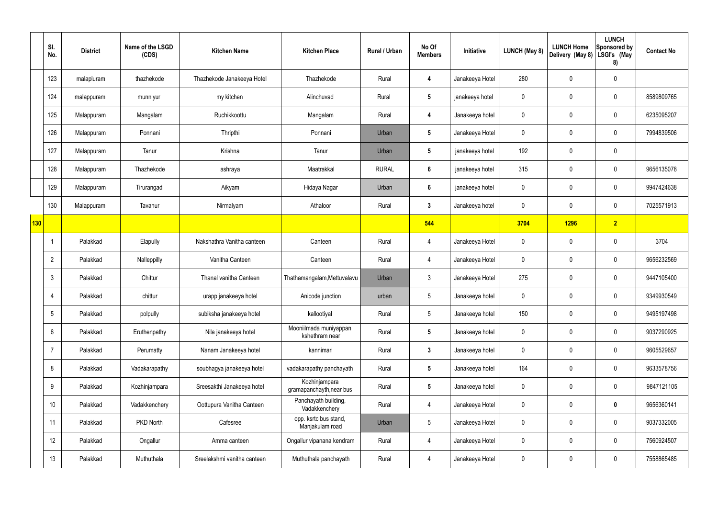|                 | SI.<br>No.      | <b>District</b> | Name of the LSGD<br>(CDS) | <b>Kitchen Name</b>         | <b>Kitchen Place</b>                      | Rural / Urban | No Of<br><b>Members</b> | Initiative      | <b>LUNCH (May 8)</b> | <b>LUNCH Home</b><br>Delivery (May 8) | <b>LUNCH</b><br>Sponsored by<br>LSGI's (May<br>8) | <b>Contact No</b> |
|-----------------|-----------------|-----------------|---------------------------|-----------------------------|-------------------------------------------|---------------|-------------------------|-----------------|----------------------|---------------------------------------|---------------------------------------------------|-------------------|
|                 | 123             | malapluram      | thazhekode                | Thazhekode Janakeeya Hotel  | Thazhekode                                | Rural         | 4                       | Janakeeya Hotel | 280                  | $\mathbf 0$                           | $\mathbf 0$                                       |                   |
|                 | 124             | malappuram      | munniyur                  | my kitchen                  | Alinchuvad                                | Rural         | $5\phantom{.0}$         | janakeeya hotel | $\mathbf 0$          | $\mathbf 0$                           | $\mathbf 0$                                       | 8589809765        |
|                 | 125             | Malappuram      | Mangalam                  | Ruchikkoottu                | Mangalam                                  | Rural         | 4                       | Janakeeya hotel | $\mathbf 0$          | $\mathbf 0$                           | $\mathbf 0$                                       | 6235095207        |
|                 | 126             | Malappuram      | Ponnani                   | Thripthi                    | Ponnani                                   | Urban         | $5\phantom{.0}$         | Janakeeya Hotel | $\mathbf 0$          | $\mathbf 0$                           | $\mathbf 0$                                       | 7994839506        |
|                 | 127             | Malappuram      | Tanur                     | Krishna                     | Tanur                                     | Urban         | $5\phantom{.0}$         | janakeeya hotel | 192                  | $\mathbf 0$                           | $\mathbf 0$                                       |                   |
|                 | 128             | Malappuram      | Thazhekode                | ashraya                     | Maatrakkal                                | <b>RURAL</b>  | $6\phantom{.}6$         | janakeeya hotel | 315                  | $\mathbf 0$                           | $\mathbf 0$                                       | 9656135078        |
|                 | 129             | Malappuram      | Tirurangadi               | Aikyam                      | Hidaya Nagar                              | Urban         | $6\phantom{.}6$         | janakeeya hotel | $\mathbf 0$          | $\mathbf 0$                           | $\mathbf 0$                                       | 9947424638        |
|                 | 130             | Malappuram      | Tavanur                   | Nirmalyam                   | Athaloor                                  | Rural         | $3\phantom{a}$          | Janakeeya hotel | $\mathbf 0$          | $\mathbf 0$                           | $\mathbf 0$                                       | 7025571913        |
| $\frac{1}{130}$ |                 |                 |                           |                             |                                           |               | 544                     |                 | 3704                 | <b>1296</b>                           | $\overline{2}$                                    |                   |
|                 |                 | Palakkad        | Elapully                  | Nakshathra Vanitha canteen  | Canteen                                   | Rural         | 4                       | Janakeeya Hotel | $\mathbf 0$          | $\mathbf 0$                           | $\mathbf 0$                                       | 3704              |
|                 | $\overline{2}$  | Palakkad        | Nalleppilly               | Vanitha Canteen             | Canteen                                   | Rural         | 4                       | Janakeeya Hotel | $\mathbf 0$          | 0                                     | $\mathbf 0$                                       | 9656232569        |
|                 | $\mathbf{3}$    | Palakkad        | Chittur                   | Thanal vanitha Canteen      | Thathamangalam, Mettuvalavu               | Urban         | $\mathfrak{Z}$          | Janakeeya Hotel | 275                  | $\mathbf 0$                           | $\mathbf 0$                                       | 9447105400        |
|                 | 4               | Palakkad        | chittur                   | urapp janakeeya hotel       | Anicode junction                          | urban         | $5\overline{)}$         | Janakeeya hotel | $\mathbf 0$          | $\mathbf 0$                           | $\mathbf 0$                                       | 9349930549        |
|                 | $5\phantom{.0}$ | Palakkad        | polpully                  | subiksha janakeeya hotel    | kallootiyal                               | Rural         | 5 <sup>5</sup>          | Janakeeya hotel | 150                  | 0                                     | $\mathbf 0$                                       | 9495197498        |
|                 | 6               | Palakkad        | Eruthenpathy              | Nila janakeeya hotel        | Mooniilmada muniyappan<br>kshethram near  | Rural         | $5\phantom{.0}$         | Janakeeya hotel | $\mathbf 0$          | $\pmb{0}$                             | $\mathbf 0$                                       | 9037290925        |
|                 | 7               | Palakkad        | Perumatty                 | Nanam Janakeeya hotel       | kannimari                                 | Rural         | $3\phantom{a}$          | Janakeeya hotel | $\mathbf 0$          | 0                                     | $\mathbf 0$                                       | 9605529657        |
|                 | 8               | Palakkad        | Vadakarapathy             | soubhagya janakeeya hotel   | vadakarapathy panchayath                  | Rural         | $5\phantom{.0}$         | Janakeeya hotel | 164                  | $\pmb{0}$                             | $\mathbf 0$                                       | 9633578756        |
|                 | 9               | Palakkad        | Kozhinjampara             | Sreesakthi Janakeeya hotel  | Kozhinjampara<br>gramapanchayth, near bus | Rural         | $5\overline{)}$         | Janakeeya hotel | $\mathbf 0$          | $\pmb{0}$                             | $\mathbf 0$                                       | 9847121105        |
|                 | 10 <sup>°</sup> | Palakkad        | Vadakkenchery             | Oottupura Vanitha Canteen   | Panchayath building,<br>Vadakkenchery     | Rural         | $\overline{4}$          | Janakeeya Hotel | $\mathbf 0$          | $\pmb{0}$                             | $\mathbf 0$                                       | 9656360141        |
|                 | 11              | Palakkad        | PKD North                 | Cafesree                    | opp. ksrtc bus stand,<br>Manjakulam road  | Urban         | 5                       | Janakeeya Hotel | $\mathbf 0$          | $\pmb{0}$                             | $\mathbf 0$                                       | 9037332005        |
|                 | 12              | Palakkad        | Ongallur                  | Amma canteen                | Ongallur vipanana kendram                 | Rural         | $\overline{4}$          | Janakeeya Hotel | $\mathbf 0$          | $\pmb{0}$                             | $\mathbf 0$                                       | 7560924507        |
|                 | 13              | Palakkad        | Muthuthala                | Sreelakshmi vanitha canteen | Muthuthala panchayath                     | Rural         | $\overline{4}$          | Janakeeya Hotel | $\pmb{0}$            | $\pmb{0}$                             | $\boldsymbol{0}$                                  | 7558865485        |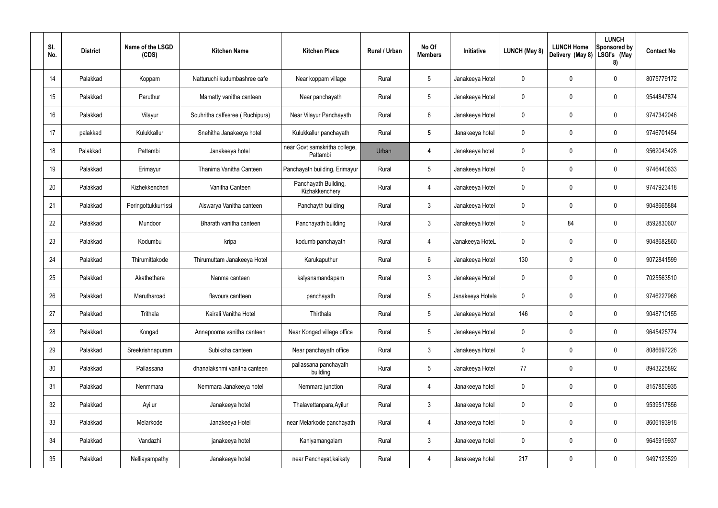| SI.<br>No.      | <b>District</b> | Name of the LSGD<br>(CDS) | <b>Kitchen Name</b>             | <b>Kitchen Place</b>                      | Rural / Urban | No Of<br><b>Members</b> | Initiative       | <b>LUNCH (May 8)</b> | <b>LUNCH Home</b><br>Delivery (May 8) | <b>LUNCH</b><br>Sponsored by<br>  LSGI's (May<br>8) | <b>Contact No</b> |
|-----------------|-----------------|---------------------------|---------------------------------|-------------------------------------------|---------------|-------------------------|------------------|----------------------|---------------------------------------|-----------------------------------------------------|-------------------|
| 14              | Palakkad        | Koppam                    | Natturuchi kudumbashree cafe    | Near koppam village                       | Rural         | 5                       | Janakeeya Hotel  | 0                    | 0                                     | $\pmb{0}$                                           | 8075779172        |
| 15              | Palakkad        | Paruthur                  | Mamatty vanitha canteen         | Near panchayath                           | Rural         | 5                       | Janakeeya Hotel  | 0                    | 0                                     | $\pmb{0}$                                           | 9544847874        |
| 16              | Palakkad        | Vilayur                   | Souhritha caffesree (Ruchipura) | Near Vilayur Panchayath                   | Rural         | 6                       | Janakeeya Hotel  | 0                    | 0                                     | $\pmb{0}$                                           | 9747342046        |
| 17              | palakkad        | Kulukkallur               | Snehitha Janakeeya hotel        | Kulukkallur panchayath                    | Rural         | $5\phantom{.0}$         | Janakeeya hotel  | 0                    | 0                                     | $\pmb{0}$                                           | 9746701454        |
| 18              | Palakkad        | Pattambi                  | Janakeeya hotel                 | near Govt samskritha college,<br>Pattambi | Urban         | 4                       | Janakeeya hotel  | 0                    | 0                                     | $\pmb{0}$                                           | 9562043428        |
| 19              | Palakkad        | Erimayur                  | Thanima Vanitha Canteen         | Panchayath building, Erimayur             | Rural         | 5                       | Janakeeya Hotel  | 0                    | 0                                     | $\pmb{0}$                                           | 9746440633        |
| 20              | Palakkad        | Kizhekkencheri            | Vanitha Canteen                 | Panchayath Building,<br>Kizhakkenchery    | Rural         | 4                       | Janakeeya Hotel  | 0                    | 0                                     | $\pmb{0}$                                           | 9747923418        |
| 21              | Palakkad        | Peringottukkurrissi       | Aiswarya Vanitha canteen        | Panchayth building                        | Rural         | 3                       | Janakeeya Hotel  | 0                    | 0                                     | $\pmb{0}$                                           | 9048665884        |
| 22              | Palakkad        | Mundoor                   | Bharath vanitha canteen         | Panchayath building                       | Rural         | 3                       | Janakeeya Hotel  | 0                    | 84                                    | $\pmb{0}$                                           | 8592830607        |
| 23              | Palakkad        | Kodumbu                   | kripa                           | kodumb panchayath                         | Rural         | 4                       | Janakeeya HoteL  | 0                    | 0                                     | $\mathbf 0$                                         | 9048682860        |
| 24              | Palakkad        | Thirumittakode            | Thirumuttam Janakeeya Hotel     | Karukaputhur                              | Rural         | 6                       | Janakeeya Hotel  | 130                  | 0                                     | $\mathbf 0$                                         | 9072841599        |
| 25              | Palakkad        | Akathethara               | Nanma canteen                   | kalyanamandapam                           | Rural         | 3                       | Janakeeya Hotel  | 0                    | 0                                     | $\mathbf 0$                                         | 7025563510        |
| 26              | Palakkad        | Marutharoad               | flavours cantteen               | panchayath                                | Rural         | 5                       | Janakeeya Hotela | 0                    | 0                                     | $\mathbf 0$                                         | 9746227966        |
| 27              | Palakkad        | Trithala                  | Kairali Vanitha Hotel           | Thirthala                                 | Rural         | $5\phantom{.0}$         | Janakeeya Hotel  | 146                  | 0                                     | $\pmb{0}$                                           | 9048710155        |
| 28              | Palakkad        | Kongad                    | Annapoorna vanitha canteen      | Near Kongad village office                | Rural         | $5\phantom{.0}$         | Janakeeya Hotel  | $\mathbf 0$          | $\mathbf 0$                           | $\mathbf 0$                                         | 9645425774        |
| 29              | Palakkad        | Sreekrishnapuram          | Subiksha canteen                | Near panchayath office                    | Rural         | $\mathbf{3}$            | Janakeeya Hotel  | $\mathbf 0$          | 0                                     | $\mathbf 0$                                         | 8086697226        |
| 30 <sub>2</sub> | Palakkad        | Pallassana                | dhanalakshmi vanitha canteen    | pallassana panchayath<br>building         | Rural         | $5\phantom{.0}$         | Janakeeya Hotel  | 77                   | $\mathbf 0$                           | $\mathbf 0$                                         | 8943225892        |
| 31              | Palakkad        | Nenmmara                  | Nemmara Janakeeya hotel         | Nemmara junction                          | Rural         | 4                       | Janakeeya hotel  | $\mathbf 0$          | 0                                     | $\mathbf 0$                                         | 8157850935        |
| 32              | Palakkad        | Ayilur                    | Janakeeya hotel                 | Thalavettanpara, Ayilur                   | Rural         | $\mathfrak{Z}$          | Janakeeya hotel  | $\mathbf 0$          | $\mathbf 0$                           | $\mathbf 0$                                         | 9539517856        |
| 33              | Palakkad        | Melarkode                 | Janakeeya Hotel                 | near Melarkode panchayath                 | Rural         | 4                       | Janakeeya hotel  | $\mathbf 0$          | 0                                     | $\mathbf 0$                                         | 8606193918        |
| 34              | Palakkad        | Vandazhi                  | janakeeya hotel                 | Kaniyamangalam                            | Rural         | $\mathfrak{Z}$          | Janakeeya hotel  | 0                    | $\mathbf 0$                           | $\mathsf{0}$                                        | 9645919937        |
| 35              | Palakkad        | Nelliayampathy            | Janakeeya hotel                 | near Panchayat, kaikaty                   | Rural         | 4                       | Janakeeya hotel  | 217                  | 0                                     | $\pmb{0}$                                           | 9497123529        |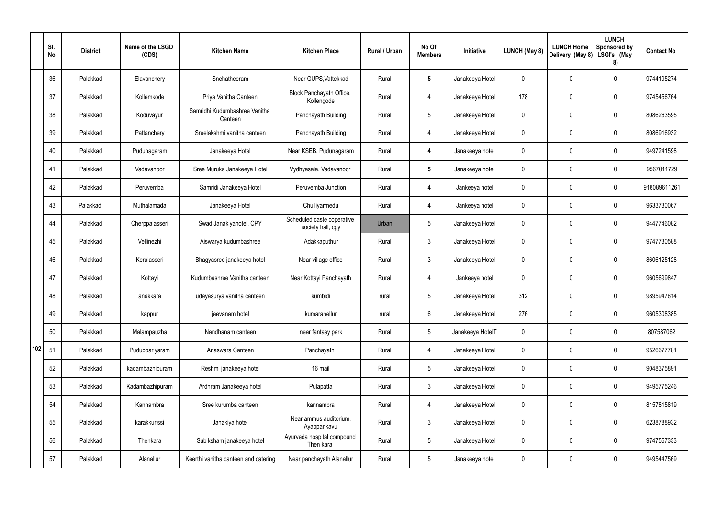|     | SI.<br>No. | <b>District</b> | Name of the LSGD<br>(CDS) | <b>Kitchen Name</b>                      | <b>Kitchen Place</b>                            | <b>Rural / Urban</b> | No Of<br><b>Members</b> | Initiative       | LUNCH (May 8) | <b>LUNCH Home</b><br>Delivery (May 8) | <b>LUNCH</b><br>Sponsored by<br>LSGI's (May<br>8) | <b>Contact No</b> |
|-----|------------|-----------------|---------------------------|------------------------------------------|-------------------------------------------------|----------------------|-------------------------|------------------|---------------|---------------------------------------|---------------------------------------------------|-------------------|
|     | 36         | Palakkad        | Elavanchery               | Snehatheeram                             | Near GUPS, Vattekkad                            | Rural                | $5\phantom{.0}$         | Janakeeya Hotel  | 0             | $\mathbf 0$                           | $\mathbf 0$                                       | 9744195274        |
|     | 37         | Palakkad        | Kollemkode                | Priya Vanitha Canteen                    | Block Panchayath Office,<br>Kollengode          | Rural                | $\overline{4}$          | Janakeeya Hotel  | 178           | $\mathbf 0$                           | $\boldsymbol{0}$                                  | 9745456764        |
|     | 38         | Palakkad        | Koduvayur                 | Samridhi Kudumbashree Vanitha<br>Canteen | Panchayath Building                             | Rural                | $5\phantom{.0}$         | Janakeeya Hotel  | 0             | $\mathbf 0$                           | $\mathbf 0$                                       | 8086263595        |
|     | 39         | Palakkad        | Pattanchery               | Sreelakshmi vanitha canteen              | Panchayath Building                             | Rural                | 4                       | Janakeeya Hotel  | 0             | $\mathbf 0$                           | $\boldsymbol{0}$                                  | 8086916932        |
|     | 40         | Palakkad        | Pudunagaram               | Janakeeya Hotel                          | Near KSEB, Pudunagaram                          | Rural                | 4                       | Janakeeya hotel  | 0             | $\mathbf 0$                           | $\mathbf 0$                                       | 9497241598        |
|     | 41         | Palakkad        | Vadavanoor                | Sree Muruka Janakeeya Hotel              | Vydhyasala, Vadavanoor                          | Rural                | $5\phantom{.0}$         | Janakeeya hotel  | 0             | 0                                     | $\boldsymbol{0}$                                  | 9567011729        |
|     | 42         | Palakkad        | Peruvemba                 | Samridi Janakeeya Hotel                  | Peruvemba Junction                              | Rural                | 4                       | Jankeeya hotel   | 0             | $\mathbf 0$                           | $\mathbf 0$                                       | 918089611261      |
|     | 43         | Palakkad        | Muthalamada               | Janakeeya Hotel                          | Chulliyarmedu                                   | Rural                | $\overline{\mathbf{4}}$ | Jankeeya hotel   | 0             | $\mathbf 0$                           | $\boldsymbol{0}$                                  | 9633730067        |
|     | 44         | Palakkad        | Cherppalasseri            | Swad Janakiyahotel, CPY                  | Scheduled caste coperative<br>society hall, cpy | Urban                | $5\phantom{.0}$         | Janakeeya Hotel  | 0             | 0                                     | $\mathbf 0$                                       | 9447746082        |
|     | 45         | Palakkad        | Vellinezhi                | Aiswarya kudumbashree                    | Adakkaputhur                                    | Rural                | $\mathfrak{Z}$          | Janakeeya Hotel  | 0             | $\mathbf 0$                           | $\mathbf 0$                                       | 9747730588        |
|     | 46         | Palakkad        | Keralasseri               | Bhagyasree janakeeya hotel               | Near village office                             | Rural                | $\mathfrak{Z}$          | Janakeeya Hotel  | 0             | $\mathbf 0$                           | $\mathbf 0$                                       | 8606125128        |
|     | 47         | Palakkad        | Kottayi                   | Kudumbashree Vanitha canteen             | Near Kottayi Panchayath                         | Rural                | 4                       | Jankeeya hotel   | 0             | 0                                     | $\mathbf 0$                                       | 9605699847        |
|     | 48         | Palakkad        | anakkara                  | udayasurya vanitha canteen               | kumbidi                                         | rural                | 5                       | Janakeeya Hotel  | 312           | $\mathbf 0$                           | $\mathbf 0$                                       | 9895947614        |
|     | 49         | Palakkad        | kappur                    | jeevanam hotel                           | kumaranellur                                    | rural                | $6\phantom{.}$          | Janakeeya Hotel  | 276           | $\pmb{0}$                             | $\pmb{0}$                                         | 9605308385        |
|     | 50         | Palakkad        | Malampauzha               | Nandhanam canteen                        | near fantasy park                               | Rural                | $5\phantom{.0}$         | Janakeeya HotelT | 0             | $\pmb{0}$                             | $\pmb{0}$                                         | 807587062         |
| 102 | 51         | Palakkad        | Puduppariyaram            | Anaswara Canteen                         | Panchayath                                      | Rural                | 4                       | Janakeeya Hotel  | 0             | $\pmb{0}$                             | $\pmb{0}$                                         | 9526677781        |
|     | 52         | Palakkad        | kadambazhipuram           | Reshmi janakeeya hotel                   | 16 mail                                         | Rural                | $5\phantom{.0}$         | Janakeeya Hotel  | 0             | $\pmb{0}$                             | $\pmb{0}$                                         | 9048375891        |
|     | 53         | Palakkad        | Kadambazhipuram           | Ardhram Janakeeya hotel                  | Pulapatta                                       | Rural                | $\mathfrak{Z}$          | Janakeeya Hotel  | 0             | $\pmb{0}$                             | $\pmb{0}$                                         | 9495775246        |
|     | 54         | Palakkad        | Kannambra                 | Sree kurumba canteen                     | kannambra                                       | Rural                | 4                       | Janakeeya Hotel  | 0             | $\overline{0}$                        | $\pmb{0}$                                         | 8157815819        |
|     | 55         | Palakkad        | karakkurissi              | Janakiya hotel                           | Near ammus auditorium,<br>Ayappankavu           | Rural                | $\mathfrak{Z}$          | Janakeeya Hotel  | 0             | $\pmb{0}$                             | $\pmb{0}$                                         | 6238788932        |
|     | 56         | Palakkad        | Thenkara                  | Subiksham janakeeya hotel                | Ayurveda hospital compound<br>Then kara         | Rural                | $5\phantom{.0}$         | Janakeeya Hotel  | 0             | $\pmb{0}$                             | $\pmb{0}$                                         | 9747557333        |
|     | 57         | Palakkad        | Alanallur                 | Keerthi vanitha canteen and catering     | Near panchayath Alanallur                       | Rural                | $5\phantom{.0}$         | Janakeeya hotel  | 0             | $\pmb{0}$                             | $\pmb{0}$                                         | 9495447569        |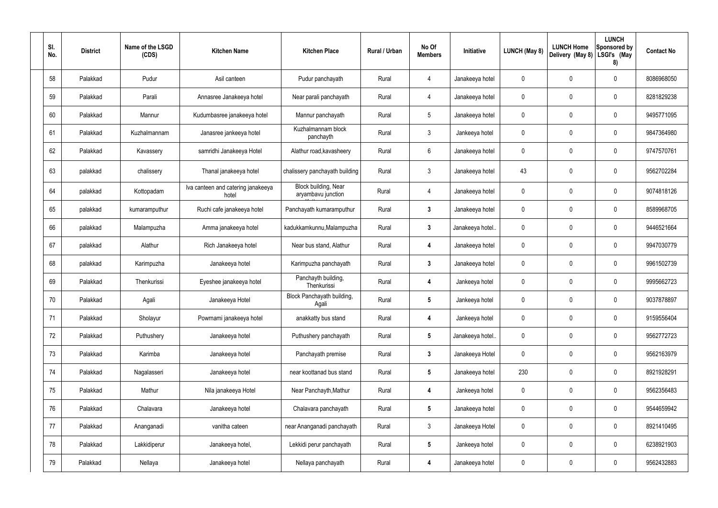| SI.<br>No. | <b>District</b> | Name of the LSGD<br>(CDS) | <b>Kitchen Name</b>                         | <b>Kitchen Place</b>                       | Rural / Urban | No Of<br><b>Members</b> | Initiative       | <b>LUNCH (May 8)</b> | <b>LUNCH Home</b><br>Delivery (May 8) | <b>LUNCH</b><br>Sponsored by<br>LSGI's (May<br>8) | <b>Contact No</b> |
|------------|-----------------|---------------------------|---------------------------------------------|--------------------------------------------|---------------|-------------------------|------------------|----------------------|---------------------------------------|---------------------------------------------------|-------------------|
| 58         | Palakkad        | Pudur                     | Asil canteen                                | Pudur panchayath                           | Rural         | 4                       | Janakeeya hotel  | 0                    | 0                                     | $\boldsymbol{0}$                                  | 8086968050        |
| 59         | Palakkad        | Parali                    | Annasree Janakeeya hotel                    | Near parali panchayath                     | Rural         | $\overline{4}$          | Janakeeya hotel  | 0                    | 0                                     | $\boldsymbol{0}$                                  | 8281829238        |
| 60         | Palakkad        | Mannur                    | Kudumbasree janakeeya hotel                 | Mannur panchayath                          | Rural         | $5\phantom{.0}$         | Janakeeya hotel  | 0                    | 0                                     | $\mathbf 0$                                       | 9495771095        |
| 61         | Palakkad        | Kuzhalmannam              | Janasree jankeeya hotel                     | Kuzhalmannam block<br>panchayth            | Rural         | $\mathfrak{Z}$          | Jankeeya hotel   | 0                    | 0                                     | $\boldsymbol{0}$                                  | 9847364980        |
| 62         | Palakkad        | Kavassery                 | samridhi Janakeeya Hotel                    | Alathur road, kavasheery                   | Rural         | $6\phantom{.}$          | Janakeeya hotel  | 0                    | 0                                     | $\boldsymbol{0}$                                  | 9747570761        |
| 63         | palakkad        | chalissery                | Thanal janakeeya hotel                      | chalissery panchayath building             | Rural         | $\mathfrak{Z}$          | Janakeeya hotel  | 43                   | 0                                     | $\pmb{0}$                                         | 9562702284        |
| 64         | palakkad        | Kottopadam                | Iva canteen and catering janakeeya<br>hotel | Block building, Near<br>aryambavu junction | Rural         | $\overline{4}$          | Janakeeya hotel  | 0                    | 0                                     | $\boldsymbol{0}$                                  | 9074818126        |
| 65         | palakkad        | kumaramputhur             | Ruchi cafe janakeeya hotel                  | Panchayath kumaramputhur                   | Rural         | $\mathbf{3}$            | Janakeeya hotel  | 0                    | 0                                     | $\pmb{0}$                                         | 8589968705        |
| 66         | palakkad        | Malampuzha                | Amma janakeeya hotel                        | kadukkamkunnu, Malampuzha                  | Rural         | $\mathbf{3}$            | Janakeeya hotel. | 0                    | 0                                     | $\pmb{0}$                                         | 9446521664        |
| 67         | palakkad        | Alathur                   | Rich Janakeeya hotel                        | Near bus stand, Alathur                    | Rural         | 4                       | Janakeeya hotel  | 0                    | 0                                     | $\pmb{0}$                                         | 9947030779        |
| 68         | palakkad        | Karimpuzha                | Janakeeya hotel                             | Karimpuzha panchayath                      | Rural         | $\mathbf{3}$            | Janakeeya hotel  | 0                    | 0                                     | $\pmb{0}$                                         | 9961502739        |
| 69         | Palakkad        | Thenkurissi               | Eyeshee janakeeya hotel                     | Panchayth building,<br>Thenkurissi         | Rural         | 4                       | Jankeeya hotel   | 0                    | 0                                     | $\pmb{0}$                                         | 9995662723        |
| 70         | Palakkad        | Agali                     | Janakeeya Hotel                             | Block Panchayath building,<br>Agali        | Rural         |                         | Jankeeya hotel   | $\Omega$             | 0                                     | 0                                                 | 9037878897        |
| 71         | Palakkad        | Sholayur                  | Powrnami janakeeya hotel                    | anakkatty bus stand                        | Rural         | $\overline{\mathbf{4}}$ | Jankeeya hotel   | 0                    | 0                                     | $\pmb{0}$                                         | 9159556404        |
| 72         | Palakkad        | Puthushery                | Janakeeya hotel                             | Puthushery panchayath                      | Rural         | $5\phantom{.0}$         | Janakeeya hotel  | 0                    | 0                                     | $\pmb{0}$                                         | 9562772723        |
| 73         | Palakkad        | Karimba                   | Janakeeya hotel                             | Panchayath premise                         | Rural         | $3\phantom{a}$          | Janakeeya Hotel  | 0                    | 0                                     | $\pmb{0}$                                         | 9562163979        |
| 74         | Palakkad        | Nagalasseri               | Janakeeya hotel                             | near koottanad bus stand                   | Rural         | $5\phantom{.0}$         | Janakeeya hotel  | 230                  | $\pmb{0}$                             | $\pmb{0}$                                         | 8921928291        |
| 75         | Palakkad        | Mathur                    | Nila janakeeya Hotel                        | Near Panchayth, Mathur                     | Rural         | 4                       | Jankeeya hotel   | 0                    | $\mathbf 0$                           | $\pmb{0}$                                         | 9562356483        |
| 76         | Palakkad        | Chalavara                 | Janakeeya hotel                             | Chalavara panchayath                       | Rural         | $5\phantom{.0}$         | Janakeeya hotel  | 0                    | 0                                     | $\pmb{0}$                                         | 9544659942        |
| 77         | Palakkad        | Ananganadi                | vanitha cateen                              | near Ananganadi panchayath                 | Rural         | $\mathbf{3}$            | Janakeeya Hotel  | 0                    | 0                                     | $\pmb{0}$                                         | 8921410495        |
| 78         | Palakkad        | Lakkidiperur              | Janakeeya hotel,                            | Lekkidi perur panchayath                   | Rural         | $5\phantom{.0}$         | Jankeeya hotel   | 0                    | 0                                     | $\pmb{0}$                                         | 6238921903        |
| 79         | Palakkad        | Nellaya                   | Janakeeya hotel                             | Nellaya panchayath                         | Rural         | $\overline{\mathbf{4}}$ | Janakeeya hotel  | 0                    | 0                                     | $\pmb{0}$                                         | 9562432883        |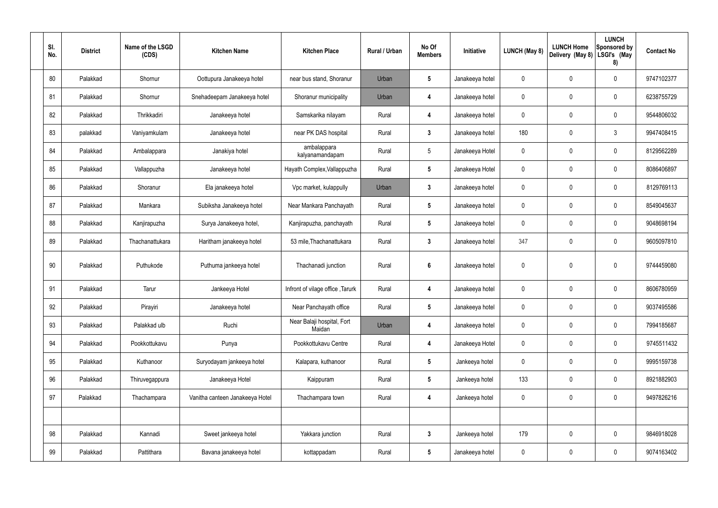| SI.<br>No. | <b>District</b> | Name of the LSGD<br>(CDS) | <b>Kitchen Name</b>             | <b>Kitchen Place</b>                 | Rural / Urban | No Of<br><b>Members</b> | Initiative      | <b>LUNCH (May 8)</b> | <b>LUNCH Home</b><br>Delivery (May 8) | <b>LUNCH</b><br>Sponsored by<br>LSGI's (May<br>8) | <b>Contact No</b> |
|------------|-----------------|---------------------------|---------------------------------|--------------------------------------|---------------|-------------------------|-----------------|----------------------|---------------------------------------|---------------------------------------------------|-------------------|
| 80         | Palakkad        | Shornur                   | Oottupura Janakeeya hotel       | near bus stand, Shoranur             | Urban         | 5                       | Janakeeya hotel | $\mathbf 0$          | $\mathbf 0$                           | $\mathbf 0$                                       | 9747102377        |
| 81         | Palakkad        | Shornur                   | Snehadeepam Janakeeya hotel     | Shoranur municipality                | Urban         | 4                       | Janakeeya hotel | $\mathbf 0$          | $\mathbf 0$                           | $\mathbf 0$                                       | 6238755729        |
| 82         | Palakkad        | Thrikkadiri               | Janakeeya hotel                 | Samskarika nilayam                   | Rural         | 4                       | Janakeeya hotel | $\mathbf 0$          | 0                                     | $\mathbf 0$                                       | 9544806032        |
| 83         | palakkad        | Vaniyamkulam              | Janakeeya hotel                 | near PK DAS hospital                 | Rural         | $3\phantom{a}$          | Janakeeya hotel | 180                  | 0                                     | $\mathbf{3}$                                      | 9947408415        |
| 84         | Palakkad        | Ambalappara               | Janakiya hotel                  | ambalappara<br>kalyanamandapam       | Rural         | $5\phantom{.0}$         | Janakeeya Hotel | $\mathbf 0$          | 0                                     | $\mathbf 0$                                       | 8129562289        |
| 85         | Palakkad        | Vallappuzha               | Janakeeya hotel                 | Hayath Complex, Vallappuzha          | Rural         | $5\phantom{.0}$         | Janakeeya Hotel | $\mathbf 0$          | 0                                     | $\mathbf 0$                                       | 8086406897        |
| 86         | Palakkad        | Shoranur                  | Ela janakeeya hotel             | Vpc market, kulappully               | Urban         | $3\phantom{a}$          | Janakeeya hotel | $\mathbf 0$          | 0                                     | $\mathbf 0$                                       | 8129769113        |
| 87         | Palakkad        | Mankara                   | Subiksha Janakeeya hotel        | Near Mankara Panchayath              | Rural         | $5\phantom{.0}$         | Janakeeya hotel | $\mathbf 0$          | $\mathbf 0$                           | $\mathbf 0$                                       | 8549045637        |
| 88         | Palakkad        | Kanjirapuzha              | Surya Janakeeya hotel,          | Kanjirapuzha, panchayath             | Rural         | $5\phantom{.0}$         | Janakeeya hotel | $\mathbf 0$          | 0                                     | $\mathbf 0$                                       | 9048698194        |
| 89         | Palakkad        | Thachanattukara           | Haritham janakeeya hotel        | 53 mile, Thachanattukara             | Rural         | $\mathbf{3}$            | Janakeeya hotel | 347                  | 0                                     | $\mathbf 0$                                       | 9605097810        |
| 90         | Palakkad        | Puthukode                 | Puthuma jankeeya hotel          | Thachanadi junction                  | Rural         | $6\phantom{1}6$         | Janakeeya hotel | $\mathbf 0$          | 0                                     | $\mathbf 0$                                       | 9744459080        |
| 91         | Palakkad        | Tarur                     | Jankeeya Hotel                  | Infront of vilage office, Tarurk     | Rural         | $\overline{\mathbf{4}}$ | Janakeeya hotel | $\mathbf 0$          | 0                                     | $\mathbf 0$                                       | 8606780959        |
| 92         | Palakkad        | Pirayiri                  | Janakeeya hotel                 | Near Panchayath office               | Rural         | $5\phantom{.0}$         | Janakeeya hotel | $\mathbf 0$          | $\pmb{0}$                             | $\pmb{0}$                                         | 9037495586        |
| 93         | Palakkad        | Palakkad ulb              | Ruchi                           | Near Balaji hospital, Fort<br>Maidan | Urban         | $\boldsymbol{4}$        | Janakeeya hotel | $\mathbf 0$          | 0                                     | $\mathbf 0$                                       | 7994185687        |
| 94         | Palakkad        | Pookkottukavu             | Punya                           | Pookkottukavu Centre                 | Rural         | $\overline{\mathbf{4}}$ | Janakeeya Hotel | $\pmb{0}$            | $\pmb{0}$                             | $\mathbf 0$                                       | 9745511432        |
| 95         | Palakkad        | Kuthanoor                 | Suryodayam jankeeya hotel       | Kalapara, kuthanoor                  | Rural         | $5\phantom{.0}$         | Jankeeya hotel  | $\pmb{0}$            | $\pmb{0}$                             | $\mathbf 0$                                       | 9995159738        |
| 96         | Palakkad        | Thiruvegappura            | Janakeeya Hotel                 | Kaippuram                            | Rural         | $5\phantom{.0}$         | Jankeeya hotel  | 133                  | $\pmb{0}$                             | $\mathbf 0$                                       | 8921882903        |
| 97         | Palakkad        | Thachampara               | Vanitha canteen Janakeeya Hotel | Thachampara town                     | Rural         | $\overline{\mathbf{4}}$ | Jankeeya hotel  | $\pmb{0}$            | 0                                     | $\mathbf 0$                                       | 9497826216        |
|            |                 |                           |                                 |                                      |               |                         |                 |                      |                                       |                                                   |                   |
| 98         | Palakkad        | Kannadi                   | Sweet jankeeya hotel            | Yakkara junction                     | Rural         | $\mathbf{3}$            | Jankeeya hotel  | 179                  | 0                                     | $\mathbf 0$                                       | 9846918028        |
| 99         | Palakkad        | Pattithara                | Bavana janakeeya hotel          | kottappadam                          | Rural         | $5\overline{)}$         | Janakeeya hotel | $\pmb{0}$            | $\pmb{0}$                             | $\boldsymbol{0}$                                  | 9074163402        |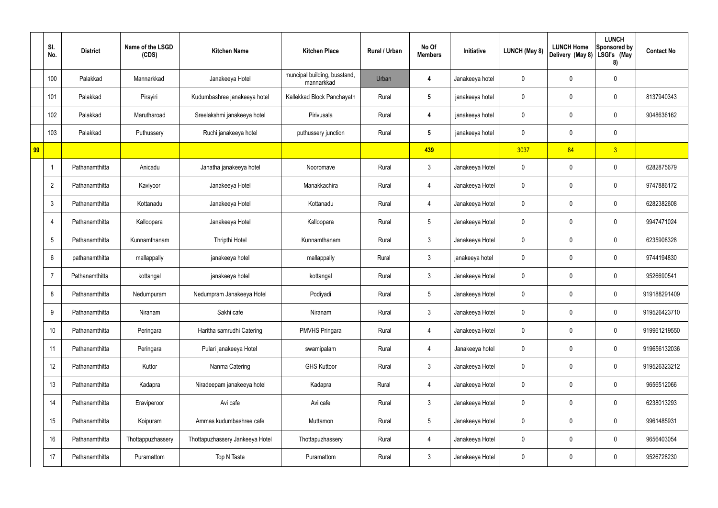|    | SI.<br>No.      | <b>District</b> | Name of the LSGD<br>(CDS) | <b>Kitchen Name</b>             | <b>Kitchen Place</b>                       | Rural / Urban | No Of<br><b>Members</b> | Initiative      | <b>LUNCH (May 8)</b> | <b>LUNCH Home</b><br>Delivery (May 8) | <b>LUNCH</b><br>Sponsored by<br>LSGI's (May<br>8) | <b>Contact No</b> |
|----|-----------------|-----------------|---------------------------|---------------------------------|--------------------------------------------|---------------|-------------------------|-----------------|----------------------|---------------------------------------|---------------------------------------------------|-------------------|
|    | 100             | Palakkad        | Mannarkkad                | Janakeeya Hotel                 | muncipal building, busstand,<br>mannarkkad | Urban         | 4                       | Janakeeya hotel | 0                    | 0                                     | $\mathbf 0$                                       |                   |
|    | 101             | Palakkad        | Pirayiri                  | Kudumbashree janakeeya hotel    | Kallekkad Block Panchayath                 | Rural         | $5\phantom{.0}$         | janakeeya hotel | 0                    | 0                                     | $\boldsymbol{0}$                                  | 8137940343        |
|    | 102             | Palakkad        | Marutharoad               | Sreelakshmi janakeeya hotel     | Pirivusala                                 | Rural         | 4                       | janakeeya hotel | 0                    | 0                                     | $\mathbf 0$                                       | 9048636162        |
|    | 103             | Palakkad        | Puthussery                | Ruchi janakeeya hotel           | puthussery junction                        | Rural         | $5\phantom{.0}$         | janakeeya hotel | 0                    | 0                                     | $\mathbf 0$                                       |                   |
| 99 |                 |                 |                           |                                 |                                            |               | 439                     |                 | 3037                 | 84                                    | $\overline{3}$                                    |                   |
|    |                 | Pathanamthitta  | Anicadu                   | Janatha janakeeya hotel         | Nooromave                                  | Rural         | $\mathbf{3}$            | Janakeeya Hotel | 0                    | 0                                     | $\pmb{0}$                                         | 6282875679        |
|    | $\overline{2}$  | Pathanamthitta  | Kaviyoor                  | Janakeeya Hotel                 | Manakkachira                               | Rural         | $\overline{4}$          | Janakeeya Hotel | 0                    | 0                                     | $\mathbf 0$                                       | 9747886172        |
|    | $\mathbf{3}$    | Pathanamthitta  | Kottanadu                 | Janakeeya Hotel                 | Kottanadu                                  | Rural         | $\overline{4}$          | Janakeeya Hotel | 0                    | 0                                     | $\pmb{0}$                                         | 6282382608        |
|    | $\overline{4}$  | Pathanamthitta  | Kalloopara                | Janakeeya Hotel                 | Kalloopara                                 | Rural         | $5\phantom{.0}$         | Janakeeya Hotel | 0                    | 0                                     | $\mathbf 0$                                       | 9947471024        |
|    | $5\phantom{.0}$ | Pathanamthitta  | Kunnamthanam              | Thripthi Hotel                  | Kunnamthanam                               | Rural         | $\mathbf{3}$            | Janakeeya Hotel | 0                    | 0                                     | $\pmb{0}$                                         | 6235908328        |
|    | 6               | pathanamthitta  | mallappally               | janakeeya hotel                 | mallappally                                | Rural         | $\mathbf{3}$            | janakeeya hotel | 0                    | 0                                     | $\mathbf 0$                                       | 9744194830        |
|    | $\overline{7}$  | Pathanamthitta  | kottangal                 | janakeeya hotel                 | kottangal                                  | Rural         | $\mathbf{3}$            | Janakeeya Hotel | 0                    | 0                                     | $\pmb{0}$                                         | 9526690541        |
|    | 8               | Pathanamthitta  | Nedumpuram                | Nedumpram Janakeeya Hotel       | Podiyadi                                   | Rural         | $5\phantom{.0}$         | Janakeeya Hotel | 0                    | 0                                     | $\pmb{0}$                                         | 919188291409      |
|    | 9               | Pathanamthitta  | Niranam                   | Sakhi cafe                      | Niranam                                    | Rural         | $\mathfrak{Z}$          | Janakeeya Hotel | 0                    | 0                                     | $\pmb{0}$                                         | 919526423710      |
|    | 10              | Pathanamthitta  | Peringara                 | Haritha samrudhi Catering       | <b>PMVHS Pringara</b>                      | Rural         | $\overline{4}$          | Janakeeya Hotel | 0                    | 0                                     | $\pmb{0}$                                         | 919961219550      |
|    | 11              | Pathanamthitta  | Peringara                 | Pulari janakeeya Hotel          | swamipalam                                 | Rural         | $\overline{4}$          | Janakeeya hotel | 0                    | $\pmb{0}$                             | $\pmb{0}$                                         | 919656132036      |
|    | 12              | Pathanamthitta  | Kuttor                    | Nanma Catering                  | <b>GHS Kuttoor</b>                         | Rural         | 3 <sup>1</sup>          | Janakeeya Hotel | 0                    | 0                                     | $\mathbf 0$                                       | 919526323212      |
|    | 13              | Pathanamthitta  | Kadapra                   | Niradeepam janakeeya hotel      | Kadapra                                    | Rural         | $\overline{4}$          | Janakeeya Hotel | 0                    | $\mathbf 0$                           | $\mathbf 0$                                       | 9656512066        |
|    | 14              | Pathanamthitta  | Eraviperoor               | Avi cafe                        | Avi cafe                                   | Rural         | $\mathbf{3}$            | Janakeeya Hotel | 0                    | 0                                     | $\pmb{0}$                                         | 6238013293        |
|    | 15              | Pathanamthitta  | Koipuram                  | Ammas kudumbashree cafe         | Muttamon                                   | Rural         | $5\phantom{.0}$         | Janakeeya Hotel | 0                    | $\mathbf 0$                           | $\pmb{0}$                                         | 9961485931        |
|    | 16              | Pathanamthitta  | Thottappuzhassery         | Thottapuzhassery Jankeeya Hotel | Thottapuzhassery                           | Rural         | $\overline{4}$          | Janakeeya Hotel | 0                    | 0                                     | $\pmb{0}$                                         | 9656403054        |
|    | 17              | Pathanamthitta  | Puramattom                | Top N Taste                     | Puramattom                                 | Rural         | $\mathfrak{Z}$          | Janakeeya Hotel | 0                    | 0                                     | $\pmb{0}$                                         | 9526728230        |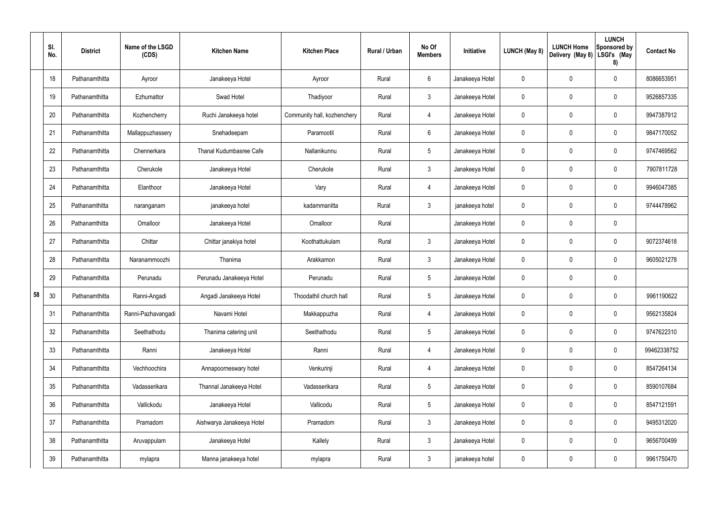|    | SI.<br>No. | <b>District</b> | Name of the LSGD<br>(CDS) | <b>Kitchen Name</b>            | <b>Kitchen Place</b>        | Rural / Urban | No Of<br><b>Members</b> | Initiative      | <b>LUNCH (May 8)</b> | <b>LUNCH Home</b><br>Delivery (May 8) | <b>LUNCH</b><br>Sponsored by<br>LSGI's (May<br>8) | <b>Contact No</b> |
|----|------------|-----------------|---------------------------|--------------------------------|-----------------------------|---------------|-------------------------|-----------------|----------------------|---------------------------------------|---------------------------------------------------|-------------------|
|    | 18         | Pathanamthitta  | Ayroor                    | Janakeeya Hotel                | Ayroor                      | Rural         | $6\phantom{.}6$         | Janakeeya Hotel | 0                    | 0                                     | $\mathbf 0$                                       | 8086653951        |
|    | 19         | Pathanamthitta  | Ezhumattor                | Swad Hotel                     | Thadiyoor                   | Rural         | $\mathbf{3}$            | Janakeeya Hotel | $\mathbf 0$          | 0                                     | $\boldsymbol{0}$                                  | 9526857335        |
|    | 20         | Pathanamthitta  | Kozhencherry              | Ruchi Janakeeya hotel          | Community hall, kozhenchery | Rural         | 4                       | Janakeeya Hotel | 0                    | 0                                     | $\mathbf 0$                                       | 9947387912        |
|    | 21         | Pathanamthitta  | Mallappuzhassery          | Snehadeepam                    | Paramootil                  | Rural         | $6\phantom{.}6$         | Janakeeya Hotel | $\mathbf 0$          | 0                                     | $\mathbf 0$                                       | 9847170052        |
|    | 22         | Pathanamthitta  | Chennerkara               | <b>Thanal Kudumbasree Cafe</b> | Nallanikunnu                | Rural         | $5\phantom{.0}$         | Janakeeya Hotel | 0                    | 0                                     | $\mathbf 0$                                       | 9747469562        |
|    | 23         | Pathanamthitta  | Cherukole                 | Janakeeya Hotel                | Cherukole                   | Rural         | $\mathbf{3}$            | Janakeeya Hotel | $\mathbf 0$          | 0                                     | $\mathbf 0$                                       | 7907811728        |
|    | 24         | Pathanamthitta  | Elanthoor                 | Janakeeya Hotel                | Vary                        | Rural         | 4                       | Janakeeya Hotel | 0                    | 0                                     | $\mathbf 0$                                       | 9946047385        |
|    | 25         | Pathanamthitta  | naranganam                | janakeeya hotel                | kadammanitta                | Rural         | $\mathbf{3}$            | janakeeya hotel | 0                    | 0                                     | $\mathbf 0$                                       | 9744478962        |
|    | 26         | Pathanamthitta  | Omalloor                  | Janakeeya Hotel                | Omalloor                    | Rural         |                         | Janakeeya Hotel | 0                    | 0                                     | $\boldsymbol{0}$                                  |                   |
|    | 27         | Pathanamthitta  | Chittar                   | Chittar janakiya hotel         | Koothattukulam              | Rural         | $\mathbf{3}$            | Janakeeya Hotel | 0                    | 0                                     | $\boldsymbol{0}$                                  | 9072374618        |
|    | 28         | Pathanamthitta  | Naranammoozhi             | Thanima                        | Arakkamon                   | Rural         | $\mathbf{3}$            | Janakeeya Hotel | 0                    | 0                                     | $\mathbf 0$                                       | 9605021278        |
|    | 29         | Pathanamthitta  | Perunadu                  | Perunadu Janakeeya Hotel       | Perunadu                    | Rural         | $5\phantom{.0}$         | Janakeeya Hotel | 0                    | 0                                     | $\pmb{0}$                                         |                   |
| 58 | 30         | Pathanamthitta  | Ranni-Angadi              | Angadi Janakeeya Hotel         | Thoodathil church hall      | Rural         | $5\phantom{.0}$         | Janakeeya Hotel | 0                    | 0                                     | $\mathbf 0$                                       | 9961190622        |
|    | 31         | Pathanamthitta  | Ranni-Pazhavangadi        | Navami Hotel                   | Makkappuzha                 | Rural         | 4                       | Janakeeya Hotel | $\mathbf 0$          | 0                                     | $\pmb{0}$                                         | 9562135824        |
|    | 32         | Pathanamthitta  | Seethathodu               | Thanima catering unit          | Seethathodu                 | Rural         | $5\phantom{.0}$         | Janakeeya Hotel | $\mathbf 0$          | 0                                     | $\pmb{0}$                                         | 9747622310        |
|    | 33         | Pathanamthitta  | Ranni                     | Janakeeya Hotel                | Ranni                       | Rural         | $\overline{4}$          | Janakeeya Hotel | 0                    | 0                                     | $\mathbf 0$                                       | 99462338752       |
|    | 34         | Pathanamthitta  | Vechhoochira              | Annapoorneswary hotel          | Venkurinji                  | Rural         | $\overline{4}$          | Janakeeya Hotel | 0                    | 0                                     | $\pmb{0}$                                         | 8547264134        |
|    | 35         | Pathanamthitta  | Vadasserikara             | Thannal Janakeeya Hotel        | Vadasserikara               | Rural         | $5\,$                   | Janakeeya Hotel | 0                    | 0                                     | $\pmb{0}$                                         | 8590107684        |
|    | 36         | Pathanamthitta  | Vallickodu                | Janakeeya Hotel                | Vallicodu                   | Rural         | $5\phantom{.0}$         | Janakeeya Hotel | $\pmb{0}$            | 0                                     | $\pmb{0}$                                         | 8547121591        |
|    | 37         | Pathanamthitta  | Pramadom                  | Aishwarya Janakeeya Hotel      | Pramadom                    | Rural         | $\mathfrak{Z}$          | Janakeeya Hotel | 0                    | 0                                     | $\pmb{0}$                                         | 9495312020        |
|    | 38         | Pathanamthitta  | Aruvappulam               | Janakeeya Hotel                | Kallely                     | Rural         | $\mathbf{3}$            | Janakeeya Hotel | $\mathbf 0$          | $\mathbf 0$                           | $\mathbf 0$                                       | 9656700499        |
|    | 39         | Pathanamthitta  | mylapra                   | Manna janakeeya hotel          | mylapra                     | Rural         | $\mathfrak{Z}$          | janakeeya hotel | 0                    | 0                                     | $\pmb{0}$                                         | 9961750470        |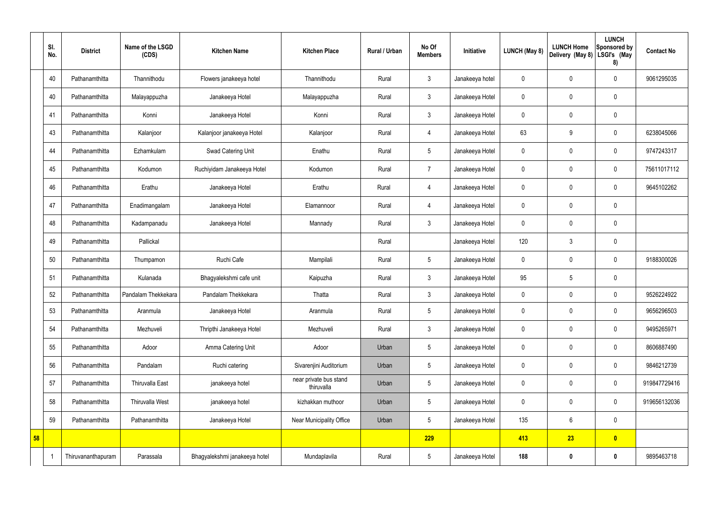|    | SI.<br>No. | <b>District</b>    | Name of the LSGD<br>(CDS) | <b>Kitchen Name</b>           | <b>Kitchen Place</b>                 | Rural / Urban | No Of<br><b>Members</b> | Initiative      | <b>LUNCH (May 8)</b> | <b>LUNCH Home</b><br>Delivery (May 8) | <b>LUNCH</b><br>Sponsored by<br>LSGI's (May<br>8) | <b>Contact No</b> |
|----|------------|--------------------|---------------------------|-------------------------------|--------------------------------------|---------------|-------------------------|-----------------|----------------------|---------------------------------------|---------------------------------------------------|-------------------|
|    | 40         | Pathanamthitta     | Thannithodu               | Flowers janakeeya hotel       | Thannithodu                          | Rural         | $\mathbf{3}$            | Janakeeya hotel | 0                    | 0                                     | $\mathbf 0$                                       | 9061295035        |
|    | 40         | Pathanamthitta     | Malayappuzha              | Janakeeya Hotel               | Malayappuzha                         | Rural         | $\mathbf{3}$            | Janakeeya Hotel | 0                    | 0                                     | $\pmb{0}$                                         |                   |
|    | 41         | Pathanamthitta     | Konni                     | Janakeeya Hotel               | Konni                                | Rural         | $\mathbf{3}$            | Janakeeya Hotel | 0                    | 0                                     | $\mathbf 0$                                       |                   |
|    | 43         | Pathanamthitta     | Kalanjoor                 | Kalanjoor janakeeya Hotel     | Kalanjoor                            | Rural         | 4                       | Janakeeya Hotel | 63                   | 9                                     | $\pmb{0}$                                         | 6238045066        |
|    | 44         | Pathanamthitta     | Ezhamkulam                | Swad Catering Unit            | Enathu                               | Rural         | $5\phantom{.0}$         | Janakeeya Hotel | 0                    | 0                                     | $\mathbf 0$                                       | 9747243317        |
|    | 45         | Pathanamthitta     | Kodumon                   | Ruchiyidam Janakeeya Hotel    | Kodumon                              | Rural         | $\overline{7}$          | Janakeeya Hotel | 0                    | 0                                     | $\mathbf 0$                                       | 75611017112       |
|    | 46         | Pathanamthitta     | Erathu                    | Janakeeya Hotel               | Erathu                               | Rural         | 4                       | Janakeeya Hotel | 0                    | 0                                     | $\mathbf 0$                                       | 9645102262        |
|    | 47         | Pathanamthitta     | Enadimangalam             | Janakeeya Hotel               | Elamannoor                           | Rural         | 4                       | Janakeeya Hotel | 0                    | 0                                     | $\mathbf 0$                                       |                   |
|    | 48         | Pathanamthitta     | Kadampanadu               | Janakeeya Hotel               | Mannady                              | Rural         | $\mathbf{3}$            | Janakeeya Hotel | 0                    | 0                                     | $\mathbf 0$                                       |                   |
|    | 49         | Pathanamthitta     | Pallickal                 |                               |                                      | Rural         |                         | Janakeeya Hotel | 120                  | 3                                     | $\mathbf 0$                                       |                   |
|    | 50         | Pathanamthitta     | Thumpamon                 | Ruchi Cafe                    | Mampilali                            | Rural         | $5\overline{)}$         | Janakeeya Hotel | 0                    | 0                                     | $\mathbf 0$                                       | 9188300026        |
|    | 51         | Pathanamthitta     | Kulanada                  | Bhagyalekshmi cafe unit       | Kaipuzha                             | Rural         | $\mathbf{3}$            | Janakeeya Hotel | 95                   | $5\phantom{.0}$                       | $\pmb{0}$                                         |                   |
|    | 52         | Pathanamthitta     | Pandalam Thekkekara       | Pandalam Thekkekara           | Thatta                               | Rural         | $\mathbf{3}$            | Janakeeya Hotel | 0                    | $\boldsymbol{0}$                      | $\mathbf 0$                                       | 9526224922        |
|    | 53         | Pathanamthitta     | Aranmula                  | Janakeeya Hotel               | Aranmula                             | Rural         | $5\phantom{.0}$         | Janakeeya Hotel | $\mathbf 0$          | 0                                     | $\boldsymbol{0}$                                  | 9656296503        |
|    | 54         | Pathanamthitta     | Mezhuveli                 | Thripthi Janakeeya Hotel      | Mezhuveli                            | Rural         | 3                       | Janakeeya Hotel | 0                    | 0                                     | $\mathbf 0$                                       | 9495265971        |
|    | 55         | Pathanamthitta     | Adoor                     | Amma Catering Unit            | Adoor                                | Urban         | $5\overline{)}$         | Janakeeya Hotel | 0                    | 0                                     | $\mathbf 0$                                       | 8606887490        |
|    | 56         | Pathanamthitta     | Pandalam                  | Ruchi catering                | Sivarenjini Auditorium               | Urban         | $5\phantom{.0}$         | Janakeeya Hotel | 0                    | 0                                     | $\mathbf 0$                                       | 9846212739        |
|    | 57         | Pathanamthitta     | Thiruvalla East           | janakeeya hotel               | near private bus stand<br>thiruvalla | Urban         | 5                       | Janakeeya Hotel | 0                    | $\mathbf 0$                           | $\mathbf 0$                                       | 919847729416      |
|    | 58         | Pathanamthitta     | <b>Thiruvalla West</b>    | janakeeya hotel               | kizhakkan muthoor                    | Urban         | $5\phantom{.0}$         | Janakeeya Hotel | 0                    | 0                                     | $\mathbf 0$                                       | 919656132036      |
|    | 59         | Pathanamthitta     | Pathanamthitta            | Janakeeya Hotel               | Near Municipality Office             | Urban         | $5\phantom{.0}$         | Janakeeya Hotel | 135                  | 6                                     | $\pmb{0}$                                         |                   |
| 58 |            |                    |                           |                               |                                      |               | 229                     |                 | 413                  | 23                                    | $\bullet$                                         |                   |
|    | -1         | Thiruvananthapuram | Parassala                 | Bhagyalekshmi janakeeya hotel | Mundaplavila                         | Rural         | $5\overline{)}$         | Janakeeya Hotel | 188                  | $\boldsymbol{0}$                      | $\mathbf 0$                                       | 9895463718        |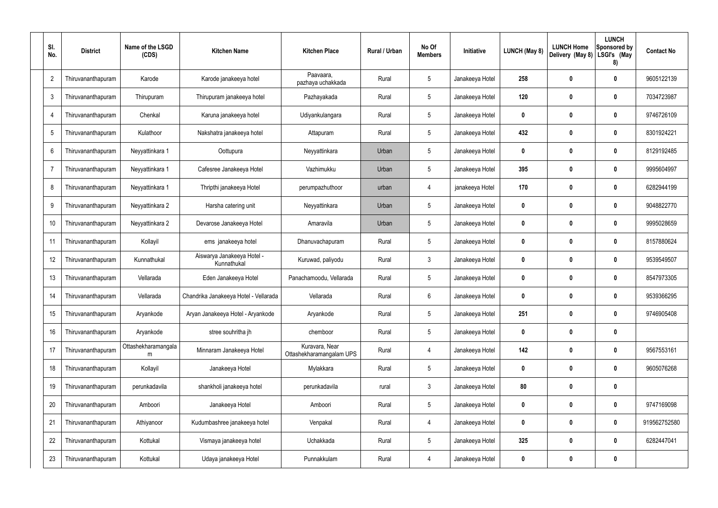| SI.<br>No.     | <b>District</b>    | Name of the LSGD<br>(CDS) | <b>Kitchen Name</b>                       | <b>Kitchen Place</b>                       | Rural / Urban | No Of<br><b>Members</b> | Initiative      | <b>LUNCH (May 8)</b> | <b>LUNCH Home</b><br>Delivery (May 8) | <b>LUNCH</b><br>Sponsored by<br>LSGI's (May<br>8) | <b>Contact No</b> |
|----------------|--------------------|---------------------------|-------------------------------------------|--------------------------------------------|---------------|-------------------------|-----------------|----------------------|---------------------------------------|---------------------------------------------------|-------------------|
| $\overline{2}$ | Thiruvananthapuram | Karode                    | Karode janakeeya hotel                    | Paavaara,<br>pazhaya uchakkada             | Rural         | 5                       | Janakeeya Hotel | 258                  | $\boldsymbol{0}$                      | $\boldsymbol{0}$                                  | 9605122139        |
| 3              | Thiruvananthapuram | Thirupuram                | Thirupuram janakeeya hotel                | Pazhayakada                                | Rural         | $5\phantom{.0}$         | Janakeeya Hotel | 120                  | $\mathbf 0$                           | $\boldsymbol{0}$                                  | 7034723987        |
| $\sqrt{2}$     | Thiruvananthapuram | Chenkal                   | Karuna janakeeya hotel                    | Udiyankulangara                            | Rural         | $5\phantom{.0}$         | Janakeeya Hotel | 0                    | $\boldsymbol{0}$                      | $\boldsymbol{0}$                                  | 9746726109        |
| 5              | Thiruvananthapuram | Kulathoor                 | Nakshatra janakeeya hotel                 | Attapuram                                  | Rural         | $5\phantom{.0}$         | Janakeeya Hotel | 432                  | $\mathbf 0$                           | $\mathbf 0$                                       | 8301924221        |
| 6              | Thiruvananthapuram | Neyyattinkara 1           | Oottupura                                 | Neyyattinkara                              | Urban         | 5                       | Janakeeya Hotel | $\mathbf{0}$         | $\boldsymbol{0}$                      | $\mathbf 0$                                       | 8129192485        |
|                | Thiruvananthapuram | Neyyattinkara 1           | Cafesree Janakeeya Hotel                  | Vazhimukku                                 | Urban         | $5\phantom{.0}$         | Janakeeya Hotel | 395                  | $\mathbf 0$                           | $\mathbf 0$                                       | 9995604997        |
| 8              | Thiruvananthapuram | Neyyattinkara 1           | Thripthi janakeeya Hotel                  | perumpazhuthoor                            | urban         | $\overline{4}$          | janakeeya Hotel | 170                  | $\boldsymbol{0}$                      | $\boldsymbol{0}$                                  | 6282944199        |
| 9              | Thiruvananthapuram | Neyyattinkara 2           | Harsha catering unit                      | Neyyattinkara                              | Urban         | $5\phantom{.0}$         | Janakeeya Hotel | $\mathbf{0}$         | $\boldsymbol{0}$                      | $\mathbf 0$                                       | 9048822770        |
| 10             | Thiruvananthapuram | Neyyattinkara 2           | Devarose Janakeeya Hotel                  | Amaravila                                  | Urban         | $5\phantom{.0}$         | Janakeeya Hotel | $\mathbf{0}$         | $\boldsymbol{0}$                      | $\mathbf 0$                                       | 9995028659        |
|                | Thiruvananthapuram | Kollayil                  | ems janakeeya hotel                       | Dhanuvachapuram                            | Rural         | $5\phantom{.0}$         | Janakeeya Hotel | $\mathbf{0}$         | $\mathbf 0$                           | $\mathbf 0$                                       | 8157880624        |
| 12             | Thiruvananthapuram | Kunnathukal               | Aiswarya Janakeeya Hotel -<br>Kunnathukal | Kuruwad, paliyodu                          | Rural         | $\mathbf{3}$            | Janakeeya Hotel | $\mathbf{0}$         | $\mathbf 0$                           | $\boldsymbol{0}$                                  | 9539549507        |
| 13             | Thiruvananthapuram | Vellarada                 | Eden Janakeeya Hotel                      | Panachamoodu, Vellarada                    | Rural         | 5                       | Janakeeya Hotel | $\mathbf{0}$         | $\boldsymbol{0}$                      | $\boldsymbol{0}$                                  | 8547973305        |
| 14             | Thiruvananthapuram | Vellarada                 | Chandrika Janakeeya Hotel - Vellarada     | Vellarada                                  | Rural         | $6\phantom{.}6$         | Janakeeya Hotel | 0                    | $\boldsymbol{0}$                      | 0                                                 | 9539366295        |
| 15             | Thiruvananthapuram | Aryankode                 | Aryan Janakeeya Hotel - Aryankode         | Aryankode                                  | Rural         | $5\phantom{.0}$         | Janakeeya Hotel | 251                  | $\boldsymbol{0}$                      | $\mathbf 0$                                       | 9746905408        |
| 16             | Thiruvananthapuram | Aryankode                 | stree souhritha jh                        | chemboor                                   | Rural         | $5\phantom{.0}$         | Janakeeya Hotel | $\boldsymbol{0}$     | $\boldsymbol{0}$                      | $\pmb{0}$                                         |                   |
| 17             | Thiruvananthapuram | Ottashekharamangala<br>m  | Minnaram Janakeeya Hotel                  | Kuravara, Near<br>Ottashekharamangalam UPS | Rural         | $\overline{4}$          | Janakeeya Hotel | 142                  | $\boldsymbol{0}$                      | $\pmb{0}$                                         | 9567553161        |
| 18             | Thiruvananthapuram | Kollayil                  | Janakeeya Hotel                           | Mylakkara                                  | Rural         | $5\phantom{.0}$         | Janakeeya Hotel | $\boldsymbol{0}$     | $\mathbf 0$                           | $\pmb{0}$                                         | 9605076268        |
| 19             | Thiruvananthapuram | perunkadavila             | shankholi janakeeya hotel                 | perunkadavila                              | rural         | $\mathbf{3}$            | Janakeeya Hotel | 80                   | $\boldsymbol{0}$                      | $\pmb{0}$                                         |                   |
| 20             | Thiruvananthapuram | Amboori                   | Janakeeya Hotel                           | Amboori                                    | Rural         | $5\phantom{.0}$         | Janakeeya Hotel | $\mathbf{0}$         | $\boldsymbol{0}$                      | $\mathbf 0$                                       | 9747169098        |
| 21             | Thiruvananthapuram | Athiyanoor                | Kudumbashree janakeeya hotel              | Venpakal                                   | Rural         | $\overline{4}$          | Janakeeya Hotel | 0                    | $\boldsymbol{0}$                      | $\pmb{0}$                                         | 919562752580      |
| 22             | Thiruvananthapuram | Kottukal                  | Vismaya janakeeya hotel                   | Uchakkada                                  | Rural         | $5\phantom{.0}$         | Janakeeya Hotel | 325                  | $\mathbf 0$                           | $\pmb{0}$                                         | 6282447041        |
| 23             | Thiruvananthapuram | Kottukal                  | Udaya janakeeya Hotel                     | Punnakkulam                                | Rural         | $\overline{4}$          | Janakeeya Hotel | 0                    | $\boldsymbol{0}$                      | $\boldsymbol{0}$                                  |                   |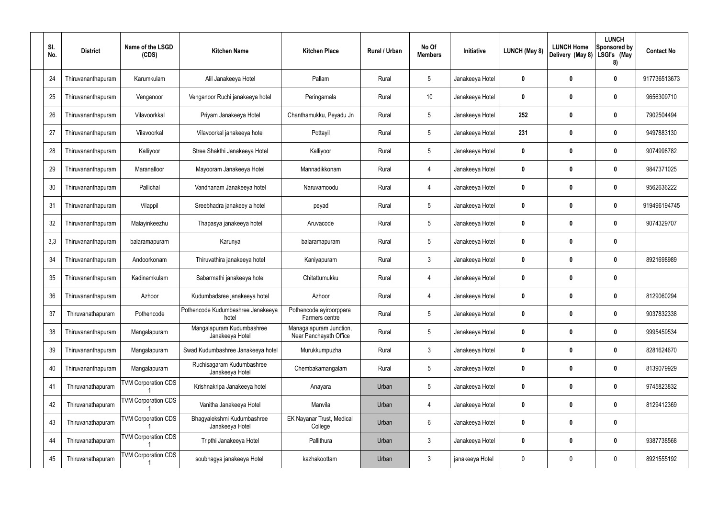| SI.<br>No. | <b>District</b>    | Name of the LSGD<br>(CDS)  | <b>Kitchen Name</b>                           | <b>Kitchen Place</b>                              | <b>Rural / Urban</b> | No Of<br><b>Members</b> | Initiative      | LUNCH (May 8)    | <b>LUNCH Home</b><br>Delivery (May 8) | <b>LUNCH</b><br>Sponsored by<br>LSGI's (May<br>8) | <b>Contact No</b> |
|------------|--------------------|----------------------------|-----------------------------------------------|---------------------------------------------------|----------------------|-------------------------|-----------------|------------------|---------------------------------------|---------------------------------------------------|-------------------|
| 24         | Thiruvananthapuram | Karumkulam                 | Alil Janakeeya Hotel                          | Pallam                                            | Rural                | $5\phantom{.0}$         | Janakeeya Hotel | 0                | 0                                     | $\mathbf 0$                                       | 917736513673      |
| 25         | Thiruvananthapuram | Venganoor                  | Venganoor Ruchi janakeeya hotel               | Peringamala                                       | Rural                | 10 <sup>°</sup>         | Janakeeya Hotel | 0                | 0                                     | $\boldsymbol{0}$                                  | 9656309710        |
| 26         | Thiruvananthapuram | Vilavoorkkal               | Priyam Janakeeya Hotel                        | Chanthamukku, Peyadu Jn                           | Rural                | $5\phantom{.0}$         | Janakeeya Hotel | 252              | 0                                     | $\mathbf 0$                                       | 7902504494        |
| 27         | Thiruvananthapuram | Vilavoorkal                | Vilavoorkal janakeeya hotel                   | Pottayil                                          | Rural                | $5\phantom{.0}$         | Janakeeya Hotel | 231              | 0                                     | $\mathbf 0$                                       | 9497883130        |
| 28         | Thiruvananthapuram | Kalliyoor                  | Stree Shakthi Janakeeya Hotel                 | Kalliyoor                                         | Rural                | $5\phantom{.0}$         | Janakeeya Hotel | 0                | 0                                     | $\mathbf 0$                                       | 9074998782        |
| 29         | Thiruvananthapuram | Maranalloor                | Mayooram Janakeeya Hotel                      | Mannadikkonam                                     | Rural                | 4                       | Janakeeya Hotel | 0                | 0                                     | $\mathbf 0$                                       | 9847371025        |
| 30         | Thiruvananthapuram | Pallichal                  | Vandhanam Janakeeya hotel                     | Naruvamoodu                                       | Rural                | $\overline{4}$          | Janakeeya Hotel | 0                | 0                                     | $\mathbf 0$                                       | 9562636222        |
| 31         | Thiruvananthapuram | Vilappil                   | Sreebhadra janakeey a hotel                   | peyad                                             | Rural                | $5\phantom{.0}$         | Janakeeya Hotel | 0                | 0                                     | $\mathbf 0$                                       | 919496194745      |
| 32         | Thiruvananthapuram | Malayinkeezhu              | Thapasya janakeeya hotel                      | Aruvacode                                         | Rural                | $5\phantom{.0}$         | Janakeeya Hotel | 0                | 0                                     | $\mathbf 0$                                       | 9074329707        |
| 3,3        | Thiruvananthapuram | balaramapuram              | Karunya                                       | balaramapuram                                     | Rural                | $5\phantom{.0}$         | Janakeeya Hotel | 0                | 0                                     | $\mathbf 0$                                       |                   |
| 34         | Thiruvananthapuram | Andoorkonam                | Thiruvathira janakeeya hotel                  | Kaniyapuram                                       | Rural                | $\mathbf{3}$            | Janakeeya Hotel | 0                | 0                                     | $\mathbf 0$                                       | 8921698989        |
| 35         | Thiruvananthapuram | Kadinamkulam               | Sabarmathi janakeeya hotel                    | Chitattumukku                                     | Rural                | 4                       | Janakeeya Hotel | 0                | 0                                     | $\mathbf 0$                                       |                   |
| 36         | Thiruvananthapuram | Azhoor                     | Kudumbadsree janakeeya hotel                  | Azhoor                                            | Rural                | 4                       | Janakeeya Hotel | 0                | 0                                     | 0                                                 | 8129060294        |
| 37         | Thiruvanathapuram  | Pothencode                 | Pothencode Kudumbashree Janakeeya<br>hotel    | Pothencode ayiroorppara<br>Farmers centre         | Rural                | $5\phantom{.0}$         | Janakeeya Hotel | $\boldsymbol{0}$ | 0                                     | $\mathbf 0$                                       | 9037832338        |
| 38         | Thiruvananthapuram | Mangalapuram               | Mangalapuram Kudumbashree<br>Janakeeya Hotel  | Managalapuram Junction,<br>Near Panchayath Office | Rural                | $5\phantom{.0}$         | Janakeeya Hotel | 0                | $\boldsymbol{0}$                      | $\pmb{0}$                                         | 9995459534        |
| 39         | Thiruvananthapuram | Mangalapuram               | Swad Kudumbashree Janakeeya hotel             | Murukkumpuzha                                     | Rural                | $\mathbf{3}$            | Janakeeya Hotel | 0                | 0                                     | $\mathbf 0$                                       | 8281624670        |
| 40         | Thiruvananthapuram | Mangalapuram               | Ruchisagaram Kudumbashree<br>Janakeeya Hotel  | Chembakamangalam                                  | Rural                | $5\phantom{.0}$         | Janakeeya Hotel | 0                | $\boldsymbol{0}$                      | $\pmb{0}$                                         | 8139079929        |
| 41         | Thiruvanathapuram  | <b>TVM Corporation CDS</b> | Krishnakripa Janakeeya hotel                  | Anayara                                           | Urban                | $5\phantom{.0}$         | Janakeeya Hotel | 0                | 0                                     | $\mathbf 0$                                       | 9745823832        |
| 42         | Thiruvanathapuram  | <b>TVM Corporation CDS</b> | Vanitha Janakeeya Hotel                       | Manvila                                           | Urban                | $\overline{4}$          | Janakeeya Hotel | 0                | $\boldsymbol{0}$                      | $\pmb{0}$                                         | 8129412369        |
| 43         | Thiruvanathapuram  | <b>TVM Corporation CDS</b> | Bhagyalekshmi Kudumbashree<br>Janakeeya Hotel | EK Nayanar Trust, Medical<br>College              | Urban                | 6                       | Janakeeya Hotel | 0                | 0                                     | $\pmb{0}$                                         |                   |
| 44         | Thiruvanathapuram  | <b>TVM Corporation CDS</b> | Tripthi Janakeeya Hotel                       | Pallithura                                        | Urban                | $\mathbf{3}$            | Janakeeya Hotel | 0                | $\boldsymbol{0}$                      | $\pmb{0}$                                         | 9387738568        |
| 45         | Thiruvanathapuram  | <b>TVM Corporation CDS</b> | soubhagya janakeeya Hotel                     | kazhakoottam                                      | Urban                | $\mathbf{3}$            | janakeeya Hotel | 0                | 0                                     | $\pmb{0}$                                         | 8921555192        |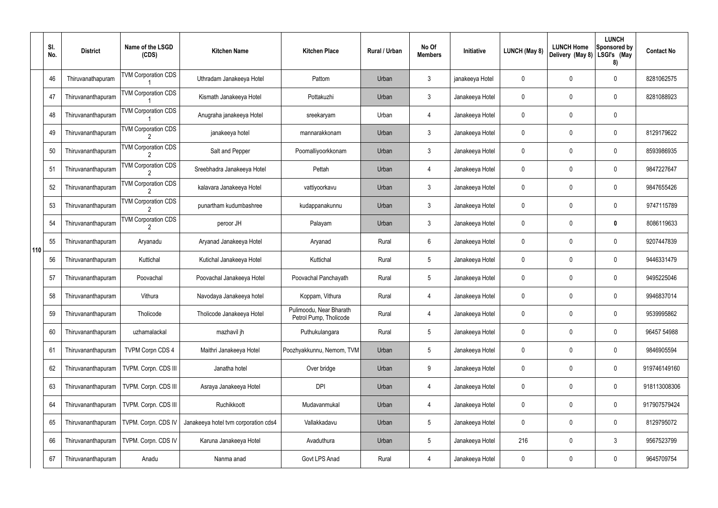|     | SI.<br>No. | <b>District</b>    | Name of the LSGD<br>(CDS)                   | <b>Kitchen Name</b>                  | <b>Kitchen Place</b>                              | <b>Rural / Urban</b> | No Of<br><b>Members</b> | Initiative      | LUNCH (May 8) | <b>LUNCH Home</b><br>Delivery (May 8) | <b>LUNCH</b><br>Sponsored by<br>LSGI's (May<br>8) | <b>Contact No</b> |
|-----|------------|--------------------|---------------------------------------------|--------------------------------------|---------------------------------------------------|----------------------|-------------------------|-----------------|---------------|---------------------------------------|---------------------------------------------------|-------------------|
|     | 46         | Thiruvanathapuram  | <b>TVM Corporation CDS</b>                  | Uthradam Janakeeya Hotel             | Pattom                                            | Urban                | $\mathfrak{Z}$          | janakeeya Hotel | 0             | $\mathbf 0$                           | $\mathbf 0$                                       | 8281062575        |
|     | 47         | Thiruvananthapuram | <b>TVM Corporation CDS</b>                  | Kismath Janakeeya Hotel              | Pottakuzhi                                        | Urban                | $\mathfrak{Z}$          | Janakeeya Hotel | 0             | $\mathbf 0$                           | 0                                                 | 8281088923        |
|     | 48         | Thiruvananthapuram | <b>TVM Corporation CDS</b>                  | Anugraha janakeeya Hotel             | sreekaryam                                        | Urban                | 4                       | Janakeeya Hotel | 0             | $\mathbf 0$                           | $\mathbf 0$                                       |                   |
|     | 49         | Thiruvananthapuram | <b>TVM Corporation CDS</b>                  | janakeeya hotel                      | mannarakkonam                                     | Urban                | $\mathbf{3}$            | Janakeeya Hotel | 0             | $\mathbf 0$                           | 0                                                 | 8129179622        |
|     | 50         | Thiruvananthapuram | <b>TVM Corporation CDS</b><br>$\mathcal{D}$ | Salt and Pepper                      | Poomalliyoorkkonam                                | Urban                | $\mathbf{3}$            | Janakeeya Hotel | 0             | $\mathbf 0$                           | $\mathbf 0$                                       | 8593986935        |
|     | 51         | Thiruvananthapuram | <b>TVM Corporation CDS</b>                  | Sreebhadra Janakeeya Hotel           | Pettah                                            | Urban                | 4                       | Janakeeya Hotel | 0             | $\mathbf 0$                           | $\mathbf 0$                                       | 9847227647        |
|     | 52         | Thiruvananthapuram | <b>TVM Corporation CDS</b><br>$\mathcal{D}$ | kalavara Janakeeya Hotel             | vattiyoorkavu                                     | Urban                | $\mathbf{3}$            | Janakeeya Hotel | 0             | $\mathbf 0$                           | $\mathbf 0$                                       | 9847655426        |
|     | 53         | Thiruvananthapuram | <b>TVM Corporation CDS</b>                  | punartham kudumbashree               | kudappanakunnu                                    | Urban                | $\mathbf{3}$            | Janakeeya Hotel | 0             | $\mathbf 0$                           | $\mathbf 0$                                       | 9747115789        |
|     | 54         | Thiruvananthapuram | <b>TVM Corporation CDS</b><br>2             | peroor JH                            | Palayam                                           | Urban                | $\mathfrak{Z}$          | Janakeeya Hotel | 0             | $\mathbf 0$                           | $\mathbf 0$                                       | 8086119633        |
| 110 | 55         | Thiruvananthapuram | Aryanadu                                    | Aryanad Janakeeya Hotel              | Aryanad                                           | Rural                | $6\phantom{.}$          | Janakeeya Hotel | 0             | 0                                     | $\mathbf 0$                                       | 9207447839        |
|     | 56         | Thiruvananthapuram | Kuttichal                                   | Kutichal Janakeeya Hotel             | Kuttichal                                         | Rural                | $5\phantom{.0}$         | Janakeeya Hotel | 0             | $\boldsymbol{0}$                      | $\mathbf 0$                                       | 9446331479        |
|     | 57         | Thiruvananthapuram | Poovachal                                   | Poovachal Janakeeya Hotel            | Poovachal Panchayath                              | Rural                | $5\phantom{.0}$         | Janakeeya Hotel | 0             | $\mathbf 0$                           | $\mathbf 0$                                       | 9495225046        |
|     | 58         | Thiruvananthapuram | Vithura                                     | Navodaya Janakeeya hotel             | Koppam, Vithura                                   | Rural                | 4                       | Janakeeya Hotel | 0             | $\mathbf 0$                           | $\mathbf 0$                                       | 9946837014        |
|     | 59         | Thiruvananthapuram | Tholicode                                   | Tholicode Janakeeya Hotel            | Pulimoodu, Near Bharath<br>Petrol Pump, Tholicode | Rural                | $\overline{4}$          | Janakeeya Hotel | 0             | $\mathbf 0$                           | $\mathbf 0$                                       | 9539995862        |
|     | 60         | Thiruvananthapuram | uzhamalackal                                | mazhavil jh                          | Puthukulangara                                    | Rural                | $5\phantom{.0}$         | Janakeeya Hotel | 0             | $\mathbf 0$                           | $\boldsymbol{0}$                                  | 96457 54988       |
|     | 61         | Thiruvananthapuram | <b>TVPM Corpn CDS 4</b>                     | Maithri Janakeeya Hotel              | Poozhyakkunnu, Nemom, TVM                         | Urban                | $5\phantom{.0}$         | Janakeeya Hotel | 0             | $\mathbf 0$                           | $\pmb{0}$                                         | 9846905594        |
|     | 62         | Thiruvananthapuram | TVPM. Corpn. CDS III                        | Janatha hotel                        | Over bridge                                       | Urban                | 9                       | Janakeeya Hotel | 0             | $\mathbf 0$                           | $\pmb{0}$                                         | 919746149160      |
|     | 63         | Thiruvananthapuram | TVPM. Corpn. CDS III                        | Asraya Janakeeya Hotel               | <b>DPI</b>                                        | Urban                | 4                       | Janakeeya Hotel | 0             | $\boldsymbol{0}$                      | $\pmb{0}$                                         | 918113008306      |
|     | 64         | Thiruvananthapuram | TVPM. Corpn. CDS III                        | Ruchikkoott                          | Mudavanmukal                                      | Urban                | $\overline{4}$          | Janakeeya Hotel | 0             | $\pmb{0}$                             | $\pmb{0}$                                         | 917907579424      |
|     | 65         | Thiruvananthapuram | TVPM. Corpn. CDS IV                         | Janakeeya hotel tvm corporation cds4 | Vallakkadavu                                      | Urban                | $\overline{5}$          | Janakeeya Hotel | 0             | $\pmb{0}$                             | $\pmb{0}$                                         | 8129795072        |
|     | 66         | Thiruvananthapuram | TVPM. Corpn. CDS IV                         | Karuna Janakeeya Hotel               | Avaduthura                                        | Urban                | $5\phantom{.0}$         | Janakeeya Hotel | 216           | $\pmb{0}$                             | $\mathfrak{Z}$                                    | 9567523799        |
|     | 67         | Thiruvananthapuram | Anadu                                       | Nanma anad                           | Govt LPS Anad                                     | Rural                | 4                       | Janakeeya Hotel | 0             | $\pmb{0}$                             | $\pmb{0}$                                         | 9645709754        |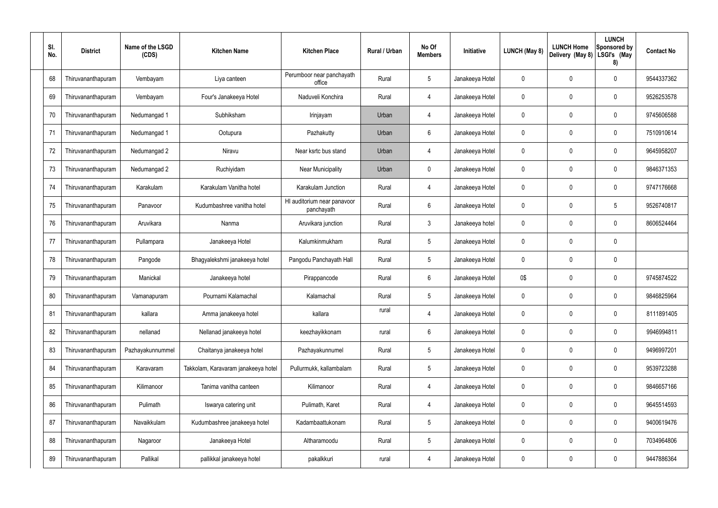| SI.<br>No. | <b>District</b>    | Name of the LSGD<br>(CDS) | <b>Kitchen Name</b>                 | <b>Kitchen Place</b>                      | Rural / Urban | No Of<br><b>Members</b> | Initiative      | LUNCH (May 8) | <b>LUNCH Home</b><br>Delivery (May 8) | <b>LUNCH</b><br>Sponsored by<br>LSGI's (May<br>8) | <b>Contact No</b> |
|------------|--------------------|---------------------------|-------------------------------------|-------------------------------------------|---------------|-------------------------|-----------------|---------------|---------------------------------------|---------------------------------------------------|-------------------|
| 68         | Thiruvananthapuram | Vembayam                  | Liya canteen                        | Perumboor near panchayath<br>office       | Rural         | 5                       | Janakeeya Hotel | 0             | 0                                     | 0                                                 | 9544337362        |
| 69         | Thiruvananthapuram | Vembayam                  | Four's Janakeeya Hotel              | Naduveli Konchira                         | Rural         | 4                       | Janakeeya Hotel | 0             | 0                                     | 0                                                 | 9526253578        |
| 70         | Thiruvananthapuram | Nedumangad 1              | Subhiksham                          | Irinjayam                                 | Urban         | 4                       | Janakeeya Hotel | 0             | 0                                     | 0                                                 | 9745606588        |
| 71         | Thiruvananthapuram | Nedumangad 1              | Ootupura                            | Pazhakutty                                | Urban         | $6\phantom{.}$          | Janakeeya Hotel | 0             | 0                                     | 0                                                 | 7510910614        |
| 72         | Thiruvananthapuram | Nedumangad 2              | Niravu                              | Near ksrtc bus stand                      | Urban         | 4                       | Janakeeya Hotel | 0             | 0                                     | 0                                                 | 9645958207        |
| 73         | Thiruvananthapuram | Nedumangad 2              | Ruchiyidam                          | <b>Near Municipality</b>                  | Urban         | $\mathbf 0$             | Janakeeya Hotel | 0             | 0                                     | 0                                                 | 9846371353        |
| 74         | Thiruvananthapuram | Karakulam                 | Karakulam Vanitha hotel             | Karakulam Junction                        | Rural         | 4                       | Janakeeya Hotel | 0             | 0                                     | 0                                                 | 9747176668        |
| 75         | Thiruvananthapuram | Panavoor                  | Kudumbashree vanitha hotel          | HI auditorium near panavoor<br>panchayath | Rural         | $6\phantom{.}$          | Janakeeya Hotel | 0             | 0                                     | 5                                                 | 9526740817        |
| 76         | Thiruvananthapuram | Aruvikara                 | Nanma                               | Aruvikara junction                        | Rural         | $\mathbf{3}$            | Janakeeya hotel | 0             | 0                                     | 0                                                 | 8606524464        |
| 77         | Thiruvananthapuram | Pullampara                | Janakeeya Hotel                     | Kalumkinmukham                            | Rural         | $5\phantom{.0}$         | Janakeeya Hotel | 0             | 0                                     | 0                                                 |                   |
| 78         | Thiruvananthapuram | Pangode                   | Bhagyalekshmi janakeeya hotel       | Pangodu Panchayath Hall                   | Rural         | $5\phantom{.0}$         | Janakeeya Hotel | 0             | 0                                     | $\pmb{0}$                                         |                   |
| 79         | Thiruvananthapuram | Manickal                  | Janakeeya hotel                     | Pirappancode                              | Rural         | 6                       | Janakeeya Hotel | 0\$           | 0                                     | 0                                                 | 9745874522        |
| 80         | Thiruvananthapuram | Vamanapuram               | Pournami Kalamachal                 | Kalamachal                                | Rural         | $5\phantom{.0}$         | Janakeeya Hotel | 0             | $\mathbf 0$                           | 0                                                 | 9846825964        |
| 81         | Thiruvananthapuram | kallara                   | Amma janakeeya hotel                | kallara                                   | rural         | 4                       | Janakeeya Hotel | 0             | 0                                     | $\pmb{0}$                                         | 8111891405        |
| 82         | Thiruvananthapuram | nellanad                  | Nellanad janakeeya hotel            | keezhayikkonam                            | rural         | 6                       | Janakeeya Hotel | 0             | 0                                     | 0                                                 | 9946994811        |
| 83         | Thiruvananthapuram | Pazhayakunnummel          | Chaitanya janakeeya hotel           | Pazhayakunnumel                           | Rural         | $5\phantom{.0}$         | Janakeeya Hotel | 0             | 0                                     | $\pmb{0}$                                         | 9496997201        |
| 84         | Thiruvananthapuram | Karavaram                 | Takkolam, Karavaram janakeeya hotel | Pullurmukk, kallambalam                   | Rural         | $5\phantom{.0}$         | Janakeeya Hotel | 0             | 0                                     | $\pmb{0}$                                         | 9539723288        |
| 85         | Thiruvananthapuram | Kilimanoor                | Tanima vanitha canteen              | Kilimanoor                                | Rural         | 4                       | Janakeeya Hotel | 0             | 0                                     | $\pmb{0}$                                         | 9846657166        |
| 86         | Thiruvananthapuram | Pulimath                  | Iswarya catering unit               | Pulimath, Karet                           | Rural         | 4                       | Janakeeya Hotel | 0             | 0                                     | 0                                                 | 9645514593        |
| 87         | Thiruvananthapuram | Navaikkulam               | Kudumbashree janakeeya hotel        | Kadambaattukonam                          | Rural         | $5\phantom{.0}$         | Janakeeya Hotel | 0             | 0                                     | $\pmb{0}$                                         | 9400619476        |
| 88         | Thiruvananthapuram | Nagaroor                  | Janakeeya Hotel                     | Altharamoodu                              | Rural         | $5\phantom{.0}$         | Janakeeya Hotel | 0             | $\mathbf 0$                           | $\pmb{0}$                                         | 7034964806        |
| 89         | Thiruvananthapuram | Pallikal                  | pallikkal janakeeya hotel           | pakalkkuri                                | rural         | 4                       | Janakeeya Hotel | 0             | 0                                     | $\pmb{0}$                                         | 9447886364        |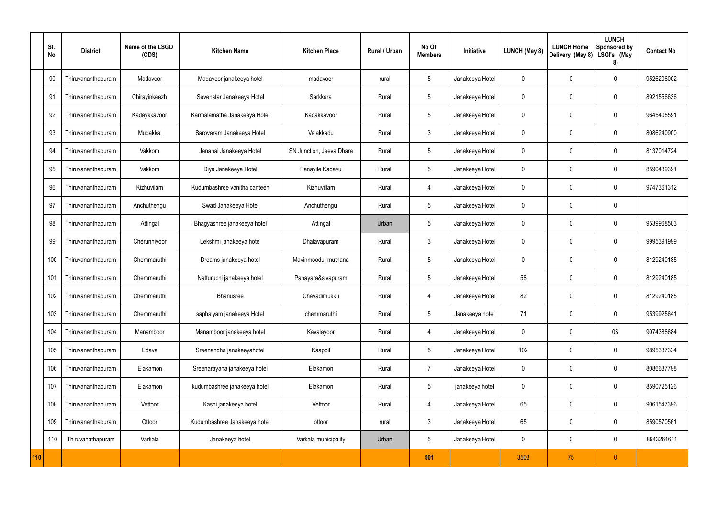|     | SI.<br>No. | <b>District</b>    | Name of the LSGD<br>(CDS) | <b>Kitchen Name</b>          | <b>Kitchen Place</b>     | <b>Rural / Urban</b> | No Of<br><b>Members</b> | Initiative      | LUNCH (May 8) | <b>LUNCH Home</b><br>Delivery (May 8) | <b>LUNCH</b><br>Sponsored by<br>LSGI's (May<br>8) | <b>Contact No</b> |
|-----|------------|--------------------|---------------------------|------------------------------|--------------------------|----------------------|-------------------------|-----------------|---------------|---------------------------------------|---------------------------------------------------|-------------------|
|     | 90         | Thiruvananthapuram | Madavoor                  | Madavoor janakeeya hotel     | madavoor                 | rural                | 5                       | Janakeeya Hotel | 0             | 0                                     | $\mathbf 0$                                       | 9526206002        |
|     | 91         | Thiruvananthapuram | Chirayinkeezh             | Sevenstar Janakeeya Hotel    | Sarkkara                 | Rural                | $5\phantom{.0}$         | Janakeeya Hotel | 0             | $\mathbf 0$                           | 0                                                 | 8921556636        |
|     | 92         | Thiruvananthapuram | Kadaykkavoor              | Karmalamatha Janakeeya Hotel | Kadakkavoor              | Rural                | $5\phantom{.0}$         | Janakeeya Hotel | 0             | $\mathbf{0}$                          | $\mathbf 0$                                       | 9645405591        |
|     | 93         | Thiruvananthapuram | Mudakkal                  | Sarovaram Janakeeya Hotel    | Valakkadu                | Rural                | 3                       | Janakeeya Hotel | 0             | $\mathbf 0$                           | $\mathbf 0$                                       | 8086240900        |
|     | 94         | Thiruvananthapuram | Vakkom                    | Jananai Janakeeya Hotel      | SN Junction, Jeeva Dhara | Rural                | $5\phantom{.0}$         | Janakeeya Hotel | 0             | $\mathbf{0}$                          | $\mathbf 0$                                       | 8137014724        |
|     | 95         | Thiruvananthapuram | Vakkom                    | Diya Janakeeya Hotel         | Panayile Kadavu          | Rural                | $5\phantom{.0}$         | Janakeeya Hotel | 0             | $\mathbf 0$                           | $\mathbf 0$                                       | 8590439391        |
|     | 96         | Thiruvananthapuram | Kizhuvilam                | Kudumbashree vanitha canteen | Kizhuvillam              | Rural                | $\overline{4}$          | Janakeeya Hotel | 0             | $\mathbf{0}$                          | $\mathbf 0$                                       | 9747361312        |
|     | 97         | Thiruvananthapuram | Anchuthengu               | Swad Janakeeya Hotel         | Anchuthengu              | Rural                | 5                       | Janakeeya Hotel | 0             | $\mathbf{0}$                          | $\mathbf 0$                                       |                   |
|     | 98         | Thiruvananthapuram | Attingal                  | Bhagyashree janakeeya hotel  | Attingal                 | Urban                | $5\phantom{.0}$         | Janakeeya Hotel | 0             | $\mathbf{0}$                          | $\mathbf 0$                                       | 9539968503        |
|     | 99         | Thiruvananthapuram | Cherunniyoor              | Lekshmi janakeeya hotel      | Dhalavapuram             | Rural                | 3                       | Janakeeya Hotel | 0             | $\mathbf 0$                           | $\mathbf 0$                                       | 9995391999        |
|     | 100        | Thiruvananthapuram | Chemmaruthi               | Dreams janakeeya hotel       | Mavinmoodu, muthana      | Rural                | 5                       | Janakeeya Hotel | 0             | 0                                     | $\mathbf 0$                                       | 8129240185        |
|     | 101        | Thiruvananthapuram | Chemmaruthi               | Natturuchi janakeeya hotel   | Panayara&sivapuram       | Rural                | 5                       | Janakeeya Hotel | 58            | $\mathbf 0$                           | $\mathbf 0$                                       | 8129240185        |
|     | 102        | Thiruvananthapuram | Chemmaruthi               | Bhanusree                    | Chavadimukku             | Rural                | 4                       | Janakeeya Hotel | 82            | 0                                     | $\mathbf 0$                                       | 8129240185        |
|     | 103        | Thiruvananthapuram | Chemmaruthi               | saphalyam janakeeya Hotel    | chemmaruthi              | Rural                | 5                       | Janakeeya hotel | 71            | $\mathsf{0}$                          | $\pmb{0}$                                         | 9539925641        |
|     | 104        | Thiruvananthapuram | Manamboor                 | Manamboor janakeeya hotel    | Kavalayoor               | Rural                | 4                       | Janakeeya Hotel | 0             | $\mathbf 0$                           | 0\$                                               | 9074388684        |
|     | 105        | Thiruvananthapuram | Edava                     | Sreenandha janakeeyahotel    | Kaappil                  | Rural                | $5\phantom{.0}$         | Janakeeya Hotel | 102           | 0                                     | $\mathbf 0$                                       | 9895337334        |
|     | 106        | Thiruvananthapuram | Elakamon                  | Sreenarayana janakeeya hotel | Elakamon                 | Rural                | $\overline{7}$          | Janakeeya Hotel | 0             | $\mathbf 0$                           | $\mathsf{0}$                                      | 8086637798        |
|     | 107        | Thiruvananthapuram | Elakamon                  | kudumbashree janakeeya hotel | Elakamon                 | Rural                | $5\phantom{.0}$         | janakeeya hotel | 0             | 0                                     | $\mathsf{0}$                                      | 8590725126        |
|     | 108        | Thiruvananthapuram | Vettoor                   | Kashi janakeeya hotel        | Vettoor                  | Rural                | $\overline{4}$          | Janakeeya Hotel | 65            | $\mathbf 0$                           | $\mathsf{0}$                                      | 9061547396        |
|     | 109        | Thiruvananthapuram | Ottoor                    | Kudumbashree Janakeeya hotel | ottoor                   | rural                | $\mathfrak{Z}$          | Janakeeya Hotel | 65            | $\mathsf{0}$                          | $\pmb{0}$                                         | 8590570561        |
|     | 110        | Thiruvanathapuram  | Varkala                   | Janakeeya hotel              | Varkala municipality     | Urban                | $5\phantom{.0}$         | Janakeeya Hotel | 0             | 0                                     | $\pmb{0}$                                         | 8943261611        |
| 110 |            |                    |                           |                              |                          |                      | 501                     |                 | 3503          | 75                                    | $\pmb{0}$                                         |                   |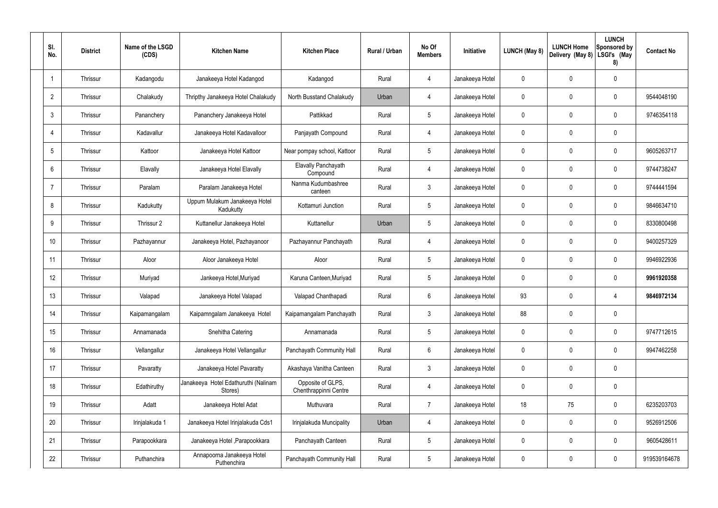| SI.<br>No.      | <b>District</b> | Name of the LSGD<br>(CDS) | <b>Kitchen Name</b>                             | <b>Kitchen Place</b>                       | Rural / Urban | No Of<br><b>Members</b> | Initiative      | <b>LUNCH (May 8)</b> | <b>LUNCH Home</b><br>Delivery (May 8) | <b>LUNCH</b><br>Sponsored by<br>LSGI's (May<br>8) | <b>Contact No</b> |
|-----------------|-----------------|---------------------------|-------------------------------------------------|--------------------------------------------|---------------|-------------------------|-----------------|----------------------|---------------------------------------|---------------------------------------------------|-------------------|
|                 | Thrissur        | Kadangodu                 | Janakeeya Hotel Kadangod                        | Kadangod                                   | Rural         | 4                       | Janakeeya Hotel | 0                    | 0                                     | $\mathbf 0$                                       |                   |
| $\overline{2}$  | Thrissur        | Chalakudy                 | Thripthy Janakeeya Hotel Chalakudy              | North Busstand Chalakudy                   | Urban         | $\overline{4}$          | Janakeeya Hotel | $\mathbf 0$          | 0                                     | $\mathbf 0$                                       | 9544048190        |
| $\mathbf{3}$    | Thrissur        | Pananchery                | Pananchery Janakeeya Hotel                      | Pattikkad                                  | Rural         | $5\phantom{.0}$         | Janakeeya Hotel | $\mathbf 0$          | 0                                     | $\mathbf 0$                                       | 9746354118        |
| $\overline{4}$  | Thrissur        | Kadavallur                | Janakeeya Hotel Kadavalloor                     | Panjayath Compound                         | Rural         | 4                       | Janakeeya Hotel | $\mathbf 0$          | 0                                     | $\mathbf 0$                                       |                   |
| $5\overline{)}$ | Thrissur        | Kattoor                   | Janakeeya Hotel Kattoor                         | Near pompay school, Kattoor                | Rural         | $5\phantom{.0}$         | Janakeeya Hotel | $\mathbf 0$          | 0                                     | $\mathbf 0$                                       | 9605263717        |
| 6               | Thrissur        | Elavally                  | Janakeeya Hotel Elavally                        | Elavally Panchayath<br>Compound            | Rural         | 4                       | Janakeeya Hotel | $\mathbf 0$          | 0                                     | $\mathbf 0$                                       | 9744738247        |
| -7              | Thrissur        | Paralam                   | Paralam Janakeeya Hotel                         | Nanma Kudumbashree<br>canteen              | Rural         | $\mathbf{3}$            | Janakeeya Hotel | $\mathbf 0$          | 0                                     | $\mathbf 0$                                       | 9744441594        |
| 8               | Thrissur        | Kadukutty                 | Uppum Mulakum Janakeeya Hotel<br>Kadukutty      | Kottamuri Junction                         | Rural         | $5\phantom{.0}$         | Janakeeya Hotel | $\mathbf 0$          | 0                                     | $\mathbf 0$                                       | 9846634710        |
| 9               | Thrissur        | Thrissur 2                | Kuttanellur Janakeeya Hotel                     | Kuttanellur                                | Urban         | $5\phantom{.0}$         | Janakeeya Hotel | $\mathbf 0$          | 0                                     | $\mathbf 0$                                       | 8330800498        |
| 10              | Thrissur        | Pazhayannur               | Janakeeya Hotel, Pazhayanoor                    | Pazhayannur Panchayath                     | Rural         | 4                       | Janakeeya Hotel | $\mathbf 0$          | $\mathbf 0$                           | $\mathbf 0$                                       | 9400257329        |
| 11              | Thrissur        | Aloor                     | Aloor Janakeeya Hotel                           | Aloor                                      | Rural         | $5\phantom{.0}$         | Janakeeya Hotel | $\mathbf 0$          | $\mathbf 0$                           | $\mathbf 0$                                       | 9946922936        |
| 12              | Thrissur        | Muriyad                   | Jankeeya Hotel, Muriyad                         | Karuna Canteen, Muriyad                    | Rural         | $5\phantom{.0}$         | Janakeeya Hotel | $\mathbf 0$          | $\mathbf 0$                           | $\mathbf 0$                                       | 9961920358        |
| 13              | Thrissur        | Valapad                   | Janakeeya Hotel Valapad                         | Valapad Chanthapadi                        | Rural         | 6                       | Janakeeya Hotel | 93                   | $\mathbf 0$                           | 4                                                 | 9846972134        |
| 14              | Thrissur        | Kaipamangalam             | Kaipamngalam Janakeeya Hotel                    | Kaipamangalam Panchayath                   | Rural         | $\mathbf{3}$            | Janakeeya Hotel | 88                   | 0                                     | $\mathbf 0$                                       |                   |
| 15              | Thrissur        | Annamanada                | Snehitha Catering                               | Annamanada                                 | Rural         | $5\phantom{.0}$         | Janakeeya Hotel | $\mathbf 0$          | $\mathsf{0}$                          | $\mathbf 0$                                       | 9747712615        |
| 16              | Thrissur        | Vellangallur              | Janakeeya Hotel Vellangallur                    | Panchayath Community Hall                  | Rural         | $6\,$                   | Janakeeya Hotel | $\mathbf 0$          | 0                                     | $\mathbf 0$                                       | 9947462258        |
| 17              | Thrissur        | Pavaratty                 | Janakeeya Hotel Pavaratty                       | Akashaya Vanitha Canteen                   | Rural         | $\mathbf{3}$            | Janakeeya Hotel | $\pmb{0}$            | 0                                     | $\mathbf 0$                                       |                   |
| 18              | Thrissur        | Edathiruthy               | Janakeeya Hotel Edathuruthi (Nalinam<br>Stores) | Opposite of GLPS,<br>Chenthrappinni Centre | Rural         | $\overline{4}$          | Janakeeya Hotel | 0                    | 0                                     | $\mathbf 0$                                       |                   |
| 19              | Thrissur        | Adatt                     | Janakeeya Hotel Adat                            | Muthuvara                                  | Rural         | $\overline{7}$          | Janakeeya Hotel | 18                   | 75                                    | $\mathbf 0$                                       | 6235203703        |
| 20              | Thrissur        | Irinjalakuda 1            | Janakeeya Hotel Irinjalakuda Cds1               | Irinjalakuda Muncipality                   | Urban         | $\overline{4}$          | Janakeeya Hotel | $\pmb{0}$            | $\pmb{0}$                             | $\mathbf 0$                                       | 9526912506        |
| 21              | Thrissur        | Parapookkara              | Janakeeya Hotel, Parapookkara                   | Panchayath Canteen                         | Rural         | $5\phantom{.0}$         | Janakeeya Hotel | $\mathbf 0$          | 0                                     | $\mathbf 0$                                       | 9605428611        |
| 22              | Thrissur        | Puthanchira               | Annapoorna Janakeeya Hotel<br>Puthenchira       | Panchayath Community Hall                  | Rural         | $5\phantom{.0}$         | Janakeeya Hotel | $\pmb{0}$            | 0                                     | $\mathbf 0$                                       | 919539164678      |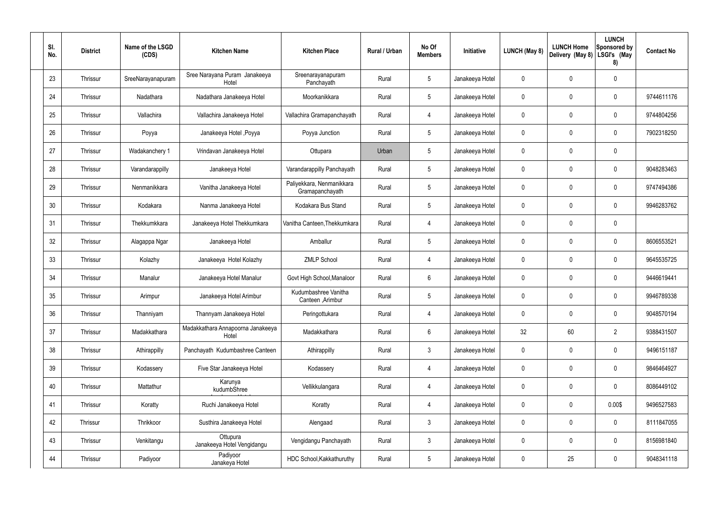| SI.<br>No. | <b>District</b> | Name of the LSGD<br>(CDS) | <b>Kitchen Name</b>                        | <b>Kitchen Place</b>                         | Rural / Urban | No Of<br><b>Members</b> | Initiative      | <b>LUNCH (May 8)</b> | <b>LUNCH Home</b><br>Delivery (May 8) | <b>LUNCH</b><br>Sponsored by<br>LSGI's (May<br>8) | <b>Contact No</b> |
|------------|-----------------|---------------------------|--------------------------------------------|----------------------------------------------|---------------|-------------------------|-----------------|----------------------|---------------------------------------|---------------------------------------------------|-------------------|
| 23         | Thrissur        | SreeNarayanapuram         | Sree Narayana Puram Janakeeya<br>Hotel     | Sreenarayanapuram<br>Panchayath              | Rural         | $5\phantom{.0}$         | Janakeeya Hotel | 0                    | 0                                     | $\mathbf 0$                                       |                   |
| 24         | Thrissur        | Nadathara                 | Nadathara Janakeeya Hotel                  | Moorkanikkara                                | Rural         | $5\phantom{.0}$         | Janakeeya Hotel | $\mathbf 0$          | 0                                     | $\mathbf 0$                                       | 9744611176        |
| 25         | Thrissur        | Vallachira                | Vallachira Janakeeya Hotel                 | Vallachira Gramapanchayath                   | Rural         | 4                       | Janakeeya Hotel | $\mathbf 0$          | 0                                     | $\mathbf 0$                                       | 9744804256        |
| 26         | Thrissur        | Poyya                     | Janakeeya Hotel , Poyya                    | Poyya Junction                               | Rural         | $5\phantom{.0}$         | Janakeeya Hotel | $\mathbf 0$          | 0                                     | $\mathbf 0$                                       | 7902318250        |
| 27         | Thrissur        | Wadakanchery 1            | Vrindavan Janakeeya Hotel                  | Ottupara                                     | Urban         | $5\phantom{.0}$         | Janakeeya Hotel | $\mathbf 0$          | 0                                     | $\mathbf 0$                                       |                   |
| 28         | Thrissur        | Varandarappilly           | Janakeeya Hotel                            | Varandarappilly Panchayath                   | Rural         | $5\phantom{.0}$         | Janakeeya Hotel | $\mathbf 0$          | 0                                     | $\mathbf 0$                                       | 9048283463        |
| 29         | Thrissur        | Nenmanikkara              | Vanitha Janakeeya Hotel                    | Paliyekkara, Nenmanikkara<br>Gramapanchayath | Rural         | $5\phantom{.0}$         | Janakeeya Hotel | $\mathbf 0$          | 0                                     | $\mathbf 0$                                       | 9747494386        |
| 30         | Thrissur        | Kodakara                  | Nanma Janakeeya Hotel                      | Kodakara Bus Stand                           | Rural         | $5\phantom{.0}$         | Janakeeya Hotel | $\mathbf 0$          | 0                                     | $\mathbf 0$                                       | 9946283762        |
| 31         | Thrissur        | Thekkumkkara              | Janakeeya Hotel Thekkumkara                | Vanitha Canteen, Thekkumkara                 | Rural         | $\overline{4}$          | Janakeeya Hotel | $\mathbf 0$          | 0                                     | $\mathbf 0$                                       |                   |
| 32         | Thrissur        | Alagappa Ngar             | Janakeeya Hotel                            | Amballur                                     | Rural         | $5\phantom{.0}$         | Janakeeya Hotel | $\mathbf 0$          | 0                                     | $\mathbf 0$                                       | 8606553521        |
| 33         | Thrissur        | Kolazhy                   | Janakeeya Hotel Kolazhy                    | <b>ZMLP School</b>                           | Rural         | 4                       | Janakeeya Hotel | $\mathbf 0$          | $\mathbf 0$                           | $\mathbf 0$                                       | 9645535725        |
| 34         | Thrissur        | Manalur                   | Janakeeya Hotel Manalur                    | Govt High School, Manaloor                   | Rural         | 6                       | Janakeeya Hotel | $\mathbf 0$          | 0                                     | $\mathbf 0$                                       | 9446619441        |
| 35         | Thrissur        | Arimpur                   | Janakeeya Hotel Arimbur                    | Kudumbashree Vanitha<br>Canteen, Arimbur     | Rural         | $5\phantom{.0}$         | Janakeeya Hotel | 0                    | $\mathbf 0$                           | 0                                                 | 9946789338        |
| 36         | Thrissur        | Thanniyam                 | Thannyam Janakeeya Hotel                   | Peringottukara                               | Rural         | $\overline{4}$          | Janakeeya Hotel | $\pmb{0}$            | 0                                     | $\mathbf 0$                                       | 9048570194        |
| 37         | Thrissur        | Madakkathara              | Madakkathara Annapoorna Janakeeya<br>Hotel | Madakkathara                                 | Rural         | $6\overline{6}$         | Janakeeya Hotel | 32                   | 60                                    | $\overline{2}$                                    | 9388431507        |
| 38         | Thrissur        | Athirappilly              | Panchayath Kudumbashree Canteen            | Athirappilly                                 | Rural         | $\mathbf{3}$            | Janakeeya Hotel | 0                    | $\pmb{0}$                             | $\mathbf 0$                                       | 9496151187        |
| 39         | Thrissur        | Kodassery                 | Five Star Janakeeya Hotel                  | Kodassery                                    | Rural         | $\overline{4}$          | Janakeeya Hotel | $\pmb{0}$            | 0                                     | $\mathbf 0$                                       | 9846464927        |
| 40         | Thrissur        | Mattathur                 | Karunya<br>kudumbShree                     | Vellikkulangara                              | Rural         | $\overline{4}$          | Janakeeya Hotel | 0                    | $\pmb{0}$                             | $\mathbf 0$                                       | 8086449102        |
| 41         | Thrissur        | Koratty                   | Ruchi Janakeeya Hotel                      | Koratty                                      | Rural         | $\overline{4}$          | Janakeeya Hotel | $\pmb{0}$            | $\pmb{0}$                             | 0.00\$                                            | 9496527583        |
| 42         | Thrissur        | Thrikkoor                 | Susthira Janakeeya Hotel                   | Alengaad                                     | Rural         | $\mathbf{3}$            | Janakeeya Hotel | $\pmb{0}$            | $\pmb{0}$                             | $\mathbf 0$                                       | 8111847055        |
| 43         | Thrissur        | Venkitangu                | Ottupura<br>Janakeeya Hotel Vengidangu     | Vengidangu Panchayath                        | Rural         | $\mathbf{3}$            | Janakeeya Hotel | $\pmb{0}$            | 0                                     | $\mathbf 0$                                       | 8156981840        |
| 44         | Thrissur        | Padiyoor                  | Padiyoor<br>Janakeya Hotel                 | HDC School, Kakkathuruthy                    | Rural         | $\sqrt{5}$              | Janakeeya Hotel | 0                    | 25                                    | $\mathbf 0$                                       | 9048341118        |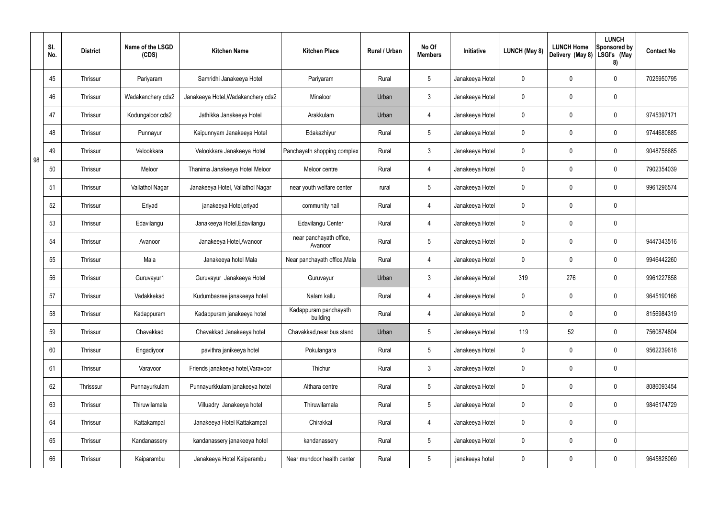|    | SI.<br>No. | <b>District</b> | Name of the LSGD<br>(CDS) | <b>Kitchen Name</b>                | <b>Kitchen Place</b>               | Rural / Urban | No Of<br><b>Members</b> | Initiative      | LUNCH (May 8) | <b>LUNCH Home</b><br>Delivery (May 8) | <b>LUNCH</b><br>Sponsored by<br>LSGI's (May<br>8) | <b>Contact No</b> |
|----|------------|-----------------|---------------------------|------------------------------------|------------------------------------|---------------|-------------------------|-----------------|---------------|---------------------------------------|---------------------------------------------------|-------------------|
|    | 45         | Thrissur        | Pariyaram                 | Samridhi Janakeeya Hotel           | Pariyaram                          | Rural         | $5\phantom{.0}$         | Janakeeya Hotel | 0             | 0                                     | $\mathbf 0$                                       | 7025950795        |
|    | 46         | Thrissur        | Wadakanchery cds2         | Janakeeya Hotel, Wadakanchery cds2 | Minaloor                           | Urban         | $\mathfrak{Z}$          | Janakeeya Hotel | 0             | 0                                     | $\pmb{0}$                                         |                   |
|    | 47         | Thrissur        | Kodungaloor cds2          | Jathikka Janakeeya Hotel           | Arakkulam                          | Urban         | $\overline{4}$          | Janakeeya Hotel | 0             | 0                                     | $\mathbf 0$                                       | 9745397171        |
|    | 48         | Thrissur        | Punnayur                  | Kaipunnyam Janakeeya Hotel         | Edakazhiyur                        | Rural         | $5\phantom{.0}$         | Janakeeya Hotel | 0             | 0                                     | $\pmb{0}$                                         | 9744680885        |
| 98 | 49         | Thrissur        | Velookkara                | Velookkara Janakeeya Hotel         | Panchayath shopping complex        | Rural         | $\mathbf{3}$            | Janakeeya Hotel | 0             | 0                                     | $\mathbf 0$                                       | 9048756685        |
|    | 50         | Thrissur        | Meloor                    | Thanima Janakeeya Hotel Meloor     | Meloor centre                      | Rural         | $\overline{4}$          | Janakeeya Hotel | 0             | 0                                     | $\pmb{0}$                                         | 7902354039        |
|    | 51         | Thrissur        | Vallathol Nagar           | Janakeeya Hotel, Vallathol Nagar   | near youth welfare center          | rural         | $5\phantom{.0}$         | Janakeeya Hotel | 0             | 0                                     | $\mathbf 0$                                       | 9961296574        |
|    | 52         | Thrissur        | Eriyad                    | janakeeya Hotel, eriyad            | community hall                     | Rural         | $\overline{4}$          | Janakeeya Hotel | 0             | 0                                     | $\pmb{0}$                                         |                   |
|    | 53         | Thrissur        | Edavilangu                | Janakeeya Hotel, Edavilangu        | Edavilangu Center                  | Rural         | $\overline{4}$          | Janakeeya Hotel | 0             | 0                                     | $\pmb{0}$                                         |                   |
|    | 54         | Thrissur        | Avanoor                   | Janakeeya Hotel, Avanoor           | near panchayath office,<br>Avanoor | Rural         | $5\phantom{.0}$         | Janakeeya Hotel | 0             | 0                                     | $\boldsymbol{0}$                                  | 9447343516        |
|    | 55         | Thrissur        | Mala                      | Janakeeya hotel Mala               | Near panchayath office, Mala       | Rural         | $\overline{4}$          | Janakeeya Hotel | 0             | 0                                     | $\mathbf 0$                                       | 9946442260        |
|    | 56         | Thrissur        | Guruvayur1                | Guruvayur Janakeeya Hotel          | Guruvayur                          | Urban         | $\mathfrak{Z}$          | Janakeeya Hotel | 319           | 276                                   | $\pmb{0}$                                         | 9961227858        |
|    | 57         | Thrissur        | Vadakkekad                | Kudumbasree janakeeya hotel        | Nalam kallu                        | Rural         | 4                       | Janakeeya Hotel | 0             | 0                                     | 0                                                 | 9645190166        |
|    | 58         | Thrissur        | Kadappuram                | Kadappuram janakeeya hotel         | Kadappuram panchayath<br>building  | Rural         | 4                       | Janakeeya Hotel | 0             | 0                                     | $\pmb{0}$                                         | 8156984319        |
|    | 59         | Thrissur        | Chavakkad                 | Chavakkad Janakeeya hotel          | Chavakkad, near bus stand          | Urban         | $5\phantom{.0}$         | Janakeeya Hotel | 119           | 52                                    | $\pmb{0}$                                         | 7560874804        |
|    | 60         | Thrissur        | Engadiyoor                | pavithra janikeeya hotel           | Pokulangara                        | Rural         | $5\phantom{.0}$         | Janakeeya Hotel | 0             | 0                                     | $\mathbf 0$                                       | 9562239618        |
|    | 61         | Thrissur        | Varavoor                  | Friends janakeeya hotel, Varavoor  | Thichur                            | Rural         | $3\phantom{a}$          | Janakeeya Hotel | 0             | 0                                     | $\mathbf 0$                                       |                   |
|    | 62         | Thrisssur       | Punnayurkulam             | Punnayurkkulam janakeeya hotel     | Althara centre                     | Rural         | $5\phantom{.0}$         | Janakeeya Hotel | 0             | $\mathbf 0$                           | $\mathbf 0$                                       | 8086093454        |
|    | 63         | Thrissur        | Thiruwilamala             | Villuadry Janakeeya hotel          | Thiruwilamala                      | Rural         | $5\phantom{.0}$         | Janakeeya Hotel | 0             | 0                                     | $\mathbf 0$                                       | 9846174729        |
|    | 64         | Thrissur        | Kattakampal               | Janakeeya Hotel Kattakampal        | Chirakkal                          | Rural         | 4                       | Janakeeya Hotel | 0             | $\mathbf 0$                           | $\pmb{0}$                                         |                   |
|    | 65         | Thrissur        | Kandanassery              | kandanassery janakeeya hotel       | kandanassery                       | Rural         | $5\,$                   | Janakeeya Hotel | 0             | $\mathbf 0$                           | $\pmb{0}$                                         |                   |
|    | 66         | Thrissur        | Kaiparambu                | Janakeeya Hotel Kaiparambu         | Near mundoor health center         | Rural         | $5\,$                   | janakeeya hotel | 0             | 0                                     | $\pmb{0}$                                         | 9645828069        |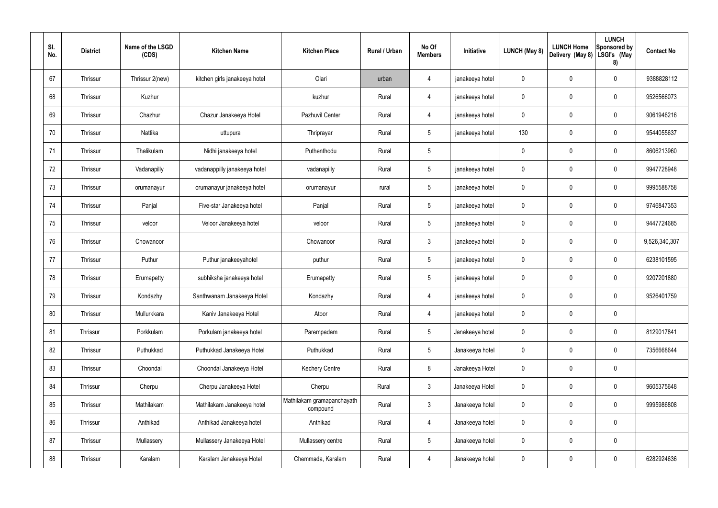| SI.<br>No. | <b>District</b> | Name of the LSGD<br>(CDS) | <b>Kitchen Name</b>           | <b>Kitchen Place</b>                   | Rural / Urban | No Of<br><b>Members</b> | Initiative      | <b>LUNCH (May 8)</b> | <b>LUNCH Home</b><br>Delivery (May 8) | <b>LUNCH</b><br>Sponsored by<br>LSGI's (May<br>8) | <b>Contact No</b> |
|------------|-----------------|---------------------------|-------------------------------|----------------------------------------|---------------|-------------------------|-----------------|----------------------|---------------------------------------|---------------------------------------------------|-------------------|
| 67         | Thrissur        | Thrissur 2(new)           | kitchen girls janakeeya hotel | Olari                                  | urban         | 4                       | janakeeya hotel | $\mathbf 0$          | 0                                     | $\mathbf 0$                                       | 9388828112        |
| 68         | Thrissur        | Kuzhur                    |                               | kuzhur                                 | Rural         | $\overline{4}$          | janakeeya hotel | $\mathbf 0$          | 0                                     | $\mathbf 0$                                       | 9526566073        |
| 69         | Thrissur        | Chazhur                   | Chazur Janakeeya Hotel        | Pazhuvil Center                        | Rural         | $\overline{4}$          | janakeeya hotel | $\mathbf 0$          | 0                                     | $\mathbf 0$                                       | 9061946216        |
| 70         | Thrissur        | Nattika                   | uttupura                      | Thriprayar                             | Rural         | $5\phantom{.0}$         | janakeeya hotel | 130                  | 0                                     | $\mathbf 0$                                       | 9544055637        |
| 71         | Thrissur        | Thalikulam                | Nidhi janakeeya hotel         | Puthenthodu                            | Rural         | $5\phantom{.0}$         |                 | 0                    | 0                                     | $\mathbf 0$                                       | 8606213960        |
| 72         | Thrissur        | Vadanapilly               | vadanappilly janakeeya hotel  | vadanapilly                            | Rural         | $5\phantom{.0}$         | janakeeya hotel | $\mathbf 0$          | 0                                     | $\mathbf 0$                                       | 9947728948        |
| 73         | Thrissur        | orumanayur                | orumanayur janakeeya hotel    | orumanayur                             | rural         | $5\phantom{.0}$         | janakeeya hotel | $\mathbf 0$          | 0                                     | $\mathbf 0$                                       | 9995588758        |
| 74         | Thrissur        | Panjal                    | Five-star Janakeeya hotel     | Panjal                                 | Rural         | $5\phantom{.0}$         | janakeeya hotel | $\mathbf 0$          | 0                                     | $\mathbf 0$                                       | 9746847353        |
| 75         | Thrissur        | veloor                    | Veloor Janakeeya hotel        | veloor                                 | Rural         | $5\phantom{.0}$         | janakeeya hotel | $\mathbf 0$          | 0                                     | $\mathbf 0$                                       | 9447724685        |
| 76         | Thrissur        | Chowanoor                 |                               | Chowanoor                              | Rural         | $\mathbf{3}$            | janakeeya hotel | $\mathbf 0$          | 0                                     | $\mathbf 0$                                       | 9,526,340,307     |
| 77         | Thrissur        | Puthur                    | Puthur janakeeyahotel         | puthur                                 | Rural         | $5\phantom{.0}$         | janakeeya hotel | $\mathbf 0$          | $\boldsymbol{0}$                      | $\mathbf 0$                                       | 6238101595        |
| 78         | Thrissur        | Erumapetty                | subhiksha janakeeya hotel     | Erumapetty                             | Rural         | $5\,$                   | janakeeya hotel | $\mathbf 0$          | 0                                     | $\mathbf 0$                                       | 9207201880        |
| 79         | Thrissur        | Kondazhy                  | Santhwanam Janakeeya Hotel    | Kondazhy                               | Rural         | 4                       | janakeeya hotel | 0                    | $\mathbf 0$                           | $\mathbf 0$                                       | 9526401759        |
| 80         | Thrissur        | Mullurkkara               | Kaniv Janakeeya Hotel         | Atoor                                  | Rural         | $\overline{4}$          | janakeeya hotel | $\mathbf 0$          | $\mathbf 0$                           | $\mathbf 0$                                       |                   |
| 81         | Thrissur        | Porkkulam                 | Porkulam janakeeya hotel      | Parempadam                             | Rural         | $5\phantom{.0}$         | Janakeeya hotel | $\mathbf 0$          | 0                                     | $\mathbf 0$                                       | 8129017841        |
| 82         | Thrissur        | Puthukkad                 | Puthukkad Janakeeya Hotel     | Puthukkad                              | Rural         | $5\phantom{.0}$         | Janakeeya hotel | $\mathbf 0$          | 0                                     | $\mathbf 0$                                       | 7356668644        |
| 83         | Thrissur        | Choondal                  | Choondal Janakeeya Hotel      | <b>Kechery Centre</b>                  | Rural         | $\bf 8$                 | Janakeeya Hotel | $\mathbf 0$          | 0                                     | $\mathbf 0$                                       |                   |
| 84         | Thrissur        | Cherpu                    | Cherpu Janakeeya Hotel        | Cherpu                                 | Rural         | $\mathbf{3}$            | Janakeeya Hotel | $\mathbf 0$          | 0                                     | $\mathbf 0$                                       | 9605375648        |
| 85         | Thrissur        | Mathilakam                | Mathilakam Janakeeya hotel    | Mathilakam gramapanchayath<br>compound | Rural         | $\mathbf{3}$            | Janakeeya hotel | $\mathbf 0$          | $\mathbf 0$                           | $\mathbf 0$                                       | 9995986808        |
| 86         | Thrissur        | Anthikad                  | Anthikad Janakeeya hotel      | Anthikad                               | Rural         | $\overline{4}$          | Janakeeya hotel | $\mathbf 0$          | $\mathbf 0$                           | $\mathbf 0$                                       |                   |
| 87         | Thrissur        | Mullassery                | Mullassery Janakeeya Hotel    | Mullassery centre                      | Rural         | $5\,$                   | Janakeeya hotel | $\pmb{0}$            | $\pmb{0}$                             | $\mathbf 0$                                       |                   |
| 88         | Thrissur        | Karalam                   | Karalam Janakeeya Hotel       | Chemmada, Karalam                      | Rural         | $\overline{4}$          | Janakeeya hotel | 0                    | $\pmb{0}$                             | $\boldsymbol{0}$                                  | 6282924636        |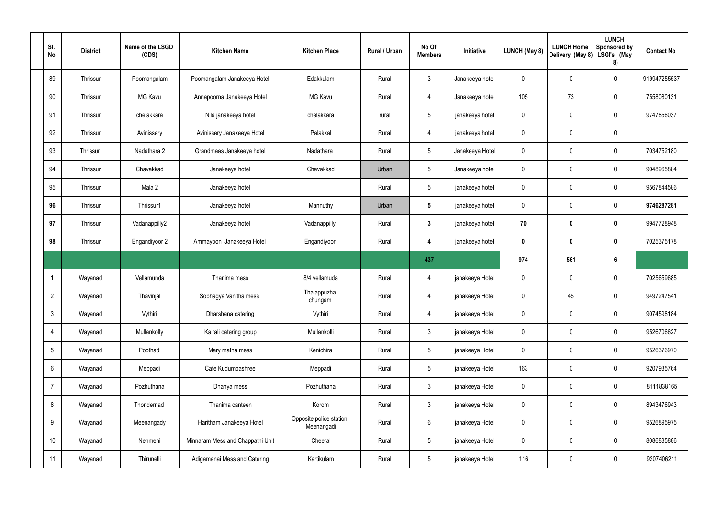| SI.<br>No.      | <b>District</b> | Name of the LSGD<br>(CDS) | <b>Kitchen Name</b>              | <b>Kitchen Place</b>                   | Rural / Urban | No Of<br><b>Members</b> | Initiative      | <b>LUNCH (May 8)</b> | <b>LUNCH Home</b><br>Delivery (May 8) | <b>LUNCH</b><br>Sponsored by<br>LSGI's (May<br>8) | <b>Contact No</b> |
|-----------------|-----------------|---------------------------|----------------------------------|----------------------------------------|---------------|-------------------------|-----------------|----------------------|---------------------------------------|---------------------------------------------------|-------------------|
| 89              | Thrissur        | Poomangalam               | Poomangalam Janakeeya Hotel      | Edakkulam                              | Rural         | $\mathbf{3}$            | Janakeeya hotel | $\mathbf 0$          | 0                                     | $\pmb{0}$                                         | 919947255537      |
| 90              | Thrissur        | <b>MG Kavu</b>            | Annapoorna Janakeeya Hotel       | <b>MG Kavu</b>                         | Rural         | $\overline{4}$          | Janakeeya hotel | 105                  | 73                                    | $\mathbf 0$                                       | 7558080131        |
| 91              | Thrissur        | chelakkara                | Nila janakeeya hotel             | chelakkara                             | rural         | $5\overline{)}$         | janakeeya hotel | $\mathbf 0$          | $\boldsymbol{0}$                      | $\pmb{0}$                                         | 9747856037        |
| 92              | Thrissur        | Avinissery                | Avinissery Janakeeya Hotel       | Palakkal                               | Rural         | $\overline{4}$          | janakeeya hotel | $\mathbf 0$          | 0                                     | $\pmb{0}$                                         |                   |
| 93              | Thrissur        | Nadathara 2               | Grandmaas Janakeeya hotel        | Nadathara                              | Rural         | $5\overline{)}$         | Janakeeya Hotel | $\mathbf 0$          | 0                                     | $\mathbf 0$                                       | 7034752180        |
| 94              | Thrissur        | Chavakkad                 | Janakeeya hotel                  | Chavakkad                              | Urban         | $5\phantom{.0}$         | Janakeeya hotel | $\mathbf 0$          | 0                                     | $\mathbf 0$                                       | 9048965884        |
| 95              | Thrissur        | Mala 2                    | Janakeeya hotel                  |                                        | Rural         | $5\overline{)}$         | janakeeya hotel | $\mathbf 0$          | 0                                     | $\mathbf 0$                                       | 9567844586        |
| 96              | Thrissur        | Thrissur1                 | Janakeeya hotel                  | Mannuthy                               | Urban         | $5\phantom{.0}$         | janakeeya hotel | $\mathbf 0$          | 0                                     | $\mathbf 0$                                       | 9746287281        |
| 97              | Thrissur        | Vadanappilly2             | Janakeeya hotel                  | Vadanappilly                           | Rural         | $3\phantom{a}$          | janakeeya hotel | 70                   | $\boldsymbol{0}$                      | $\bm{0}$                                          | 9947728948        |
| 98              | Thrissur        | Engandiyoor 2             | Ammayoon Janakeeya Hotel         | Engandiyoor                            | Rural         | 4                       | janakeeya hotel | $\mathbf 0$          | 0                                     | $\mathbf 0$                                       | 7025375178        |
|                 |                 |                           |                                  |                                        |               | 437                     |                 | 974                  | 561                                   | $6\phantom{.}$                                    |                   |
|                 | Wayanad         | Vellamunda                | Thanima mess                     | 8/4 vellamuda                          | Rural         | 4                       | janakeeya Hotel | $\mathbf 0$          | 0                                     | $\mathbf 0$                                       | 7025659685        |
| $\overline{2}$  | Wayanad         | Thavinjal                 | Sobhagya Vanitha mess            | Thalappuzha<br>chungam                 | Rural         | 4                       | janakeeya Hotel | $\mathbf 0$          | 45                                    | $\mathbf 0$                                       | 9497247541        |
| $3\overline{3}$ | Wayanad         | Vythiri                   | Dharshana catering               | Vythiri                                | Rural         | $\overline{4}$          | janakeeya Hotel | $\mathbf 0$          | $\mathbf 0$                           | $\mathbf 0$                                       | 9074598184        |
| 4               | Wayanad         | Mullankolly               | Kairali catering group           | Mullankolli                            | Rural         | 3 <sup>1</sup>          | janakeeya Hotel | $\pmb{0}$            | 0                                     | $\mathbf 0$                                       | 9526706627        |
| $5\overline{)}$ | Wayanad         | Poothadi                  | Mary matha mess                  | Kenichira                              | Rural         | $5\phantom{.0}$         | janakeeya Hotel | $\pmb{0}$            | 0                                     | $\mathbf 0$                                       | 9526376970        |
| 6               | Wayanad         | Meppadi                   | Cafe Kudumbashree                | Meppadi                                | Rural         | $5\phantom{.0}$         | janakeeya Hotel | 163                  | 0                                     | $\mathbf 0$                                       | 9207935764        |
| $\overline{7}$  | Wayanad         | Pozhuthana                | Dhanya mess                      | Pozhuthana                             | Rural         | 3 <sup>1</sup>          | janakeeya Hotel | $\pmb{0}$            | 0                                     | $\mathbf 0$                                       | 8111838165        |
| 8               | Wayanad         | Thondernad                | Thanima canteen                  | Korom                                  | Rural         | $\mathbf{3}$            | janakeeya Hotel | $\pmb{0}$            | 0                                     | $\pmb{0}$                                         | 8943476943        |
| 9               | Wayanad         | Meenangady                | Haritham Janakeeya Hotel         | Opposite police station,<br>Meenangadi | Rural         | $6\phantom{.}6$         | janakeeya Hotel | $\pmb{0}$            | 0                                     | $\pmb{0}$                                         | 9526895975        |
| 10 <sup>°</sup> | Wayanad         | Nenmeni                   | Minnaram Mess and Chappathi Unit | Cheeral                                | Rural         | $5\phantom{.0}$         | janakeeya Hotel | $\pmb{0}$            | 0                                     | $\pmb{0}$                                         | 8086835886        |
| 11              | Wayanad         | Thirunelli                | Adigamanai Mess and Catering     | Kartikulam                             | Rural         | 5 <sub>5</sub>          | janakeeya Hotel | 116                  | $\pmb{0}$                             | $\pmb{0}$                                         | 9207406211        |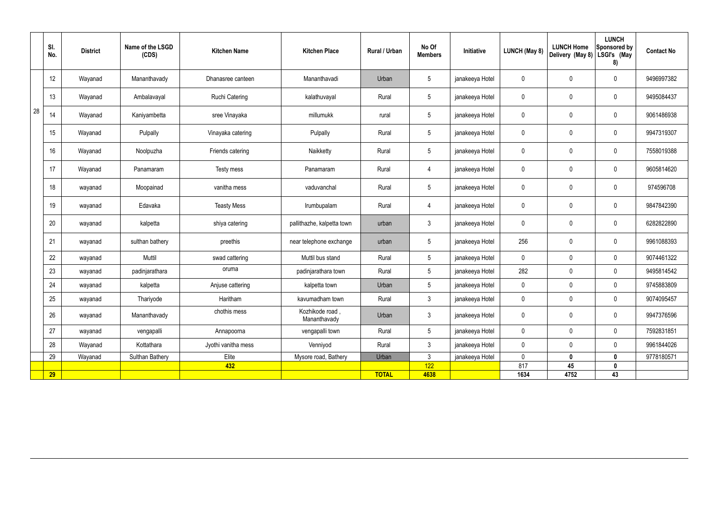|    | SI.<br>No.      | <b>District</b> | Name of the LSGD<br>(CDS) | <b>Kitchen Name</b>   | <b>Kitchen Place</b>            | Rural / Urban | No Of<br><b>Members</b> | Initiative      | <b>LUNCH (May 8)</b> | <b>LUNCH Home</b><br>Delivery (May 8) | <b>LUNCH</b><br>Sponsored by<br>LSGI's (May<br>8) | <b>Contact No</b> |
|----|-----------------|-----------------|---------------------------|-----------------------|---------------------------------|---------------|-------------------------|-----------------|----------------------|---------------------------------------|---------------------------------------------------|-------------------|
|    | 12 <sup>°</sup> | Wayanad         | Mananthavady              | Dhanasree canteen     | Mananthavadi                    | Urban         | $5\phantom{.0}$         | janakeeya Hotel | 0                    | $\mathbf 0$                           | $\mathbf 0$                                       | 9496997382        |
|    | 13              | Wayanad         | Ambalavayal               | <b>Ruchi Catering</b> | kalathuvayal                    | Rural         | $5\phantom{.0}$         | janakeeya Hotel | $\mathbf 0$          | $\mathbf 0$                           | $\mathbf 0$                                       | 9495084437        |
| 28 | 14              | Wayanad         | Kaniyambetta              | sree Vinayaka         | millumukk                       | rural         | $5\overline{)}$         | janakeeya Hotel | 0                    | $\mathbf 0$                           | $\mathbf 0$                                       | 9061486938        |
|    | 15              | Wayanad         | Pulpally                  | Vinayaka catering     | Pulpally                        | Rural         | $5\overline{)}$         | janakeeya Hotel | $\mathbf 0$          | $\mathbf 0$                           | $\mathbf 0$                                       | 9947319307        |
|    | 16              | Wayanad         | Noolpuzha                 | Friends catering      | Naikketty                       | Rural         | $5\phantom{.0}$         | janakeeya Hotel | $\mathbf 0$          | $\mathbf 0$                           | $\mathbf 0$                                       | 7558019388        |
|    | 17              | Wayanad         | Panamaram                 | Testy mess            | Panamaram                       | Rural         | $\overline{4}$          | janakeeya Hotel | $\pmb{0}$            | $\pmb{0}$                             | $\mathbf 0$                                       | 9605814620        |
|    | 18              | wayanad         | Moopainad                 | vanitha mess          | vaduvanchal                     | Rural         | $5\phantom{.0}$         | janakeeya Hotel | $\mathbf 0$          | $\pmb{0}$                             | $\mathbf 0$                                       | 974596708         |
|    | 19              | wayanad         | Edavaka                   | <b>Teasty Mess</b>    | Irumbupalam                     | Rural         | $\overline{4}$          | janakeeya Hotel | $\mathbf 0$          | $\mathbf 0$                           | $\mathbf 0$                                       | 9847842390        |
|    | 20              | wayanad         | kalpetta                  | shiya catering        | pallithazhe, kalpetta town      | urban         | $\mathbf{3}$            | janakeeya Hotel | $\mathbf 0$          | $\pmb{0}$                             | $\mathbf 0$                                       | 6282822890        |
|    | 21              | wayanad         | sulthan bathery           | preethis              | near telephone exchange         | urban         | $5\phantom{.0}$         | janakeeya Hotel | 256                  | $\pmb{0}$                             | $\mathbf 0$                                       | 9961088393        |
|    | 22              | wayanad         | Muttil                    | swad cattering        | Muttil bus stand                | Rural         | $5\overline{)}$         | janakeeya Hotel | $\mathbf 0$          | $\mathbf 0$                           | $\mathbf 0$                                       | 9074461322        |
|    | 23              | wayanad         | padinjarathara            | oruma                 | padinjarathara town             | Rural         | $5\phantom{.0}$         | janakeeya Hotel | 282                  | $\mathbf 0$                           | $\mathbf 0$                                       | 9495814542        |
|    | 24              | wayanad         | kalpetta                  | Anjuse cattering      | kalpetta town                   | Urban         | $5\phantom{.0}$         | janakeeya Hotel | $\mathbf 0$          | $\mathbf 0$                           | $\mathbf 0$                                       | 9745883809        |
|    | 25              | wayanad         | Thariyode                 | Haritham              | kavumadham town                 | Rural         | 3                       | janakeeya Hotel | $\mathbf{0}$         | $\mathbf 0$                           | $\mathbf 0$                                       | 9074095457        |
|    | 26              | wayanad         | Mananthavady              | chothis mess          | Kozhikode road,<br>Mananthavady | Urban         | $\mathbf{3}$            | janakeeya Hotel | $\pmb{0}$            | $\pmb{0}$                             | $\mathbf 0$                                       | 9947376596        |
|    | 27              | wayanad         | vengapalli                | Annapoorna            | vengapalli town                 | Rural         | $5\phantom{.0}$         | janakeeya Hotel | $\mathbf 0$          | $\pmb{0}$                             | $\mathbf 0$                                       | 7592831851        |
|    | 28              | Wayanad         | Kottathara                | Jyothi vanitha mess   | Venniyod                        | Rural         | $\mathbf{3}$            | janakeeya Hotel | $\mathbf 0$          | $\pmb{0}$                             | $\mathbf 0$                                       | 9961844026        |
|    | 29              | Wayanad         | Sulthan Bathery           | Elite                 | Mysore road, Bathery            | Urban         | $\mathbf{3}$            | janakeeya Hotel | $\mathbf 0$          | $\mathbf 0$                           | $\mathbf 0$                                       | 9778180571        |
|    |                 |                 |                           | 432                   |                                 |               | 122                     |                 | 817                  | 45                                    | $\mathbf 0$                                       |                   |
|    | 29              |                 |                           |                       |                                 | <b>TOTAL</b>  | 4638                    |                 | 1634                 | 4752                                  | 43                                                |                   |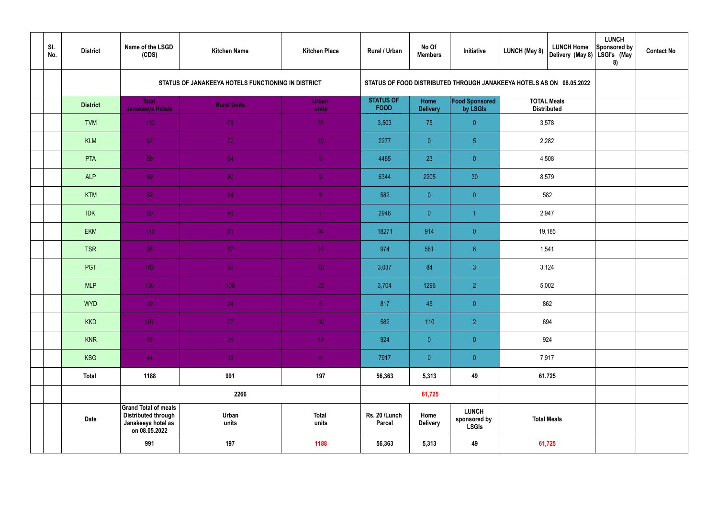| SI.<br>No. | <b>District</b> | Name of the LSGD<br>(CDS)                                                                        | <b>Kitchen Name</b>                                | <b>Kitchen Place</b>  | Rural / Urban                   | No Of<br><b>Members</b> | Initiative                                                           | <b>LUNCH (May 8)</b> | <b>LUNCH Home</b><br>Delivery (May 8) | <b>LUNCH</b><br>Sponsored by<br>LSGI's (May<br>8) | <b>Contact No</b> |
|------------|-----------------|--------------------------------------------------------------------------------------------------|----------------------------------------------------|-----------------------|---------------------------------|-------------------------|----------------------------------------------------------------------|----------------------|---------------------------------------|---------------------------------------------------|-------------------|
|            |                 |                                                                                                  | STATUS OF JANAKEEYA HOTELS FUNCTIONING IN DISTRICT |                       |                                 |                         | STATUS OF FOOD DISTRIBUTED THROUGH JANAKEEYA HOTELS AS ON 08.05.2022 |                      |                                       |                                                   |                   |
|            | <b>District</b> | <b>Total</b><br><b>Janakeeya Hotels</b>                                                          | <b>Rural Units</b>                                 | <b>Urban</b><br>units | <b>STATUS OF</b><br><b>FOOD</b> | Home<br><b>Delivery</b> | Food Sponsored<br>by LSGIs                                           | <b>Distributed</b>   | <b>TOTAL Meals</b>                    |                                                   |                   |
|            | <b>TVM</b>      | 110                                                                                              | 79                                                 | 31                    | 3,503                           | 75                      | $\overline{0}$                                                       |                      | 3,578                                 |                                                   |                   |
|            | <b>KLM</b>      | 82 <sup>°</sup>                                                                                  | 72                                                 | 10 <sup>°</sup>       | 2277                            | $\overline{0}$          | 5 <sub>5</sub>                                                       |                      | 2,282                                 |                                                   |                   |
|            | PTA             | 59                                                                                               | 54                                                 | 5 <sub>1</sub>        | 4485                            | 23                      | $\overline{0}$                                                       |                      | 4,508                                 |                                                   |                   |
|            | <b>ALP</b>      | 89                                                                                               | 80                                                 | $\overline{9}$        | 6344                            | 2205                    | 30                                                                   | 8,579                |                                       |                                                   |                   |
|            | <b>KTM</b>      | 82 <sup>°</sup>                                                                                  | 74                                                 | 8 <sup>°</sup>        | 582                             | $\overline{0}$          | $\overline{0}$                                                       |                      | 582                                   |                                                   |                   |
|            | <b>IDK</b>      | 50 <sub>1</sub>                                                                                  | 49                                                 | $\blacktriangleleft$  | 2946                            | $\overline{0}$          |                                                                      | 2,947                |                                       |                                                   |                   |
|            | <b>EKM</b>      | 115                                                                                              | 81                                                 | 34                    | 18271                           | 914                     | $\overline{0}$                                                       |                      | 19,185                                |                                                   |                   |
|            | <b>TSR</b>      | 98                                                                                               | 87                                                 | 11                    | 974                             | 561                     | 6 <sup>°</sup>                                                       | 1,541                |                                       |                                                   |                   |
|            | PGT             | $102$                                                                                            | 92                                                 | 10 <sup>°</sup>       | 3,037                           | 84                      | $\mathbf{3}$                                                         | 3,124                |                                       |                                                   |                   |
|            | <b>MLP</b>      | 130                                                                                              | 108                                                | 22                    | 3,704                           | 1296                    | $\overline{2}$                                                       |                      | 5,002                                 |                                                   |                   |
|            | <b>WYD</b>      | 29                                                                                               | 24                                                 | 5 <sub>1</sub>        | 817                             | 45                      | $\overline{0}$                                                       |                      | 862                                   |                                                   |                   |
|            | <b>KKD</b>      | 107                                                                                              | 77 <sub>z</sub>                                    | 30 <sup>°</sup>       | 582                             | 110                     | $\overline{2}$                                                       |                      | 694                                   |                                                   |                   |
|            | <b>KNR</b>      | 91                                                                                               | 76                                                 | 15 <sub>1</sub>       | 924                             | $\overline{0}$          | $\overline{0}$                                                       | 924                  |                                       |                                                   |                   |
|            | <b>KSG</b>      | 44                                                                                               | 38                                                 | 6 <sup>1</sup>        | 7917                            | $\overline{0}$          | $\pmb{0}$                                                            |                      | 7,917                                 |                                                   |                   |
|            | <b>Total</b>    | 1188                                                                                             | 991                                                | 197                   | 56,363                          | 5,313                   | 49                                                                   |                      | 61,725                                |                                                   |                   |
|            |                 |                                                                                                  | 2266                                               |                       |                                 | 61,725                  |                                                                      |                      |                                       |                                                   |                   |
|            | <b>Date</b>     | <b>Grand Total of meals</b><br><b>Distributed through</b><br>Janakeeya hotel as<br>on 08.05.2022 | Urban<br>units                                     | <b>Total</b><br>units | Rs. 20 /Lunch<br><b>Parcel</b>  | Home<br><b>Delivery</b> | <b>LUNCH</b><br>sponsored by<br><b>LSGIs</b>                         |                      | <b>Total Meals</b>                    |                                                   |                   |
|            |                 | 991                                                                                              | 197                                                | 1188                  | 56,363                          | 5,313                   | 49                                                                   |                      | 61,725                                |                                                   |                   |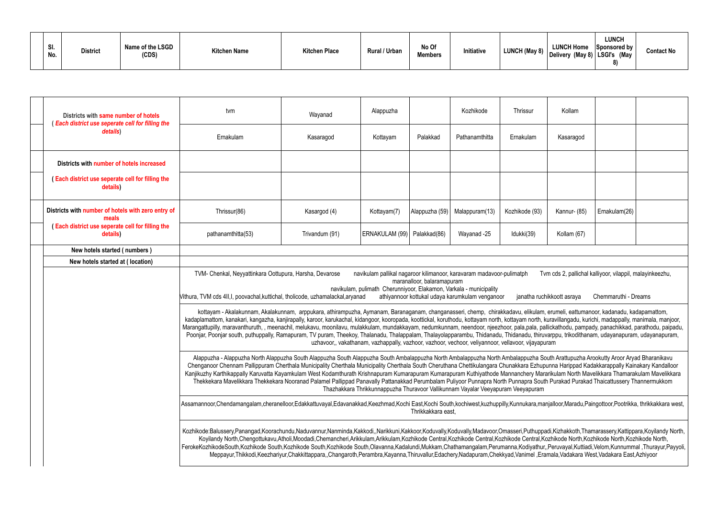| SI.<br>No. | <b>District</b> | Name of the LSGD<br>(CDS) | <b>Kitchen Name</b> | <b>Kitchen Place</b> | Rural / Urban | No Of<br><b>Members</b> | Initiative | <b>LUNCH (May 8)</b> | <b>LUNCH Home</b><br>′ │Delivery (May 8)│LSGI's (May | <b>LUNCH</b><br>Sponsored by | <b>Contact No</b> |
|------------|-----------------|---------------------------|---------------------|----------------------|---------------|-------------------------|------------|----------------------|------------------------------------------------------|------------------------------|-------------------|
|------------|-----------------|---------------------------|---------------------|----------------------|---------------|-------------------------|------------|----------------------|------------------------------------------------------|------------------------------|-------------------|

| Districts with same number of hotels<br>Each district use seperate cell for filling the | tvm                                                                                                                                                                                                                                                                                                                                                                                                                                                                                                                                                                                                                                                                                                                                                                                                                                                                                                                                          | Wayanad                                                                                                                                                                                                                                                                                                                                                                                                                                                                                                                                                                                                                                                                                                                                                                                                                                                                                     | Alappuzha                     |                    | Kozhikode      | <b>Thrissur</b> | Kollam       |               |  |  |
|-----------------------------------------------------------------------------------------|----------------------------------------------------------------------------------------------------------------------------------------------------------------------------------------------------------------------------------------------------------------------------------------------------------------------------------------------------------------------------------------------------------------------------------------------------------------------------------------------------------------------------------------------------------------------------------------------------------------------------------------------------------------------------------------------------------------------------------------------------------------------------------------------------------------------------------------------------------------------------------------------------------------------------------------------|---------------------------------------------------------------------------------------------------------------------------------------------------------------------------------------------------------------------------------------------------------------------------------------------------------------------------------------------------------------------------------------------------------------------------------------------------------------------------------------------------------------------------------------------------------------------------------------------------------------------------------------------------------------------------------------------------------------------------------------------------------------------------------------------------------------------------------------------------------------------------------------------|-------------------------------|--------------------|----------------|-----------------|--------------|---------------|--|--|
| details)                                                                                | Ernakulam                                                                                                                                                                                                                                                                                                                                                                                                                                                                                                                                                                                                                                                                                                                                                                                                                                                                                                                                    | Kasaragod                                                                                                                                                                                                                                                                                                                                                                                                                                                                                                                                                                                                                                                                                                                                                                                                                                                                                   | Kottayam                      | Palakkad           | Pathanamthitta | Ernakulam       | Kasaragod    |               |  |  |
| Districts with number of hotels increased                                               |                                                                                                                                                                                                                                                                                                                                                                                                                                                                                                                                                                                                                                                                                                                                                                                                                                                                                                                                              |                                                                                                                                                                                                                                                                                                                                                                                                                                                                                                                                                                                                                                                                                                                                                                                                                                                                                             |                               |                    |                |                 |              |               |  |  |
| (Each district use seperate cell for filling the<br>details)                            |                                                                                                                                                                                                                                                                                                                                                                                                                                                                                                                                                                                                                                                                                                                                                                                                                                                                                                                                              |                                                                                                                                                                                                                                                                                                                                                                                                                                                                                                                                                                                                                                                                                                                                                                                                                                                                                             |                               |                    |                |                 |              |               |  |  |
| Districts with number of hotels with zero entry of<br>meals                             | Thrissur(86)                                                                                                                                                                                                                                                                                                                                                                                                                                                                                                                                                                                                                                                                                                                                                                                                                                                                                                                                 | Kasargod (4)                                                                                                                                                                                                                                                                                                                                                                                                                                                                                                                                                                                                                                                                                                                                                                                                                                                                                | Kottayam(7)                   | Alappuzha (59)     | Malappuram(13) | Kozhikode (93)  | Kannur- (85) | Ernakulam(26) |  |  |
| (Each district use seperate cell for filling the<br>details)                            | pathanamthitta(53)                                                                                                                                                                                                                                                                                                                                                                                                                                                                                                                                                                                                                                                                                                                                                                                                                                                                                                                           | Trivandum (91)                                                                                                                                                                                                                                                                                                                                                                                                                                                                                                                                                                                                                                                                                                                                                                                                                                                                              | ERNAKULAM (99)   Palakkad(86) |                    | Wayanad -25    | Idukki(39)      | Kollam (67)  |               |  |  |
| New hotels started (numbers)                                                            |                                                                                                                                                                                                                                                                                                                                                                                                                                                                                                                                                                                                                                                                                                                                                                                                                                                                                                                                              |                                                                                                                                                                                                                                                                                                                                                                                                                                                                                                                                                                                                                                                                                                                                                                                                                                                                                             |                               |                    |                |                 |              |               |  |  |
| New hotels started at (location)                                                        |                                                                                                                                                                                                                                                                                                                                                                                                                                                                                                                                                                                                                                                                                                                                                                                                                                                                                                                                              |                                                                                                                                                                                                                                                                                                                                                                                                                                                                                                                                                                                                                                                                                                                                                                                                                                                                                             |                               |                    |                |                 |              |               |  |  |
|                                                                                         |                                                                                                                                                                                                                                                                                                                                                                                                                                                                                                                                                                                                                                                                                                                                                                                                                                                                                                                                              | TVM- Chenkal, Neyyattinkara Oottupura, Harsha, Devarose<br>navikulam pallikal nagaroor kilimanoor, karavaram madavoor-pulimatph<br>Tvm cds 2, pallichal kalliyoor, vilappil, malayinkeezhu,<br>maranalloor, balaramapuram<br>navikulam, pulimath Cherunniyoor, Elakamon, Varkala - municipality<br>athiyannoor kottukal udaya karumkulam venganoor<br>Chemmaruthi - Dreams<br>Vithura, TVM cds 4II, I, poovachal, kuttichal, tholicode, uzhamalackal, aryanad<br>janatha ruchikkoott asraya<br>kottayam - Akalakunnam, Akalakunnam, arppukara, athirampuzha, Aymanam, Baranaganam, changanasseri, chemp, chirakkadavu, elikulam, erumeli, eattumanoor, kadanadu, kadapamattom,<br>kadaplamattom, kanakari, kangazha, kanjirapally, karoor, karukachal, kidangoor, kooropada, koottickal, koruthodu, kottayam north, kottayam north, kuravillangadu, kurichi, madappally, manimala, manjoor, |                               |                    |                |                 |              |               |  |  |
|                                                                                         | Marangattupilly, maravanthuruth, , meenachil, melukavu, moonilavu, mulakkulam, mundakkayam, nedumkunnam, neendoor, njeezhoor, pala,pala, pallickathodu, pampady, panachikkad, parathodu, paipadu,<br>Poonjar, Poonjar south, puthuppally, Ramapuram, TV puram, Theekoy, Thalanadu, Thalappalam, Thalayolapparambu, Thidanadu, Thidanadu, thiruvarppu, trikodithanam, udayanapuram, udayanapuram,                                                                                                                                                                                                                                                                                                                                                                                                                                                                                                                                             |                                                                                                                                                                                                                                                                                                                                                                                                                                                                                                                                                                                                                                                                                                                                                                                                                                                                                             |                               |                    |                |                 |              |               |  |  |
|                                                                                         | uzhavoor,, vakathanam, vazhappally, vazhoor, vazhoor, vechoor, veliyannoor, vellavoor, vijayapuram<br>Alappuzha - Alappuzha North Alappuzha South Alappuzha South Alappuzha South Ambalappuzha North Ambalappuzha North Ambalappuzha South Arattupuzha Arookutty Aroor Aryad Bharanikavu<br>Chenganoor Chennam Pallippuram Cherthala Municipality Cherthala Municipality Cherthala South Cheruthana Chettikulangara Chunakkara Ezhupunna Harippad Kadakkarappally Kainakary Kandalloor<br>Kanjikuzhy Karthikappally Karuvatta Kayamkulam West Kodamthurath Krishnapuram Kumarapuram Kuthiyathode Mannanchery Mararikulam North Mavelikkara Thamarakulam Mavelikkara<br>Thekkekara Mavelikkara Thekkekara Nooranad Palamel Pallippad Panavally Pattanakkad Perumbalam Puliyoor Punnapra North Punnapra South Purakad Purakad Thaicattussery Thannermukkom<br>Thazhakkara Thrikkunnappuzha Thuravoor Vallikunnam Vayalar Veeyapuram Veeyapuram |                                                                                                                                                                                                                                                                                                                                                                                                                                                                                                                                                                                                                                                                                                                                                                                                                                                                                             |                               |                    |                |                 |              |               |  |  |
|                                                                                         | Assamannoor,Chendamangalam,cheranelloor,Edakkattuvayal,Edavanakkad,Keezhmad,Kochi East,Kochi South,kochiwest,kuzhuppilly,Kunnukara,manjalloor,Maradu,Paingottoor,Pootrikka, thrikkakkara west,                                                                                                                                                                                                                                                                                                                                                                                                                                                                                                                                                                                                                                                                                                                                               |                                                                                                                                                                                                                                                                                                                                                                                                                                                                                                                                                                                                                                                                                                                                                                                                                                                                                             |                               | Thrikkakkara east. |                |                 |              |               |  |  |
|                                                                                         | Kozhikode:Balussery,Panangad,Koorachundu,Naduvannur,Nanminda,Kakkodi,,Narikkuni,Kakkoor,Koduvally,Koduvally,Madavoor,Omasseri,Puthuppadi,Kizhakkoth,Thamarassery,Kattippara,Koyilandy North,<br>Koyilandy North, Chengottukavu, Atholi, Moodadi, Chemancheri, Arikkulam, Arikkulam, Kozhikode Central, Kozhikode Central, Kozhikode Central, Kozhikode North, Kozhikode North, Kozhikode North, Kozhikode North, Kozhikode Nor<br>FerokeKozhikodeSouth,Kozhikode South,Kozhikode South,Kozhikode South,Olavanna,Kadalundi,Mukkam,Chathamangalam,Perumanna,Kodiyathur,,Peruvayal,Kuttiadi,Velom,Kunnummal,Thurayur,Payyoli,<br>Meppayur,Thikkodi,Keezhariyur,Chakkittappara,,Changaroth,Perambra,Kayanna,Thiruvallur,Edachery,Nadapuram,Chekkyad,Vanimel,Eramala,Vadakara West,Vadakara East,Azhiyoor                                                                                                                                         |                                                                                                                                                                                                                                                                                                                                                                                                                                                                                                                                                                                                                                                                                                                                                                                                                                                                                             |                               |                    |                |                 |              |               |  |  |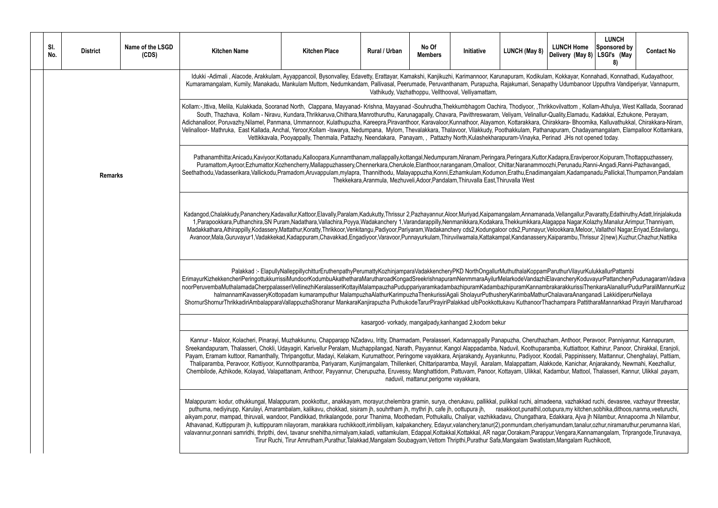| SI.<br>No. | <b>District</b> | Name of the LSGD<br>(CDS) | <b>Kitchen Name</b>                                                                                                                                                                                                                                                                                                                                                                                                                                                                                                                                                                                                                                                                                                                                                                                                                                                                                                                                                                                                           | <b>Kitchen Place</b>                                                                                                                                     | <b>Rural / Urban</b> | No Of<br><b>Members</b>                | Initiative                                                                         | LUNCH (May 8) | <b>LUNCH Home</b><br>Delivery (May 8) | <b>LUNCH</b><br>Sponsored by<br>LSGI's (May<br>8) | <b>Contact No</b> |
|------------|-----------------|---------------------------|-------------------------------------------------------------------------------------------------------------------------------------------------------------------------------------------------------------------------------------------------------------------------------------------------------------------------------------------------------------------------------------------------------------------------------------------------------------------------------------------------------------------------------------------------------------------------------------------------------------------------------------------------------------------------------------------------------------------------------------------------------------------------------------------------------------------------------------------------------------------------------------------------------------------------------------------------------------------------------------------------------------------------------|----------------------------------------------------------------------------------------------------------------------------------------------------------|----------------------|----------------------------------------|------------------------------------------------------------------------------------|---------------|---------------------------------------|---------------------------------------------------|-------------------|
|            |                 |                           | Idukki-Adimali, Alacode, Arakkulam, Ayyappancoil, Bysonvalley, Edavetty, Erattayar, Kamakshi, Kanjikuzhi, Karimannoor, Karunapuram, Kodikulam, Kokkayar, Konnahadi, Konnathadi, Kudayathoor,<br>Kumaramangalam, Kumily, Manakadu, Mankulam Muttom, Nedumkandam, Pallivasal, Peerumade, Peruvanthanam, Purapuzha, Rajakumari, Senapathy Udumbanoor Upputhra Vandiperiyar, Vannapurm,                                                                                                                                                                                                                                                                                                                                                                                                                                                                                                                                                                                                                                           |                                                                                                                                                          |                      |                                        | Vathikudy, Vazhathoppu, Vellthooval, Velliyamattam,                                |               |                                       |                                                   |                   |
|            |                 |                           | Kollam:-,Ittiva, Melila, Kulakkada, Sooranad North, Clappana, Mayyanad-Krishna, Mayyanad-Souhrudha,Thekkumbhagom Oachira, Thodiyoor, ,Thrikkovilvattom, Kollam-Athulya, West Kalllada, Sooranad<br>South, Thazhava, Kollam - Niravu, Kundara, Thrikkaruva, Chithara, Manrothuruthu, Karunagapally, Chavara, Pavithreswaram, Veliyam, Velinallur-Quality, Elamadu, Kadakkal, Ezhukone, Perayam,<br>Adichanalloor, Poruvazhy,Nilamel, Panmana, Ummannoor, Kulathupuzha, Kareepra,Piravanthoor, Karavaloor,Kunnathoor, Alayamon, Kottarakkara, Chirakkara-Bhoomika, Kalluvathukkal, Chirakkara-Niram,<br>Velinalloor-Mathruka, East Kallada, Anchal, Yeroor,Kollam-Iswarya, Nedumpana, Mylom, Thevalakkara, Thalavoor, Vilakkudy, Poothakkulam, Pathanapuram, Chadayamangalam, Elampalloor Kottamkara,                                                                                                                                                                                                                           | Vettikkavala, Pooyappally, Thenmala, Pattazhy, Neendakara, Panayam,, Pattazhy North, Kulashekharapuram-Vinayka, Perinad JHs not opened today.            |                      |                                        |                                                                                    |               |                                       |                                                   |                   |
|            | <b>Remarks</b>  |                           | Pathanamthitta:Anicadu,Kaviyoor,Kottanadu,Kalloopara,Kunnamthanam,mallappally,kottangal,Nedumpuram,Niranam,Peringara,Peringara,Kuttor,Kadapra,Eraviperoor,Koipuram,Thottappuzhassery,<br>Puramattom,Ayroor,Ezhumattor,Kozhencherry,Mallappuzhassery,Chennerkara,Cherukole,Elanthoor,naranganam,Omalloor, Chittar,Naranammoozhi,Perunadu,Ranni-Angadi,Ranni-Pazhavangadi,<br>Seethathodu, Vadasserikara, Vallickodu, Pramadom, Aruvappulam, mylapra, Thannithodu, Malayappuzha, Konni, Ezhamkulam, Kodumon, Erathu, Enadimangalam, Kadampanadu, Pallickal, Thumpamon, Pandalam                                                                                                                                                                                                                                                                                                                                                                                                                                                 |                                                                                                                                                          |                      |                                        | Thekkekara, Aranmula, Mezhuveli, Adoor, Pandalam, Thiruvalla East, Thiruvalla West |               |                                       |                                                   |                   |
|            |                 |                           | Kadangod,Chalakkudy,Pananchery,Kadavallur,Kattoor,Elavally,Paralam,Kadukutty,Thrissur 2,Pazhayannur,Aloor,Muriyad,Kaipamangalam,Annamanada,Vellangallur,Pavaratty,Edathiruthy,Adatt,Irinjalakuda<br>1, Parapookkara, Puthanchira, SN Puram, Nadathara, Vallachira, Poyya, Wadakanchery 1, Varandarappilly, Nenmanikkara, Kodakara, Thekkumkkara, Alagappa Nagar, Kolazhy, Manalur, Arimpur, Thanniyam,<br>Madakkathara,Athirappilly,Kodassery,Mattathur,Koratty,Thrikkoor,Venkitangu,Padiyoor,Pariyaram,Wadakanchery cds2,Kodungaloor cds2,Punnayur,Velookkara,Meloor,,Vallathol Nagar,Eriyad,Edavilangu,<br>Avanoor,Mala,Guruvayur1,Vadakkekad,Kadappuram,Chavakkad,Engadiyoor,Varavoor,Punnayurkulam,Thiruvilwamala,Kattakampal,Kandanassery,Kaiparambu,Thrissur 2(new),Kuzhur,Chazhur,Nattika                                                                                                                                                                                                                              |                                                                                                                                                          |                      |                                        |                                                                                    |               |                                       |                                                   |                   |
|            |                 |                           | ErimayurKizhekkencheriPeringottukkurrissiMundoorKodumbuAkathetharaMarutharoadKongadSreekrishnapuramNenmmaraAyilurMelarkodeVandazhiElavancheryKoduvayurPattancheryPudunagaramVadava<br>noorPeruvembaMuthalamadaCherppalasseriVellinezhiKeralasseriKottayiMalampauzhaPuduppariyaramkadambazhipuramKadambazhipuramKannambrakarakkurissiThenkaraAlanallurPudurParaliMannurKuz<br>halmannamKavasseryKottopadam kumaramputhur MalampuzhaAlathurKarimpuzhaThenkurissiAgali SholayurPuthusheryKarimbaMathurChalavaraAnanganadi LakkidiperurNellaya<br>ShornurShornurThrikkadiriAmbalapparaVallappuzhaShoranur MankaraKanjirapuzha PuthukodeTarurPirayiriPalakkad ulbPookkottukavu KuthanoorThachampara PattitharaMannarkkad Pirayiri Marutharoad                                                                                                                                                                                                                                                                                      | Palakkad :- ElapullyNalleppillychitturEruthenpathyPerumattyKozhinjamparaVadakkencheryPKD NorthOngallurMuthuthalaKoppamParuthurVilayurKulukkallurPattambi |                      |                                        |                                                                                    |               |                                       |                                                   |                   |
|            |                 |                           |                                                                                                                                                                                                                                                                                                                                                                                                                                                                                                                                                                                                                                                                                                                                                                                                                                                                                                                                                                                                                               |                                                                                                                                                          |                      |                                        | kasargod- vorkady, mangalpady, kanhangad 2, kodom bekur                            |               |                                       |                                                   |                   |
|            |                 |                           | Kannur - Maloor, Kolacheri, Pinarayi, Muzhakkunnu, Chapparapp NZadavu, Iritty, Dharmadam, Peralasseri, Kadannappally Panapuzha, Cheruthazham, Anthoor, Peravoor, Panniyannur, Kannapuram,<br>Sreekandapuram, Thalasseri, Chokli, Udayagiri, Karivellur Peralam, Muzhappilangad, Narath, Payyannur, Kangol Alappadamba, Naduvil, Koothuparamba, Kuttiattoor, Kathirur, Panoor, Chirakkal, Eranjoli,<br>Payam, Eramam kuttoor, Ramanthally, Thripangottur, Madayi, Kelakam, Kurumathoor, Peringome vayakkara, Anjarakandy, Ayyankunnu, Padiyoor, Koodali, Pappinissery, Mattannur, Chenghalayi, Pattiam,<br>Thaliparamba, Peravoor, Kottiyoor, Kunnothparamba, Pariyaram, Kunjimangalam, Thillenkeri, Chittariparamba, Mayyil, Aaralam, Malappattam, Alakkode, Kanichar, Anjarakandy, Newmahi, Keezhallur,<br>Chembilode, Azhikode, Kolayad, Valapattanam, Anthoor, Payyannur, Cherupuzha, Eruvessy, Manghattidom, Pattuvam, Panoor, Kottayam, Ulikkal, Kadambur, Mattool, Thalasseri, Kannur, Ulikkal ,payam,                  |                                                                                                                                                          |                      | naduvil, mattanur, perigome vayakkara, |                                                                                    |               |                                       |                                                   |                   |
|            |                 |                           | Malappuram: kodur, othukkungal, Malappuram, pookkottur,, anakkayam, morayur,chelembra gramin, surya, cherukavu, pallikkal, pulikkal ruchi, almadeena, vazhakkad ruchi, devasree, vazhayur threestar,<br>puthuma, nediyirupp, Karulayi, Amarambalam, kalikavu, chokkad, sisiram jh, souhrtham jh, mythri jh, cafe jh, oottupura jh, masakkoot,punathil,ootupura,my kitchen,sobhika,dithoos,nanma,veeturuchi,<br>aikyam,porur, mampad, thiruvali, wandoor, Pandikkad, thrikalangode, porur Thanima, Moothedam, Pothukallu, Chaliyar, vazhikkadavu, Chungathara, Edakkara, Ajva jh Nilambur, Annapoorna Jh Nilambur,<br>Athavanad, Kuttippuram jh, kuttippuram nilayoram, marakkara ruchikkoott,irimbiliyam, kalpakanchery, Edayur,valanchery,tanur(2),ponmundam,cheriyamundam,tanalur,ozhur,niramaruthur,perumanna klari,<br>valavannur,ponnani samridhi, thripthi, devi, tavanur snehitha,nirmalyam,kaladi, vattamkulam, Edappal,Kottakkal,Kottakkal, AR nagar,Oorakam,Parappur,Vengara,Kannamangalam, Triprangode,Tirunavaya, | Tirur Ruchi, Tirur Amrutham, Purathur, Talakkad, Mangalam Soubagyam, Vettom Thripthi, Purathur Safa, Mangalam Swatistam, Mangalam Ruchikoott,            |                      |                                        |                                                                                    |               |                                       |                                                   |                   |